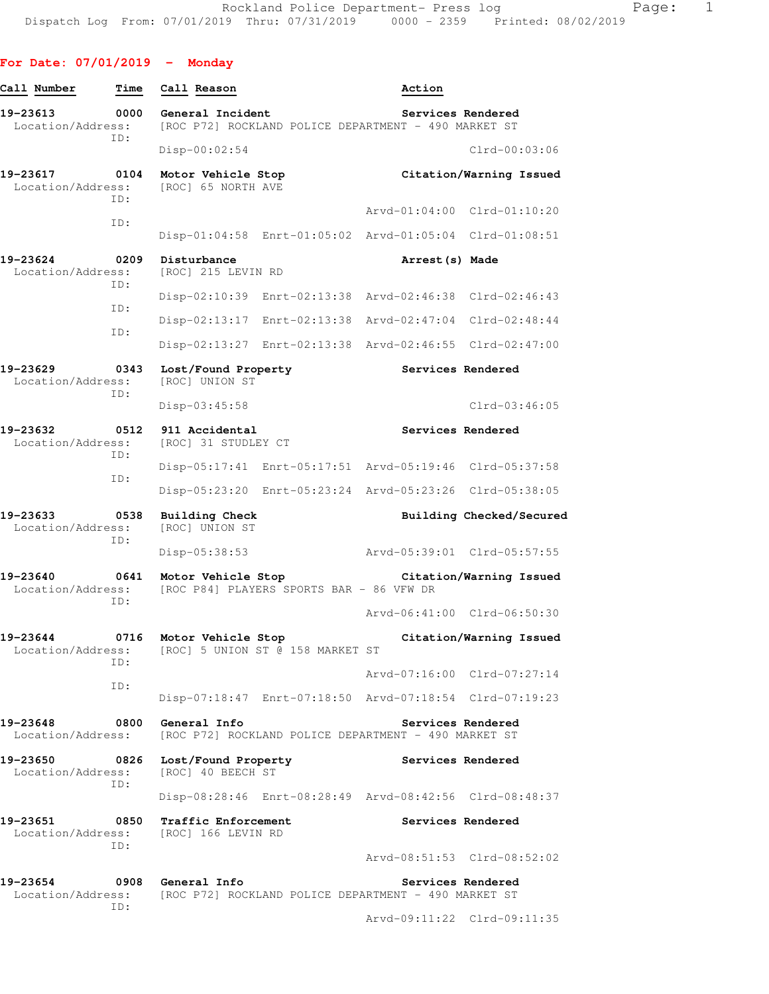| Call Number                                     | Time        | Call Reason                                   |                                                         | Action            |                             |
|-------------------------------------------------|-------------|-----------------------------------------------|---------------------------------------------------------|-------------------|-----------------------------|
| 19-23613<br>Location/Address:                   | 0000<br>ID: | General Incident                              | [ROC P72] ROCKLAND POLICE DEPARTMENT - 490 MARKET ST    |                   | Services Rendered           |
|                                                 |             | Disp-00:02:54                                 |                                                         |                   | $Clrd-00:03:06$             |
| 19-23617<br>Location/Address:                   | 0104<br>ID: | Motor Vehicle Stop<br>[ROC] 65 NORTH AVE      |                                                         |                   | Citation/Warning Issued     |
|                                                 | ID:         |                                               |                                                         |                   | Aryd-01:04:00 Clrd-01:10:20 |
|                                                 |             |                                               | Disp-01:04:58 Enrt-01:05:02 Arvd-01:05:04 Clrd-01:08:51 |                   |                             |
| 19-23624<br>Location/Address:                   | 0209<br>ID: | Disturbance<br>[ROC] 215 LEVIN RD             |                                                         | Arrest (s) Made   |                             |
|                                                 | ID:         |                                               | Disp-02:10:39 Enrt-02:13:38 Arvd-02:46:38 Clrd-02:46:43 |                   |                             |
|                                                 | ID:         | Disp-02:13:17                                 | Enrt-02:13:38                                           | Arvd-02:47:04     | $Clrd-02:48:44$             |
|                                                 |             |                                               | Disp-02:13:27 Enrt-02:13:38                             | Arvd-02:46:55     | $Clrd-02:47:00$             |
| 19-23629<br>Location/Address:                   | 0343<br>ID: | Lost/Found Property<br>[ROC] UNION ST         |                                                         |                   | Services Rendered           |
|                                                 |             | Disp-03:45:58                                 |                                                         |                   | $Clrd-03:46:05$             |
| 19-23632<br>Location/Address:                   | 0512<br>ID: | 911 Accidental<br>[ROC] 31 STUDLEY CT         |                                                         |                   | Services Rendered           |
|                                                 | ID:         |                                               | Disp-05:17:41 Enrt-05:17:51 Arvd-05:19:46 Clrd-05:37:58 |                   |                             |
|                                                 |             | Disp-05:23:20                                 | Enrt-05:23:24 Arvd-05:23:26 Clrd-05:38:05               |                   |                             |
| 19-23633<br>Location/Address:                   | 0538<br>ID: | <b>Building Check</b><br>[ROC] UNION ST       |                                                         |                   | Building Checked/Secured    |
|                                                 |             | Disp-05:38:53                                 |                                                         |                   | Arvd-05:39:01 Clrd-05:57:55 |
| 19-23640<br>Location/Address:                   | 0641<br>ID: | Motor Vehicle Stop                            | [ROC P84] PLAYERS SPORTS BAR - 86 VFW DR                |                   | Citation/Warning Issued     |
|                                                 |             |                                               |                                                         |                   | Arvd-06:41:00 Clrd-06:50:30 |
| 19-23644                                        | 0716<br>TD: | Motor Vehicle Stop                            | Location/Address: [ROC] 5 UNION ST @ 158 MARKET ST      |                   | Citation/Warning Issued     |
|                                                 | ID:         |                                               |                                                         |                   | Arvd-07:16:00 Clrd-07:27:14 |
|                                                 |             |                                               | Disp-07:18:47 Enrt-07:18:50 Arvd-07:18:54 Clrd-07:19:23 |                   |                             |
| 19-23648<br>Location/Address:                   |             | 0800 General Info                             | [ROC P72] ROCKLAND POLICE DEPARTMENT - 490 MARKET ST    |                   | Services Rendered           |
| 19-23650<br>Location/Address:                   | ID:         | 0826 Lost/Found Property<br>[ROC] 40 BEECH ST |                                                         | Services Rendered |                             |
|                                                 |             |                                               | Disp-08:28:46 Enrt-08:28:49 Arvd-08:42:56 Clrd-08:48:37 |                   |                             |
| 19-23651<br>Location/Address:                   | 0850<br>ID: | Traffic Enforcement<br>[ROC] 166 LEVIN RD     |                                                         |                   | Services Rendered           |
|                                                 |             |                                               |                                                         |                   | Arvd-08:51:53 Clrd-08:52:02 |
| 19-23654 0908 General Info<br>Location/Address: |             |                                               | [ROC P72] ROCKLAND POLICE DEPARTMENT - 490 MARKET ST    |                   | Services Rendered           |
|                                                 | ID:         |                                               |                                                         |                   | Arvd-09:11:22 Clrd-09:11:35 |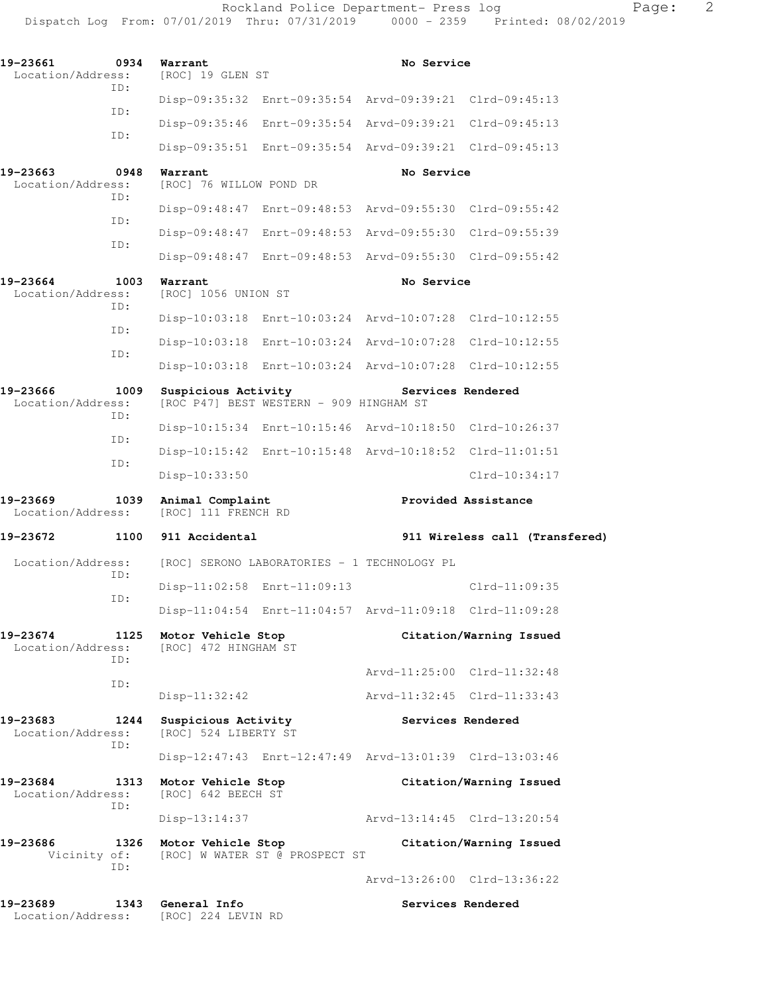| 19-23661<br>Location/Address: | 0934        | Warrant<br>[ROC] 19 GLEN ST                 |                                             | No Service                                              |                                |
|-------------------------------|-------------|---------------------------------------------|---------------------------------------------|---------------------------------------------------------|--------------------------------|
|                               | ID:         | Disp-09:35:32                               |                                             | Enrt-09:35:54 Arvd-09:39:21 Clrd-09:45:13               |                                |
|                               | ID:         | Disp-09:35:46                               |                                             | Enrt-09:35:54 Arvd-09:39:21 Clrd-09:45:13               |                                |
|                               | ID:         |                                             |                                             | Disp-09:35:51 Enrt-09:35:54 Arvd-09:39:21 Clrd-09:45:13 |                                |
| 19-23663<br>Location/Address: | 0948<br>ID: | Warrant<br>[ROC] 76 WILLOW POND DR          |                                             | No Service                                              |                                |
|                               | ID:         |                                             |                                             | Disp-09:48:47 Enrt-09:48:53 Arvd-09:55:30 Clrd-09:55:42 |                                |
|                               | ID:         |                                             |                                             | Disp-09:48:47 Enrt-09:48:53 Arvd-09:55:30 Clrd-09:55:39 |                                |
|                               |             |                                             |                                             | Disp-09:48:47 Enrt-09:48:53 Arvd-09:55:30 Clrd-09:55:42 |                                |
| 19-23664<br>Location/Address: | 1003<br>ID: | Warrant<br>[ROC] 1056 UNION ST              |                                             | No Service                                              |                                |
|                               | ID:         |                                             |                                             | Disp-10:03:18 Enrt-10:03:24 Arvd-10:07:28 Clrd-10:12:55 |                                |
|                               | ID:         | $Disp-10:03:18$                             |                                             | Enrt-10:03:24 Arvd-10:07:28 Clrd-10:12:55               |                                |
|                               |             |                                             |                                             | Disp-10:03:18 Enrt-10:03:24 Arvd-10:07:28 Clrd-10:12:55 |                                |
| 19-23666<br>Location/Address: | 1009<br>ID: | Suspicious Activity                         | [ROC P47] BEST WESTERN - 909 HINGHAM ST     | Services Rendered                                       |                                |
|                               | ID:         |                                             |                                             | Disp-10:15:34 Enrt-10:15:46 Arvd-10:18:50 Clrd-10:26:37 |                                |
|                               | ID:         |                                             |                                             | Disp-10:15:42 Enrt-10:15:48 Arvd-10:18:52 Clrd-11:01:51 |                                |
|                               |             | Disp-10:33:50                               |                                             |                                                         | Clrd-10:34:17                  |
|                               |             |                                             |                                             |                                                         |                                |
| 19-23669<br>Location/Address: | 1039        | Animal Complaint<br>[ROC] 111 FRENCH RD     |                                             |                                                         | Provided Assistance            |
| 19-23672                      | 1100        | 911 Accidental                              |                                             |                                                         | 911 Wireless call (Transfered) |
| Location/Address:             |             |                                             | [ROC] SERONO LABORATORIES - 1 TECHNOLOGY PL |                                                         |                                |
|                               | ID:         | Disp-11:02:58 Enrt-11:09:13                 |                                             |                                                         | $Clrd-11:09:35$                |
|                               | ID:         |                                             |                                             | Disp-11:04:54 Enrt-11:04:57 Arvd-11:09:18 Clrd-11:09:28 |                                |
| 19-23674<br>Location/Address: | 1125        | Motor Vehicle Stop<br>[ROC] 472 HINGHAM ST  |                                             |                                                         | Citation/Warning Issued        |
|                               | ID:         |                                             |                                             |                                                         | Arvd-11:25:00 Clrd-11:32:48    |
|                               | ID:         | $Disp-11:32:42$                             |                                             |                                                         | Arvd-11:32:45 Clrd-11:33:43    |
| 19-23683<br>Location/Address: | 1244<br>ID: | Suspicious Activity<br>[ROC] 524 LIBERTY ST |                                             | Services Rendered                                       |                                |
|                               |             |                                             |                                             | Disp-12:47:43 Enrt-12:47:49 Arvd-13:01:39 Clrd-13:03:46 |                                |
| 19-23684<br>Location/Address: | 1313        | Motor Vehicle Stop<br>[ROC] 642 BEECH ST    |                                             |                                                         | Citation/Warning Issued        |
|                               | ID:         | $Disp-13:14:37$                             |                                             |                                                         | Arvd-13:14:45 Clrd-13:20:54    |
| 19-23686<br>Vicinity of:      | 1326        | Motor Vehicle Stop                          | [ROC] W WATER ST @ PROSPECT ST              |                                                         | Citation/Warning Issued        |
|                               | ID:         |                                             |                                             |                                                         | Arvd-13:26:00 Clrd-13:36:22    |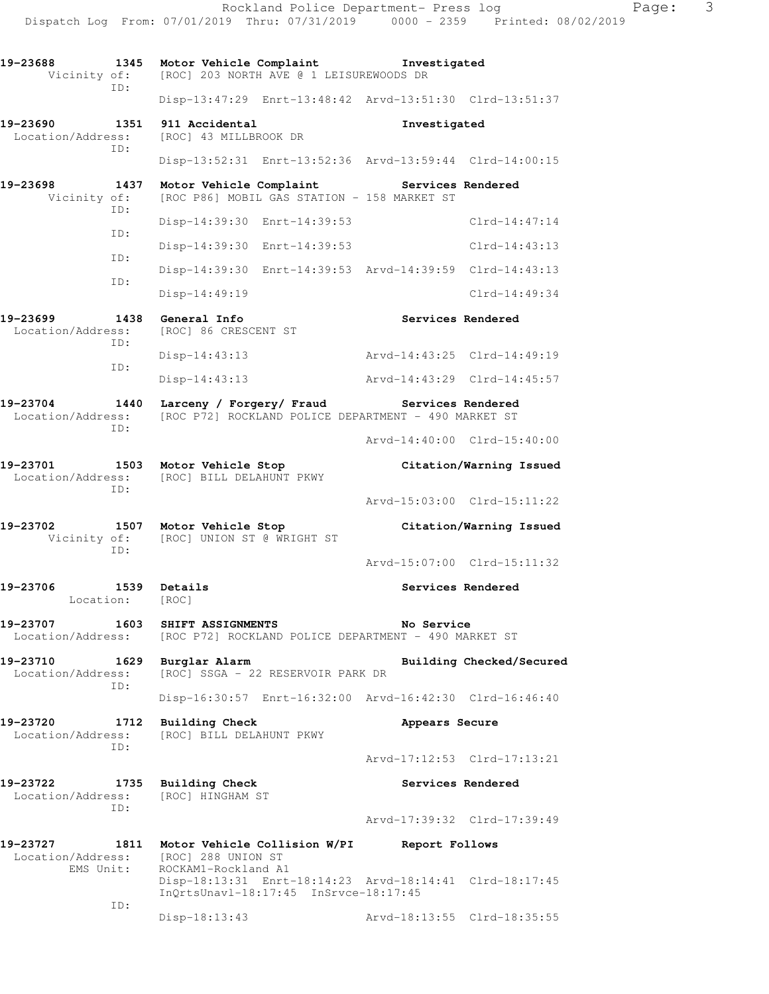**19-23688 1345 Motor Vehicle Complaint Investigated**  Vicinity of: [ROC] 203 NORTH AVE @ 1 LEISUREWOODS DR ID: Disp-13:47:29 Enrt-13:48:42 Arvd-13:51:30 Clrd-13:51:37 **19-23690 1351 911 Accidental Investigated**  Location/Address: [ROC] 43 MILLBROOK DR ID: Disp-13:52:31 Enrt-13:52:36 Arvd-13:59:44 Clrd-14:00:15 **19-23698 1437 Motor Vehicle Complaint Services Rendered**  Vicinity of: [ROC P86] MOBIL GAS STATION - 158 MARKET ST ID: Disp-14:39:30 Enrt-14:39:53 Clrd-14:47:14 ID: Disp-14:39:30 Enrt-14:39:53 Clrd-14:43:13 ID: Disp-14:39:30 Enrt-14:39:53 Arvd-14:39:59 Clrd-14:43:13 ID: Disp-14:49:19 Clrd-14:49:34 **19-23699 1438 General Info Services Rendered**  Location/Address: [ROC] 86 CRESCENT ST ID: Disp-14:43:13 Arvd-14:43:25 Clrd-14:49:19 ID: Disp-14:43:13 Arvd-14:43:29 Clrd-14:45:57 **19-23704 1440 Larceny / Forgery/ Fraud Services Rendered**  Location/Address: [ROC P72] ROCKLAND POLICE DEPARTMENT - 490 MARKET ST ID: Arvd-14:40:00 Clrd-15:40:00 **19-23701 1503 Motor Vehicle Stop Citation/Warning Issued**  Location/Address: [ROC] BILL DELAHUNT PKWY ID: Arvd-15:03:00 Clrd-15:11:22 **19-23702 1507 Motor Vehicle Stop Citation/Warning Issued**  Vicinity of: [ROC] UNION ST @ WRIGHT ST ID: Arvd-15:07:00 Clrd-15:11:32 19-23706 1539 Details **19-23706** 1539 Details Location: [ROC] **19-23707 1603 SHIFT ASSIGNMENTS No Service**  Location/Address: [ROC P72] ROCKLAND POLICE DEPARTMENT - 490 MARKET ST **19-23710 1629 Burglar Alarm Building Checked/Secured**  Location/Address: [ROC] SSGA - 22 RESERVOIR PARK DR ID: Disp-16:30:57 Enrt-16:32:00 Arvd-16:42:30 Clrd-16:46:40 **19-23720 1712 Building Check Appears Secure**  Location/Address: [ROC] BILL DELAHUNT PKWY ID: Arvd-17:12:53 Clrd-17:13:21 **19-23722 1735 Building Check Services Rendered**  Location/Address: [ROC] HINGHAM ST ID: Arvd-17:39:32 Clrd-17:39:49 **19-23727 1811 Motor Vehicle Collision W/PI Report Follows**  Location/Address: [ROC] 288 UNION ST<br>EMS Unit: ROCKAM1-Rockland A1 ROCKAM1-Rockland A1 Disp-18:13:31 Enrt-18:14:23 Arvd-18:14:41 Clrd-18:17:45 InQrtsUnavl-18:17:45 InSrvce-18:17:45 ID: Disp-18:13:43 Arvd-18:13:55 Clrd-18:35:55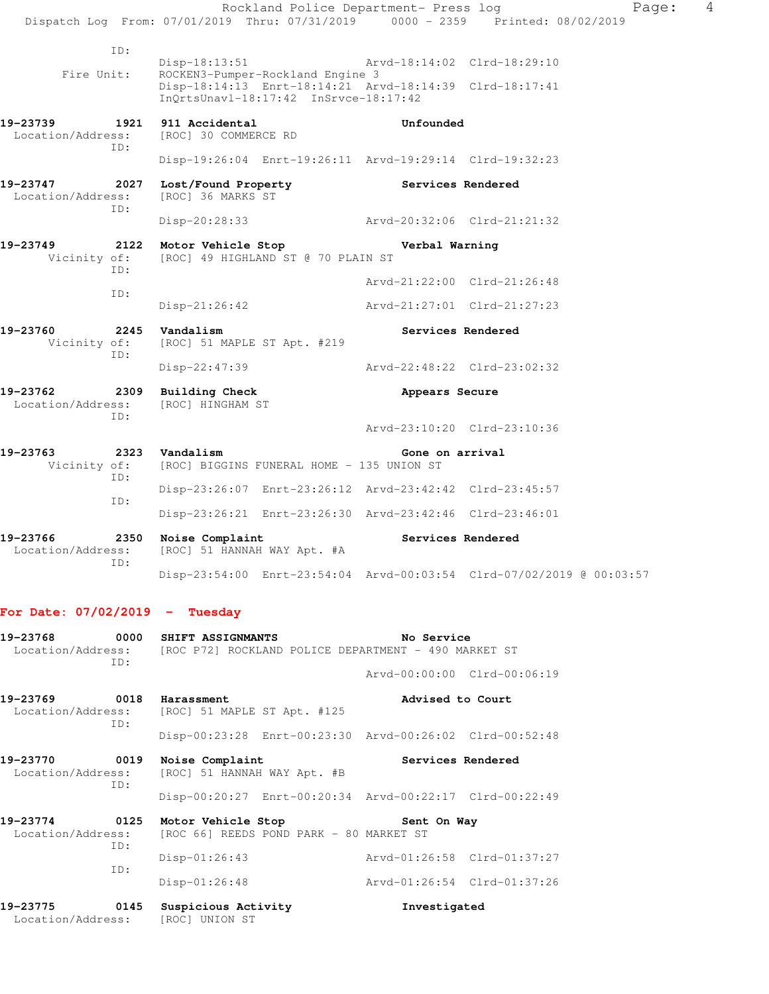Rockland Police Department- Press log Page: 4 Dispatch Log From: 07/01/2019 Thru: 07/31/2019 0000 - 2359 Printed: 08/02/2019 ID: Disp-18:13:51 Arvd-18:14:02 Clrd-18:29:10 Fire Unit: ROCKEN3-Pumper-Rockland Engine 3 Disp-18:14:13 Enrt-18:14:21 Arvd-18:14:39 Clrd-18:17:41 InQrtsUnavl-18:17:42 InSrvce-18:17:42 **19-23739 1921 911 Accidental Unfounded**  Location/Address: [ROC] 30 COMMERCE RD ID: Disp-19:26:04 Enrt-19:26:11 Arvd-19:29:14 Clrd-19:32:23 **19-23747 2027 Lost/Found Property Services Rendered**  Location/Address: [ROC] 36 MARKS ST ID: Disp-20:28:33 Arvd-20:32:06 Clrd-21:21:32 **19-23749 2122 Motor Vehicle Stop Verbal Warning**  Vicinity of: [ROC] 49 HIGHLAND ST @ 70 PLAIN ST ID: Arvd-21:22:00 Clrd-21:26:48 ID: Disp-21:26:42 Arvd-21:27:01 Clrd-21:27:23 19-23760 2245 Vandalism **Services Rendered**  Vicinity of: [ROC] 51 MAPLE ST Apt. #219 ID: Disp-22:47:39 Arvd-22:48:22 Clrd-23:02:32 **19-23762 2309 Building Check Appears Secure**  Location/Address: [ROC] HINGHAM ST ID: Arvd-23:10:20 Clrd-23:10:36 **19-23763 2323 Vandalism Gone on arrival**  Vicinity of: [ROC] BIGGINS FUNERAL HOME - 135 UNION ST ID: Disp-23:26:07 Enrt-23:26:12 Arvd-23:42:42 Clrd-23:45:57 ID: Disp-23:26:21 Enrt-23:26:30 Arvd-23:42:46 Clrd-23:46:01 19-23766 2350 Noise Complaint **Services Rendered Services Rendered Services Rendered** [ROC] 51 HANNAH WAY Apt. #A ID: Disp-23:54:00 Enrt-23:54:04 Arvd-00:03:54 Clrd-07/02/2019 @ 00:03:57

#### **For Date: 07/02/2019 - Tuesday**

| 19-23768                                     | 0000<br>TD: | <b>SHIFT ASSIGNMANTS</b><br>Location/Address: [ROC P72] ROCKLAND POLICE DEPARTMENT - 490 MARKET ST | No Service                  |  |
|----------------------------------------------|-------------|----------------------------------------------------------------------------------------------------|-----------------------------|--|
|                                              |             |                                                                                                    | Arvd-00:00:00 Clrd-00:06:19 |  |
| 19-23769<br>Location/Address:                | TD:         | 0018 Harassment<br>[ROC] 51 MAPLE ST Apt. #125                                                     | Advised to Court            |  |
|                                              |             | Disp-00:23:28 Enrt-00:23:30 Arvd-00:26:02 Clrd-00:52:48                                            |                             |  |
| 0019<br>19-23770<br>Location/Address:<br>TD: |             | Noise Complaint<br>[ROC] 51 HANNAH WAY Apt. #B                                                     | Services Rendered           |  |
|                                              |             | Disp-00:20:27 Enrt-00:20:34 Arvd-00:22:17 Clrd-00:22:49                                            |                             |  |
| 19-23774 0125<br>Location/Address:           | ID:         | Motor Vehicle Stop Sent On Way<br>[ROC 66] REEDS POND PARK - 80 MARKET ST                          |                             |  |
|                                              |             | $Disp-01:26:43$                                                                                    | Arvd-01:26:58 Clrd-01:37:27 |  |
|                                              | ID:         | $Disp-01:26:48$                                                                                    | Arvd-01:26:54 Clrd-01:37:26 |  |
| 19-23775<br>Location/Address:                | 0145        | Suspicious Activity<br>[ROC] UNION ST                                                              | Investigated                |  |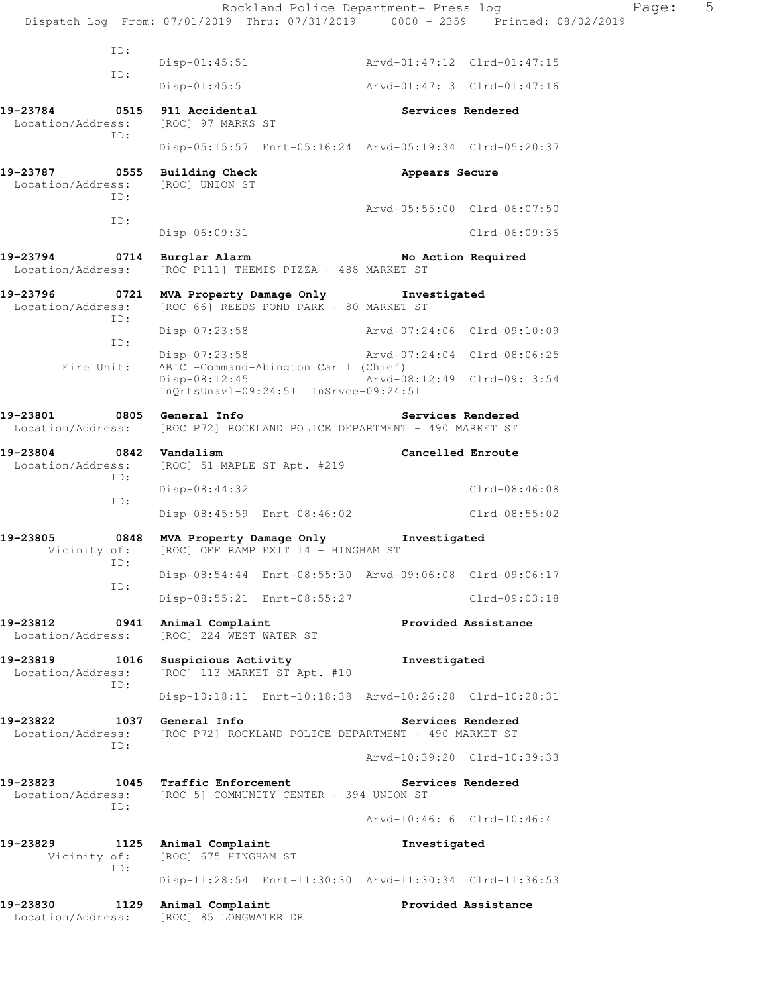Rockland Police Department- Press log Fage: 5 Dispatch Log From: 07/01/2019 Thru: 07/31/2019 0000 - 2359 Printed: 08/02/2019 ID: Disp-01:45:51 Arvd-01:47:12 Clrd-01:47:15 ID: Disp-01:45:51 Arvd-01:47:13 Clrd-01:47:16 **19-23784 0515 911 Accidental Services Rendered**  Location/Address: [ROC] 97 MARKS ST ID: Disp-05:15:57 Enrt-05:16:24 Arvd-05:19:34 Clrd-05:20:37 **19-23787 0555 Building Check Appears Secure**  Location/Address: ID: Arvd-05:55:00 Clrd-06:07:50 ID: Disp-06:09:31 Clrd-06:09:36 19-23794 **0714** Burglar Alarm **No Action Required** Location/Address: [ROC P111] THEMIS PIZZA - 488 MARKET ST **19-23796 0721 MVA Property Damage Only Investigated**  Location/Address: [ROC 66] REEDS POND PARK - 80 MARKET ST ID: Disp-07:23:58 Arvd-07:24:06 Clrd-09:10:09 ID: Disp-07:23:58 Arvd-07:24:04 Clrd-08:06:25 Fire Unit: ABIC1-Command-Abington Car 1 (Chief)<br>Disp-08:12:45 <br>Arvd-08:12:49 Clrd-09:13:54  $Disp-08:12:45$  InQrtsUnavl-09:24:51 InSrvce-09:24:51 **19-23801 0805 General Info Services Rendered**  Location/Address: [ROC P72] ROCKLAND POLICE DEPARTMENT - 490 MARKET ST **19-23804 0842 Vandalism Cancelled Enroute**  Location/Address: [ROC] 51 MAPLE ST Apt. #219 ID: Disp-08:44:32 Clrd-08:46:08 ID: Disp-08:45:59 Enrt-08:46:02 Clrd-08:55:02 **19-23805 0848 MVA Property Damage Only Investigated** Vicinity of: [ROC] OFF RAMP EXIT 14 - HINGHAM ST [ROC] OFF RAMP EXIT 14 - HINGHAM ST ID: Disp-08:54:44 Enrt-08:55:30 Arvd-09:06:08 Clrd-09:06:17 ID: Disp-08:55:21 Enrt-08:55:27 Clrd-09:03:18 **19-23812 0941 Animal Complaint Provided Assistance**  Location/Address: [ROC] 224 WEST WATER ST 19-23819 1016 Suspicious Activity **Investigated** Location/Address: [ROC] 113 MARKET ST Apt. #10 [ROC] 113 MARKET ST Apt. #10 ID: Disp-10:18:11 Enrt-10:18:38 Arvd-10:26:28 Clrd-10:28:31 **19-23822 1037 General Info Services Rendered**  Location/Address: [ROC P72] ROCKLAND POLICE DEPARTMENT - 490 MARKET ST ID: Arvd-10:39:20 Clrd-10:39:33 **19-23823 1045 Traffic Enforcement Services Rendered**  Location/Address: [ROC 5] COMMUNITY CENTER - 394 UNION ST ID: Arvd-10:46:16 Clrd-10:46:41 **19-23829 1125 Animal Complaint Investigated**  Vicinity of: [ROC] 675 HINGHAM ST ID: Disp-11:28:54 Enrt-11:30:30 Arvd-11:30:34 Clrd-11:36:53 **19-23830 1129 Animal Complaint Provided Assistance**  Location/Address: [ROC] 85 LONGWATER DR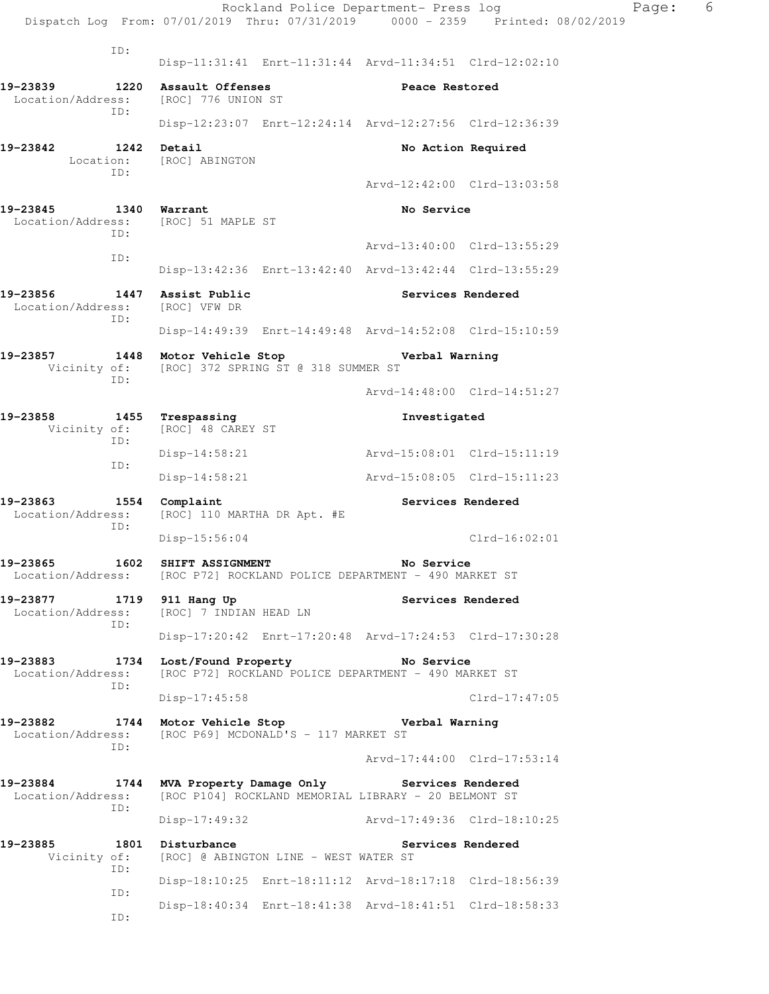|                                                                   |             |                                               |                                       | Rockland Police Department- Press log                                                                   | Dispatch Log From: 07/01/2019 Thru: 07/31/2019 0000 - 2359 Printed: 08/02/2019 | Page: | 6 |
|-------------------------------------------------------------------|-------------|-----------------------------------------------|---------------------------------------|---------------------------------------------------------------------------------------------------------|--------------------------------------------------------------------------------|-------|---|
|                                                                   |             |                                               |                                       |                                                                                                         |                                                                                |       |   |
|                                                                   | ID:         |                                               |                                       | Disp-11:31:41 Enrt-11:31:44 Arvd-11:34:51 Clrd-12:02:10                                                 |                                                                                |       |   |
| 19-23839<br>Location/Address:                                     | 1220<br>ID: | Assault Offenses<br>[ROC] 776 UNION ST        |                                       | Peace Restored                                                                                          |                                                                                |       |   |
|                                                                   |             |                                               |                                       | Disp-12:23:07 Enrt-12:24:14 Arvd-12:27:56 Clrd-12:36:39                                                 |                                                                                |       |   |
| 19-23842<br>Location:                                             | 1242<br>ID: | Detail<br>[ROC] ABINGTON                      |                                       |                                                                                                         | No Action Required                                                             |       |   |
|                                                                   |             |                                               |                                       | Arvd-12:42:00 Clrd-13:03:58                                                                             |                                                                                |       |   |
| 19-23845<br>Location/Address:                                     | ID:         | 1340 Warrant<br>[ROC] 51 MAPLE ST             |                                       | No Service                                                                                              |                                                                                |       |   |
|                                                                   | ID:         |                                               |                                       | Arvd-13:40:00 Clrd-13:55:29                                                                             |                                                                                |       |   |
|                                                                   |             |                                               |                                       | Disp-13:42:36 Enrt-13:42:40 Arvd-13:42:44 Clrd-13:55:29                                                 |                                                                                |       |   |
| 19-23856<br>Location/Address:                                     | ID:         | 1447 Assist Public<br>[ROC] VFW DR            |                                       | Services Rendered                                                                                       |                                                                                |       |   |
|                                                                   |             |                                               |                                       | Disp-14:49:39 Enrt-14:49:48 Arvd-14:52:08 Clrd-15:10:59                                                 |                                                                                |       |   |
| 19-23857<br>Vicinity of:                                          | ID:         | 1448 Motor Vehicle Stop                       | [ROC] 372 SPRING ST @ 318 SUMMER ST   | Verbal Warning                                                                                          |                                                                                |       |   |
|                                                                   |             |                                               |                                       | Arvd-14:48:00 Clrd-14:51:27                                                                             |                                                                                |       |   |
| 19-23858<br>Vicinity of:                                          | ID:         | 1455 Trespassing<br>[ROC] 48 CAREY ST         |                                       | Investigated                                                                                            |                                                                                |       |   |
|                                                                   | ID:         | $Disp-14:58:21$                               |                                       | Arvd-15:08:01 Clrd-15:11:19                                                                             |                                                                                |       |   |
|                                                                   |             | $Disp-14:58:21$                               |                                       | Arvd-15:08:05 Clrd-15:11:23                                                                             |                                                                                |       |   |
| 19-23863<br>Location/Address:                                     | ID:         | 1554 Complaint<br>[ROC] 110 MARTHA DR Apt. #E |                                       | Services Rendered                                                                                       |                                                                                |       |   |
|                                                                   |             | $Disp-15:56:04$                               |                                       |                                                                                                         | $Clrd-16:02:01$                                                                |       |   |
| 19-23865                                                          | 1602        | SHIFT ASSIGNMENT                              |                                       | No Service<br>Location/Address: [ROC P72] ROCKLAND POLICE DEPARTMENT - 490 MARKET ST                    |                                                                                |       |   |
| 19-23877 1719 911 Hang Up<br>Location/Address:                    | ID:         | [ROC] 7 INDIAN HEAD LN                        |                                       | Services Rendered                                                                                       |                                                                                |       |   |
|                                                                   |             |                                               |                                       | Disp-17:20:42 Enrt-17:20:48 Arvd-17:24:53 Clrd-17:30:28                                                 |                                                                                |       |   |
| 19-23883 1734 Lost/Found Property No Service<br>Location/Address: | ID:         |                                               |                                       | [ROC P72] ROCKLAND POLICE DEPARTMENT - 490 MARKET ST                                                    |                                                                                |       |   |
|                                                                   |             | $Disp-17:45:58$                               |                                       |                                                                                                         | $Clrd-17:47:05$                                                                |       |   |
| 19-23882 1744 Motor Vehicle Stop<br>Location/Address:             | ID:         |                                               | [ROC P69] MCDONALD'S - 117 MARKET ST  | Verbal Warning                                                                                          |                                                                                |       |   |
|                                                                   |             |                                               |                                       | Arvd-17:44:00 Clrd-17:53:14                                                                             |                                                                                |       |   |
| 19-23884<br>Location/Address:                                     | ID:         |                                               |                                       | 1744 MVA Property Damage Only Services Rendered<br>[ROC P104] ROCKLAND MEMORIAL LIBRARY - 20 BELMONT ST |                                                                                |       |   |
|                                                                   |             | Disp-17:49:32                                 |                                       | Arvd-17:49:36 Clrd-18:10:25                                                                             |                                                                                |       |   |
| 19-23885<br>Vicinity of:                                          | ID:         | 1801 Disturbance                              | [ROC] @ ABINGTON LINE - WEST WATER ST | Services Rendered                                                                                       |                                                                                |       |   |
|                                                                   | ID:         |                                               |                                       | Disp-18:10:25 Enrt-18:11:12 Arvd-18:17:18 Clrd-18:56:39                                                 |                                                                                |       |   |
|                                                                   | ID:         |                                               |                                       | Disp-18:40:34 Enrt-18:41:38 Arvd-18:41:51 Clrd-18:58:33                                                 |                                                                                |       |   |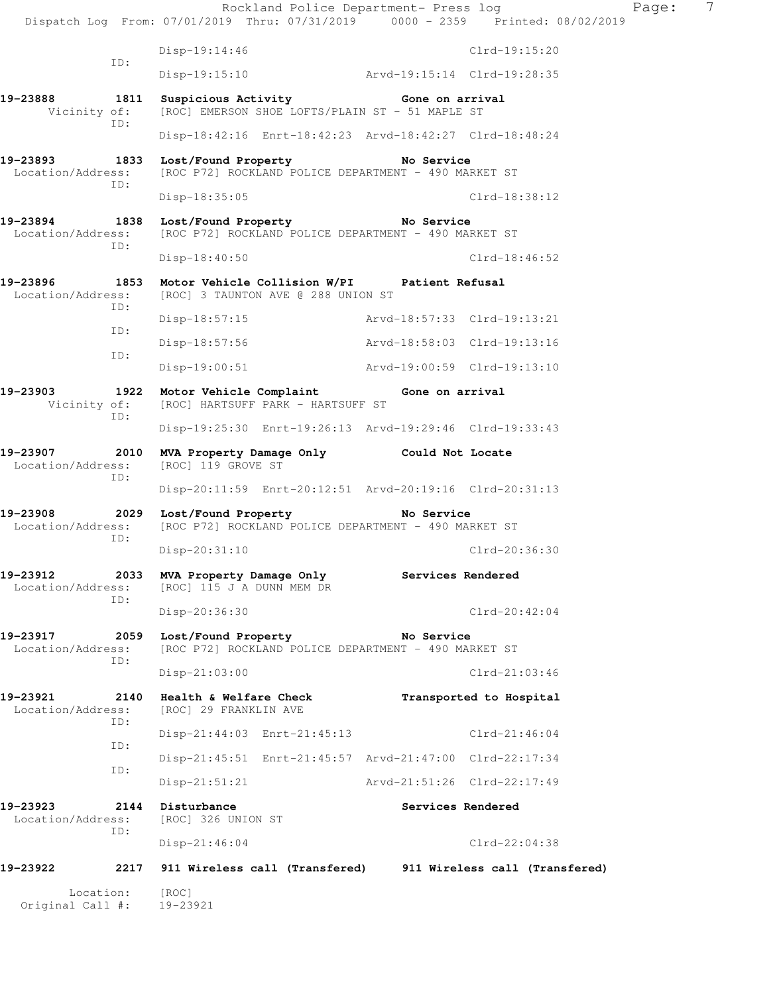|                               |             |                                                       | Rockland Police Department- Press log                                                                    |                             |                                                                                | Page: | 7 |
|-------------------------------|-------------|-------------------------------------------------------|----------------------------------------------------------------------------------------------------------|-----------------------------|--------------------------------------------------------------------------------|-------|---|
|                               |             |                                                       |                                                                                                          |                             | Dispatch Log From: 07/01/2019 Thru: 07/31/2019 0000 - 2359 Printed: 08/02/2019 |       |   |
|                               | ID:         | $Disp-19:14:46$                                       |                                                                                                          |                             | Clrd-19:15:20                                                                  |       |   |
|                               |             | Disp-19:15:10                                         |                                                                                                          | Arvd-19:15:14 Clrd-19:28:35 |                                                                                |       |   |
| 19-23888<br>Vicinity of:      | 1811<br>ID: |                                                       | Suspicious Activity <b>Suspicious</b> Cone on arrival<br>[ROC] EMERSON SHOE LOFTS/PLAIN ST - 51 MAPLE ST |                             |                                                                                |       |   |
|                               |             |                                                       | Disp-18:42:16 Enrt-18:42:23 Arvd-18:42:27 Clrd-18:48:24                                                  |                             |                                                                                |       |   |
| 19-23893<br>Location/Address: | 1833<br>ID: | Lost/Found Property                                   | [ROC P72] ROCKLAND POLICE DEPARTMENT - 490 MARKET ST                                                     | <b>Example 2</b> No Service |                                                                                |       |   |
|                               |             | $Disp-18:35:05$                                       |                                                                                                          |                             | $Clrd-18:38:12$                                                                |       |   |
| 19-23894<br>Location/Address: | 1838<br>ID: | Lost/Found Property                                   | [ROC P72] ROCKLAND POLICE DEPARTMENT - 490 MARKET ST                                                     | <b>Example 20 Service</b>   |                                                                                |       |   |
|                               |             | $Disp-18:40:50$                                       |                                                                                                          |                             | $Clrd-18:46:52$                                                                |       |   |
| 19-23896<br>Location/Address: | 1853<br>ID: |                                                       | Motor Vehicle Collision W/PI Patient Refusal<br>[ROC] 3 TAUNTON AVE @ 288 UNION ST                       |                             |                                                                                |       |   |
|                               | ID:         | Disp-18:57:15                                         |                                                                                                          | Arvd-18:57:33 Clrd-19:13:21 |                                                                                |       |   |
|                               | ID:         | Disp-18:57:56                                         |                                                                                                          | Arvd-18:58:03 Clrd-19:13:16 |                                                                                |       |   |
|                               |             | $Disp-19:00:51$                                       |                                                                                                          | Arvd-19:00:59 Clrd-19:13:10 |                                                                                |       |   |
| 19-23903<br>Vicinity of:      | ID:         |                                                       | 1922 Motor Vehicle Complaint 6one on arrival<br>[ROC] HARTSUFF PARK - HARTSUFF ST                        |                             |                                                                                |       |   |
|                               |             |                                                       | Disp-19:25:30 Enrt-19:26:13 Arvd-19:29:46 Clrd-19:33:43                                                  |                             |                                                                                |       |   |
| 19-23907<br>Location/Address: | 2010<br>ID: | [ROC] 119 GROVE ST                                    | MVA Property Damage Only Could Not Locate                                                                |                             |                                                                                |       |   |
|                               |             |                                                       | Disp-20:11:59 Enrt-20:12:51 Arvd-20:19:16 Clrd-20:31:13                                                  |                             |                                                                                |       |   |
| Location/Address:             | ID:         |                                                       | [ROC P72] ROCKLAND POLICE DEPARTMENT - 490 MARKET ST                                                     |                             |                                                                                |       |   |
|                               |             | Disp-20:31:10                                         |                                                                                                          |                             | Clrd-20:36:30                                                                  |       |   |
| 19-23912<br>Location/Address: | 2033<br>ID: | MVA Property Damage Only<br>[ROC] 115 J A DUNN MEM DR |                                                                                                          | Services Rendered           |                                                                                |       |   |
|                               |             | Disp-20:36:30                                         |                                                                                                          |                             | $Clrd-20:42:04$                                                                |       |   |
| 19-23917<br>Location/Address: | 2059<br>TD: | Lost/Found Property                                   | [ROC P72] ROCKLAND POLICE DEPARTMENT - 490 MARKET ST                                                     | No Service                  |                                                                                |       |   |
|                               |             | $Disp-21:03:00$                                       |                                                                                                          |                             | $Clrd-21:03:46$                                                                |       |   |
| 19-23921<br>Location/Address: | 2140<br>ID: | Health & Welfare Check<br>[ROC] 29 FRANKLIN AVE       |                                                                                                          |                             | Transported to Hospital                                                        |       |   |
|                               | ID:         |                                                       | Disp-21:44:03 Enrt-21:45:13                                                                              |                             | $Clrd-21:46:04$                                                                |       |   |
|                               | ID:         |                                                       | Disp-21:45:51 Enrt-21:45:57 Arvd-21:47:00 Clrd-22:17:34                                                  |                             |                                                                                |       |   |
|                               |             | Disp-21:51:21                                         |                                                                                                          |                             | Arvd-21:51:26 Clrd-22:17:49                                                    |       |   |
| 19-23923<br>Location/Address: | 2144<br>ID: | Disturbance<br>[ROC] 326 UNION ST                     |                                                                                                          | Services Rendered           |                                                                                |       |   |
|                               |             | $Disp-21:46:04$                                       |                                                                                                          |                             | $Clrd-22:04:38$                                                                |       |   |
| 19-23922                      | 2217        |                                                       |                                                                                                          |                             | 911 Wireless call (Transfered) 911 Wireless call (Transfered)                  |       |   |
| Location:<br>Original Call #: |             | [ROC]<br>19-23921                                     |                                                                                                          |                             |                                                                                |       |   |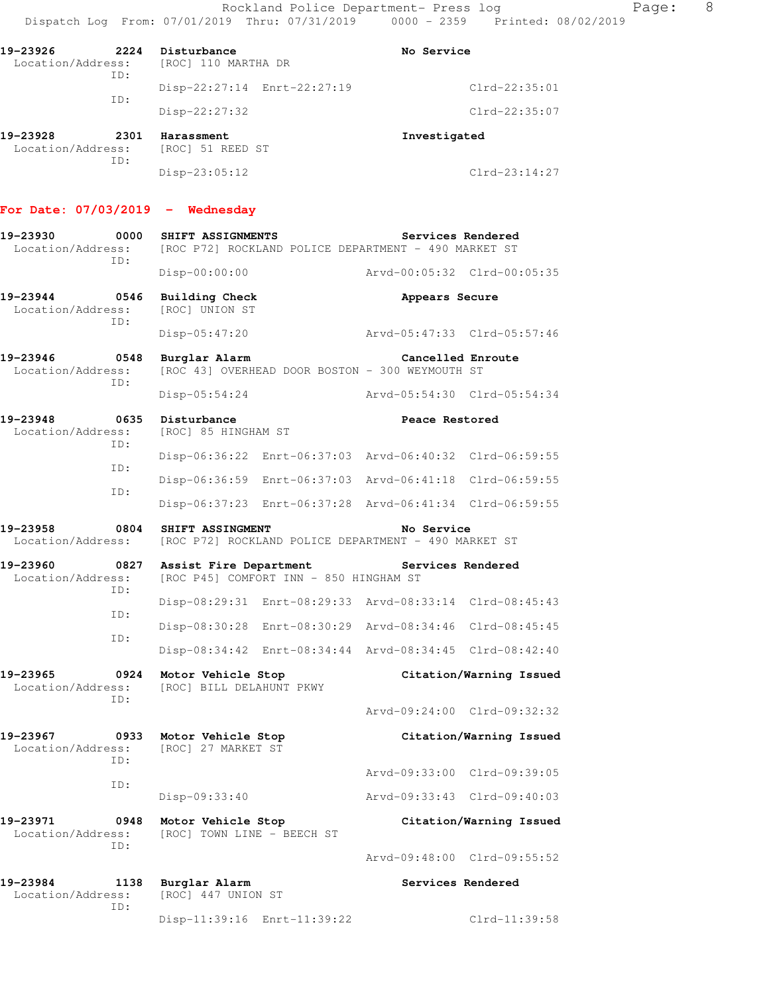| 19-23926<br>Location/Address: | 2224        | Disturbance<br>[ROC] 110 MARTHA DR | No Service      |
|-------------------------------|-------------|------------------------------------|-----------------|
|                               | ID:         | Disp-22:27:14 Enrt-22:27:19        | $Clrd-22:35:01$ |
|                               | ID:         | $Disp-22:27:32$                    | $Clrd-22:35:07$ |
| 19-23928<br>Location/Address: | 2301<br>ID: | Harassment<br>[ROC] 51 REED ST     | Investigated    |
|                               |             | $Disp-23:05:12$                    | $Clrd-23:14:27$ |

#### **For Date: 07/03/2019 - Wednesday**

| 19-23930<br>0000<br>Location/Address:<br>TD: | SHIFT ASSIGNMENTS<br>[ROC P72] ROCKLAND POLICE DEPARTMENT - 490 MARKET ST | Services Rendered                                       |
|----------------------------------------------|---------------------------------------------------------------------------|---------------------------------------------------------|
|                                              | $Disp-00:00:00$                                                           | Arvd-00:05:32 Clrd-00:05:35                             |
| 19-23944<br>0546<br>Location/Address:<br>ID: | <b>Building Check</b><br>[ROC] UNION ST                                   | Appears Secure                                          |
|                                              | Disp-05:47:20                                                             | Arvd-05:47:33 Clrd-05:57:46                             |
| 19-23946<br>0548<br>Location/Address:<br>ID: | Burglar Alarm<br>[ROC 43] OVERHEAD DOOR BOSTON - 300 WEYMOUTH ST          | Cancelled Enroute                                       |
|                                              | Disp-05:54:24                                                             | Arvd-05:54:30 Clrd-05:54:34                             |
| 19-23948<br>0635<br>Location/Address:<br>ID: | Disturbance<br>[ROC] 85 HINGHAM ST                                        | Peace Restored                                          |
| TD:                                          | $Disp-06:36:22$                                                           | Enrt-06:37:03 Arvd-06:40:32 Clrd-06:59:55               |
|                                              | $Disp-06:36:59$                                                           | Enrt-06:37:03 Arvd-06:41:18 Clrd-06:59:55               |
| ID:                                          | Enrt-06:37:28<br>$Disp-06:37:23$                                          | Arvd-06:41:34 Clrd-06:59:55                             |
| 0804<br>19-23958<br>Location/Address:        | SHIFT ASSINGMENT<br>[ROC P72] ROCKLAND POLICE DEPARTMENT - 490 MARKET ST  | No Service                                              |
|                                              |                                                                           |                                                         |
| 19-23960<br>0827<br>Location/Address:        | Assist Fire Department<br>[ROC P45] COMFORT INN - 850 HINGHAM ST          | Services Rendered                                       |
| ID:                                          |                                                                           | Disp-08:29:31 Enrt-08:29:33 Arvd-08:33:14 Clrd-08:45:43 |
| ID:                                          | Disp-08:30:28                                                             | Enrt-08:30:29 Arvd-08:34:46 Clrd-08:45:45               |
| ID:                                          | $Disp-08:34:42$                                                           | Enrt-08:34:44 Arvd-08:34:45 Clrd-08:42:40               |
| 19-23965<br>0924<br>Location/Address:        | Motor Vehicle Stop<br>[ROC] BILL DELAHUNT PKWY                            | Citation/Warning Issued                                 |
| ID:                                          |                                                                           | Arvd-09:24:00 Clrd-09:32:32                             |
| 19-23967<br>0933<br>Location/Address:        | Motor Vehicle Stop<br>[ROC] 27 MARKET ST                                  | Citation/Warning Issued                                 |
| ID:                                          |                                                                           | Arvd-09:33:00 Clrd-09:39:05                             |
| ID:                                          | Disp-09:33:40                                                             | Arvd-09:33:43 Clrd-09:40:03                             |
| 19-23971<br>0948<br>Location/Address:<br>ID: | Motor Vehicle Stop<br>[ROC] TOWN LINE - BEECH ST                          | Citation/Warning Issued                                 |

**19-23984** 1138 Burglar Alarm **Services Rendered** Location/Address: [ROC] 447 UNION ST ID: Disp-11:39:16 Enrt-11:39:22 Clrd-11:39:58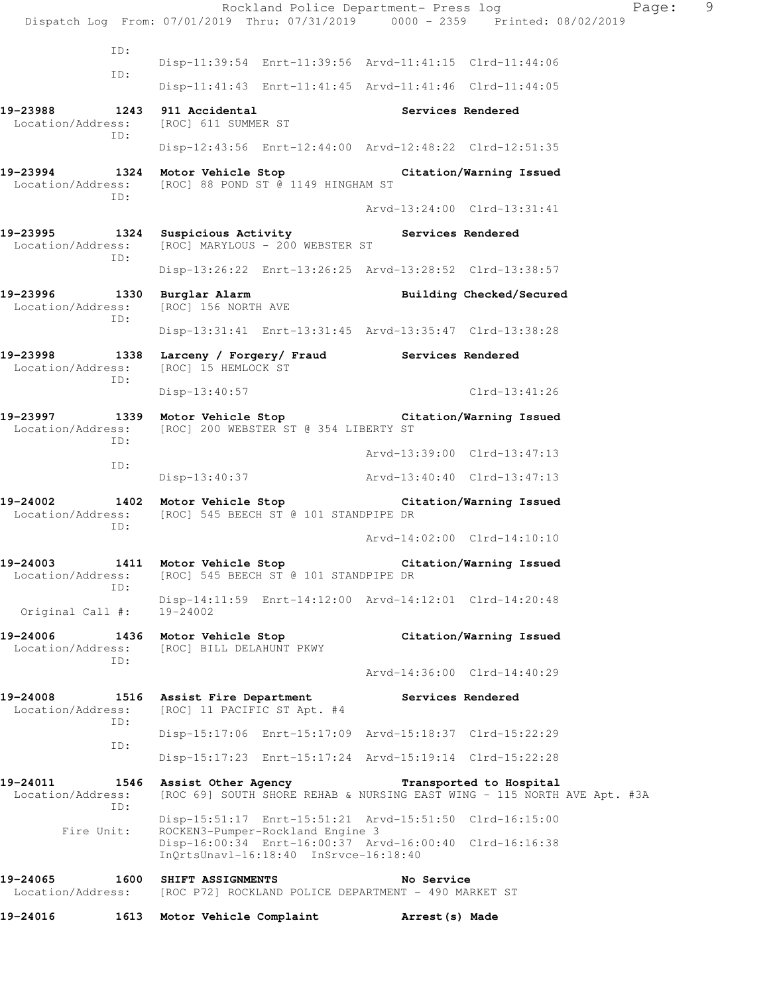Rockland Police Department- Press log Fage: 9 Dispatch Log From: 07/01/2019 Thru: 07/31/2019 0000 - 2359 Printed: 08/02/2019 ID: Disp-11:39:54 Enrt-11:39:56 Arvd-11:41:15 Clrd-11:44:06 ID: Disp-11:41:43 Enrt-11:41:45 Arvd-11:41:46 Clrd-11:44:05 19-23988 1243 911 Accidental **Services Rendered Services Rendered Intervalse Services Rendered** Location/Address: ID: Disp-12:43:56 Enrt-12:44:00 Arvd-12:48:22 Clrd-12:51:35 **19-23994 1324 Motor Vehicle Stop Citation/Warning Issued**  Location/Address: [ROC] 88 POND ST @ 1149 HINGHAM ST ID: Arvd-13:24:00 Clrd-13:31:41 19-23995 1324 Suspicious Activity **19-23995** Services Rendered Location/Address: [ROC] MARYLOUS - 200 WEBSTER ST ID: Disp-13:26:22 Enrt-13:26:25 Arvd-13:28:52 Clrd-13:38:57 **19-23996 1330 Burglar Alarm Building Checked/Secured**  Location/Address: [ROC] 156 NORTH AVE ID: Disp-13:31:41 Enrt-13:31:45 Arvd-13:35:47 Clrd-13:38:28 **19-23998 1338 Larceny / Forgery/ Fraud Services Rendered**  Location/Address: [ROC] 15 HEMLOCK ST ID: Disp-13:40:57 Clrd-13:41:26 **19-23997 1339 Motor Vehicle Stop Citation/Warning Issued**  Location/Address: [ROC] 200 WEBSTER ST @ 354 LIBERTY ST ID: Arvd-13:39:00 Clrd-13:47:13 ID: Disp-13:40:37 Arvd-13:40:40 Clrd-13:47:13 **19-24002 1402 Motor Vehicle Stop Citation/Warning Issued**  Location/Address: [ROC] 545 BEECH ST @ 101 STANDPIPE DR ID: Arvd-14:02:00 Clrd-14:10:10 **19-24003 1411 Motor Vehicle Stop Citation/Warning Issued**  Location/Address: [ROC] 545 BEECH ST @ 101 STANDPIPE DR ID: Disp-14:11:59 Enrt-14:12:00 Arvd-14:12:01 Clrd-14:20:48 Original Call #: 19-24002 **19-24006 1436 Motor Vehicle Stop Citation/Warning Issued**  Location/Address: [ROC] BILL DELAHUNT PKWY ID: Arvd-14:36:00 Clrd-14:40:29 **19-24008 1516 Assist Fire Department Services Rendered**  Location/Address: [ROC] 11 PACIFIC ST Apt. #4 ID: Disp-15:17:06 Enrt-15:17:09 Arvd-15:18:37 Clrd-15:22:29 ID: Disp-15:17:23 Enrt-15:17:24 Arvd-15:19:14 Clrd-15:22:28 **19-24011 1546 Assist Other Agency Transported to Hospital**  Location/Address: [ROC 69] SOUTH SHORE REHAB & NURSING EAST WING - 115 NORTH AVE Apt. #3A ID: Disp-15:51:17 Enrt-15:51:21 Arvd-15:51:50 Clrd-16:15:00 Fire Unit: ROCKEN3-Pumper-Rockland Engine 3 Disp-16:00:34 Enrt-16:00:37 Arvd-16:00:40 Clrd-16:16:38 InQrtsUnavl-16:18:40 InSrvce-16:18:40 **19-24065 1600 SHIFT ASSIGNMENTS No Service**  Location/Address: [ROC P72] ROCKLAND POLICE DEPARTMENT - 490 MARKET ST **19-24016 1613 Motor Vehicle Complaint Arrest(s) Made**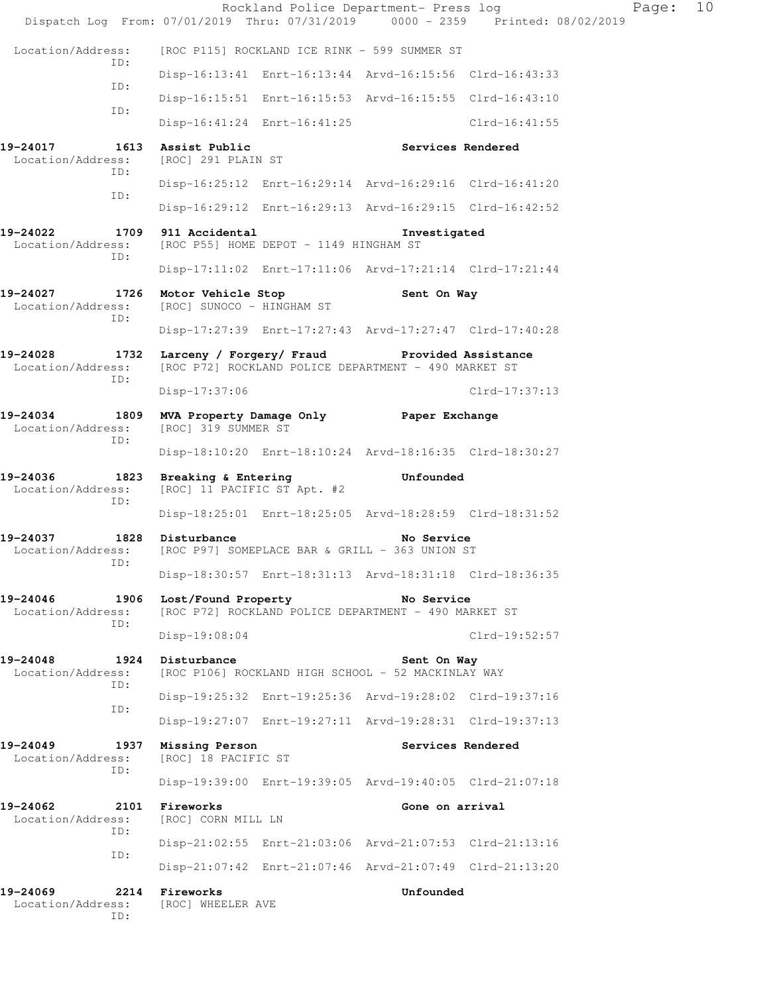|                                                              |                                                                     |                                        | Rockland Police Department- Press log                              | Dispatch Log From: 07/01/2019 Thru: 07/31/2019 0000 - 2359 Printed: 08/02/2019 | Page: | 10 |
|--------------------------------------------------------------|---------------------------------------------------------------------|----------------------------------------|--------------------------------------------------------------------|--------------------------------------------------------------------------------|-------|----|
| Location/Address:                                            |                                                                     |                                        | [ROC P115] ROCKLAND ICE RINK - 599 SUMMER ST                       |                                                                                |       |    |
| TD:                                                          |                                                                     |                                        | Disp-16:13:41 Enrt-16:13:44 Arvd-16:15:56 Clrd-16:43:33            |                                                                                |       |    |
| ID:                                                          |                                                                     |                                        | Disp-16:15:51 Enrt-16:15:53 Arvd-16:15:55 Clrd-16:43:10            |                                                                                |       |    |
| ID:                                                          |                                                                     | Disp-16:41:24 Enrt-16:41:25            |                                                                    | $Clrd-16:41:55$                                                                |       |    |
| 19-24017<br>1613<br>Location/Address:                        | Assist Public<br>[ROC] 291 PLAIN ST                                 |                                        | Services Rendered                                                  |                                                                                |       |    |
| ID:<br>ID:                                                   |                                                                     |                                        | Disp-16:25:12 Enrt-16:29:14 Arvd-16:29:16 Clrd-16:41:20            |                                                                                |       |    |
|                                                              |                                                                     |                                        | Disp-16:29:12 Enrt-16:29:13 Arvd-16:29:15 Clrd-16:42:52            |                                                                                |       |    |
| 19-24022<br>Location/Address:<br>ID:                         | 1709 911 Accidental                                                 | [ROC P55] HOME DEPOT - 1149 HINGHAM ST | Investigated                                                       |                                                                                |       |    |
|                                                              |                                                                     |                                        | Disp-17:11:02 Enrt-17:11:06 Arvd-17:21:14 Clrd-17:21:44            |                                                                                |       |    |
| 19-24027 1726 Motor Vehicle Stop<br>Location/Address:<br>ID: | [ROC] SUNOCO - HINGHAM ST                                           |                                        | Sent On Way                                                        |                                                                                |       |    |
|                                                              |                                                                     |                                        | Disp-17:27:39 Enrt-17:27:43 Arvd-17:27:47 Clrd-17:40:28            |                                                                                |       |    |
| 19-24028<br>Location/Address:<br>ID:                         | 1732 Larceny / Forgery/ Fraud Provided Assistance                   |                                        | [ROC P72] ROCKLAND POLICE DEPARTMENT - 490 MARKET ST               |                                                                                |       |    |
|                                                              | Disp-17:37:06                                                       |                                        |                                                                    | $Clrd-17:37:13$                                                                |       |    |
| 19-24034<br>Location/Address:<br>ID:                         | 1809 MVA Property Damage Only Faper Exchange<br>[ROC] 319 SUMMER ST |                                        |                                                                    |                                                                                |       |    |
|                                                              |                                                                     |                                        | Disp-18:10:20 Enrt-18:10:24 Arvd-18:16:35 Clrd-18:30:27            |                                                                                |       |    |
| 19-24036<br>Location/Address:<br>ID:                         | 1823 Breaking & Entering<br>[ROC] 11 PACIFIC ST Apt. #2             |                                        | Unfounded                                                          |                                                                                |       |    |
|                                                              |                                                                     |                                        | Disp-18:25:01 Enrt-18:25:05 Arvd-18:28:59 Clrd-18:31:52            |                                                                                |       |    |
| 19-24037<br>1828<br>Location/Address:<br>ID:                 | Disturbance<br>[ROC P97] SOMEPLACE BAR & GRILL - 363 UNION ST       |                                        | No Service                                                         |                                                                                |       |    |
|                                                              |                                                                     |                                        | Disp-18:30:57 Enrt-18:31:13 Arvd-18:31:18 Clrd-18:36:35            |                                                                                |       |    |
| 19-24046<br>1906<br>Location/Address:<br>ID:                 | Lost/Found Property                                                 |                                        | No Service<br>[ROC P72] ROCKLAND POLICE DEPARTMENT - 490 MARKET ST |                                                                                |       |    |
|                                                              | Disp-19:08:04                                                       |                                        |                                                                    | $Clrd-19:52:57$                                                                |       |    |
| 19-24048<br>1924<br>Location/Address:<br>ID:                 | Disturbance                                                         |                                        | Sent On Way<br>[ROC P106] ROCKLAND HIGH SCHOOL - 52 MACKINLAY WAY  |                                                                                |       |    |
| ID:                                                          |                                                                     |                                        | Disp-19:25:32 Enrt-19:25:36 Arvd-19:28:02 Clrd-19:37:16            |                                                                                |       |    |
|                                                              |                                                                     |                                        | Disp-19:27:07 Enrt-19:27:11 Arvd-19:28:31 Clrd-19:37:13            |                                                                                |       |    |
| 19-24049<br>1937<br>Location/Address:<br>TD:                 | Missing Person<br>[ROC] 18 PACIFIC ST                               |                                        | Services Rendered                                                  |                                                                                |       |    |
|                                                              |                                                                     |                                        | Disp-19:39:00 Enrt-19:39:05 Arvd-19:40:05 Clrd-21:07:18            |                                                                                |       |    |
| 19-24062<br>2101<br>Location/Address:<br>ID:                 | Fireworks<br>[ROC] CORN MILL LN                                     |                                        | Gone on arrival                                                    |                                                                                |       |    |
| ID:                                                          |                                                                     |                                        | Disp-21:02:55 Enrt-21:03:06 Arvd-21:07:53 Clrd-21:13:16            |                                                                                |       |    |
|                                                              |                                                                     |                                        | Disp-21:07:42 Enrt-21:07:46 Arvd-21:07:49 Clrd-21:13:20            |                                                                                |       |    |
| 19-24069<br>2214<br>Location/Address:<br>ID:                 | Fireworks<br>[ROC] WHEELER AVE                                      |                                        | Unfounded                                                          |                                                                                |       |    |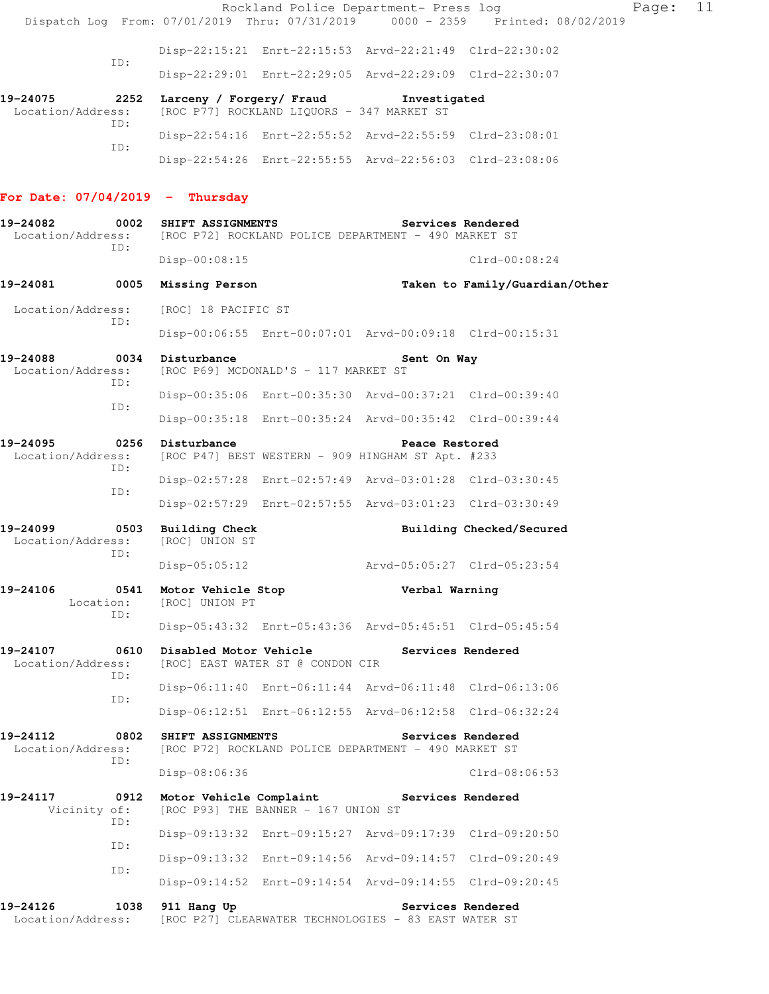|                                   |             |                                       |                                            | Rockland Police Department- Press log                                     |                                                                                | Page: | 11 |
|-----------------------------------|-------------|---------------------------------------|--------------------------------------------|---------------------------------------------------------------------------|--------------------------------------------------------------------------------|-------|----|
|                                   |             |                                       |                                            |                                                                           | Dispatch Log From: 07/01/2019 Thru: 07/31/2019 0000 - 2359 Printed: 08/02/2019 |       |    |
|                                   | ID:         |                                       |                                            | Disp-22:15:21 Enrt-22:15:53 Arvd-22:21:49 Clrd-22:30:02                   |                                                                                |       |    |
|                                   |             |                                       |                                            | Disp-22:29:01 Enrt-22:29:05 Arvd-22:29:09 Clrd-22:30:07                   |                                                                                |       |    |
| 19-24075<br>Location/Address:     | 2252<br>ID: |                                       | [ROC P77] ROCKLAND LIQUORS - 347 MARKET ST | Larceny / Forgery/ Fraud Tnvestigated                                     |                                                                                |       |    |
|                                   | ID:         |                                       |                                            | Disp-22:54:16 Enrt-22:55:52 Arvd-22:55:59 Clrd-23:08:01                   |                                                                                |       |    |
|                                   |             |                                       |                                            | Disp-22:54:26 Enrt-22:55:55 Arvd-22:56:03 Clrd-23:08:06                   |                                                                                |       |    |
| For Date: $07/04/2019$ - Thursday |             |                                       |                                            |                                                                           |                                                                                |       |    |
| 19-24082<br>Location/Address:     |             | 0002 SHIFT ASSIGNMENTS                |                                            | Services Rendered<br>[ROC P72] ROCKLAND POLICE DEPARTMENT - 490 MARKET ST |                                                                                |       |    |
|                                   | TD:         | Disp-00:08:15                         |                                            |                                                                           | $Clrd-00:08:24$                                                                |       |    |
| 19-24081                          |             | 0005 Missing Person                   |                                            |                                                                           | Taken to Family/Guardian/Other                                                 |       |    |
| Location/Address:                 | ID:         | [ROC] 18 PACIFIC ST                   |                                            |                                                                           |                                                                                |       |    |
|                                   |             |                                       |                                            | Disp-00:06:55 Enrt-00:07:01 Arvd-00:09:18 Clrd-00:15:31                   |                                                                                |       |    |
| 19-24088<br>Location/Address:     |             | 0034 Disturbance                      | [ROC P69] MCDONALD'S - 117 MARKET ST       | Sent On Way                                                               |                                                                                |       |    |
|                                   | ID:         |                                       |                                            | Disp-00:35:06 Enrt-00:35:30 Arvd-00:37:21 Clrd-00:39:40                   |                                                                                |       |    |
|                                   | ID:         |                                       |                                            | Disp-00:35:18 Enrt-00:35:24 Arvd-00:35:42 Clrd-00:39:44                   |                                                                                |       |    |
| 19-24095<br>Location/Address:     | ID:         | 0256 Disturbance                      |                                            | Peace Restored<br>[ROC P47] BEST WESTERN - 909 HINGHAM ST Apt. #233       |                                                                                |       |    |
|                                   | ID:         |                                       |                                            | Disp-02:57:28 Enrt-02:57:49 Arvd-03:01:28 Clrd-03:30:45                   |                                                                                |       |    |
|                                   |             |                                       |                                            | Disp-02:57:29 Enrt-02:57:55 Arvd-03:01:23 Clrd-03:30:49                   |                                                                                |       |    |
| 19-24099<br>Location/Address:     | ID:         | 0503 Building Check<br>[ROC] UNION ST |                                            |                                                                           | Building Checked/Secured                                                       |       |    |
|                                   |             | $Disp-05:05:12$                       |                                            | Arvd-05:05:27 Clrd-05:23:54                                               |                                                                                |       |    |
| 19-24106<br>Location:             | 0541<br>ID: | Motor Vehicle Stop<br>[ROC] UNION PT  |                                            | Verbal Warning                                                            |                                                                                |       |    |
|                                   |             |                                       |                                            | Disp-05:43:32 Enrt-05:43:36 Arvd-05:45:51 Clrd-05:45:54                   |                                                                                |       |    |
| 19-24107<br>Location/Address:     | 0610<br>TD: | Disabled Motor Vehicle                | [ROC] EAST WATER ST @ CONDON CIR           |                                                                           | Services Rendered                                                              |       |    |
|                                   | ID:         |                                       |                                            | Disp-06:11:40 Enrt-06:11:44 Arvd-06:11:48 Clrd-06:13:06                   |                                                                                |       |    |
|                                   |             |                                       |                                            | Disp-06:12:51 Enrt-06:12:55 Arvd-06:12:58 Clrd-06:32:24                   |                                                                                |       |    |
| 19-24112<br>Location/Address:     | ID:         | 0802 SHIFT ASSIGNMENTS                |                                            | [ROC P72] ROCKLAND POLICE DEPARTMENT - 490 MARKET ST                      | Services Rendered                                                              |       |    |
|                                   |             | $Disp-08:06:36$                       |                                            |                                                                           | $Clrd-08:06:53$                                                                |       |    |
| 19-24117<br>Vicinity of:          |             | 0912 Motor Vehicle Complaint          | [ROC P93] THE BANNER - 167 UNION ST        | Services Rendered                                                         |                                                                                |       |    |
|                                   | ID:         |                                       |                                            | Disp-09:13:32 Enrt-09:15:27 Arvd-09:17:39 Clrd-09:20:50                   |                                                                                |       |    |
|                                   | ID:         |                                       |                                            | Disp-09:13:32 Enrt-09:14:56 Arvd-09:14:57 Clrd-09:20:49                   |                                                                                |       |    |
|                                   | ID:         |                                       |                                            | Disp-09:14:52 Enrt-09:14:54 Arvd-09:14:55 Clrd-09:20:45                   |                                                                                |       |    |
| 19-24126<br>Location/Address:     |             | 1038 911 Hang Up                      |                                            | Services Rendered<br>[ROC P27] CLEARWATER TECHNOLOGIES - 83 EAST WATER ST |                                                                                |       |    |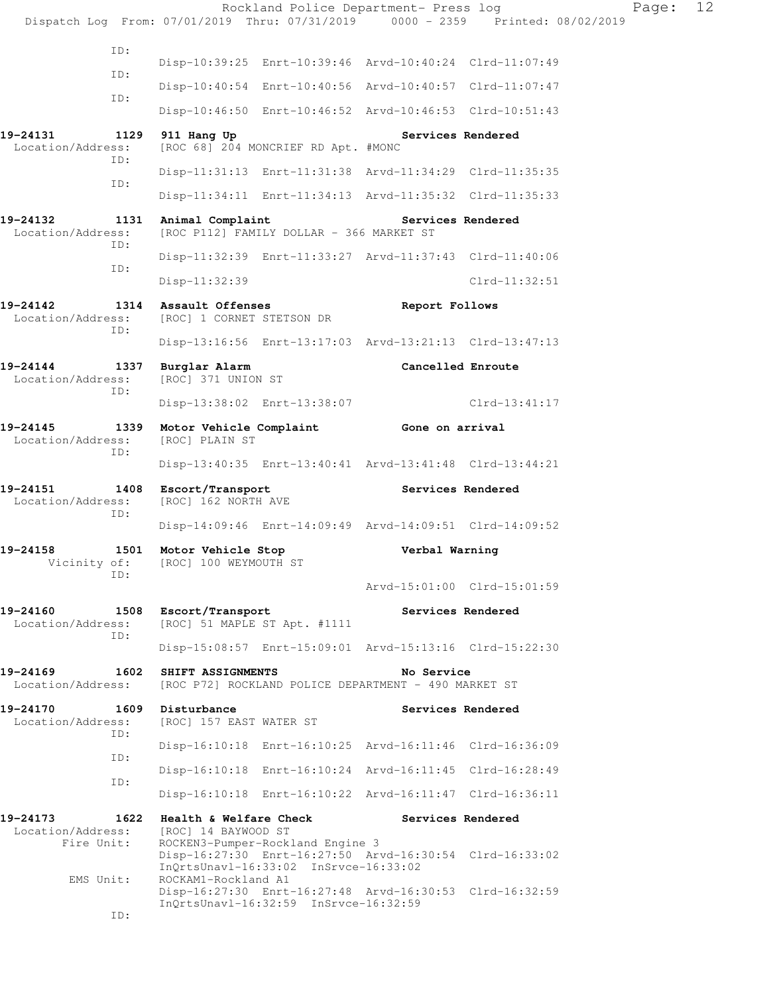Rockland Police Department- Press log Fage: 12 Dispatch Log From: 07/01/2019 Thru: 07/31/2019 0000 - 2359 Printed: 08/02/2019 ID: Disp-10:39:25 Enrt-10:39:46 Arvd-10:40:24 Clrd-11:07:49 ID: Disp-10:40:54 Enrt-10:40:56 Arvd-10:40:57 Clrd-11:07:47 ID: Disp-10:46:50 Enrt-10:46:52 Arvd-10:46:53 Clrd-10:51:43 19-24131 1129 911 Hang Up **Services Rendered**<br>
Location/Address: [ROC 68] 204 MONCRIEF RD Apt. #MONC [ROC 68] 204 MONCRIEF RD Apt. #MONC ID: Disp-11:31:13 Enrt-11:31:38 Arvd-11:34:29 Clrd-11:35:35 ID: Disp-11:34:11 Enrt-11:34:13 Arvd-11:35:32 Clrd-11:35:33 19-24132 1131 Animal Complaint Services Rendered Location/Address: [ROC P112] FAMILY DOLLAR - 366 MARKET ST [ROC P112] FAMILY DOLLAR - 366 MARKET ST ID: Disp-11:32:39 Enrt-11:33:27 Arvd-11:37:43 Clrd-11:40:06 ID: Disp-11:32:39 Clrd-11:32:51 19-24142 1314 Assault Offenses<br>
Location/Address: [ROC] 1 CORNET STETSON DR<br> **Report Follows** [ROC] 1 CORNET STETSON DR ID: Disp-13:16:56 Enrt-13:17:03 Arvd-13:21:13 Clrd-13:47:13 19-24144 1337 Burglar Alarm **Cancelled Enroute Concelled Enroute Location/Address:** [ROC] 371 UNION ST [ROC] 371 UNION ST ID: Disp-13:38:02 Enrt-13:38:07 Clrd-13:41:17 **19-24145 1339 Motor Vehicle Complaint Gone on arrival**  Location/Address: [ROC] PLAIN ST ID: Disp-13:40:35 Enrt-13:40:41 Arvd-13:41:48 Clrd-13:44:21 **19-24151 1408 Escort/Transport Services Rendered**  Location/Address: [ROC] 162 NORTH AVE ID: Disp-14:09:46 Enrt-14:09:49 Arvd-14:09:51 Clrd-14:09:52 **19-24158 1501 Motor Vehicle Stop Verbal Warning**  Vicinity of: [ROC] 100 WEYMOUTH ST ID: Arvd-15:01:00 Clrd-15:01:59 **19-24160 1508 Escort/Transport Services Rendered**  Location/Address: [ROC] 51 MAPLE ST Apt. #1111 ID: Disp-15:08:57 Enrt-15:09:01 Arvd-15:13:16 Clrd-15:22:30 **19-24169 1602 SHIFT ASSIGNMENTS No Service**  Location/Address: [ROC P72] ROCKLAND POLICE DEPARTMENT - 490 MARKET ST **19-24170 1609 Disturbance Services Rendered**  Location/Address: [ROC] 157 EAST WATER ST ID: Disp-16:10:18 Enrt-16:10:25 Arvd-16:11:46 Clrd-16:36:09 ID: Disp-16:10:18 Enrt-16:10:24 Arvd-16:11:45 Clrd-16:28:49 ID: Disp-16:10:18 Enrt-16:10:22 Arvd-16:11:47 Clrd-16:36:11 **19-24173 1622 Health & Welfare Check Services Rendered**  Location/Address: [ROC] 14 BAYWOOD ST Fire Unit: ROCKEN3-Pumper-Rockland Engine 3 Disp-16:27:30 Enrt-16:27:50 Arvd-16:30:54 Clrd-16:33:02 InQrtsUnavl-16:33:02 InSrvce-16:33:02 EMS Unit: ROCKAM1-Rockland A1 Disp-16:27:30 Enrt-16:27:48 Arvd-16:30:53 Clrd-16:32:59 InQrtsUnavl-16:32:59 InSrvce-16:32:59 ID: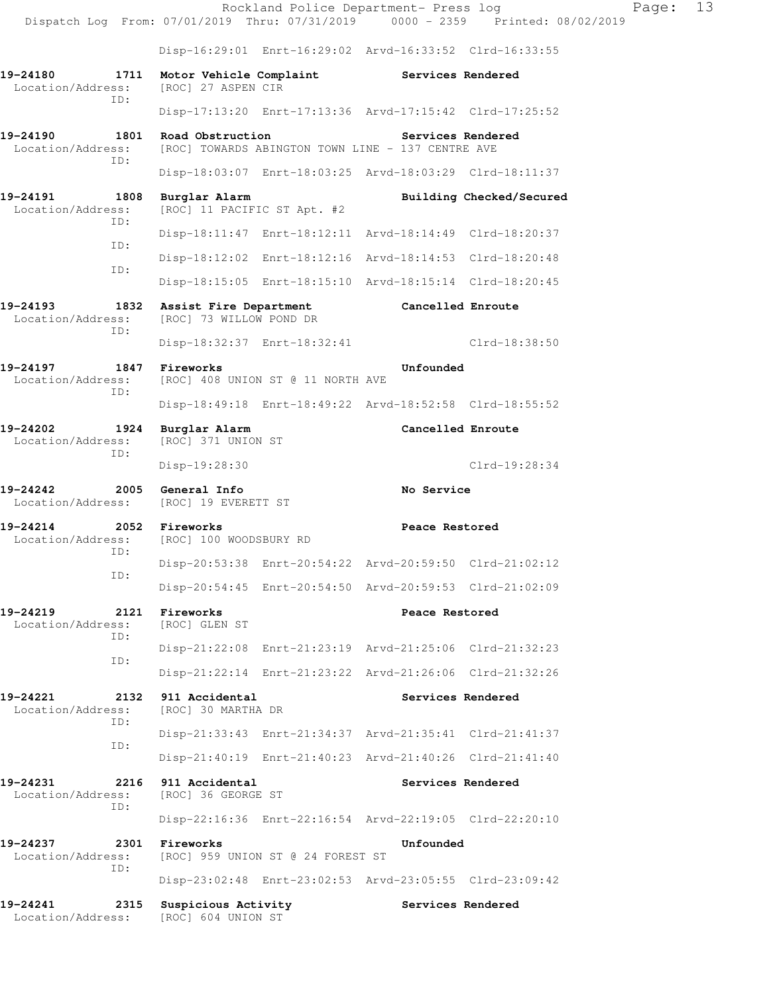Rockland Police Department- Press log Fage: 13 Dispatch Log From: 07/01/2019 Thru: 07/31/2019 0000 - 2359 Printed: 08/02/2019 Disp-16:29:01 Enrt-16:29:02 Arvd-16:33:52 Clrd-16:33:55 19-24180 1711 Motor Vehicle Complaint Services Rendered Location/Address: [ROC] 27 ASPEN CIR Location/Address: [ROC] 27 ASPEN CIR ID: Disp-17:13:20 Enrt-17:13:36 Arvd-17:15:42 Clrd-17:25:52 **19-24190 1801 Road Obstruction Services Rendered**  Location/Address: [ROC] TOWARDS ABINGTON TOWN LINE - 137 CENTRE AVE ID: Disp-18:03:07 Enrt-18:03:25 Arvd-18:03:29 Clrd-18:11:37 19-24191 1808 Burglar Alarm **Building Checked/Secured 1808 Burglar Alarm** Building Checked/Secured [ROC] 11 PACIFIC ST Apt. #2 ID: Disp-18:11:47 Enrt-18:12:11 Arvd-18:14:49 Clrd-18:20:37 ID: Disp-18:12:02 Enrt-18:12:16 Arvd-18:14:53 Clrd-18:20:48 ID: Disp-18:15:05 Enrt-18:15:10 Arvd-18:15:14 Clrd-18:20:45 19-24193 1832 Assist Fire Department Cancelled Enroute Location/Address: [ROC] 73 WILLOW POND DR [ROC] 73 WILLOW POND DR ID: Disp-18:32:37 Enrt-18:32:41 Clrd-18:38:50 **19-24197 1847 Fireworks Unfounded**  Location/Address: [ROC] 408 UNION ST @ 11 NORTH AVE ID: Disp-18:49:18 Enrt-18:49:22 Arvd-18:52:58 Clrd-18:55:52 **19-24202 1924 Burglar Alarm Cancelled Enroute**  Location/Address: [ROC] 371 UNION ST ID: Disp-19:28:30 Clrd-19:28:34 **19-24242 2005 General Info No Service**  Location/Address: [ROC] 19 EVERETT ST **19-24214 2052 Fireworks Peace Restored**  Location/Address: [ROC] 100 WOODSBURY RD ID: Disp-20:53:38 Enrt-20:54:22 Arvd-20:59:50 Clrd-21:02:12 ID: Disp-20:54:45 Enrt-20:54:50 Arvd-20:59:53 Clrd-21:02:09 **19-24219 2121 Fireworks Peace Restored**  Location/Address: [ROC] GLEN ST ID: Disp-21:22:08 Enrt-21:23:19 Arvd-21:25:06 Clrd-21:32:23 ID: Disp-21:22:14 Enrt-21:23:22 Arvd-21:26:06 Clrd-21:32:26 19-24221 2132 911 Accidental **Services Rendered Services Rendered Interval** Services **Rendered** Location/Address: ID: Disp-21:33:43 Enrt-21:34:37 Arvd-21:35:41 Clrd-21:41:37 ID: Disp-21:40:19 Enrt-21:40:23 Arvd-21:40:26 Clrd-21:41:40 **19-24231 2216 911 Accidental Services Rendered**  Location/Address: [ROC] 36 GEORGE ST ID: Disp-22:16:36 Enrt-22:16:54 Arvd-22:19:05 Clrd-22:20:10 **19-24237 2301 Fireworks Unfounded**  Location/Address: [ROC] 959 UNION ST @ 24 FOREST ST ID: Disp-23:02:48 Enrt-23:02:53 Arvd-23:05:55 Clrd-23:09:42 **19-24241 2315 Suspicious Activity Services Rendered**  Location/Address: [ROC] 604 UNION ST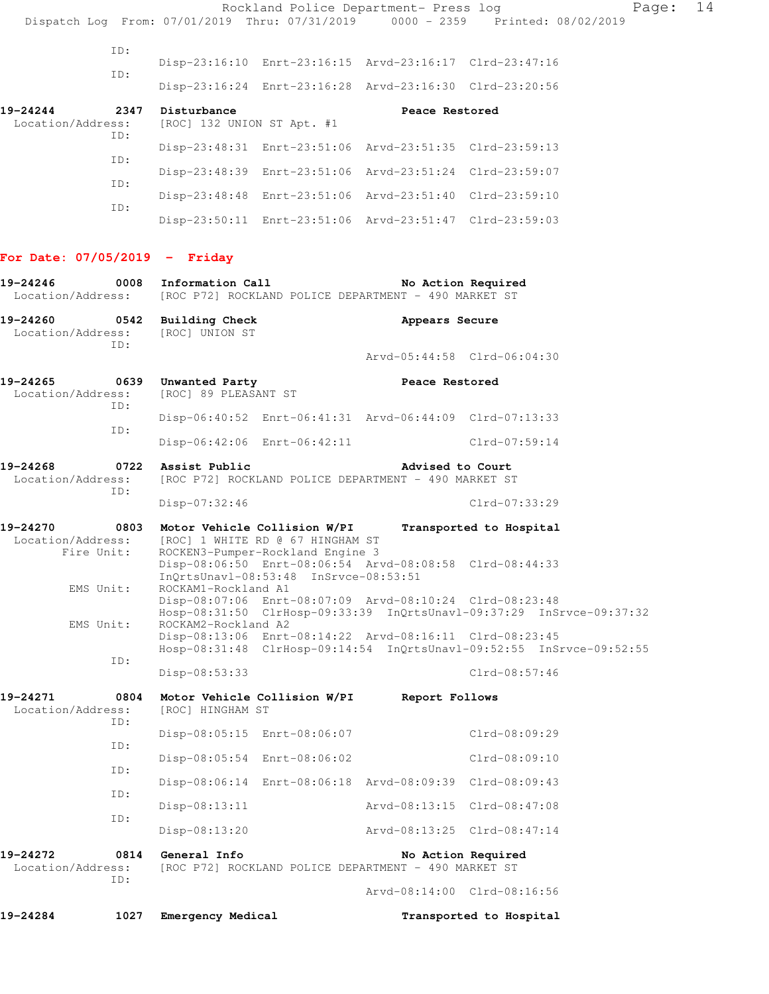Rockland Police Department- Press log Fage: 14 Dispatch Log From: 07/01/2019 Thru: 07/31/2019 0000 - 2359 Printed: 08/02/2019 ID: Disp-23:16:10 Enrt-23:16:15 Arvd-23:16:17 Clrd-23:47:16 ID: Disp-23:16:24 Enrt-23:16:28 Arvd-23:16:30 Clrd-23:20:56 **19-24244 2347 Disturbance Peace Restored**  Location/Address: [ROC] 132 UNION ST Apt. #1 ID: Disp-23:48:31 Enrt-23:51:06 Arvd-23:51:35 Clrd-23:59:13 ID: Disp-23:48:39 Enrt-23:51:06 Arvd-23:51:24 Clrd-23:59:07 ID: Disp-23:48:48 Enrt-23:51:06 Arvd-23:51:40 Clrd-23:59:10 ID: Disp-23:50:11 Enrt-23:51:06 Arvd-23:51:47 Clrd-23:59:03 **For Date: 07/05/2019 - Friday 19-24246 0008 Information Call No Action Required**  Location/Address: [ROC P72] ROCKLAND POLICE DEPARTMENT - 490 MARKET ST **19-24260 0542 Building Check Appears Secure**  Location/Address: [ROC] UNION ST ID: Arvd-05:44:58 Clrd-06:04:30 **19-24265 0639 Unwanted Party Peace Restored**  Location/Address: [ROC] 89 PLEASANT ST ID: Disp-06:40:52 Enrt-06:41:31 Arvd-06:44:09 Clrd-07:13:33 ID: Disp-06:42:06 Enrt-06:42:11 Clrd-07:59:14 **19-24268 0722 Assist Public Advised to Court**  Location/Address: [ROC P72] ROCKLAND POLICE DEPARTMENT - 490 MARKET ST ID: Disp-07:32:46 Clrd-07:33:29 **19-24270 0803 Motor Vehicle Collision W/PI Transported to Hospital**  Location/Address: [ROC] 1 WHITE RD @ 67 HINGHAM ST Fire Unit: ROCKEN3-Pumper-Rockland Engine 3 Disp-08:06:50 Enrt-08:06:54 Arvd-08:08:58 Clrd-08:44:33 InQrtsUnavl-08:53:48 InSrvce-08:53:51 EMS Unit: ROCKAM1-Rockland A1 Disp-08:07:06 Enrt-08:07:09 Arvd-08:10:24 Clrd-08:23:48 Hosp-08:31:50 ClrHosp-09:33:39 InQrtsUnavl-09:37:29 InSrvce-09:37:32 EMS Unit: ROCKAM2-Rockland A2 Disp-08:13:06 Enrt-08:14:22 Arvd-08:16:11 Clrd-08:23:45 Hosp-08:31:48 ClrHosp-09:14:54 InQrtsUnavl-09:52:55 InSrvce-09:52:55 ID: Disp-08:53:33 Clrd-08:57:46 **19-24271 0804 Motor Vehicle Collision W/PI Report Follows**  [ROC] HINGHAM ST ID: Disp-08:05:15 Enrt-08:06:07 Clrd-08:09:29 ID: Disp-08:05:54 Enrt-08:06:02 Clrd-08:09:10 ID: Disp-08:06:14 Enrt-08:06:18 Arvd-08:09:39 Clrd-08:09:43 ID: Disp-08:13:11 Arvd-08:13:15 Clrd-08:47:08 ID: Disp-08:13:20 Arvd-08:13:25 Clrd-08:47:14 19-24272 0814 General Info **No Action Required** Location/Address: [ROC P72] ROCKLAND POLICE DEPARTMENT - 490 MARKET ST ID: Arvd-08:14:00 Clrd-08:16:56 **19-24284 1027 Emergency Medical Transported to Hospital**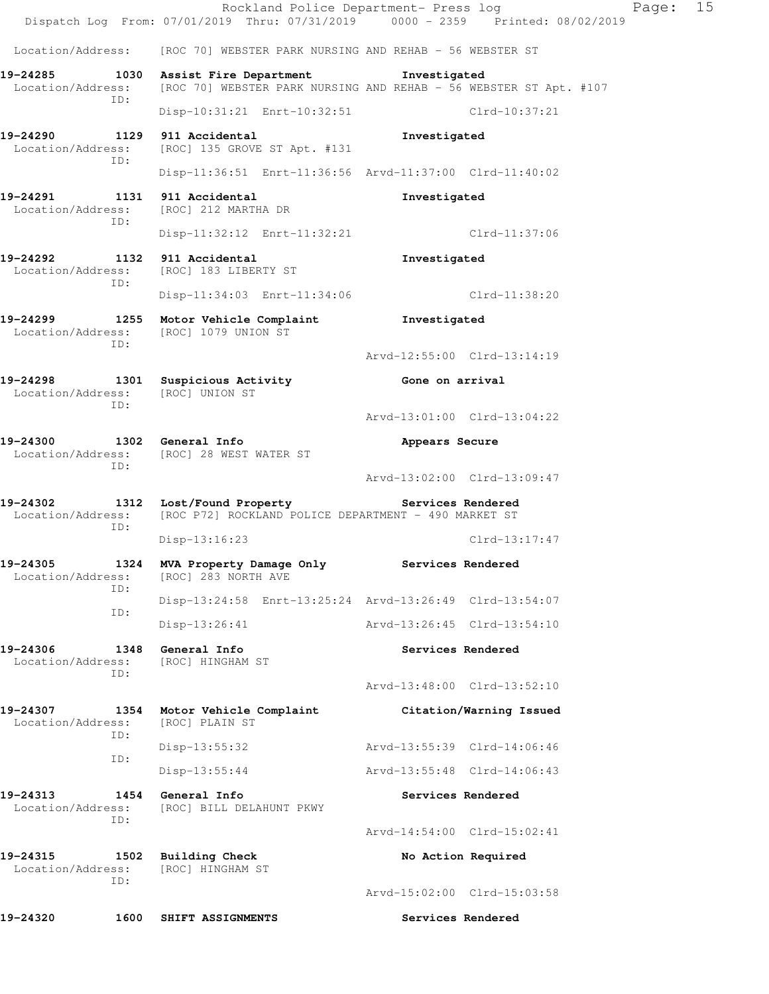|                                                                                                    |      |                                                      |                                                                                  |                             | Rockland Police Department- Press log<br>Dispatch Log From: 07/01/2019 Thru: 07/31/2019 0000 - 2359 Printed: 08/02/2019 | Page: | 15 |
|----------------------------------------------------------------------------------------------------|------|------------------------------------------------------|----------------------------------------------------------------------------------|-----------------------------|-------------------------------------------------------------------------------------------------------------------------|-------|----|
| Location/Address: [ROC 70] WEBSTER PARK NURSING AND REHAB - 56 WEBSTER ST                          |      |                                                      |                                                                                  |                             |                                                                                                                         |       |    |
| 19-24285 1030 Assist Fire Department Threstigated                                                  |      |                                                      |                                                                                  |                             |                                                                                                                         |       |    |
| Location/Address:<br>ID:                                                                           |      |                                                      |                                                                                  |                             | [ROC 70] WEBSTER PARK NURSING AND REHAB - 56 WEBSTER ST Apt. #107                                                       |       |    |
|                                                                                                    |      |                                                      | Disp-10:31:21 Enrt-10:32:51                                                      |                             | Clrd-10:37:21                                                                                                           |       |    |
| 19-24290 1129 911 Accidental<br>Location/Address: [ROC] 135 GROVE ST Apt. #131<br>ID:              |      |                                                      |                                                                                  | Investigated                |                                                                                                                         |       |    |
|                                                                                                    |      |                                                      | Disp-11:36:51 Enrt-11:36:56 Arvd-11:37:00 Clrd-11:40:02                          |                             |                                                                                                                         |       |    |
| 19-24291 1131 911 Accidental<br>Location/Address: [ROC] 212 MARTHA DR<br>ID:                       |      |                                                      |                                                                                  | Investigated                |                                                                                                                         |       |    |
|                                                                                                    |      |                                                      | Disp-11:32:12 Enrt-11:32:21                                                      |                             | Clrd-11:37:06                                                                                                           |       |    |
| 19-24292 1132 911 Accidental<br>Location/Address:<br>ID:                                           |      | [ROC] 183 LIBERTY ST                                 |                                                                                  | Investigated                |                                                                                                                         |       |    |
|                                                                                                    |      |                                                      | Disp-11:34:03 Enrt-11:34:06                                                      |                             | $Clrd-11:38:20$                                                                                                         |       |    |
| 19-24299 1255 Motor Vehicle Complaint Threstigated<br>Location/Address: [ROC] 1079 UNION ST<br>ID: |      |                                                      |                                                                                  |                             |                                                                                                                         |       |    |
|                                                                                                    |      |                                                      |                                                                                  |                             | Arvd-12:55:00 Clrd-13:14:19                                                                                             |       |    |
| 19-24298<br>Location/Address: [ROC] UNION ST<br>ID:                                                |      | 1301 Suspicious Activity                             |                                                                                  | Gone on arrival             |                                                                                                                         |       |    |
|                                                                                                    |      |                                                      |                                                                                  |                             | Arvd-13:01:00 Clrd-13:04:22                                                                                             |       |    |
| 19-24300 1302 General Info<br>Location/Address:<br>ID:                                             |      | [ROC] 28 WEST WATER ST                               |                                                                                  | Appears Secure              |                                                                                                                         |       |    |
|                                                                                                    |      |                                                      |                                                                                  |                             | Arvd-13:02:00 Clrd-13:09:47                                                                                             |       |    |
| 19-24302<br>Location/Address:<br>ID:                                                               |      |                                                      | 1312 Lost/Found Property<br>[ROC P72] ROCKLAND POLICE DEPARTMENT - 490 MARKET ST | Services Rendered           |                                                                                                                         |       |    |
|                                                                                                    |      | Disp-13:16:23                                        |                                                                                  |                             | $Clrd-13:17:47$                                                                                                         |       |    |
| 19-24305<br>Location/Address:<br>ID:                                                               |      | 1324 MVA Property Damage Only<br>[ROC] 283 NORTH AVE |                                                                                  | Services Rendered           |                                                                                                                         |       |    |
| ID:                                                                                                |      |                                                      | Disp-13:24:58 Enrt-13:25:24 Arvd-13:26:49 Clrd-13:54:07                          |                             |                                                                                                                         |       |    |
|                                                                                                    |      | $Disp-13:26:41$                                      |                                                                                  |                             | Arvd-13:26:45 Clrd-13:54:10                                                                                             |       |    |
| 19-24306<br>Location/Address:<br>TD:                                                               | 1348 | General Info<br>[ROC] HINGHAM ST                     |                                                                                  |                             | Services Rendered                                                                                                       |       |    |
|                                                                                                    |      |                                                      |                                                                                  |                             | Arvd-13:48:00 Clrd-13:52:10                                                                                             |       |    |
| 19-24307<br>Location/Address:<br>ID:                                                               |      | 1354 Motor Vehicle Complaint<br>[ROC] PLAIN ST       |                                                                                  |                             | Citation/Warning Issued                                                                                                 |       |    |
| ID:                                                                                                |      | $Disp-13:55:32$                                      |                                                                                  | Arvd-13:55:39 Clrd-14:06:46 |                                                                                                                         |       |    |
|                                                                                                    |      | $Disp-13:55:44$                                      |                                                                                  |                             | Arvd-13:55:48 Clrd-14:06:43                                                                                             |       |    |
| 19-24313<br>Location/Address:<br>ID:                                                               |      | 1454 General Info<br>[ROC] BILL DELAHUNT PKWY        |                                                                                  |                             | Services Rendered                                                                                                       |       |    |
|                                                                                                    |      |                                                      |                                                                                  |                             | Arvd-14:54:00 Clrd-15:02:41                                                                                             |       |    |
| 19-24315<br>Location/Address:<br>ID:                                                               |      | 1502 Building Check<br>[ROC] HINGHAM ST              |                                                                                  |                             | No Action Required                                                                                                      |       |    |
|                                                                                                    |      |                                                      |                                                                                  |                             | Arvd-15:02:00 Clrd-15:03:58                                                                                             |       |    |
| 19-24320                                                                                           |      | 1600 SHIFT ASSIGNMENTS                               |                                                                                  |                             | Services Rendered                                                                                                       |       |    |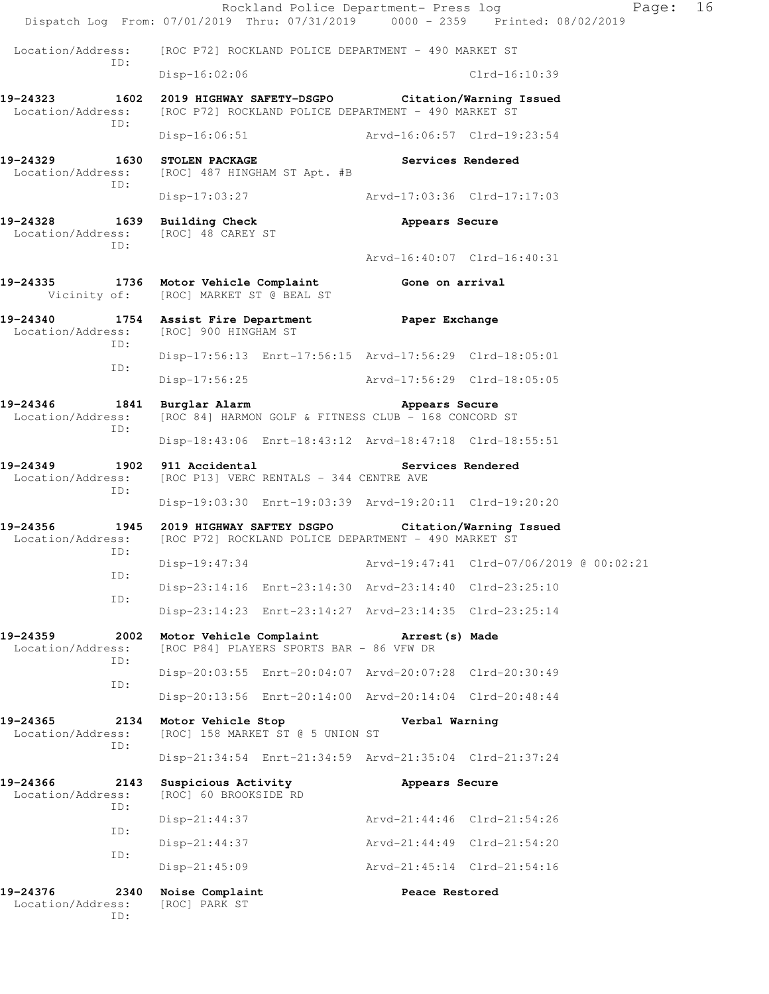Rockland Police Department- Press log Fage: 16 Dispatch Log From: 07/01/2019 Thru: 07/31/2019 0000 - 2359 Printed: 08/02/2019 Location/Address: [ROC P72] ROCKLAND POLICE DEPARTMENT - 490 MARKET ST ID: Disp-16:02:06 Clrd-16:10:39 **19-24323 1602 2019 HIGHWAY SAFETY-DSGPO Citation/Warning Issued**  Location/Address: [ROC P72] ROCKLAND POLICE DEPARTMENT - 490 MARKET ST ID: Disp-16:06:51 Arvd-16:06:57 Clrd-19:23:54 **19-24329 1630 STOLEN PACKAGE Services Rendered**  Location/Address: [ROC] 487 HINGHAM ST Apt. #B ID: Disp-17:03:27 Arvd-17:03:36 Clrd-17:17:03 19-24328 1639 Building Check **19-24328** Appears Secure Location/Address: [ROC] 48 CAREY ST ID: Arvd-16:40:07 Clrd-16:40:31 **19-24335 1736 Motor Vehicle Complaint Gone on arrival**  Vicinity of: [ROC] MARKET ST @ BEAL ST **19-24340 1754 Assist Fire Department Paper Exchange**  Location/Address: [ROC] 900 HINGHAM ST ID: Disp-17:56:13 Enrt-17:56:15 Arvd-17:56:29 Clrd-18:05:01 ID: Disp-17:56:25 Arvd-17:56:29 Clrd-18:05:05 **19-24346 1841 Burglar Alarm Appears Secure**  Location/Address: [ROC 84] HARMON GOLF & FITNESS CLUB - 168 CONCORD ST ID: Disp-18:43:06 Enrt-18:43:12 Arvd-18:47:18 Clrd-18:55:51 **19-24349 1902 911 Accidental Services Rendered**  Location/Address: [ROC P13] VERC RENTALS - 344 CENTRE AVE ID: Disp-19:03:30 Enrt-19:03:39 Arvd-19:20:11 Clrd-19:20:20 **19-24356 1945 2019 HIGHWAY SAFTEY DSGPO Citation/Warning Issued**  [ROC P72] ROCKLAND POLICE DEPARTMENT - 490 MARKET ST ID: Disp-19:47:34 Arvd-19:47:41 Clrd-07/06/2019 @ 00:02:21 ID: Disp-23:14:16 Enrt-23:14:30 Arvd-23:14:40 Clrd-23:25:10 ID: Disp-23:14:23 Enrt-23:14:27 Arvd-23:14:35 Clrd-23:25:14 **19-24359 2002 Motor Vehicle Complaint Arrest(s) Made**  Location/Address: [ROC P84] PLAYERS SPORTS BAR - 86 VFW DR ID: Disp-20:03:55 Enrt-20:04:07 Arvd-20:07:28 Clrd-20:30:49 ID: Disp-20:13:56 Enrt-20:14:00 Arvd-20:14:04 Clrd-20:48:44 **19-24365 2134 Motor Vehicle Stop Verbal Warning**  Location/Address: [ROC] 158 MARKET ST @ 5 UNION ST ID: Disp-21:34:54 Enrt-21:34:59 Arvd-21:35:04 Clrd-21:37:24 **19-24366 2143 Suspicious Activity Appears Secure**  Location/Address: [ROC] 60 BROOKSIDE RD ID: Disp-21:44:37 Arvd-21:44:46 Clrd-21:54:26 ID: Disp-21:44:37 Arvd-21:44:49 Clrd-21:54:20 ID: Disp-21:45:09 Arvd-21:45:14 Clrd-21:54:16 19-24376 2340 Noise Complaint **Peace Restored**  Location/Address: [ROC] PARK ST ID: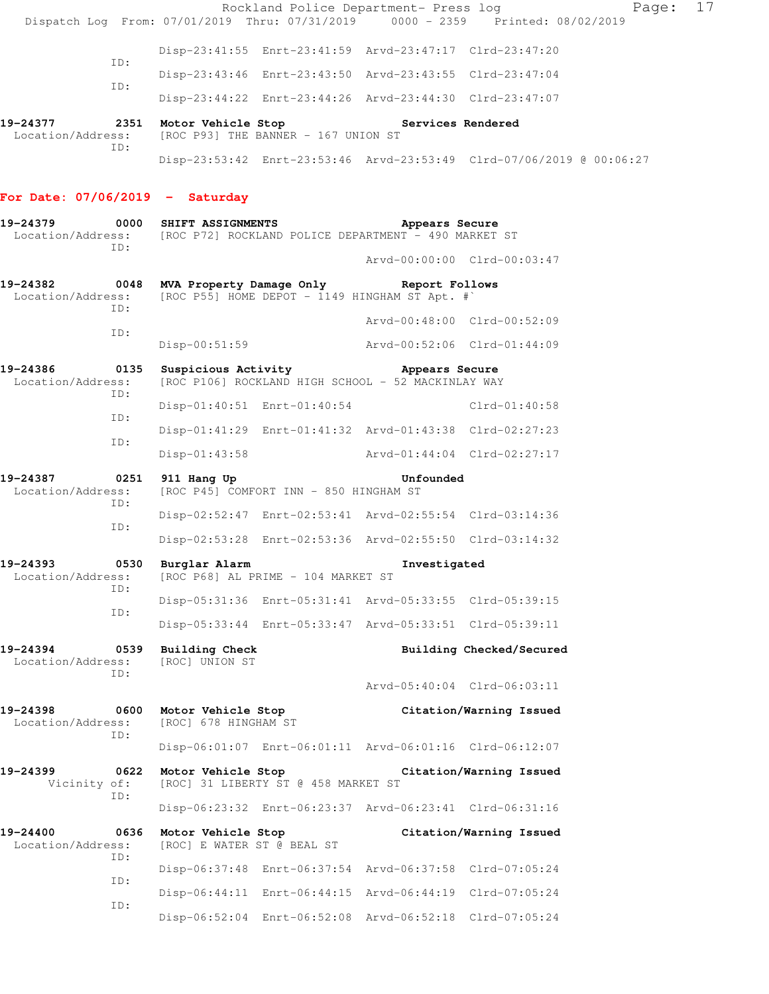|                                                                                                             |             |                                                  |                                                                                                                   |                             | Page: 17<br>Rockland Police Department- Press log<br>Dispatch Log From: 07/01/2019 Thru: 07/31/2019 0000 - 2359 Printed: 08/02/2019 |  |
|-------------------------------------------------------------------------------------------------------------|-------------|--------------------------------------------------|-------------------------------------------------------------------------------------------------------------------|-----------------------------|-------------------------------------------------------------------------------------------------------------------------------------|--|
|                                                                                                             |             |                                                  | Disp-23:41:55 Enrt-23:41:59 Arvd-23:47:17 Clrd-23:47:20                                                           |                             |                                                                                                                                     |  |
|                                                                                                             | ID:         |                                                  | Disp-23:43:46 Enrt-23:43:50 Arvd-23:43:55 Clrd-23:47:04                                                           |                             |                                                                                                                                     |  |
|                                                                                                             | ID:         |                                                  | Disp-23:44:22 Enrt-23:44:26 Arvd-23:44:30 Clrd-23:47:07                                                           |                             |                                                                                                                                     |  |
|                                                                                                             |             |                                                  |                                                                                                                   |                             |                                                                                                                                     |  |
| 19-24377 2351 Motor Vehicle Stop Services Rendered<br>Location/Address:                                     |             |                                                  | [ROC P93] THE BANNER - 167 UNION ST                                                                               |                             |                                                                                                                                     |  |
|                                                                                                             | ID:         |                                                  |                                                                                                                   |                             | Disp-23:53:42 Enrt-23:53:46 Arvd-23:53:49 Clrd-07/06/2019 @ 00:06:27                                                                |  |
| For Date: $07/06/2019$ - Saturday                                                                           |             |                                                  |                                                                                                                   |                             |                                                                                                                                     |  |
| $19-24379$ 0000 SHIFT ASSIGNMENTS<br>Location/Address: [ROC P72] ROCKLAND POLICE DEPARTMENT - 490 MARKET ST | ID:         |                                                  |                                                                                                                   | Appears Secure              |                                                                                                                                     |  |
|                                                                                                             |             |                                                  |                                                                                                                   |                             | Arvd-00:00:00 Clrd-00:03:47                                                                                                         |  |
| 19-24382 6048 MVA Property Damage Only Report Follows<br>Location/Address:                                  | ID:         |                                                  | [ROC P55] HOME DEPOT - 1149 HINGHAM ST Apt. $\#$                                                                  |                             |                                                                                                                                     |  |
|                                                                                                             |             |                                                  |                                                                                                                   |                             | Arvd-00:48:00 Clrd-00:52:09                                                                                                         |  |
|                                                                                                             | ID:         | Disp-00:51:59                                    |                                                                                                                   | Arvd-00:52:06 Clrd-01:44:09 |                                                                                                                                     |  |
| 19-24386<br>Location/Address:                                                                               | ID:         |                                                  | 0135 Suspicious Activity <b>Example 2018</b> Appears Secure<br>[ROC P106] ROCKLAND HIGH SCHOOL - 52 MACKINLAY WAY |                             |                                                                                                                                     |  |
|                                                                                                             |             |                                                  | Disp-01:40:51 Enrt-01:40:54                                                                                       |                             | $Clrd-01:40:58$                                                                                                                     |  |
|                                                                                                             | ID:         |                                                  | Disp-01:41:29 Enrt-01:41:32 Arvd-01:43:38 Clrd-02:27:23                                                           |                             |                                                                                                                                     |  |
|                                                                                                             | ID:         |                                                  | Disp-01:43:58 Arvd-01:44:04 Clrd-02:27:17                                                                         |                             |                                                                                                                                     |  |
| 19-24387<br>Location/Address:                                                                               | 0251<br>ID: | 911 Hang Up                                      | [ROC P45] COMFORT INN - 850 HINGHAM ST                                                                            | Unfounded                   |                                                                                                                                     |  |
|                                                                                                             |             |                                                  | Disp-02:52:47 Enrt-02:53:41 Arvd-02:55:54 Clrd-03:14:36                                                           |                             |                                                                                                                                     |  |
|                                                                                                             | ID:         |                                                  | Disp-02:53:28 Enrt-02:53:36 Arvd-02:55:50 Clrd-03:14:32                                                           |                             |                                                                                                                                     |  |
| 19-24393<br>Location/Address:                                                                               |             | 0530 Burglar Alarm                               | [ROC P68] AL PRIME - 104 MARKET ST                                                                                | Investigated                |                                                                                                                                     |  |
|                                                                                                             | ID:         |                                                  | Disp-05:31:36 Enrt-05:31:41 Arvd-05:33:55 Clrd-05:39:15                                                           |                             |                                                                                                                                     |  |
|                                                                                                             | ID:         |                                                  | Disp-05:33:44 Enrt-05:33:47 Arvd-05:33:51 Clrd-05:39:11                                                           |                             |                                                                                                                                     |  |
| 19-24394<br>Location/Address:                                                                               | 0539<br>ID: | <b>Building Check</b><br>[ROC] UNION ST          |                                                                                                                   |                             | Building Checked/Secured                                                                                                            |  |
|                                                                                                             |             |                                                  |                                                                                                                   |                             | Arvd-05:40:04 Clrd-06:03:11                                                                                                         |  |
| 19-24398<br>Location/Address:                                                                               | 0600<br>ID: | Motor Vehicle Stop<br>[ROC] 678 HINGHAM ST       |                                                                                                                   |                             | Citation/Warning Issued                                                                                                             |  |
|                                                                                                             |             |                                                  | Disp-06:01:07 Enrt-06:01:11 Arvd-06:01:16 Clrd-06:12:07                                                           |                             |                                                                                                                                     |  |
| 19-24399<br>Vicinity of:                                                                                    | 0622<br>ID: | Motor Vehicle Stop                               | [ROC] 31 LIBERTY ST @ 458 MARKET ST                                                                               |                             | Citation/Warning Issued                                                                                                             |  |
|                                                                                                             |             |                                                  | Disp-06:23:32 Enrt-06:23:37 Arvd-06:23:41 Clrd-06:31:16                                                           |                             |                                                                                                                                     |  |
| 19-24400<br>Location/Address:                                                                               | 0636<br>ID: | Motor Vehicle Stop<br>[ROC] E WATER ST @ BEAL ST |                                                                                                                   |                             | Citation/Warning Issued                                                                                                             |  |

Disp-06:37:48 Enrt-06:37:54 Arvd-06:37:58 Clrd-07:05:24

Disp-06:44:11 Enrt-06:44:15 Arvd-06:44:19 Clrd-07:05:24

Disp-06:52:04 Enrt-06:52:08 Arvd-06:52:18 Clrd-07:05:24

ID:

ID: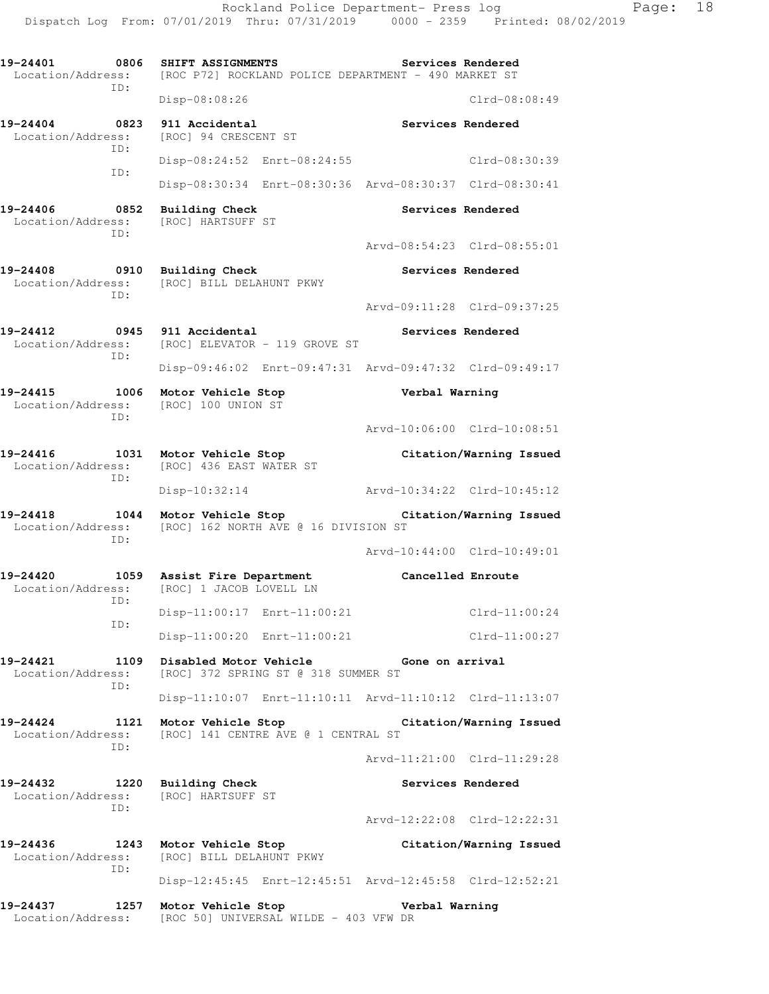**19-24401 0806 SHIFT ASSIGNMENTS Services Rendered**  Location/Address: [ROC P72] ROCKLAND POLICE DEPARTMENT - 490 MARKET ST ID: Disp-08:08:26 Clrd-08:08:49 **19-24404 0823 911 Accidental Services Rendered**  Location/Address: [ROC] 94 CRESCENT ST ID: Disp-08:24:52 Enrt-08:24:55 Clrd-08:30:39 ID: Disp-08:30:34 Enrt-08:30:36 Arvd-08:30:37 Clrd-08:30:41 **19-24406 0852 Building Check Services Rendered**  Location/Address: [ROC] HARTSUFF ST ID: Arvd-08:54:23 Clrd-08:55:01 **19-24408 0910 Building Check Services Rendered**  Location/Address: [ROC] BILL DELAHUNT PKWY ID: Arvd-09:11:28 Clrd-09:37:25 **19-24412 0945 911 Accidental Services Rendered**  Location/Address: [ROC] ELEVATOR - 119 GROVE ST ID: Disp-09:46:02 Enrt-09:47:31 Arvd-09:47:32 Clrd-09:49:17 **19-24415 1006 Motor Vehicle Stop Verbal Warning**  Location/Address: [ROC] 100 UNION ST ID: Arvd-10:06:00 Clrd-10:08:51 **19-24416 1031 Motor Vehicle Stop Citation/Warning Issued**  Location/Address: [ROC] 436 EAST WATER ST ID: Disp-10:32:14 Arvd-10:34:22 Clrd-10:45:12 **19-24418 1044 Motor Vehicle Stop Citation/Warning Issued**  Location/Address: [ROC] 162 NORTH AVE @ 16 DIVISION ST ID: Arvd-10:44:00 Clrd-10:49:01 **19-24420 1059 Assist Fire Department Cancelled Enroute**  Location/Address: [ROC] 1 JACOB LOVELL LN ID: Disp-11:00:17 Enrt-11:00:21 Clrd-11:00:24 ID: Disp-11:00:20 Enrt-11:00:21 Clrd-11:00:27 **19-24421 1109 Disabled Motor Vehicle Gone on arrival**  Location/Address: [ROC] 372 SPRING ST @ 318 SUMMER ST ID: Disp-11:10:07 Enrt-11:10:11 Arvd-11:10:12 Clrd-11:13:07 **19-24424 1121 Motor Vehicle Stop Citation/Warning Issued**  Location/Address: [ROC] 141 CENTRE AVE @ 1 CENTRAL ST ID: Arvd-11:21:00 Clrd-11:29:28 **19-24432 1220 Building Check Services Rendered**  Location/Address: [ROC] HARTSUFF ST ID: Arvd-12:22:08 Clrd-12:22:31 **19-24436 1243 Motor Vehicle Stop Citation/Warning Issued**  Location/Address: [ROC] BILL DELAHUNT PKWY ID: Disp-12:45:45 Enrt-12:45:51 Arvd-12:45:58 Clrd-12:52:21 **19-24437 1257 Motor Vehicle Stop Verbal Warning**  Location/Address: [ROC 50] UNIVERSAL WILDE - 403 VFW DR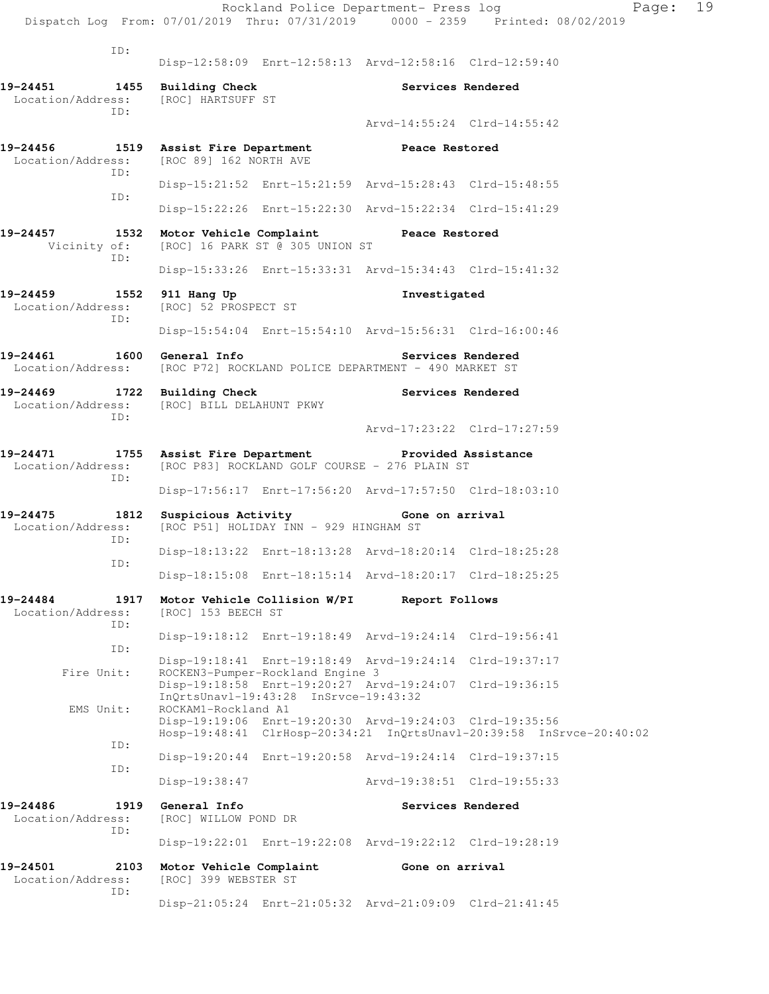|                                                                                                                             |                                                 | Rockland Police Department- Press log                                                            |                   | Dispatch Log From: 07/01/2019 Thru: 07/31/2019 0000 - 2359 Printed: 08/02/2019 | Page: | 19 |
|-----------------------------------------------------------------------------------------------------------------------------|-------------------------------------------------|--------------------------------------------------------------------------------------------------|-------------------|--------------------------------------------------------------------------------|-------|----|
| ID:                                                                                                                         |                                                 | Disp-12:58:09 Enrt-12:58:13 Arvd-12:58:16 Clrd-12:59:40                                          |                   |                                                                                |       |    |
| 19-24451 1455 Building Check<br>Location/Address:                                                                           | [ROC] HARTSUFF ST                               |                                                                                                  |                   | Services Rendered                                                              |       |    |
| ID:                                                                                                                         |                                                 |                                                                                                  |                   | Arvd-14:55:24 Clrd-14:55:42                                                    |       |    |
| 19-24456 1519 Assist Fire Department Peace Restored<br>Location/Address:                                                    | [ROC 89] 162 NORTH AVE                          |                                                                                                  |                   |                                                                                |       |    |
| ID:<br>ID:                                                                                                                  |                                                 | Disp-15:21:52 Enrt-15:21:59 Arvd-15:28:43 Clrd-15:48:55                                          |                   |                                                                                |       |    |
|                                                                                                                             |                                                 | Disp-15:22:26 Enrt-15:22:30 Arvd-15:22:34 Clrd-15:41:29                                          |                   |                                                                                |       |    |
| 19-24457<br>Vicinity of:                                                                                                    | 1532 Motor Vehicle Complaint Teace Restored     | [ROC] 16 PARK ST @ 305 UNION ST                                                                  |                   |                                                                                |       |    |
| ID:                                                                                                                         |                                                 | Disp-15:33:26 Enrt-15:33:31 Arvd-15:34:43 Clrd-15:41:32                                          |                   |                                                                                |       |    |
| 19-24459<br>1552<br>Location/Address:                                                                                       | 911 Hang Up<br>[ROC] 52 PROSPECT ST             |                                                                                                  | Investigated      |                                                                                |       |    |
| ID:                                                                                                                         |                                                 | Disp-15:54:04 Enrt-15:54:10 Arvd-15:56:31 Clrd-16:00:46                                          |                   |                                                                                |       |    |
| 19-24461<br>Location/Address: [ROC P72] ROCKLAND POLICE DEPARTMENT - 490 MARKET ST                                          | 1600 General Info                               |                                                                                                  | Services Rendered |                                                                                |       |    |
| 19-24469 1722 Building Check<br>Location/Address: [ROC] BILL DELAHUNT PKWY<br>ID:                                           |                                                 |                                                                                                  | Services Rendered |                                                                                |       |    |
|                                                                                                                             |                                                 |                                                                                                  |                   | Arvd-17:23:22 Clrd-17:27:59                                                    |       |    |
| 19-24471 1755 Assist Fire Department Provided Assistance<br>Location/Address: [ROC P83] ROCKLAND GOLF COURSE - 276 PLAIN ST |                                                 |                                                                                                  |                   |                                                                                |       |    |
| ID:                                                                                                                         |                                                 | Disp-17:56:17 Enrt-17:56:20 Arvd-17:57:50 Clrd-18:03:10                                          |                   |                                                                                |       |    |
| 19-24475<br>Location/Address:<br>ID:                                                                                        | 1812 Suspicious Activity Cone on arrival        | [ROC P51] HOLIDAY INN - 929 HINGHAM ST                                                           |                   |                                                                                |       |    |
| ID:                                                                                                                         |                                                 | Disp-18:13:22 Enrt-18:13:28 Arvd-18:20:14 Clrd-18:25:28                                          |                   |                                                                                |       |    |
|                                                                                                                             |                                                 | Disp-18:15:08 Enrt-18:15:14 Arvd-18:20:17 Clrd-18:25:25                                          |                   |                                                                                |       |    |
| 19-24484<br>1917<br>Location/Address:<br>ID:                                                                                | [ROC] 153 BEECH ST                              | Motor Vehicle Collision W/PI                                                                     | Report Follows    |                                                                                |       |    |
| ID:                                                                                                                         |                                                 | Disp-19:18:12 Enrt-19:18:49 Arvd-19:24:14 Clrd-19:56:41                                          |                   |                                                                                |       |    |
| Fire Unit:                                                                                                                  |                                                 | Disp-19:18:41 Enrt-19:18:49 Arvd-19:24:14 Clrd-19:37:17<br>ROCKEN3-Pumper-Rockland Engine 3      |                   |                                                                                |       |    |
|                                                                                                                             |                                                 | Disp-19:18:58 Enrt-19:20:27 Arvd-19:24:07 Clrd-19:36:15<br>InQrtsUnavl-19:43:28 InSrvce-19:43:32 |                   |                                                                                |       |    |
| EMS Unit:                                                                                                                   | ROCKAM1-Rockland A1                             | Disp-19:19:06 Enrt-19:20:30 Arvd-19:24:03 Clrd-19:35:56                                          |                   | Hosp-19:48:41 ClrHosp-20:34:21 InQrtsUnavl-20:39:58 InSrvce-20:40:02           |       |    |
| ID:                                                                                                                         |                                                 | Disp-19:20:44 Enrt-19:20:58 Arvd-19:24:14 Clrd-19:37:15                                          |                   |                                                                                |       |    |
| ID:                                                                                                                         | Disp-19:38:47                                   |                                                                                                  |                   | Arvd-19:38:51 Clrd-19:55:33                                                    |       |    |
| 19-24486<br>1919<br>Location/Address:                                                                                       | General Info<br>[ROC] WILLOW POND DR            |                                                                                                  |                   | Services Rendered                                                              |       |    |
| ID:                                                                                                                         |                                                 | Disp-19:22:01 Enrt-19:22:08 Arvd-19:22:12 Clrd-19:28:19                                          |                   |                                                                                |       |    |
| 19-24501<br>2103<br>Location/Address:                                                                                       | Motor Vehicle Complaint<br>[ROC] 399 WEBSTER ST |                                                                                                  | Gone on arrival   |                                                                                |       |    |
| ID:                                                                                                                         |                                                 | Disp-21:05:24 Enrt-21:05:32 Arvd-21:09:09 Clrd-21:41:45                                          |                   |                                                                                |       |    |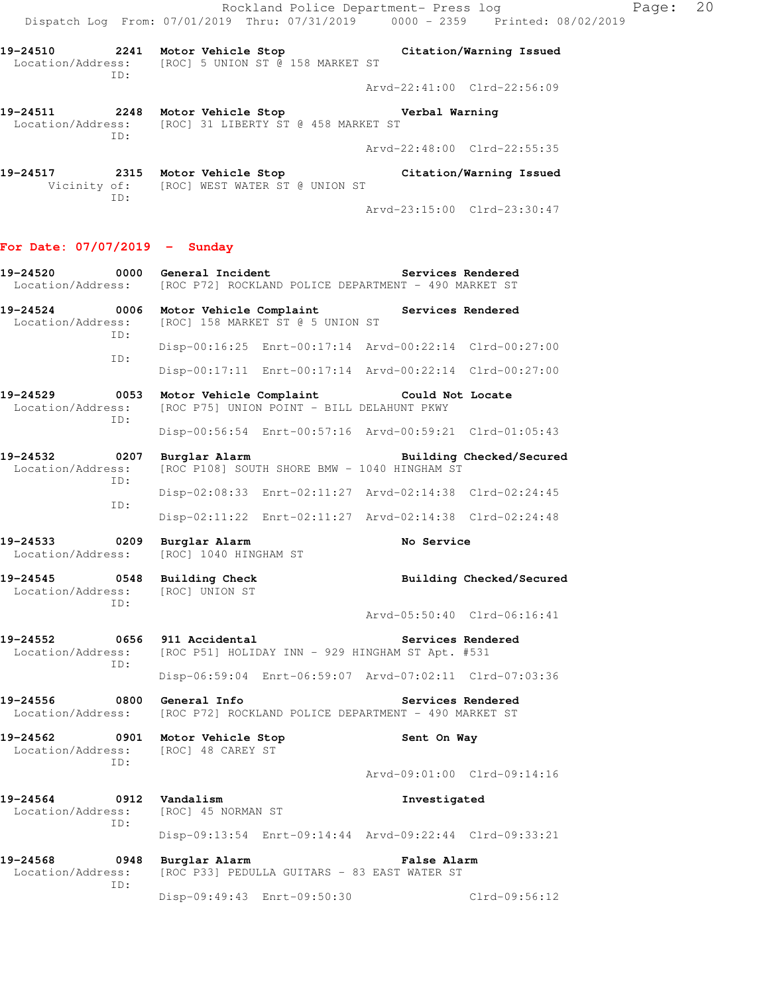Rockland Police Department- Press log Page: 20 Dispatch Log From: 07/01/2019 Thru: 07/31/2019 0000 - 2359 Printed: 08/02/2019

**19-24510 2241 Motor Vehicle Stop Citation/Warning Issued**  Location/Address: [ROC] 5 UNION ST @ 158 MARKET ST ID:

**19-24511 2248 Motor Vehicle Stop Verbal Warning**  Location/Address: [ROC] 31 LIBERTY ST @ 458 MARKET ST ID:

Arvd-22:48:00 Clrd-22:55:35

**19-24517 2315 Motor Vehicle Stop Citation/Warning Issued**  Vicinity of: [ROC] WEST WATER ST @ UNION ST ID: Arvd-23:15:00 Clrd-23:30:47

### **For Date: 07/07/2019 - Sunday 19-24520 0000 General Incident Services Rendered**  Location/Address: [ROC P72] ROCKLAND POLICE DEPARTMENT - 490 MARKET ST **19-24524 0006 Motor Vehicle Complaint Services Rendered**  Location/Address: [ROC] 158 MARKET ST @ 5 UNION ST ID: Disp-00:16:25 Enrt-00:17:14 Arvd-00:22:14 Clrd-00:27:00 ID: Disp-00:17:11 Enrt-00:17:14 Arvd-00:22:14 Clrd-00:27:00 **19-24529 0053 Motor Vehicle Complaint Could Not Locate**  Location/Address: [ROC P75] UNION POINT - BILL DELAHUNT PKWY ID: Disp-00:56:54 Enrt-00:57:16 Arvd-00:59:21 Clrd-01:05:43

**19-24532 0207 Burglar Alarm Building Checked/Secured**  Location/Address: [ROC P108] SOUTH SHORE BMW - 1040 HINGHAM ST ID: Disp-02:08:33 Enrt-02:11:27 Arvd-02:14:38 Clrd-02:24:45 ID: Disp-02:11:22 Enrt-02:11:27 Arvd-02:14:38 Clrd-02:24:48

**19-24533 0209 Burglar Alarm No Service**  [ROC] 1040 HINGHAM ST

**19-24545 0548 Building Check Building Checked/Secured**  Location/Address: [ROC] UNION ST

**19-24552 0656 911 Accidental Services Rendered**  Location/Address: [ROC P51] HOLIDAY INN - 929 HINGHAM ST Apt. #531 ID:

ID:

ID:

 Disp-06:59:04 Enrt-06:59:07 Arvd-07:02:11 Clrd-07:03:36 **19-24556 0800 General Info Services Rendered** 

Location/Address: [ROC P72] ROCKLAND POLICE DEPARTMENT - 490 MARKET ST

**19-24562 0901 Motor Vehicle Stop Sent On Way**  Location/Address: [ROC] 48 CAREY ST

Arvd-09:01:00 Clrd-09:14:16

Arvd-05:50:40 Clrd-06:16:41

Arvd-22:41:00 Clrd-22:56:09

**19-24564 0912 Vandalism Investigated**  Location/Address: [ROC] 45 NORMAN ST ID: Disp-09:13:54 Enrt-09:14:44 Arvd-09:22:44 Clrd-09:33:21

ID:

**19-24568 0948 Burglar Alarm False Alarm**  Location/Address: [ROC P33] PEDULLA GUITARS - 83 EAST WATER ST

Disp-09:49:43 Enrt-09:50:30 Clrd-09:56:12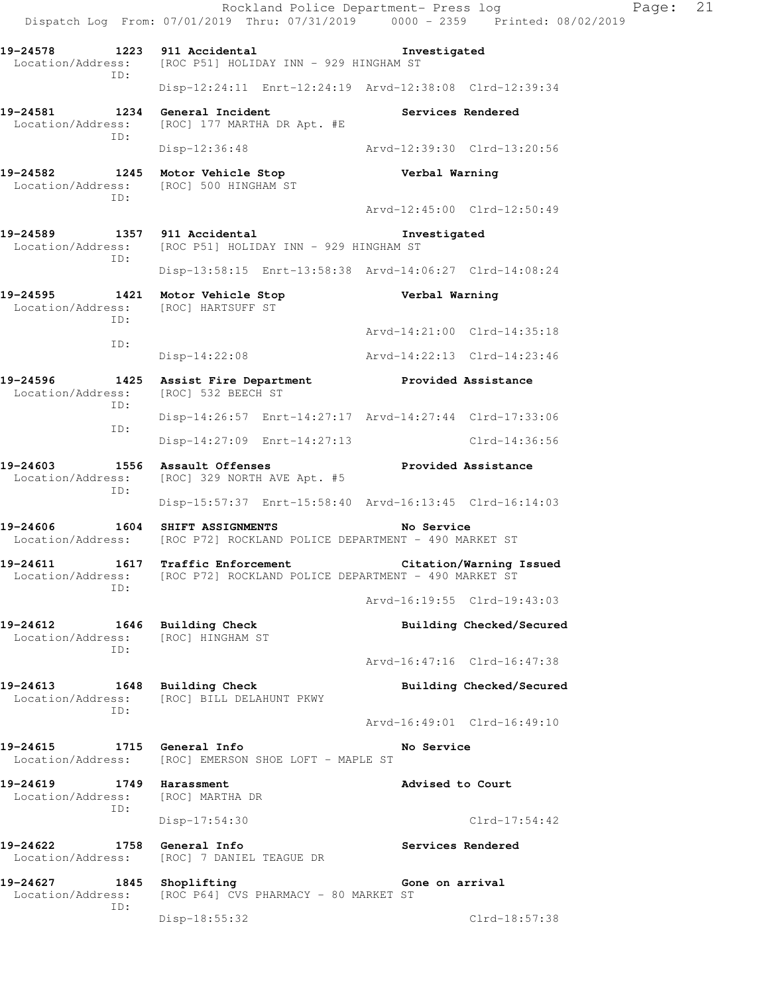Rockland Police Department- Press log Fage: 21 Dispatch Log From: 07/01/2019 Thru: 07/31/2019 0000 - 2359 Printed: 08/02/2019 **19-24578 1223 911 Accidental Investigated**  Location/Address: [ROC P51] HOLIDAY INN - 929 HINGHAM ST ID: Disp-12:24:11 Enrt-12:24:19 Arvd-12:38:08 Clrd-12:39:34 19-24581 1234 General Incident **Services Rendered**  Location/Address: [ROC] 177 MARTHA DR Apt. #E ID: Disp-12:36:48 Arvd-12:39:30 Clrd-13:20:56 **19-24582 1245 Motor Vehicle Stop Verbal Warning**  Location/Address: [ROC] 500 HINGHAM ST ID: Arvd-12:45:00 Clrd-12:50:49 **19-24589 1357 911 Accidental Investigated**  Location/Address: [ROC P51] HOLIDAY INN - 929 HINGHAM ST ID: Disp-13:58:15 Enrt-13:58:38 Arvd-14:06:27 Clrd-14:08:24 **19-24595 1421 Motor Vehicle Stop Verbal Warning**  Location/Address: [ROC] HARTSUFF ST ID: Arvd-14:21:00 Clrd-14:35:18 ID: Disp-14:22:08 Arvd-14:22:13 Clrd-14:23:46 **19-24596 1425 Assist Fire Department Provided Assistance**  Location/Address: [ROC] 532 BEECH ST ID: Disp-14:26:57 Enrt-14:27:17 Arvd-14:27:44 Clrd-17:33:06 ID: Disp-14:27:09 Enrt-14:27:13 Clrd-14:36:56 19-24603 1556 Assault Offenses **19-24603** Provided Assistance Location/Address: [ROC] 329 NORTH AVE Apt. #5 ID: Disp-15:57:37 Enrt-15:58:40 Arvd-16:13:45 Clrd-16:14:03 **19-24606 1604 SHIFT ASSIGNMENTS No Service**  Location/Address: [ROC P72] ROCKLAND POLICE DEPARTMENT - 490 MARKET ST **19-24611 1617 Traffic Enforcement Citation/Warning Issued**  Location/Address: [ROC P72] ROCKLAND POLICE DEPARTMENT - 490 MARKET ST ID: Arvd-16:19:55 Clrd-19:43:03 19-24612 1646 Building Check **Building Check Building Checked/Secured**  Location/Address: [ROC] HINGHAM ST ID: Arvd-16:47:16 Clrd-16:47:38 19-24613 1648 Building Check **Building Checked/Secured**  Location/Address: [ROC] BILL DELAHUNT PKWY ID: Arvd-16:49:01 Clrd-16:49:10 **19-24615 1715 General Info No Service**  Location/Address: [ROC] EMERSON SHOE LOFT - MAPLE ST **19-24619 1749 Harassment Advised to Court**  Location/Address: [ROC] MARTHA DR ID: Disp-17:54:30 Clrd-17:54:42 **19-24622 1758 General Info Services Rendered**  Location/Address: [ROC] 7 DANIEL TEAGUE DR **19-24627** 1845 Shoplifting Gone on arrival Location/Address: [ROC P64] CVS PHARMACY - 80 MARKET ST [ROC P64] CVS PHARMACY - 80 MARKET ST ID: Disp-18:55:32 Clrd-18:57:38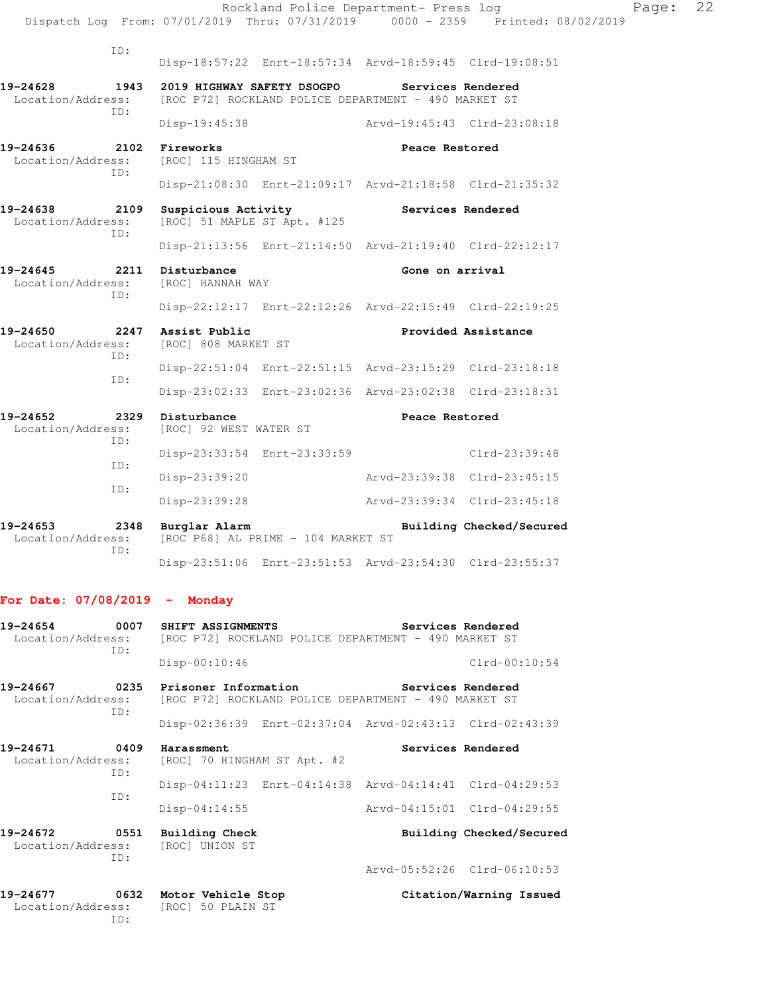|                                                                                    |                                                   | Rockland Police Department- Press log                   |                             | Dispatch Log From: 07/01/2019 Thru: 07/31/2019   0000 - 2359   Printed: 08/02/2019 | Page: | 22 |
|------------------------------------------------------------------------------------|---------------------------------------------------|---------------------------------------------------------|-----------------------------|------------------------------------------------------------------------------------|-------|----|
| ID:                                                                                |                                                   |                                                         |                             | Disp-18:57:22 Enrt-18:57:34 Arvd-18:59:45 Clrd-19:08:51                            |       |    |
| 19-24628<br>Location/Address: [ROC P72] ROCKLAND POLICE DEPARTMENT - 490 MARKET ST | 1943 2019 HIGHWAY SAFETY DSOGPO Services Rendered |                                                         |                             |                                                                                    |       |    |
| ID:                                                                                |                                                   | Disp-19:45:38 Arvd-19:45:43 Clrd-23:08:18               |                             |                                                                                    |       |    |
| 19-24636 2102 Fireworks<br>Location/Address:                                       | [ROC] 115 HINGHAM ST                              |                                                         | Peace Restored              |                                                                                    |       |    |
| ID:                                                                                |                                                   | Disp-21:08:30 Enrt-21:09:17 Arvd-21:18:58 Clrd-21:35:32 |                             |                                                                                    |       |    |
| 19-24638 2109 Suspicious Activity Services Rendered<br>Location/Address:<br>ID:    | [ROC] 51 MAPLE ST Apt. #125                       |                                                         |                             |                                                                                    |       |    |
|                                                                                    |                                                   |                                                         |                             | Disp-21:13:56 Enrt-21:14:50 Arvd-21:19:40 Clrd-22:12:17                            |       |    |
| 19-24645 2211 Disturbance<br>Location/Address: [ROC] HANNAH WAY<br>ID:             |                                                   |                                                         | Gone on arrival             |                                                                                    |       |    |
|                                                                                    |                                                   | Disp-22:12:17 Enrt-22:12:26 Arvd-22:15:49 Clrd-22:19:25 |                             |                                                                                    |       |    |
| 19-24650 2247 Assist Public<br>Location/Address:<br>ID:                            | [ROC] 808 MARKET ST                               |                                                         |                             | Provided Assistance                                                                |       |    |
| ID:                                                                                |                                                   | Disp-22:51:04 Enrt-22:51:15 Arvd-23:15:29 Clrd-23:18:18 |                             |                                                                                    |       |    |
|                                                                                    |                                                   | Disp-23:02:33 Enrt-23:02:36 Arvd-23:02:38 Clrd-23:18:31 |                             |                                                                                    |       |    |
| 19-24652<br>Location/Address: [ROC] 92 WEST WATER ST<br>ID:                        | 2329 Disturbance                                  |                                                         | Peace Restored              |                                                                                    |       |    |
| ID:                                                                                |                                                   | Disp-23:33:54 Enrt-23:33:59                             |                             | Clrd-23:39:48                                                                      |       |    |
| ID:                                                                                | Disp-23:39:20                                     |                                                         |                             | Arvd-23:39:38 Clrd-23:45:15                                                        |       |    |
|                                                                                    | Disp-23:39:28                                     |                                                         | Arvd-23:39:34 Clrd-23:45:18 |                                                                                    |       |    |
| 19-24653<br>Location/Address:<br>ID:                                               | 2348 Burglar Alarm                                | [ROC P68] AL PRIME - 104 MARKET ST                      |                             | Building Checked/Secured                                                           |       |    |
|                                                                                    |                                                   | Disp-23:51:06 Enrt-23:51:53 Arvd-23:54:30 Clrd-23:55:37 |                             |                                                                                    |       |    |
| For Date: $07/08/2019$ - Monday                                                    |                                                   |                                                         |                             |                                                                                    |       |    |
| 19-24654<br>Location/Address:<br>ID:                                               | 0007 SHIFT ASSIGNMENTS                            | [ROC P72] ROCKLAND POLICE DEPARTMENT - 490 MARKET ST    |                             | Services Rendered                                                                  |       |    |
|                                                                                    | $Disp-00:10:46$                                   |                                                         |                             | $Clrd-00:10:54$                                                                    |       |    |
| 19-24667<br>Location/Address:<br>ID:                                               | 0235 Prisoner Information                         | [ROC P72] ROCKLAND POLICE DEPARTMENT - 490 MARKET ST    |                             | Services Rendered                                                                  |       |    |
|                                                                                    |                                                   | Disp-02:36:39 Enrt-02:37:04 Arvd-02:43:13 Clrd-02:43:39 |                             |                                                                                    |       |    |
| 19-24671<br>Location/Address:<br>ID:                                               | 0409 Harassment<br>[ROC] 70 HINGHAM ST Apt. #2    |                                                         |                             | Services Rendered                                                                  |       |    |
|                                                                                    |                                                   | Disp-04:11:23 Enrt-04:14:38 Arvd-04:14:41 Clrd-04:29:53 |                             |                                                                                    |       |    |
| ID:                                                                                | $Disp-04:14:55$                                   |                                                         |                             | Arvd-04:15:01 Clrd-04:29:55                                                        |       |    |
| 19-24672<br>0551<br>Location/Address:                                              | <b>Building Check</b><br>[ROC] UNION ST           |                                                         |                             | Building Checked/Secured                                                           |       |    |
| ID:                                                                                |                                                   |                                                         |                             | Arvd-05:52:26 Clrd-06:10:53                                                        |       |    |

**19-24677 0632 Motor Vehicle Stop Citation/Warning Issued**  Location/Address: [ROC] 50 PLAIN ST ID: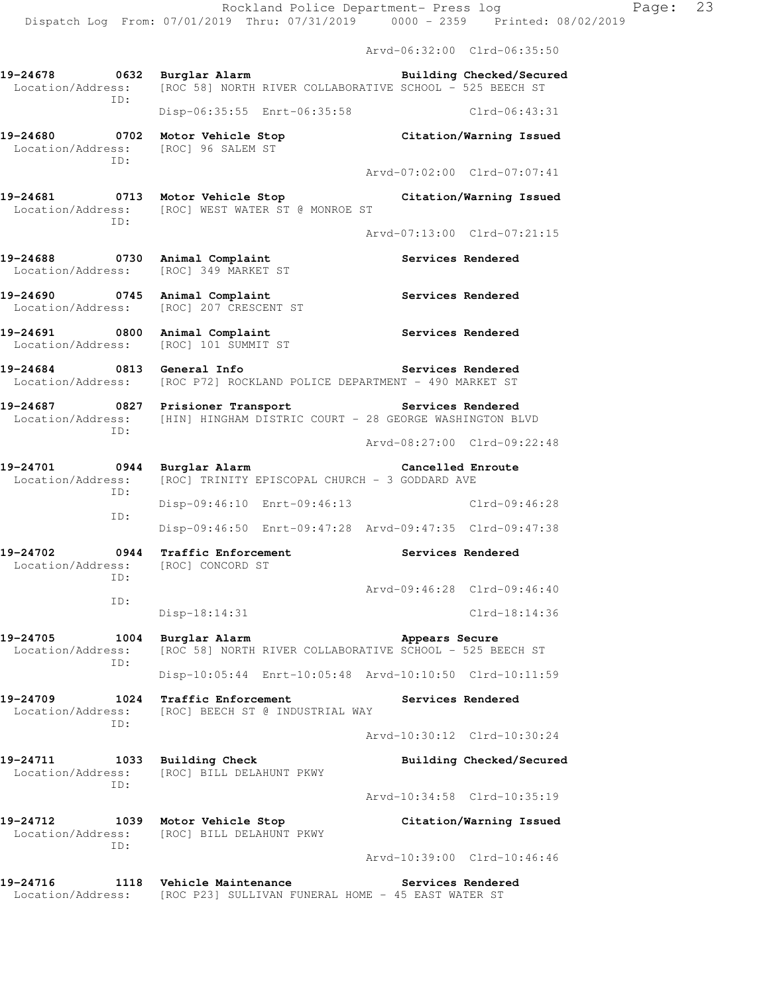- Arvd-06:32:00 Clrd-06:35:50 **19-24678 0632 Burglar Alarm Building Checked/Secured**  Location/Address: [ROC 58] NORTH RIVER COLLABORATIVE SCHOOL - 525 BEECH ST ID: Disp-06:35:55 Enrt-06:35:58 Clrd-06:43:31 **19-24680 0702 Motor Vehicle Stop Citation/Warning Issued**  Location/Address: [ROC] 96 SALEM ST ID: Arvd-07:02:00 Clrd-07:07:41 **19-24681 0713 Motor Vehicle Stop Citation/Warning Issued**  Location/Address: [ROC] WEST WATER ST @ MONROE ST ID: Arvd-07:13:00 Clrd-07:21:15 19-24688 **0730** Animal Complaint **Complaint** Services Rendered Location/Address: [ROC] 349 MARKET ST 19-24690 **0745** Animal Complaint **Services Rendered**  Location/Address: [ROC] 207 CRESCENT ST **19-24691 0800 Animal Complaint Services Rendered** 
	- Location/Address: [ROC] 101 SUMMIT ST
- **19-24684 0813 General Info Services Rendered**  Location/Address: [ROC P72] ROCKLAND POLICE DEPARTMENT - 490 MARKET ST
- **19-24687 0827 Prisioner Transport Services Rendered**  Location/Address: [HIN] HINGHAM DISTRIC COURT - 28 GEORGE WASHINGTON BLVD ID: Arvd-08:27:00 Clrd-09:22:48
- **19-24701 0944 Burglar Alarm Cancelled Enroute**  Location/Address: [ROC] TRINITY EPISCOPAL CHURCH - 3 GODDARD AVE ID: Disp-09:46:10 Enrt-09:46:13 Clrd-09:46:28 ID: Disp-09:46:50 Enrt-09:47:28 Arvd-09:47:35 Clrd-09:47:38
- **19-24702 0944 Traffic Enforcement Services Rendered**  Location/Address: [ROC] CONCORD ST ID: Arvd-09:46:28 Clrd-09:46:40 ID:
- **19-24705 1004 Burglar Alarm Appears Secure**  Location/Address: [ROC 58] NORTH RIVER COLLABORATIVE SCHOOL - 525 BEECH ST ID: Disp-10:05:44 Enrt-10:05:48 Arvd-10:10:50 Clrd-10:11:59

Disp-18:14:31 Clrd-18:14:36

- **19-24709 1024 Traffic Enforcement Services Rendered**  Location/Address: [ROC] BEECH ST @ INDUSTRIAL WAY ID:
	- Arvd-10:30:12 Clrd-10:30:24
- 19-24711 1033 Building Check **Building Checked/Secured**  Location/Address: [ROC] BILL DELAHUNT PKWY ID: Arvd-10:34:58 Clrd-10:35:19
- **19-24712 1039 Motor Vehicle Stop Citation/Warning Issued**  Location/Address: [ROC] BILL DELAHUNT PKWY ID: Arvd-10:39:00 Clrd-10:46:46
- **19-24716 1118 Vehicle Maintenance Services Rendered**  Location/Address: [ROC P23] SULLIVAN FUNERAL HOME - 45 EAST WATER ST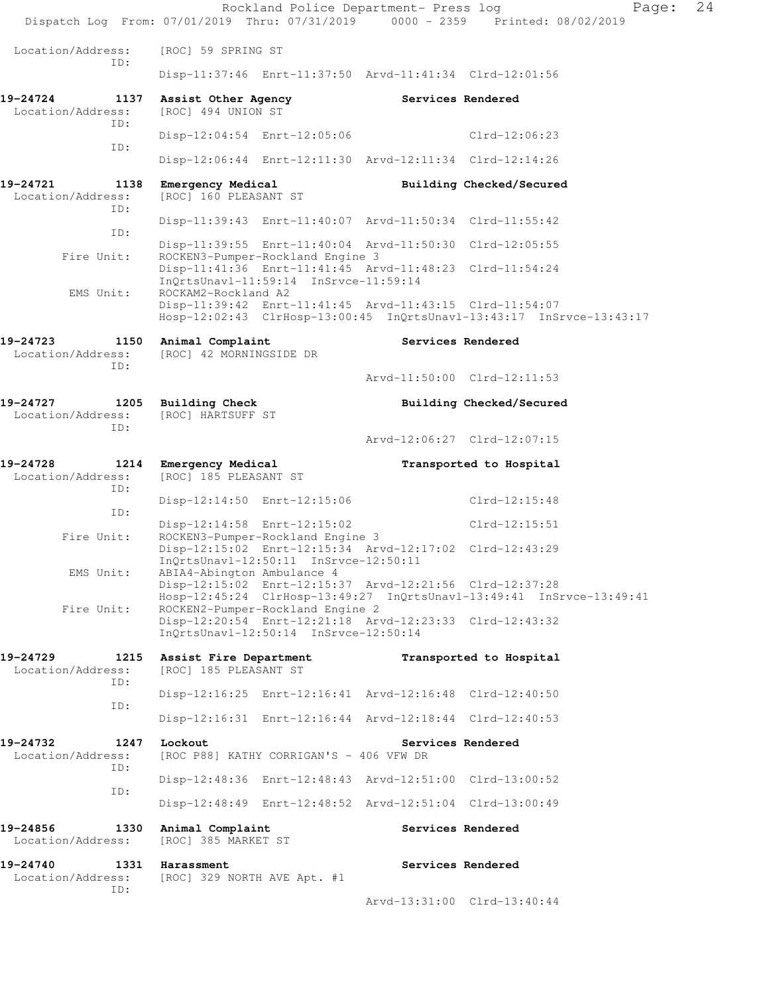|                                              |                                                                           | Rockland Police Department- Press log                                                                              | Page:<br>Dispatch Log From: 07/01/2019 Thru: 07/31/2019 0000 - 2359 Printed: 08/02/2019 | 24 |
|----------------------------------------------|---------------------------------------------------------------------------|--------------------------------------------------------------------------------------------------------------------|-----------------------------------------------------------------------------------------|----|
| Location/Address:                            | [ROC] 59 SPRING ST                                                        |                                                                                                                    |                                                                                         |    |
| ID:                                          |                                                                           | Disp-11:37:46 Enrt-11:37:50 Arvd-11:41:34 Clrd-12:01:56                                                            |                                                                                         |    |
| 19-24724<br>1137<br>Location/Address:        | Assist Other Agency<br>[ROC] 494 UNION ST                                 | Services Rendered                                                                                                  |                                                                                         |    |
| ID:                                          | Disp-12:04:54 Enrt-12:05:06                                               |                                                                                                                    | $Clrd-12:06:23$                                                                         |    |
| ID:                                          |                                                                           | Disp-12:06:44 Enrt-12:11:30 Arvd-12:11:34 Clrd-12:14:26                                                            |                                                                                         |    |
| 19-24721<br>1138<br>Location/Address:<br>ID: | Emergency Medical<br>[ROC] 160 PLEASANT ST                                |                                                                                                                    | Building Checked/Secured                                                                |    |
| ID:                                          |                                                                           | Disp-11:39:43 Enrt-11:40:07 Arvd-11:50:34 Clrd-11:55:42                                                            |                                                                                         |    |
| Fire Unit:                                   | ROCKEN3-Pumper-Rockland Engine 3                                          | Disp-11:39:55 Enrt-11:40:04 Arvd-11:50:30 Clrd-12:05:55<br>Disp-11:41:36 Enrt-11:41:45 Arvd-11:48:23 Clrd-11:54:24 |                                                                                         |    |
| EMS Unit:                                    | InQrtsUnavl-11:59:14 InSrvce-11:59:14<br>ROCKAM2-Rockland A2              |                                                                                                                    |                                                                                         |    |
|                                              |                                                                           | Disp-11:39:42 Enrt-11:41:45 Arvd-11:43:15 Clrd-11:54:07                                                            | Hosp-12:02:43 ClrHosp-13:00:45 InQrtsUnavl-13:43:17 InSrvce-13:43:17                    |    |
| 19-24723<br>1150<br>Location/Address:<br>ID: | Animal Complaint<br>[ROC] 42 MORNINGSIDE DR                               | Services Rendered                                                                                                  |                                                                                         |    |
|                                              |                                                                           |                                                                                                                    | Arvd-11:50:00 Clrd-12:11:53                                                             |    |
| 19-24727<br>Location/Address:<br>ID:         | 1205 Building Check<br>[ROC] HARTSUFF ST                                  |                                                                                                                    | Building Checked/Secured                                                                |    |
|                                              |                                                                           |                                                                                                                    | Arvd-12:06:27 Clrd-12:07:15                                                             |    |
| 19-24728<br>1214<br>Location/Address:<br>ID: | Emergency Medical<br>[ROC] 185 PLEASANT ST                                |                                                                                                                    | Transported to Hospital                                                                 |    |
| ID:                                          | Disp-12:14:50 Enrt-12:15:06                                               |                                                                                                                    | Clrd-12:15:48                                                                           |    |
| Fire Unit:                                   | Disp-12:14:58 Enrt-12:15:02<br>ROCKEN3-Pumper-Rockland Engine 3           |                                                                                                                    | Clrd-12:15:51                                                                           |    |
| EMS Unit:                                    | $InQrtsUnav1-12:50:11$ $InSrvce-12:50:11$<br>ABIA4-Abington Ambulance 4   | Disp-12:15:02 Enrt-12:15:34 Arvd-12:17:02 Clrd-12:43:29                                                            |                                                                                         |    |
|                                              |                                                                           | Disp-12:15:02 Enrt-12:15:37 Arvd-12:21:56 Clrd-12:37:28                                                            | Hosp-12:45:24 ClrHosp-13:49:27 InQrtsUnavl-13:49:41 InSrvce-13:49:41                    |    |
| Fire Unit:                                   | ROCKEN2-Pumper-Rockland Engine 2<br>InQrtsUnavl-12:50:14 InSrvce-12:50:14 | Disp-12:20:54 Enrt-12:21:18 Arvd-12:23:33 Clrd-12:43:32                                                            |                                                                                         |    |
| 19-24729<br>1215<br>Location/Address:<br>ID: | Assist Fire Department<br>[ROC] 185 PLEASANT ST                           |                                                                                                                    | Transported to Hospital                                                                 |    |
| ID:                                          |                                                                           | Disp-12:16:25 Enrt-12:16:41 Arvd-12:16:48 Clrd-12:40:50                                                            |                                                                                         |    |
|                                              |                                                                           | Disp-12:16:31 Enrt-12:16:44 Arvd-12:18:44 Clrd-12:40:53                                                            |                                                                                         |    |
| 19-24732<br>1247<br>Location/Address:<br>ID: | Lockout<br>[ROC P88] KATHY CORRIGAN'S - 406 VFW DR                        | Services Rendered                                                                                                  |                                                                                         |    |
| ID:                                          |                                                                           | Disp-12:48:36 Enrt-12:48:43 Arvd-12:51:00 Clrd-13:00:52                                                            |                                                                                         |    |
|                                              |                                                                           | Disp-12:48:49 Enrt-12:48:52 Arvd-12:51:04 Clrd-13:00:49                                                            |                                                                                         |    |
| 19-24856<br>1330<br>Location/Address:        | Animal Complaint<br>[ROC] 385 MARKET ST                                   | Services Rendered                                                                                                  |                                                                                         |    |
| 19-24740<br>1331<br>Location/Address:        | Harassment<br>[ROC] 329 NORTH AVE Apt. #1                                 | Services Rendered                                                                                                  |                                                                                         |    |
|                                              |                                                                           |                                                                                                                    |                                                                                         |    |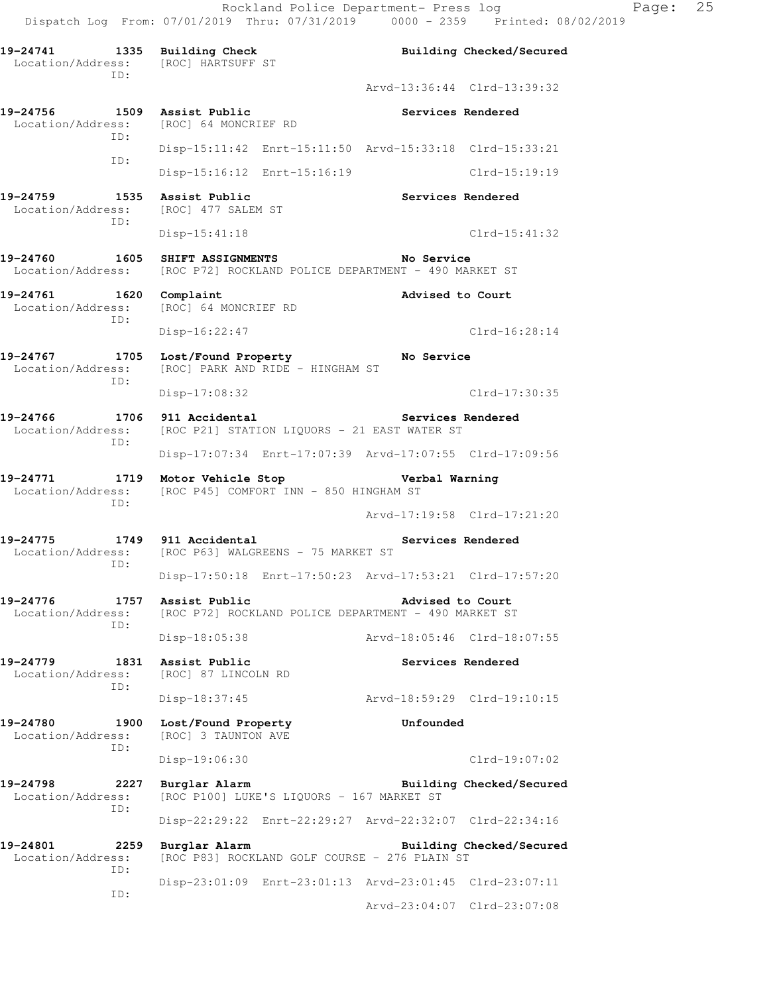19-24741 1335 Building Check **Building Checked/Secured**  Location/Address: [ROC] HARTSUFF ST ID: Arvd-13:36:44 Clrd-13:39:32 19-24756 1509 Assist Public **19-24756** Services Rendered Location/Address: [ROC] 64 MONCRIEF RD ID: Disp-15:11:42 Enrt-15:11:50 Arvd-15:33:18 Clrd-15:33:21 ID: Disp-15:16:12 Enrt-15:16:19 Clrd-15:19:19 19-24759 1535 Assist Public **Services Rendered** Services Rendered Location/Address: [ROC] 477 SALEM ST [ROC] 477 SALEM ST ID: Disp-15:41:18 Clrd-15:41:32 **19-24760 1605 SHIFT ASSIGNMENTS No Service**  Location/Address: [ROC P72] ROCKLAND POLICE DEPARTMENT - 490 MARKET ST **19-24761 1620 Complaint Advised to Court**  Location/Address: [ROC] 64 MONCRIEF RD ID: Disp-16:22:47 Clrd-16:28:14 **19-24767 1705 Lost/Found Property No Service**  Location/Address: [ROC] PARK AND RIDE - HINGHAM ST ID: Disp-17:08:32 Clrd-17:30:35 19-24766 1706 911 Accidental **19-24766** Services Rendered Location/Address: [ROC P21] STATION LIQUORS - 21 EAST WATER ST ID: Disp-17:07:34 Enrt-17:07:39 Arvd-17:07:55 Clrd-17:09:56 **19-24771 1719 Motor Vehicle Stop Verbal Warning**  Location/Address: [ROC P45] COMFORT INN - 850 HINGHAM ST ID: Arvd-17:19:58 Clrd-17:21:20 **19-24775 1749 911 Accidental Services Rendered**  Location/Address: [ROC P63] WALGREENS - 75 MARKET ST ID: Disp-17:50:18 Enrt-17:50:23 Arvd-17:53:21 Clrd-17:57:20 **19-24776 1757 Assist Public Advised to Court**  Location/Address: [ROC P72] ROCKLAND POLICE DEPARTMENT - 490 MARKET ST ID: Disp-18:05:38 Arvd-18:05:46 Clrd-18:07:55 19-24779 1831 Assist Public **1888** Services Rendered Location/Address: [ROC] 87 LINCOLN RD ID: Disp-18:37:45 Arvd-18:59:29 Clrd-19:10:15 **19-24780 1900 Lost/Found Property Unfounded**  Location/Address: [ROC] 3 TAUNTON AVE ID: Disp-19:06:30 Clrd-19:07:02 **19-24798 2227 Burglar Alarm Building Checked/Secured**  Location/Address: [ROC P100] LUKE'S LIQUORS - 167 MARKET ST ID: Disp-22:29:22 Enrt-22:29:27 Arvd-22:32:07 Clrd-22:34:16 **19-24801 2259 Burglar Alarm Building Checked/Secured**  Location/Address: [ROC P83] ROCKLAND GOLF COURSE - 276 PLAIN ST ID: Disp-23:01:09 Enrt-23:01:13 Arvd-23:01:45 Clrd-23:07:11 ID: Arvd-23:04:07 Clrd-23:07:08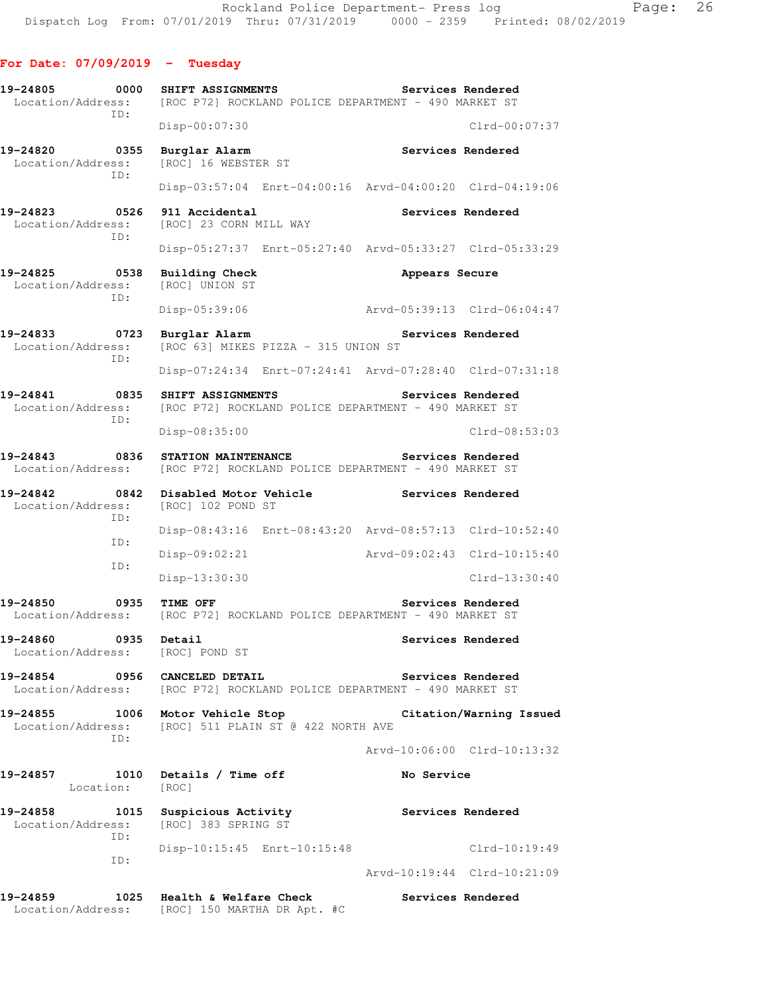# **For Date: 07/09/2019 - Tuesday**

| 19-24805<br>0000<br>Location/Address:<br>TD: | SHIFT ASSIGNMENTS<br>[ROC P72] ROCKLAND POLICE DEPARTMENT - 490 MARKET ST          | Services Rendered                                       |
|----------------------------------------------|------------------------------------------------------------------------------------|---------------------------------------------------------|
|                                              | Disp-00:07:30                                                                      | $Clrd-00:07:37$                                         |
| 19-24820<br>0355<br>Location/Address:        | Burglar Alarm<br>[ROC] 16 WEBSTER ST                                               | Services Rendered                                       |
| ID:                                          |                                                                                    | Disp-03:57:04 Enrt-04:00:16 Arvd-04:00:20 Clrd-04:19:06 |
| 19-24823<br>0526<br>Location/Address:<br>ID: | 911 Accidental<br>[ROC] 23 CORN MILL WAY                                           | Services Rendered                                       |
|                                              |                                                                                    | Disp-05:27:37 Enrt-05:27:40 Arvd-05:33:27 Clrd-05:33:29 |
| 19-24825<br>0538<br>Location/Address:<br>ID: | <b>Building Check</b><br>[ROC] UNION ST                                            | Appears Secure                                          |
|                                              | Disp-05:39:06                                                                      | Arvd-05:39:13 Clrd-06:04:47                             |
| 19-24833<br>0723<br>Location/Address:<br>ID: | Burglar Alarm<br>[ROC 63] MIKES PIZZA - 315 UNION ST                               | Services Rendered                                       |
|                                              |                                                                                    | Disp-07:24:34 Enrt-07:24:41 Arvd-07:28:40 Clrd-07:31:18 |
| 19-24841<br>0835<br>Location/Address:<br>ID: | SHIFT ASSIGNMENTS<br>[ROC P72] ROCKLAND POLICE DEPARTMENT - 490 MARKET ST          | Services Rendered                                       |
|                                              | Disp-08:35:00                                                                      | Clrd-08:53:03                                           |
| 19-24843<br>0836<br>Location/Address:        | STATION MAINTENANCE<br>[ROC P72] ROCKLAND POLICE DEPARTMENT - 490 MARKET ST        | Services Rendered                                       |
| 19-24842<br>0842<br>Location/Address:<br>ID: | Disabled Motor Vehicle<br>[ROC] 102 POND ST                                        | Services Rendered                                       |
| ID:                                          |                                                                                    | Disp-08:43:16 Enrt-08:43:20 Arvd-08:57:13 Clrd-10:52:40 |
| ID:                                          | Disp-09:02:21                                                                      | Arvd-09:02:43 Clrd-10:15:40                             |
|                                              | $Disp-13:30:30$                                                                    | $Clrd-13:30:40$                                         |
| 19-24850<br>0935                             | TIME OFF<br>Location/Address: [ROC P72] ROCKLAND POLICE DEPARTMENT - 490 MARKET ST | Services Rendered                                       |
| 19-24860<br>Location/Address: [ROC] POND ST  | 0935 Detail                                                                        | Services Rendered                                       |
| 19-24854 0956 CANCELED DETAIL                | Location/Address: [ROC P72] ROCKLAND POLICE DEPARTMENT - 490 MARKET ST             | Services Rendered                                       |
| 19-24855<br>TD:                              | 1006 Motor Vehicle Stop<br>Location/Address: [ROC] 511 PLAIN ST @ 422 NORTH AVE    | Citation/Warning Issued                                 |
|                                              |                                                                                    | Arvd-10:06:00 Clrd-10:13:32                             |
| 19-24857<br>Location: [ROC]                  | 1010 Details / Time off                                                            | No Service                                              |
| Location/Address: [ROC] 383 SPRING ST<br>ID: | 19-24858 1015 Suspicious Activity                                                  | Services Rendered                                       |
| ID:                                          | Disp-10:15:45 Enrt-10:15:48                                                        | $Clrd-10:19:49$                                         |
|                                              |                                                                                    | Arvd-10:19:44 Clrd-10:21:09                             |
| 19-24859                                     | 1025 Health & Welfare Check<br>Location/Address: [ROC] 150 MARTHA DR Apt. #C       | Services Rendered                                       |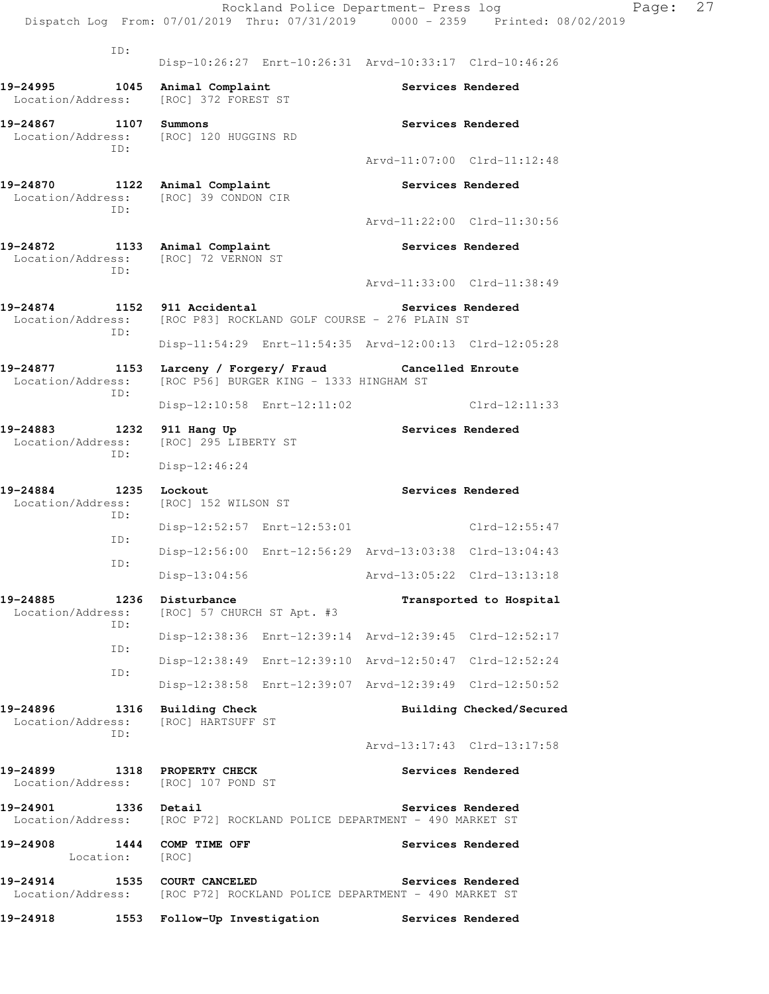|                                                                                                |             |                                                        |                                         | Rockland Police Department- Press log                   | Dispatch Log From: 07/01/2019 Thru: 07/31/2019 0000 - 2359 Printed: 08/02/2019 | Page: | 27 |
|------------------------------------------------------------------------------------------------|-------------|--------------------------------------------------------|-----------------------------------------|---------------------------------------------------------|--------------------------------------------------------------------------------|-------|----|
|                                                                                                | ID:         |                                                        |                                         | Disp-10:26:27 Enrt-10:26:31 Arvd-10:33:17 Clrd-10:46:26 |                                                                                |       |    |
| 19-24995<br>Location/Address:                                                                  |             | 1045 Animal Complaint<br>[ROC] 372 FOREST ST           |                                         |                                                         | Services Rendered                                                              |       |    |
| 19-24867 1107 Summons<br>Location/Address: [ROC] 120 HUGGINS RD                                | ID:         |                                                        |                                         |                                                         | Services Rendered                                                              |       |    |
|                                                                                                |             |                                                        |                                         |                                                         | Arvd-11:07:00 Clrd-11:12:48                                                    |       |    |
| 19-24870 1122 Animal Complaint<br>Location/Address: [ROC] 39 CONDON CIR                        | ID:         |                                                        |                                         |                                                         | Services Rendered                                                              |       |    |
|                                                                                                |             |                                                        |                                         |                                                         | Arvd-11:22:00 Clrd-11:30:56                                                    |       |    |
| 19-24872 1133 Animal Complaint<br>Location/Address: [ROC] 72 VERNON ST                         | ID:         |                                                        |                                         |                                                         | Services Rendered                                                              |       |    |
|                                                                                                |             |                                                        |                                         |                                                         | Arvd-11:33:00 Clrd-11:38:49                                                    |       |    |
| 19-24874 1152 911 Accidental<br>Location/Address:                                              | ID:         |                                                        |                                         | [ROC P83] ROCKLAND GOLF COURSE - 276 PLAIN ST           | Services Rendered                                                              |       |    |
|                                                                                                |             |                                                        |                                         | Disp-11:54:29 Enrt-11:54:35 Arvd-12:00:13 Clrd-12:05:28 |                                                                                |       |    |
| 19-24877<br>Location/Address:                                                                  | ID:         | 1153 Larceny / Forgery/ Fraud                          | [ROC P56] BURGER KING - 1333 HINGHAM ST | Cancelled Enroute                                       |                                                                                |       |    |
|                                                                                                |             |                                                        | Disp-12:10:58 Enrt-12:11:02             |                                                         | $Clrd-12:11:33$                                                                |       |    |
| 19-24883<br>Location/Address:                                                                  | 1232<br>ID: | 911 Hang Up<br>[ROC] 295 LIBERTY ST<br>$Disp-12:46:24$ |                                         |                                                         | Services Rendered                                                              |       |    |
| 19-24884<br>Location/Address:                                                                  |             | 1235 Lockout<br>[ROC] 152 WILSON ST                    |                                         | Services Rendered                                       |                                                                                |       |    |
|                                                                                                | ID:<br>ID:  |                                                        |                                         | Disp-12:52:57 Enrt-12:53:01 Clrd-12:55:47               |                                                                                |       |    |
|                                                                                                |             |                                                        |                                         | Disp-12:56:00 Enrt-12:56:29 Arvd-13:03:38 Clrd-13:04:43 |                                                                                |       |    |
|                                                                                                | ID:         | Disp-13:04:56                                          |                                         | Arvd-13:05:22 Clrd-13:13:18                             |                                                                                |       |    |
| 19-24885<br>Location/Address:                                                                  | ID:         | 1236 Disturbance<br>[ROC] 57 CHURCH ST Apt. #3         |                                         |                                                         | Transported to Hospital                                                        |       |    |
|                                                                                                | ID:         |                                                        |                                         | Disp-12:38:36 Enrt-12:39:14 Arvd-12:39:45 Clrd-12:52:17 |                                                                                |       |    |
|                                                                                                | ID:         |                                                        |                                         | Disp-12:38:49 Enrt-12:39:10 Arvd-12:50:47 Clrd-12:52:24 |                                                                                |       |    |
|                                                                                                |             |                                                        |                                         | Disp-12:38:58 Enrt-12:39:07 Arvd-12:39:49 Clrd-12:50:52 |                                                                                |       |    |
| 19-24896<br>Location/Address:                                                                  | ID:         | 1316 Building Check<br>[ROC] HARTSUFF ST               |                                         |                                                         | Building Checked/Secured                                                       |       |    |
|                                                                                                |             |                                                        |                                         |                                                         | Arvd-13:17:43 Clrd-13:17:58                                                    |       |    |
| 19-24899 1318 PROPERTY CHECK<br>Location/Address: [ROC] 107 POND ST                            |             |                                                        |                                         |                                                         | Services Rendered                                                              |       |    |
| 19-24901 1336 Detail<br>Location/Address: [ROC P72] ROCKLAND POLICE DEPARTMENT - 490 MARKET ST |             |                                                        |                                         |                                                         | Services Rendered                                                              |       |    |
| 19-24908<br>Location: [ROC]                                                                    |             | 1444 COMP TIME OFF                                     |                                         |                                                         | Services Rendered                                                              |       |    |
| 19-24914<br>Location/Address: [ROC P72] ROCKLAND POLICE DEPARTMENT - 490 MARKET ST             |             | 1535 COURT CANCELED                                    |                                         |                                                         | Services Rendered                                                              |       |    |
| 19-24918                                                                                       |             |                                                        | 1553 Follow-Up Investigation            | Services Rendered                                       |                                                                                |       |    |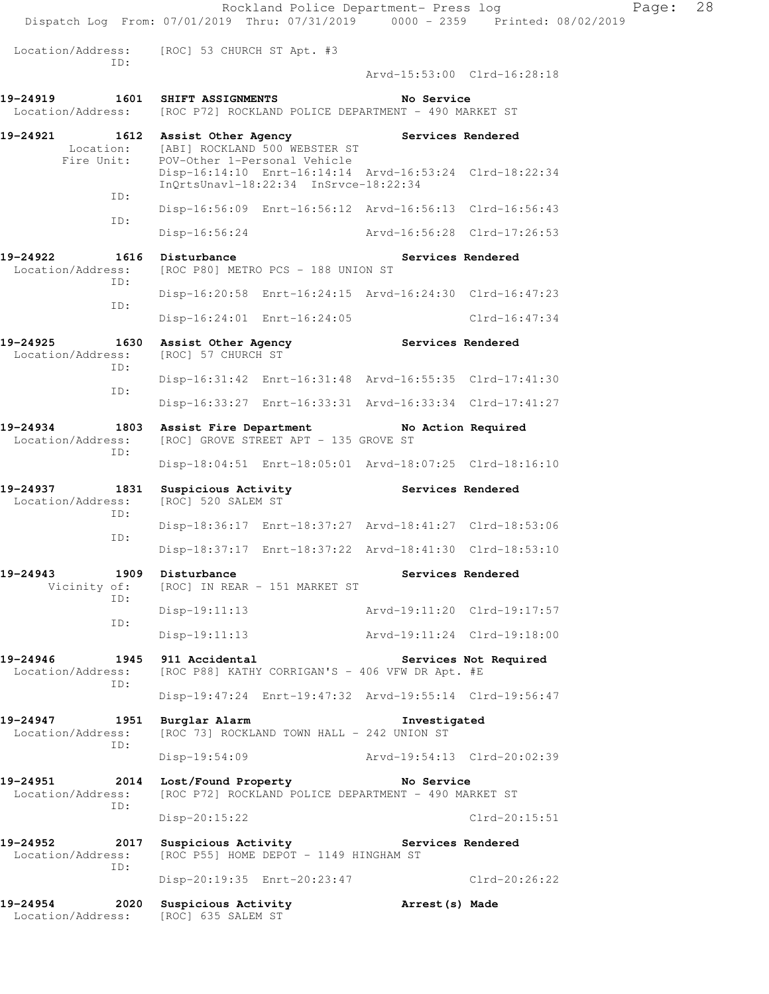| Dispatch Log From: 07/01/2019 Thru: 07/31/2019 0000 - 2359 Printed: 08/02/2019<br>Location/Address: [ROC] 53 CHURCH ST Apt. #3<br>ID:<br>Arvd-15:53:00 Clrd-16:28:18<br>19-24919  1601 SHIFT ASSIGNMENTS<br>No Service<br>Location/Address: [ROC P72] ROCKLAND POLICE DEPARTMENT - 490 MARKET ST<br>19-24921 1612 Assist Other Agency Services Rendered<br>Location: [ABI] ROCKLAND 500 WEBSTER ST<br>Fire Unit: POV-Other 1-Personal Vehicle<br>Disp-16:14:10 Enrt-16:14:14 Arvd-16:53:24 Clrd-18:22:34<br>InQrtsUnavl-18:22:34 InSrvce-18:22:34<br>ID:<br>Disp-16:56:09 Enrt-16:56:12 Arvd-16:56:13 Clrd-16:56:43<br>ID:<br>Disp-16:56:24 Arvd-16:56:28 Clrd-17:26:53 |  |
|-------------------------------------------------------------------------------------------------------------------------------------------------------------------------------------------------------------------------------------------------------------------------------------------------------------------------------------------------------------------------------------------------------------------------------------------------------------------------------------------------------------------------------------------------------------------------------------------------------------------------------------------------------------------------|--|
|                                                                                                                                                                                                                                                                                                                                                                                                                                                                                                                                                                                                                                                                         |  |
|                                                                                                                                                                                                                                                                                                                                                                                                                                                                                                                                                                                                                                                                         |  |
|                                                                                                                                                                                                                                                                                                                                                                                                                                                                                                                                                                                                                                                                         |  |
|                                                                                                                                                                                                                                                                                                                                                                                                                                                                                                                                                                                                                                                                         |  |
|                                                                                                                                                                                                                                                                                                                                                                                                                                                                                                                                                                                                                                                                         |  |
|                                                                                                                                                                                                                                                                                                                                                                                                                                                                                                                                                                                                                                                                         |  |
|                                                                                                                                                                                                                                                                                                                                                                                                                                                                                                                                                                                                                                                                         |  |
| 19-24922<br>1616 Disturbance<br>Services Rendered<br>Location/Address: [ROC P80] METRO PCS - 188 UNION ST                                                                                                                                                                                                                                                                                                                                                                                                                                                                                                                                                               |  |
| ID:<br>Disp-16:20:58 Enrt-16:24:15 Arvd-16:24:30 Clrd-16:47:23                                                                                                                                                                                                                                                                                                                                                                                                                                                                                                                                                                                                          |  |
| ID:<br>Disp-16:24:01 Enrt-16:24:05<br>Clrd-16:47:34                                                                                                                                                                                                                                                                                                                                                                                                                                                                                                                                                                                                                     |  |
| 19-24925<br>1630<br>Assist Other Agency Services Rendered<br>[ROC] 57 CHURCH ST<br>Location/Address:                                                                                                                                                                                                                                                                                                                                                                                                                                                                                                                                                                    |  |
| TD:<br>Disp-16:31:42 Enrt-16:31:48 Arvd-16:55:35 Clrd-17:41:30                                                                                                                                                                                                                                                                                                                                                                                                                                                                                                                                                                                                          |  |
| ID:<br>Disp-16:33:27 Enrt-16:33:31 Arvd-16:33:34 Clrd-17:41:27                                                                                                                                                                                                                                                                                                                                                                                                                                                                                                                                                                                                          |  |
| 1803 Assist Fire Department No Action Required<br>19-24934<br>Location/Address:<br>[ROC] GROVE STREET APT - 135 GROVE ST                                                                                                                                                                                                                                                                                                                                                                                                                                                                                                                                                |  |
| ID:<br>Disp-18:04:51 Enrt-18:05:01 Arvd-18:07:25 Clrd-18:16:10                                                                                                                                                                                                                                                                                                                                                                                                                                                                                                                                                                                                          |  |
| Suspicious Activity <b>Services</b> Rendered<br>19-24937<br>1831<br>Location/Address:<br>[ROC] 520 SALEM ST<br>ID:                                                                                                                                                                                                                                                                                                                                                                                                                                                                                                                                                      |  |
| Disp-18:36:17 Enrt-18:37:27 Arvd-18:41:27 Clrd-18:53:06<br>ID:                                                                                                                                                                                                                                                                                                                                                                                                                                                                                                                                                                                                          |  |
| Disp-18:37:17 Enrt-18:37:22 Arvd-18:41:30 Clrd-18:53:10                                                                                                                                                                                                                                                                                                                                                                                                                                                                                                                                                                                                                 |  |
| 19-24943<br>1909 Disturbance<br>Services Rendered<br>Vicinity of: [ROC] IN REAR - 151 MARKET ST<br>ID:                                                                                                                                                                                                                                                                                                                                                                                                                                                                                                                                                                  |  |
| Disp-19:11:13<br>Arvd-19:11:20 Clrd-19:17:57                                                                                                                                                                                                                                                                                                                                                                                                                                                                                                                                                                                                                            |  |
| ID:<br>Arvd-19:11:24 Clrd-19:18:00<br>Disp-19:11:13                                                                                                                                                                                                                                                                                                                                                                                                                                                                                                                                                                                                                     |  |
| 1945 911 Accidental<br>19-24946<br>Services Not Required<br>[ROC P88] KATHY CORRIGAN'S - 406 VFW DR Apt. #E<br>Location/Address:<br>ID:                                                                                                                                                                                                                                                                                                                                                                                                                                                                                                                                 |  |
| Disp-19:47:24 Enrt-19:47:32 Arvd-19:55:14 Clrd-19:56:47                                                                                                                                                                                                                                                                                                                                                                                                                                                                                                                                                                                                                 |  |
| 19-24947 1951 Burglar Alarm<br>Investigated<br>Location/Address:<br>[ROC 73] ROCKLAND TOWN HALL - 242 UNION ST<br>ID:                                                                                                                                                                                                                                                                                                                                                                                                                                                                                                                                                   |  |
| Disp-19:54:09 Arvd-19:54:13 Clrd-20:02:39                                                                                                                                                                                                                                                                                                                                                                                                                                                                                                                                                                                                                               |  |
| 19-24951<br>2014 Lost/Found Property No Service<br>[ROC P72] ROCKLAND POLICE DEPARTMENT - 490 MARKET ST<br>Location/Address:<br>ID:                                                                                                                                                                                                                                                                                                                                                                                                                                                                                                                                     |  |
| Disp-20:15:22<br>$Clrd-20:15:51$                                                                                                                                                                                                                                                                                                                                                                                                                                                                                                                                                                                                                                        |  |
| 19-24952<br>2017<br>Services Rendered<br>Suspicious Activity<br>Location/Address:<br>[ROC P55] HOME DEPOT - 1149 HINGHAM ST<br>ID:                                                                                                                                                                                                                                                                                                                                                                                                                                                                                                                                      |  |
| Disp-20:19:35 Enrt-20:23:47<br>Clrd-20:26:22                                                                                                                                                                                                                                                                                                                                                                                                                                                                                                                                                                                                                            |  |
| 19-24954<br>2020 Suspicious Activity<br>Arrest(s) Made<br>Location/Address: [ROC] 635 SALEM ST                                                                                                                                                                                                                                                                                                                                                                                                                                                                                                                                                                          |  |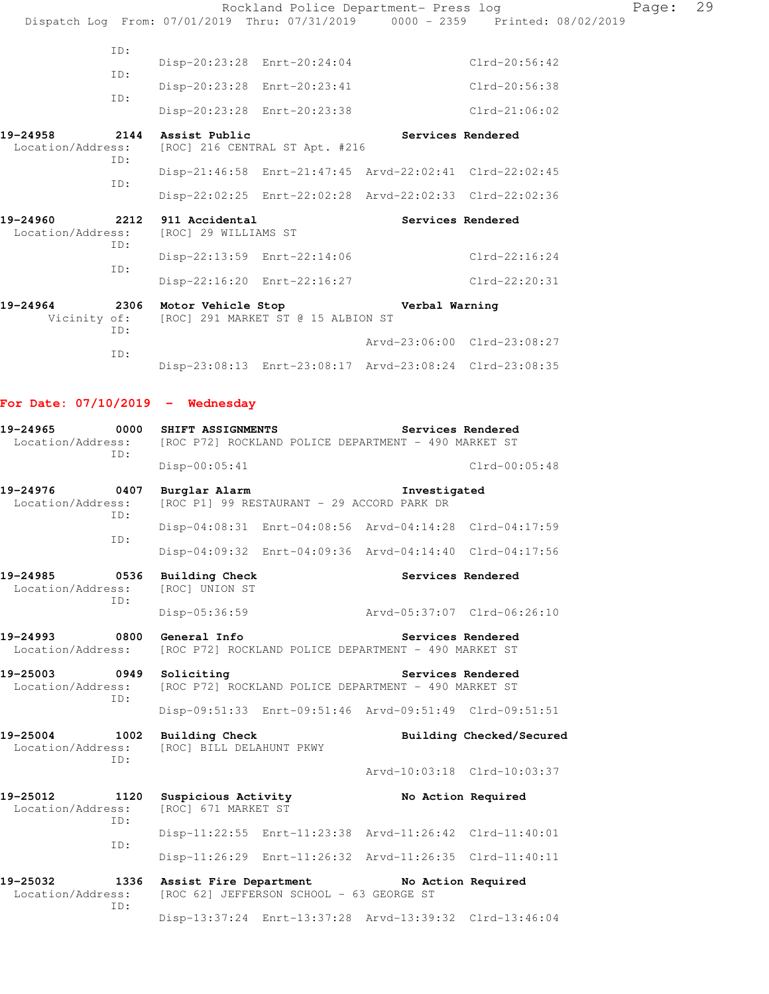|                                    |      |                                                 | Rockland Police Department- Press log                                                      |                    | Dispatch Log From: 07/01/2019 Thru: 07/31/2019 0000 - 2359 Printed: 08/02/2019 | Page: | 29 |
|------------------------------------|------|-------------------------------------------------|--------------------------------------------------------------------------------------------|--------------------|--------------------------------------------------------------------------------|-------|----|
|                                    | ID:  |                                                 |                                                                                            |                    |                                                                                |       |    |
|                                    |      |                                                 | Disp-20:23:28 Enrt-20:24:04                                                                |                    | Clrd-20:56:42                                                                  |       |    |
|                                    | ID:  |                                                 | Disp-20:23:28 Enrt-20:23:41                                                                |                    | Clrd-20:56:38                                                                  |       |    |
|                                    | ID:  |                                                 | Disp-20:23:28 Enrt-20:23:38                                                                |                    | Clrd-21:06:02                                                                  |       |    |
| 19-24958<br>Location/Address:      |      | 2144 Assist Public                              | [ROC] 216 CENTRAL ST Apt. #216                                                             | Services Rendered  |                                                                                |       |    |
|                                    | ID:  |                                                 | Disp-21:46:58 Enrt-21:47:45 Arvd-22:02:41 Clrd-22:02:45                                    |                    |                                                                                |       |    |
|                                    | ID:  |                                                 | Disp-22:02:25 Enrt-22:02:28 Arvd-22:02:33 Clrd-22:02:36                                    |                    |                                                                                |       |    |
| 19-24960<br>Location/Address:      | 2212 | 911 Accidental<br>[ROC] 29 WILLIAMS ST          |                                                                                            |                    | Services Rendered                                                              |       |    |
|                                    | ID:  |                                                 | Disp-22:13:59 Enrt-22:14:06                                                                |                    | Clrd-22:16:24                                                                  |       |    |
|                                    | ID:  |                                                 | Disp-22:16:20 Enrt-22:16:27                                                                |                    | Clrd-22:20:31                                                                  |       |    |
| 19-24964<br>Vicinity of:           | ID:  |                                                 | 2306 Motor Vehicle Stop Stop Nerbal Warning<br>[ROC] 291 MARKET ST @ 15 ALBION ST          |                    |                                                                                |       |    |
|                                    | ID:  |                                                 |                                                                                            |                    | Arvd-23:06:00 Clrd-23:08:27                                                    |       |    |
|                                    |      |                                                 | Disp-23:08:13 Enrt-23:08:17 Arvd-23:08:24 Clrd-23:08:35                                    |                    |                                                                                |       |    |
| For Date: $07/10/2019$ - Wednesday |      |                                                 |                                                                                            |                    |                                                                                |       |    |
| 19-24965<br>Location/Address:      | ID:  | 0000 SHIFT ASSIGNMENTS                          | [ROC P72] ROCKLAND POLICE DEPARTMENT - 490 MARKET ST                                       | Services Rendered  |                                                                                |       |    |
|                                    |      | $Disp-00:05:41$                                 |                                                                                            |                    | $Clrd-00:05:48$                                                                |       |    |
| 19-24976<br>Location/Address:      | ID:  | 0407 Burglar Alarm                              | [ROC P1] 99 RESTAURANT - 29 ACCORD PARK DR                                                 | Investigated       |                                                                                |       |    |
|                                    | ID:  |                                                 | Disp-04:08:31 Enrt-04:08:56 Arvd-04:14:28 Clrd-04:17:59                                    |                    |                                                                                |       |    |
|                                    |      |                                                 | Disp-04:09:32 Enrt-04:09:36 Arvd-04:14:40 Clrd-04:17:56                                    |                    |                                                                                |       |    |
| 19-24985<br>Location/Address:      | ID:  | 0536 Building Check<br>[ROC] UNION ST           |                                                                                            |                    | Services Rendered                                                              |       |    |
|                                    |      | Disp-05:36:59                                   |                                                                                            |                    |                                                                                |       |    |
| 19-24993<br>Location/Address:      | 0800 | General Info                                    | [ROC P72] ROCKLAND POLICE DEPARTMENT - 490 MARKET ST                                       | Services Rendered  |                                                                                |       |    |
| 19-25003 0949<br>Location/Address: | ID:  | Soliciting                                      | [ROC P72] ROCKLAND POLICE DEPARTMENT - 490 MARKET ST                                       | Services Rendered  |                                                                                |       |    |
|                                    |      |                                                 | Disp-09:51:33 Enrt-09:51:46 Arvd-09:51:49 Clrd-09:51:51                                    |                    |                                                                                |       |    |
| 19-25004<br>Location/Address:      | ID:  | 1002 Building Check<br>[ROC] BILL DELAHUNT PKWY |                                                                                            |                    | Building Checked/Secured                                                       |       |    |
|                                    |      |                                                 |                                                                                            |                    | Arvd-10:03:18 Clrd-10:03:37                                                    |       |    |
| 19-25012<br>Location/Address:      | ID:  | [ROC] 671 MARKET ST                             | 1120 Suspicious Activity                                                                   | No Action Required |                                                                                |       |    |
|                                    | ID:  |                                                 | Disp-11:22:55 Enrt-11:23:38 Arvd-11:26:42 Clrd-11:40:01                                    |                    |                                                                                |       |    |
|                                    |      |                                                 | Disp-11:26:29 Enrt-11:26:32 Arvd-11:26:35 Clrd-11:40:11                                    |                    |                                                                                |       |    |
| 19-25032<br>Location/Address:      | ID:  |                                                 | 1336 Assist Fire Department No Action Required<br>[ROC 62] JEFFERSON SCHOOL - 63 GEORGE ST |                    |                                                                                |       |    |

Disp-13:37:24 Enrt-13:37:28 Arvd-13:39:32 Clrd-13:46:04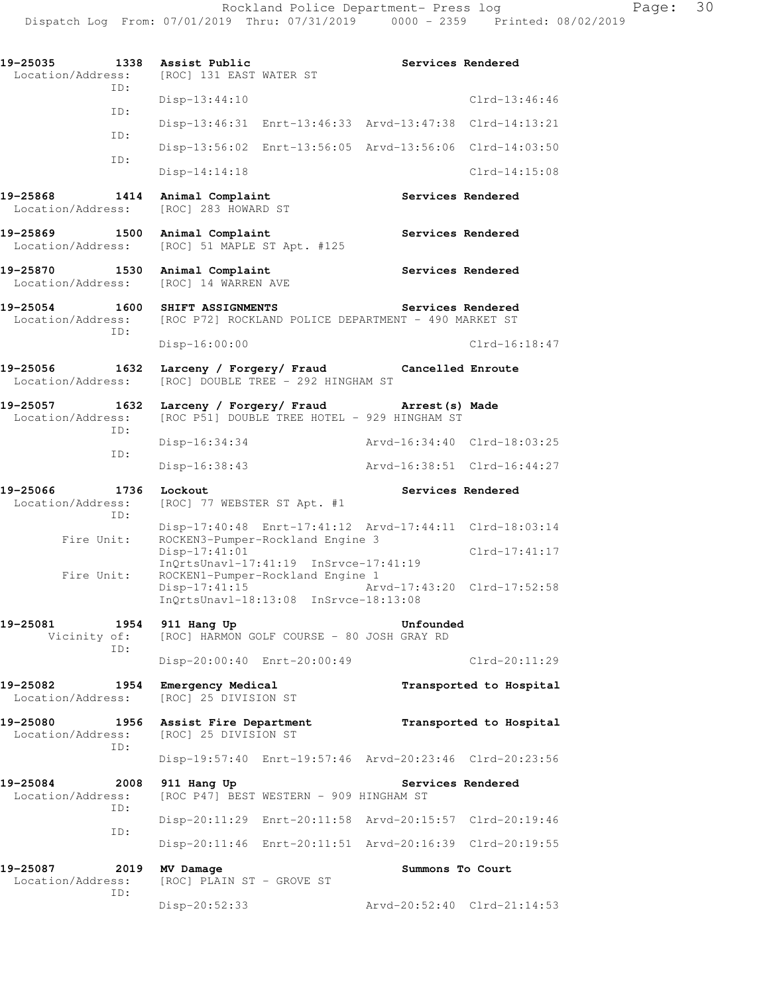| 19-25035<br>Location/Address:<br>ID:  | 1338          | Assist Public<br>[ROC] 131 EAST WATER ST                                  |                                                                                             | Services Rendered           |                                                |
|---------------------------------------|---------------|---------------------------------------------------------------------------|---------------------------------------------------------------------------------------------|-----------------------------|------------------------------------------------|
|                                       |               | Disp-13:44:10                                                             |                                                                                             |                             | $Clrd-13:46:46$                                |
| ID:                                   |               |                                                                           | Disp-13:46:31 Enrt-13:46:33 Arvd-13:47:38 Clrd-14:13:21                                     |                             |                                                |
| ID:                                   |               |                                                                           | Disp-13:56:02 Enrt-13:56:05 Arvd-13:56:06 Clrd-14:03:50                                     |                             |                                                |
| ID:                                   |               | $Disp-14:14:18$                                                           |                                                                                             |                             | $Clrd-14:15:08$                                |
| 19-25868<br>Location/Address:         | 1414          | Animal Complaint<br>[ROC] 283 HOWARD ST                                   |                                                                                             |                             | Services Rendered                              |
| 19-25869 1500<br>Location/Address:    |               | Animal Complaint<br>[ROC] 51 MAPLE ST Apt. #125                           |                                                                                             |                             | Services Rendered                              |
| 19-25870<br>Location/Address:         | 1530          | Animal Complaint<br>[ROC] 14 WARREN AVE                                   |                                                                                             |                             | Services Rendered                              |
| 19-25054<br>Location/Address:         | 1600          | SHIFT ASSIGNMENTS<br>[ROC P72] ROCKLAND POLICE DEPARTMENT - 490 MARKET ST |                                                                                             | Services Rendered           |                                                |
| ID:                                   |               | Disp-16:00:00                                                             |                                                                                             |                             | $Clrd-16:18:47$                                |
| 19-25056<br>1632<br>Location/Address: |               | Larceny / Forgery/ Fraud                                                  | [ROC] DOUBLE TREE - 292 HINGHAM ST                                                          | Cancelled Enroute           |                                                |
| 19-25057<br>Location/Address:<br>ID:  | 1632          |                                                                           | Larceny / Forgery/ Fraud Marrest (s) Made<br>[ROC P51] DOUBLE TREE HOTEL - 929 HINGHAM ST   |                             |                                                |
| ID:                                   | Disp-16:34:34 |                                                                           |                                                                                             | Arvd-16:34:40 Clrd-18:03:25 |                                                |
|                                       |               | Disp-16:38:43                                                             |                                                                                             |                             | Arvd-16:38:51 Clrd-16:44:27                    |
|                                       |               |                                                                           |                                                                                             |                             |                                                |
| 19-25066<br>Location/Address:         | 1736          | Lockout<br>[ROC] 77 WEBSTER ST Apt. #1                                    |                                                                                             |                             | Services Rendered                              |
| ID:<br>Fire Unit:                     |               |                                                                           | Disp-17:40:48 Enrt-17:41:12 Arvd-17:44:11 Clrd-18:03:14<br>ROCKEN3-Pumper-Rockland Engine 3 |                             |                                                |
| Fire Unit:                            |               | Disp-17:41:01<br>$Disp-17:41:15$                                          | InOrtsUnavl-17:41:19 InSrvce-17:41:19<br>ROCKEN1-Pumper-Rockland Engine 1                   |                             | $Clrd-17:41:17$<br>Arvd-17:43:20 Clrd-17:52:58 |
|                                       |               |                                                                           | InQrtsUnavl-18:13:08 InSrvce-18:13:08                                                       |                             |                                                |
| 19-25081<br>Vicinity of:<br>ID:       | 1954          | 911 Hang Up                                                               | [ROC] HARMON GOLF COURSE - 80 JOSH GRAY RD                                                  | Unfounded                   |                                                |
|                                       |               | Disp-20:00:40 Enrt-20:00:49                                               |                                                                                             |                             | $Clrd-20:11:29$                                |
| 19-25082<br>Location/Address:         | 1954          | Emergency Medical<br>[ROC] 25 DIVISION ST                                 |                                                                                             |                             | Transported to Hospital                        |
| 19-25080<br>Location/Address:         | 1956          | Assist Fire Department<br>[ROC] 25 DIVISION ST                            |                                                                                             |                             | Transported to Hospital                        |
| ID:                                   |               |                                                                           | Disp-19:57:40 Enrt-19:57:46 Arvd-20:23:46 Clrd-20:23:56                                     |                             |                                                |
| 19-25084<br>Location/Address:<br>ID:  | 2008          | 911 Hang Up                                                               | [ROC P47] BEST WESTERN - 909 HINGHAM ST                                                     | Services Rendered           |                                                |
|                                       |               |                                                                           | Disp-20:11:29 Enrt-20:11:58 Arvd-20:15:57 Clrd-20:19:46                                     |                             |                                                |
| ID:                                   |               |                                                                           | Disp-20:11:46 Enrt-20:11:51 Arvd-20:16:39 Clrd-20:19:55                                     |                             |                                                |
| 19-25087<br>Location/Address:<br>ID:  | 2019          | MV Damage<br>[ROC] PLAIN ST - GROVE ST                                    |                                                                                             | Summons To Court            |                                                |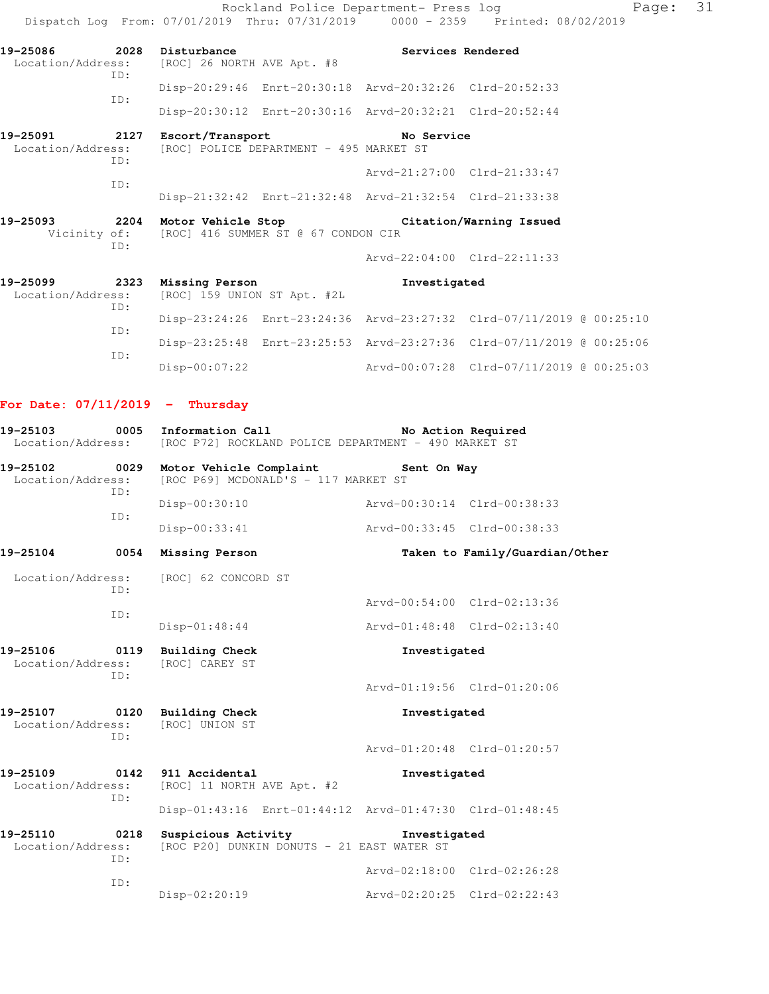Rockland Police Department- Press log Fage: 31 Dispatch Log From: 07/01/2019 Thru: 07/31/2019 0000 - 2359 Printed: 08/02/2019 **19-25086 2028 Disturbance Services Rendered**  Location/Address: [ROC] 26 NORTH AVE Apt. #8 ID: Disp-20:29:46 Enrt-20:30:18 Arvd-20:32:26 Clrd-20:52:33 ID: Disp-20:30:12 Enrt-20:30:16 Arvd-20:32:21 Clrd-20:52:44 **19-25091 2127 Escort/Transport No Service**  Location/Address: [ROC] POLICE DEPARTMENT - 495 MARKET ST ID: Arvd-21:27:00 Clrd-21:33:47 ID: Disp-21:32:42 Enrt-21:32:48 Arvd-21:32:54 Clrd-21:33:38 **19-25093 2204 Motor Vehicle Stop Citation/Warning Issued**  Vicinity of: [ROC] 416 SUMMER ST @ 67 CONDON CIR ID: Arvd-22:04:00 Clrd-22:11:33 **19-25099 2323 Missing Person Investigated**  Location/Address: [ROC] 159 UNION ST Apt. #2L ID: Disp-23:24:26 Enrt-23:24:36 Arvd-23:27:32 Clrd-07/11/2019 @ 00:25:10 ID: Disp-23:25:48 Enrt-23:25:53 Arvd-23:27:36 Clrd-07/11/2019 @ 00:25:06 ID: Disp-00:07:22 Arvd-00:07:28 Clrd-07/11/2019 @ 00:25:03

**For Date: 07/11/2019 - Thursday**

| 19-25103          | 0005 Information Call |  |                                                      | No Action Required |  |
|-------------------|-----------------------|--|------------------------------------------------------|--------------------|--|
| Location/Address: |                       |  | [ROC P72] ROCKLAND POLICE DEPARTMENT - 490 MARKET ST |                    |  |

| 19-25102          | 0029 | Motor Vehicle Complaint              | Sent On Way |                             |
|-------------------|------|--------------------------------------|-------------|-----------------------------|
| Location/Address: |      | [ROC P69] MCDONALD'S - 117 MARKET ST |             |                             |
|                   | TD:  |                                      |             |                             |
|                   |      | Disp-00:30:10                        |             | Arvd-00:30:14 Clrd-00:38:33 |
|                   | TD:  |                                      |             |                             |
|                   |      | Disp-00:33:41                        |             | Arvd-00:33:45 Clrd-00:38:33 |

```
19-25104 0054 Missing Person Taken to Family/Guardian/Other 
 Location/Address: [ROC] 62 CONCORD ST
             ID: 
                                           Arvd-00:54:00 Clrd-02:13:36
             ID: 
                  Disp-01:48:44 Arvd-01:48:48 Clrd-02:13:40
```
Arvd-01:20:48 Clrd-01:20:57

19-25106 0119 Building Check **Investigated Investigated Investigated Investigated** Location/Address: ID: Arvd-01:19:56 Clrd-01:20:06 **19-25107 0120 Building Check Investigated**  Location/Address: [ROC] UNION ST ID:

19-25109 0142 911 Accidental **Investigated Investigated Investigated Investigated** [ROC] 11 NORTH AVE Apt. #2 ID: Disp-01:43:16 Enrt-01:44:12 Arvd-01:47:30 Clrd-01:48:45

```
19-25110 0218 Suspicious Activity Investigated 
 Location/Address: [ROC P20] DUNKIN DONUTS - 21 EAST WATER ST
             ID: 
                                            Arvd-02:18:00 Clrd-02:26:28
             ID: 
                   Disp-02:20:19 Arvd-02:20:25 Clrd-02:22:43
```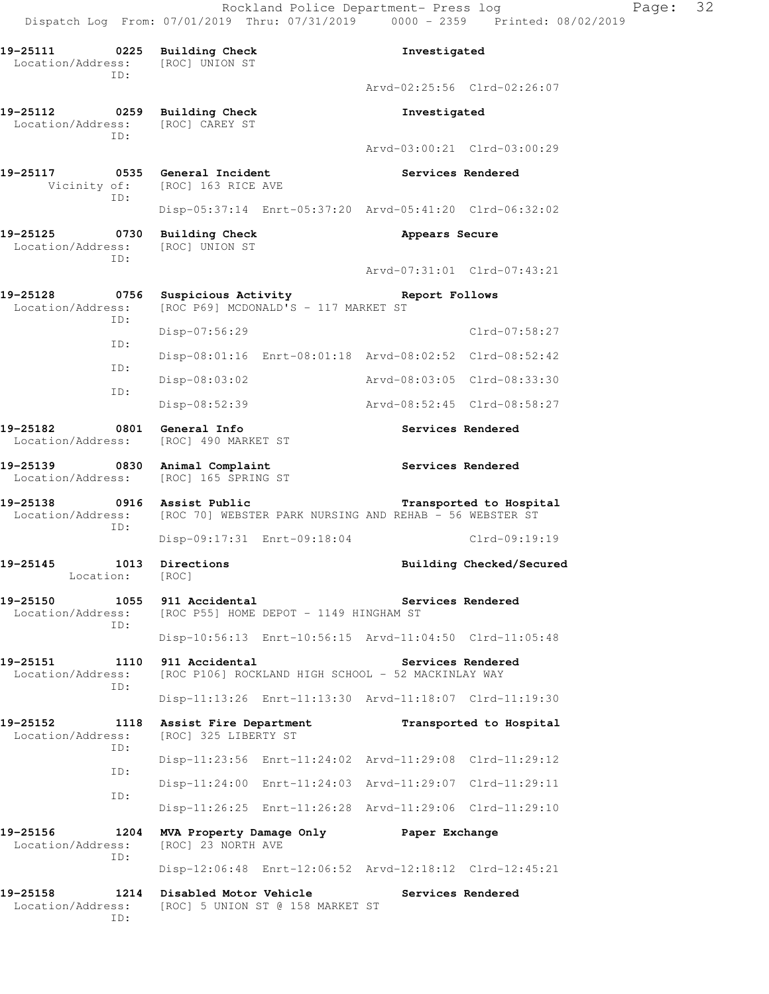Rockland Police Department- Press log Page: 32 Dispatch Log From: 07/01/2019 Thru: 07/31/2019 0000 - 2359 Printed: 08/02/2019

**19-25111 0225 Building Check Investigated**  Location/Address: [ROC] UNION ST ID: Arvd-02:25:56 Clrd-02:26:07 **19-25112 0259 Building Check Investigated**  Location/Address: [ROC] CAREY ST ID: Arvd-03:00:21 Clrd-03:00:29 **19-25117 0535 General Incident Services Rendered**  Vicinity of: [ROC] 163 RICE AVE ID: Disp-05:37:14 Enrt-05:37:20 Arvd-05:41:20 Clrd-06:32:02 19-25125 0730 Building Check **Appears Secure**  Location/Address: [ROC] UNION ST ID: Arvd-07:31:01 Clrd-07:43:21 **19-25128 0756 Suspicious Activity Report Follows**  Location/Address: [ROC P69] MCDONALD'S - 117 MARKET ST ID: Disp-07:56:29 Clrd-07:58:27 ID: Disp-08:01:16 Enrt-08:01:18 Arvd-08:02:52 Clrd-08:52:42 ID: Disp-08:03:02 Arvd-08:03:05 Clrd-08:33:30 ID: Disp-08:52:39 Arvd-08:52:45 Clrd-08:58:27 **19-25182 0801 General Info Services Rendered**  Location/Address: [ROC] 490 MARKET ST **19-25139 0830 Animal Complaint Services Rendered**  Location/Address: [ROC] 165 SPRING ST **19-25138 0916 Assist Public Transported to Hospital**  Location/Address: [ROC 70] WEBSTER PARK NURSING AND REHAB - 56 WEBSTER ST ID: Disp-09:17:31 Enrt-09:18:04 Clrd-09:19:19 19-25145 1013 Directions **10.13 Building Checked/Secured**  Location: [ROC] 19-25150 1055 911 Accidental **19-25150** Services Rendered Location/Address: [ROC P55] HOME DEPOT - 1149 HINGHAM ST ID: Disp-10:56:13 Enrt-10:56:15 Arvd-11:04:50 Clrd-11:05:48 **19-25151 1110 911 Accidental Services Rendered**  Location/Address: [ROC P106] ROCKLAND HIGH SCHOOL - 52 MACKINLAY WAY ID: Disp-11:13:26 Enrt-11:13:30 Arvd-11:18:07 Clrd-11:19:30 **19-25152 1118 Assist Fire Department Transported to Hospital**  Location/Address: [ROC] 325 LIBERTY ST ID: Disp-11:23:56 Enrt-11:24:02 Arvd-11:29:08 Clrd-11:29:12 ID: Disp-11:24:00 Enrt-11:24:03 Arvd-11:29:07 Clrd-11:29:11 ID: Disp-11:26:25 Enrt-11:26:28 Arvd-11:29:06 Clrd-11:29:10 **19-25156 1204 MVA Property Damage Only Paper Exchange**  Location/Address: [ROC] 23 NORTH AVE ID: Disp-12:06:48 Enrt-12:06:52 Arvd-12:18:12 Clrd-12:45:21 **19-25158 1214 Disabled Motor Vehicle Services Rendered**  Location/Address: [ROC] 5 UNION ST @ 158 MARKET ST ID: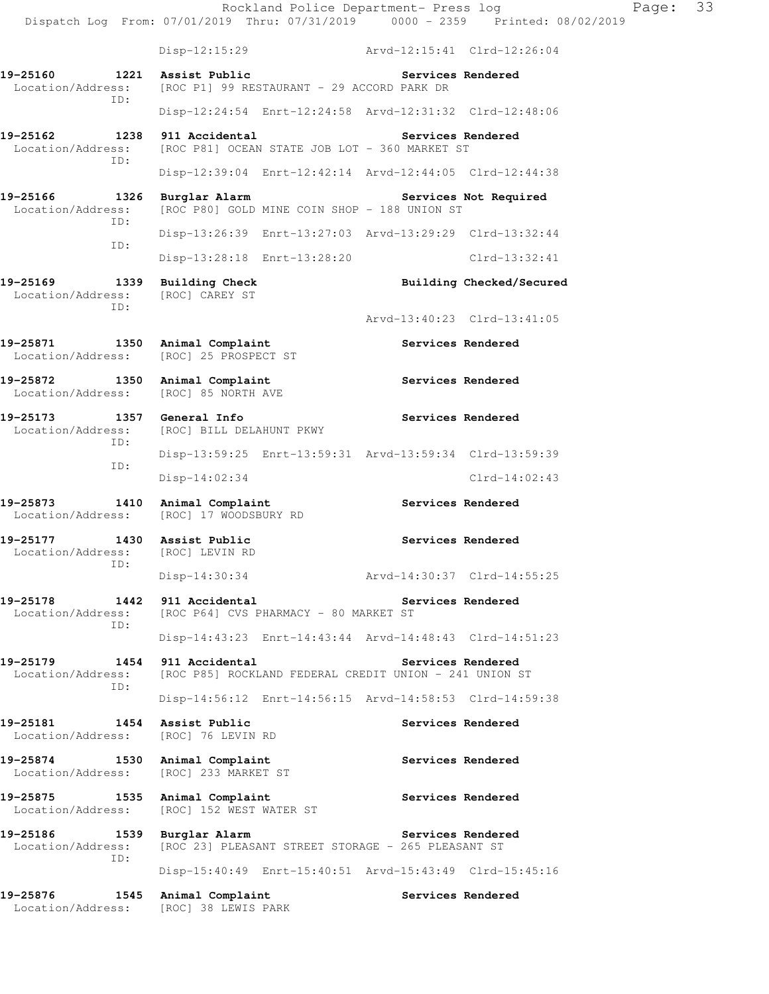Rockland Police Department- Press log Fage: 33 Dispatch Log From: 07/01/2019 Thru: 07/31/2019 0000 - 2359 Printed: 08/02/2019 Disp-12:15:29 Arvd-12:15:41 Clrd-12:26:04 **19-25160 1221 Assist Public Services Rendered**  Location/Address: [ROC P1] 99 RESTAURANT - 29 ACCORD PARK DR ID: Disp-12:24:54 Enrt-12:24:58 Arvd-12:31:32 Clrd-12:48:06 **19-25162 1238 911 Accidental Services Rendered**  Location/Address: [ROC P81] OCEAN STATE JOB LOT - 360 MARKET ST ID: Disp-12:39:04 Enrt-12:42:14 Arvd-12:44:05 Clrd-12:44:38 19-25166 1326 Burglar Alarm Services Not Required Location/Address: [ROC P80] GOLD MINE COIN SHOP - 188 UNION ST [ROC P80] GOLD MINE COIN SHOP - 188 UNION ST ID: Disp-13:26:39 Enrt-13:27:03 Arvd-13:29:29 Clrd-13:32:44 ID: Disp-13:28:18 Enrt-13:28:20 Clrd-13:32:41 19-25169 1339 Building Check **Building Checked/Secured**  Location/Address: [ROC] CAREY ST ID: Arvd-13:40:23 Clrd-13:41:05 19-25871 1350 Animal Complaint **Services Rendered**  Location/Address: [ROC] 25 PROSPECT ST 19-25872 1350 Animal Complaint **120 Services Rendered**  Location/Address: [ROC] 85 NORTH AVE **19-25173 1357 General Info Services Rendered**  Location/Address: [ROC] BILL DELAHUNT PKWY ID: Disp-13:59:25 Enrt-13:59:31 Arvd-13:59:34 Clrd-13:59:39 ID: Disp-14:02:34 Clrd-14:02:43 **19-25873 1410 Animal Complaint Services Rendered**  Location/Address: [ROC] 17 WOODSBURY RD **19-25177 1430 Assist Public Services Rendered**  Location/Address: [ROC] LEVIN RD ID: Disp-14:30:34 Arvd-14:30:37 Clrd-14:55:25 **19-25178 1442 911 Accidental Services Rendered**  Location/Address: [ROC P64] CVS PHARMACY - 80 MARKET ST ID: Disp-14:43:23 Enrt-14:43:44 Arvd-14:48:43 Clrd-14:51:23 **19-25179 1454 911 Accidental Services Rendered**  Location/Address: [ROC P85] ROCKLAND FEDERAL CREDIT UNION - 241 UNION ST ID: Disp-14:56:12 Enrt-14:56:15 Arvd-14:58:53 Clrd-14:59:38 19-25181 1454 Assist Public **19-25181** Services Rendered Location/Address: [ROC] 76 LEVIN RD **19-25874 1530 Animal Complaint Services Rendered Services Rendered Incrementation** [ROC] 233 MARKET ST 19-25875 1535 Animal Complaint **1566** Services Rendered Location/Address: [ROC] 152 WEST WATER ST 19-25186 1539 Burglar Alarm **19-25186** Services Rendered Location/Address: [ROC 23] PLEASANT STREET STORAGE - 265 PLEASANT ST ID: Disp-15:40:49 Enrt-15:40:51 Arvd-15:43:49 Clrd-15:45:16 19-25876 1545 Animal Complaint **19-25876** Services Rendered Location/Address: [ROC] 38 LEWIS PARK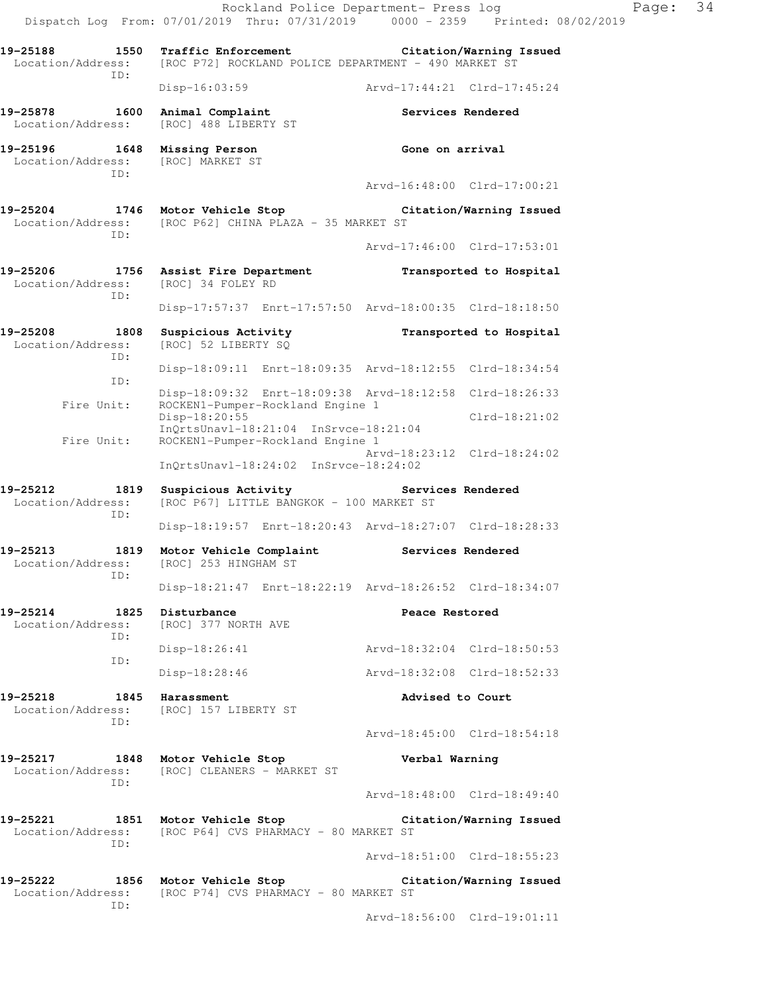|                                              | Rockland Police Department- Press log<br>Dispatch Log From: 07/01/2019 Thru: 07/31/2019 0000 - 2359 Printed: 08/02/2019 |                             | Page:                   | 34 |
|----------------------------------------------|-------------------------------------------------------------------------------------------------------------------------|-----------------------------|-------------------------|----|
| 19-25188<br>1550                             | Traffic Enforcement Citation/Warning Issued<br>Location/Address: [ROC P72] ROCKLAND POLICE DEPARTMENT - 490 MARKET ST   |                             |                         |    |
| ID:                                          | Disp-16:03:59                                                                                                           | Arvd-17:44:21 Clrd-17:45:24 |                         |    |
| 19-25878<br>1600<br>Location/Address:        | Animal Complaint<br>[ROC] 488 LIBERTY ST                                                                                | Services Rendered           |                         |    |
| 19-25196<br>Location/Address:<br>TD:         | 1648 Missing Person<br>[ROC] MARKET ST                                                                                  | Gone on arrival             |                         |    |
|                                              |                                                                                                                         | Arvd-16:48:00 Clrd-17:00:21 |                         |    |
| 19-25204<br>ID:                              | 1746 Motor Vehicle Stop Citation/Warning Issued<br>Location/Address: [ROC P62] CHINA PLAZA - 35 MARKET ST               |                             |                         |    |
|                                              |                                                                                                                         | Arvd-17:46:00 Clrd-17:53:01 |                         |    |
| Location/Address: [ROC] 34 FOLEY RD<br>ID:   | 19-25206 1756 Assist Fire Department                                                                                    |                             | Transported to Hospital |    |
|                                              | Disp-17:57:37 Enrt-17:57:50 Arvd-18:00:35 Clrd-18:18:50                                                                 |                             |                         |    |
| 19-25208<br>1808<br>Location/Address:<br>ID: | Suspicious Activity<br>[ROC] 52 LIBERTY SQ                                                                              |                             | Transported to Hospital |    |
| ID:                                          | Disp-18:09:11 Enrt-18:09:35 Arvd-18:12:55 Clrd-18:34:54                                                                 |                             |                         |    |
| Fire Unit:                                   | Disp-18:09:32 Enrt-18:09:38 Arvd-18:12:58 Clrd-18:26:33<br>ROCKEN1-Pumper-Rockland Engine 1                             |                             |                         |    |
|                                              | Disp-18:20:55<br>$InQrtsUnav1-18:21:04 InSrvce-18:21:04$                                                                |                             | $Clrd-18:21:02$         |    |
| Fire Unit:                                   | ROCKEN1-Pumper-Rockland Engine 1<br>InQrtsUnavl-18:24:02 InSrvce-18:24:02                                               | Arvd-18:23:12 Clrd-18:24:02 |                         |    |
| 19-25212<br>1819<br>Location/Address:<br>ID: | Suspicious Activity<br>[ROC P67] LITTLE BANGKOK - 100 MARKET ST                                                         | Services Rendered           |                         |    |
|                                              | Disp-18:19:57 Enrt-18:20:43 Arvd-18:27:07 Clrd-18:28:33                                                                 |                             |                         |    |
| 1819<br>19–25213<br>ID:                      | Motor Vehicle Complaint<br>Location/Address: [ROC] 253 HINGHAM ST                                                       | Services Rendered           |                         |    |
|                                              | Disp-18:21:47 Enrt-18:22:19 Arvd-18:26:52 Clrd-18:34:07                                                                 |                             |                         |    |
| 19-25214<br>Location/Address:<br>ID:         | 1825 Disturbance<br>[ROC] 377 NORTH AVE                                                                                 | Peace Restored              |                         |    |
| ID:                                          | Disp-18:26:41                                                                                                           | Arvd-18:32:04 Clrd-18:50:53 |                         |    |
|                                              | Disp-18:28:46                                                                                                           | Arvd-18:32:08 Clrd-18:52:33 |                         |    |
| 19-25218<br>Location/Address:<br>ID:         | 1845 Harassment<br>[ROC] 157 LIBERTY ST                                                                                 | Advised to Court            |                         |    |
|                                              |                                                                                                                         | Arvd-18:45:00 Clrd-18:54:18 |                         |    |
| 19-25217<br>Location/Address:<br>ID:         | 1848 Motor Vehicle Stop<br>[ROC] CLEANERS - MARKET ST                                                                   | Verbal Warning              |                         |    |
|                                              |                                                                                                                         | Arvd-18:48:00 Clrd-18:49:40 |                         |    |
| $19 - 25221$<br>Location/Address:            | 1851 Motor Vehicle Stop<br>[ROC P64] CVS PHARMACY - 80 MARKET ST                                                        | Citation/Warning Issued     |                         |    |
| ID:                                          |                                                                                                                         | Arvd-18:51:00 Clrd-18:55:23 |                         |    |
|                                              | 19-25222 1856 Motor Vehicle Stop Citation/Warning Issued<br>Location/Address: [ROC P74] CVS PHARMACY - 80 MARKET ST     |                             |                         |    |
| ID:                                          |                                                                                                                         | Arvd-18:56:00 Clrd-19:01:11 |                         |    |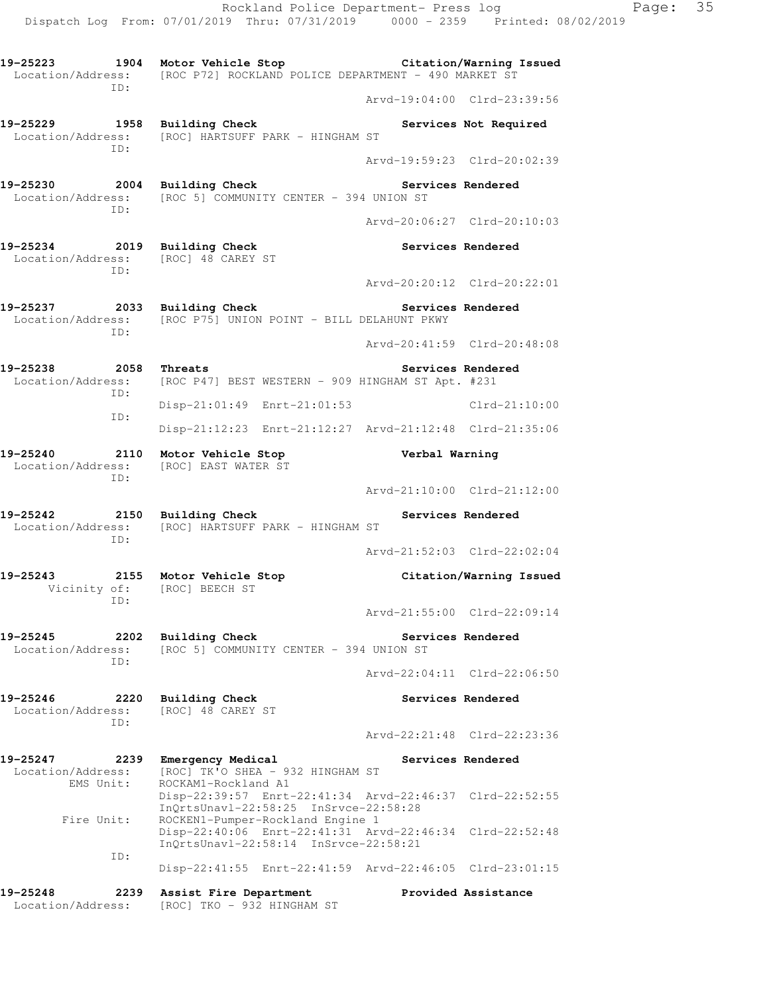**19-25223 1904 Motor Vehicle Stop Citation/Warning Issued**  Location/Address: [ROC P72] ROCKLAND POLICE DEPARTMENT - 490 MARKET ST ID: Arvd-19:04:00 Clrd-23:39:56 19-25229 1958 Building Check **Services Not Required**  Location/Address: [ROC] HARTSUFF PARK - HINGHAM ST ID: Arvd-19:59:23 Clrd-20:02:39 **19-25230 2004 Building Check Services Rendered**  Location/Address: [ROC 5] COMMUNITY CENTER - 394 UNION ST ID: Arvd-20:06:27 Clrd-20:10:03 **19-25234 2019 Building Check Services Rendered**  Location/Address: [ROC] 48 CAREY ST ID: Arvd-20:20:12 Clrd-20:22:01 **19-25237 2033 Building Check Services Rendered**  Location/Address: [ROC P75] UNION POINT - BILL DELAHUNT PKWY ID: Arvd-20:41:59 Clrd-20:48:08 **19-25238 2058 Threats Services Rendered**  Location/Address: [ROC P47] BEST WESTERN - 909 HINGHAM ST Apt. #231 ID: Disp-21:01:49 Enrt-21:01:53 Clrd-21:10:00 ID: Disp-21:12:23 Enrt-21:12:27 Arvd-21:12:48 Clrd-21:35:06 **19-25240 2110 Motor Vehicle Stop Verbal Warning**  Location/Address: [ROC] EAST WATER ST ID: Arvd-21:10:00 Clrd-21:12:00 **19-25242 2150 Building Check Services Rendered**  Location/Address: [ROC] HARTSUFF PARK - HINGHAM ST ID: Arvd-21:52:03 Clrd-22:02:04 **19-25243 2155 Motor Vehicle Stop Citation/Warning Issued**  Vicinity of: [ROC] BEECH ST ID: Arvd-21:55:00 Clrd-22:09:14 **19-25245 2202 Building Check Services Rendered**  Location/Address: [ROC 5] COMMUNITY CENTER - 394 UNION ST ID: Arvd-22:04:11 Clrd-22:06:50 **19-25246 2220 Building Check Services Rendered**  Location/Address: [ROC] 48 CAREY ST ID: Arvd-22:21:48 Clrd-22:23:36 19-25247 2239 Emergency Medical **Services Rendered**  Location/Address: [ROC] TK'O SHEA - 932 HINGHAM ST EMS Unit: ROCKAM1-Rockland A1 Disp-22:39:57 Enrt-22:41:34 Arvd-22:46:37 Clrd-22:52:55 InQrtsUnavl-22:58:25 InSrvce-22:58:28 Fire Unit: ROCKEN1-Pumper-Rockland Engine 1 Disp-22:40:06 Enrt-22:41:31 Arvd-22:46:34 Clrd-22:52:48 InQrtsUnavl-22:58:14 InSrvce-22:58:21 ID: Disp-22:41:55 Enrt-22:41:59 Arvd-22:46:05 Clrd-23:01:15 **19-25248 2239 Assist Fire Department Provided Assistance** 

Location/Address: [ROC] TKO - 932 HINGHAM ST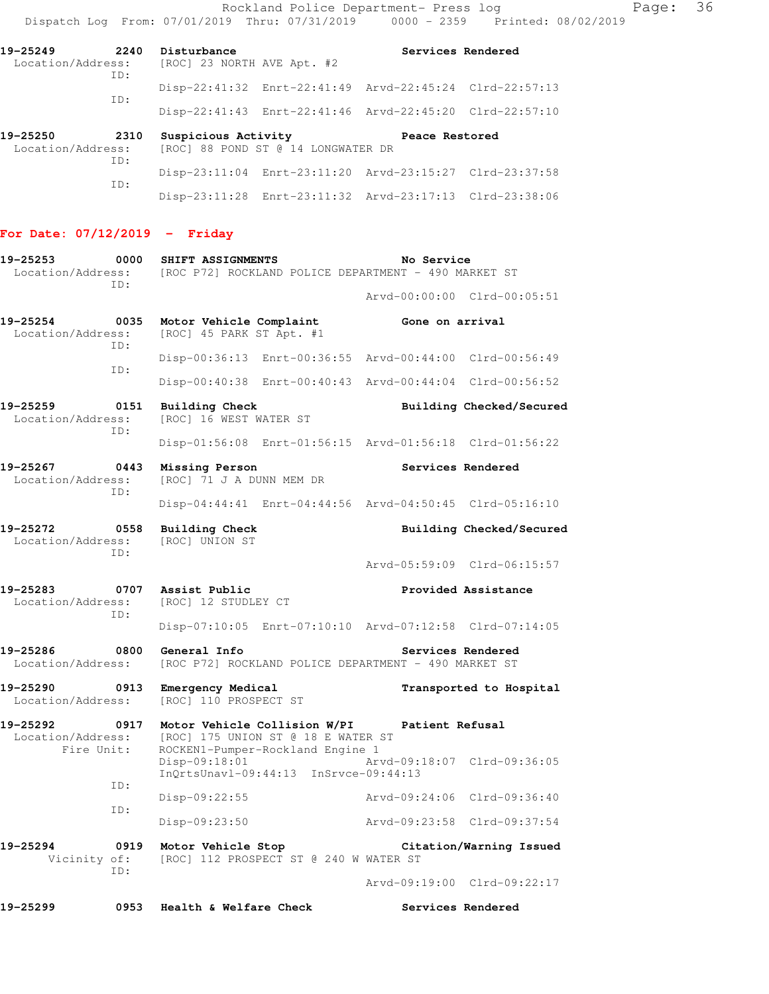Rockland Police Department- Press log entitled and Page: 36 Dispatch Log From: 07/01/2019 Thru: 07/31/2019 0000 - 2359 Printed: 08/02/2019

| 19-25249<br>Location/Address:    | 2240<br>TD: | Disturbance<br>[ROC] 23 NORTH AVE Apt. #2 |                                                         | Services Rendered |  |
|----------------------------------|-------------|-------------------------------------------|---------------------------------------------------------|-------------------|--|
|                                  |             |                                           | Disp-22:41:32 Enrt-22:41:49 Arvd-22:45:24 Clrd-22:57:13 |                   |  |
|                                  | TD:         |                                           | Disp-22:41:43 Enrt-22:41:46 Arvd-22:45:20 Clrd-22:57:10 |                   |  |
| 19-25250<br>$\sim$ $\sim$ $\sim$ | 2310        | Suspicious Activity                       |                                                         | Peace Restored    |  |

| Location/Address:<br>TD: | [ROC] 88 POND ST @ 14 LONGWATER DR |                                                         |  |
|--------------------------|------------------------------------|---------------------------------------------------------|--|
| TD:                      |                                    | Disp-23:11:04 Enrt-23:11:20 Arvd-23:15:27 Clrd-23:37:58 |  |
|                          |                                    | Disp-23:11:28 Enrt-23:11:32 Arvd-23:17:13 Clrd-23:38:06 |  |

## **For Date: 07/12/2019 - Friday**

| 19-25253<br>Location/Address:                       | 0000<br>ID: | SHIFT ASSIGNMENTS                                                                                                       |  | No Service<br>[ROC P72] ROCKLAND POLICE DEPARTMENT - 490 MARKET ST |                             |
|-----------------------------------------------------|-------------|-------------------------------------------------------------------------------------------------------------------------|--|--------------------------------------------------------------------|-----------------------------|
|                                                     |             |                                                                                                                         |  |                                                                    | Arvd-00:00:00 Clrd-00:05:51 |
| 19-25254<br>Location/Address:                       | 0035<br>ID: | Motor Vehicle Complaint<br>[ROC] 45 PARK ST Apt. #1                                                                     |  | Gone on arrival                                                    |                             |
|                                                     | ID:         | Disp-00:36:13 Enrt-00:36:55 Arvd-00:44:00 Clrd-00:56:49                                                                 |  |                                                                    |                             |
|                                                     |             | Disp-00:40:38 Enrt-00:40:43 Arvd-00:44:04 Clrd-00:56:52                                                                 |  |                                                                    |                             |
| 19-25259<br>0151<br>Location/Address:<br>ID:        |             | <b>Building Check</b><br>[ROC] 16 WEST WATER ST                                                                         |  | Building Checked/Secured                                           |                             |
|                                                     |             | Disp-01:56:08 Enrt-01:56:15 Arvd-01:56:18 Clrd-01:56:22                                                                 |  |                                                                    |                             |
| 19-25267<br>0443<br>Location/Address:<br>ID:        |             | Missing Person<br>[ROC] 71 J A DUNN MEM DR                                                                              |  | Services Rendered                                                  |                             |
|                                                     |             | Disp-04:44:41 Enrt-04:44:56 Arvd-04:50:45 Clrd-05:16:10                                                                 |  |                                                                    |                             |
| 19-25272<br>0558<br>Location/Address:<br>ID:        |             | <b>Building Check</b><br>[ROC] UNION ST                                                                                 |  |                                                                    | Building Checked/Secured    |
|                                                     |             |                                                                                                                         |  |                                                                    | Arvd-05:59:09 Clrd-06:15:57 |
| 19-25283<br>Location/Address:<br>ID:                |             | 0707 Assist Public<br>[ROC] 12 STUDLEY CT                                                                               |  | Provided Assistance                                                |                             |
|                                                     |             | Disp-07:10:05 Enrt-07:10:10 Arvd-07:12:58 Clrd-07:14:05                                                                 |  |                                                                    |                             |
| 19-25286<br>0800<br>Location/Address:               |             | General Info<br>Services Rendered<br>[ROC P72] ROCKLAND POLICE DEPARTMENT - 490 MARKET ST                               |  |                                                                    |                             |
| 19-25290<br>Location/Address:                       | 0913        | Emergency Medical<br>[ROC] 110 PROSPECT ST                                                                              |  | Transported to Hospital                                            |                             |
| 19-25292<br>0917<br>Location/Address:<br>Fire Unit: |             | Motor Vehicle Collision W/PI<br>[ROC] 175 UNION ST @ 18 E WATER ST<br>ROCKEN1-Pumper-Rockland Engine 1<br>Disp-09:18:01 |  | Patient Refusal                                                    | Arvd-09:18:07 Clrd-09:36:05 |
|                                                     | ID:         | InQrtsUnavl-09:44:13 InSrvce-09:44:13                                                                                   |  |                                                                    |                             |
|                                                     | ID:         | $Disp-09:22:55$                                                                                                         |  |                                                                    | Arvd-09:24:06 Clrd-09:36:40 |
|                                                     |             | Disp-09:23:50                                                                                                           |  |                                                                    | Arvd-09:23:58 Clrd-09:37:54 |
| 19-25294<br>0919<br>Vicinity of:<br>ID:             |             | Motor Vehicle Stop<br>[ROC] 112 PROSPECT ST @ 240 W WATER ST                                                            |  |                                                                    | Citation/Warning Issued     |
|                                                     |             |                                                                                                                         |  |                                                                    | Arvd-09:19:00 Clrd-09:22:17 |
| 19-25299                                            | 0953        | Health & Welfare Check                                                                                                  |  |                                                                    | Services Rendered           |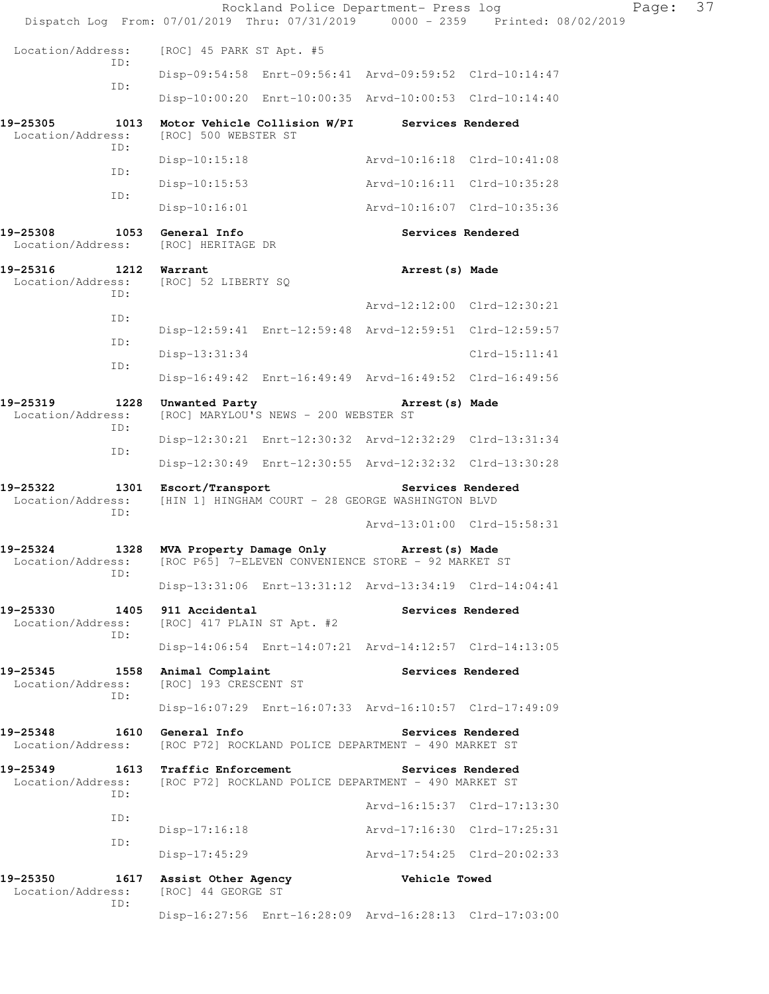|                                                                                   |             |                                                   | Rockland Police Department- Press log                   |                             | Dispatch Log From: 07/01/2019 Thru: 07/31/2019 0000 - 2359 Printed: 08/02/2019 | Page: | 37 |
|-----------------------------------------------------------------------------------|-------------|---------------------------------------------------|---------------------------------------------------------|-----------------------------|--------------------------------------------------------------------------------|-------|----|
| Location/Address:                                                                 |             | [ROC] 45 PARK ST Apt. #5                          |                                                         |                             |                                                                                |       |    |
|                                                                                   | ID:         |                                                   | Disp-09:54:58 Enrt-09:56:41 Arvd-09:59:52 Clrd-10:14:47 |                             |                                                                                |       |    |
|                                                                                   | ID:         |                                                   | Disp-10:00:20 Enrt-10:00:35 Arvd-10:00:53 Clrd-10:14:40 |                             |                                                                                |       |    |
| 19-25305<br>Location/Address:                                                     | 1013        | [ROC] 500 WEBSTER ST                              | Motor Vehicle Collision W/PI Services Rendered          |                             |                                                                                |       |    |
|                                                                                   | ID:         | $Disp-10:15:18$                                   |                                                         |                             | Arvd-10:16:18 Clrd-10:41:08                                                    |       |    |
|                                                                                   | ID:         | $Disp-10:15:53$                                   |                                                         |                             | Arvd-10:16:11 Clrd-10:35:28                                                    |       |    |
|                                                                                   | ID:         | $Disp-10:16:01$                                   |                                                         |                             | Arvd-10:16:07 Clrd-10:35:36                                                    |       |    |
| 19-25308<br>Location/Address:                                                     |             | 1053 General Info<br>[ROC] HERITAGE DR            |                                                         |                             | Services Rendered                                                              |       |    |
| 19-25316<br>Location/Address:                                                     | 1212        | Warrant<br>[ROC] 52 LIBERTY SQ                    |                                                         | Arrest (s) Made             |                                                                                |       |    |
|                                                                                   | ID:<br>ID:  |                                                   |                                                         |                             | Arvd-12:12:00 Clrd-12:30:21                                                    |       |    |
|                                                                                   | ID:         |                                                   | Disp-12:59:41 Enrt-12:59:48 Arvd-12:59:51 Clrd-12:59:57 |                             |                                                                                |       |    |
|                                                                                   | ID:         | $Disp-13:31:34$                                   |                                                         |                             | $Clrd-15:11:41$                                                                |       |    |
|                                                                                   |             |                                                   | Disp-16:49:42 Enrt-16:49:49 Arvd-16:49:52 Clrd-16:49:56 |                             |                                                                                |       |    |
| 19-25319<br>Location/Address:                                                     | 1228<br>ID: | Unwanted Party                                    | [ROC] MARYLOU'S NEWS - 200 WEBSTER ST                   | Arrest (s) Made             |                                                                                |       |    |
|                                                                                   | ID:         |                                                   | Disp-12:30:21 Enrt-12:30:32 Arvd-12:32:29 Clrd-13:31:34 |                             |                                                                                |       |    |
|                                                                                   |             |                                                   | Disp-12:30:49 Enrt-12:30:55 Arvd-12:32:32 Clrd-13:30:28 |                             |                                                                                |       |    |
| 19-25322<br>Location/Address:<br>ID:                                              |             | 1301 Escort/Transport                             | [HIN 1] HINGHAM COURT - 28 GEORGE WASHINGTON BLVD       | Services Rendered           |                                                                                |       |    |
|                                                                                   |             |                                                   |                                                         |                             | Arvd-13:01:00 Clrd-15:58:31                                                    |       |    |
| 19-25324<br>Location/Address: [ROC P65] 7-ELEVEN CONVENIENCE STORE - 92 MARKET ST | ID:         | 1328 MVA Property Damage Only                     |                                                         | Arrest (s) Made             |                                                                                |       |    |
|                                                                                   |             |                                                   | Disp-13:31:06 Enrt-13:31:12 Arvd-13:34:19 Clrd-14:04:41 |                             |                                                                                |       |    |
| 19-25330<br>Location/Address:                                                     | ID:         | 1405 911 Accidental<br>[ROC] 417 PLAIN ST Apt. #2 |                                                         | Services Rendered           |                                                                                |       |    |
|                                                                                   |             |                                                   | Disp-14:06:54 Enrt-14:07:21 Arvd-14:12:57 Clrd-14:13:05 |                             |                                                                                |       |    |
| 19-25345<br>Location/Address:                                                     | ID:         | 1558 Animal Complaint<br>[ROC] 193 CRESCENT ST    |                                                         | <b>Services Rendered</b>    |                                                                                |       |    |
|                                                                                   |             |                                                   | Disp-16:07:29 Enrt-16:07:33 Arvd-16:10:57 Clrd-17:49:09 |                             |                                                                                |       |    |
| 19-25348<br>Location/Address:                                                     |             | 1610 General Info                                 | [ROC P72] ROCKLAND POLICE DEPARTMENT - 490 MARKET ST    | Services Rendered           |                                                                                |       |    |
| 19-25349<br>Location/Address:                                                     | ID:         | 1613 Traffic Enforcement                          | [ROC P72] ROCKLAND POLICE DEPARTMENT - 490 MARKET ST    | Services Rendered           |                                                                                |       |    |
|                                                                                   | ID:         |                                                   |                                                         |                             | Arvd-16:15:37 Clrd-17:13:30                                                    |       |    |
|                                                                                   | ID:         | Disp-17:16:18                                     |                                                         | Arvd-17:16:30 Clrd-17:25:31 |                                                                                |       |    |
|                                                                                   |             | Disp-17:45:29                                     |                                                         | Arvd-17:54:25 Clrd-20:02:33 |                                                                                |       |    |
| 19-25350<br>Location/Address:                                                     | ID:         | [ROC] 44 GEORGE ST                                | 1617 Assist Other Agency State of Mehicle Towed         |                             |                                                                                |       |    |
|                                                                                   |             |                                                   | Disp-16:27:56 Enrt-16:28:09 Arvd-16:28:13 Clrd-17:03:00 |                             |                                                                                |       |    |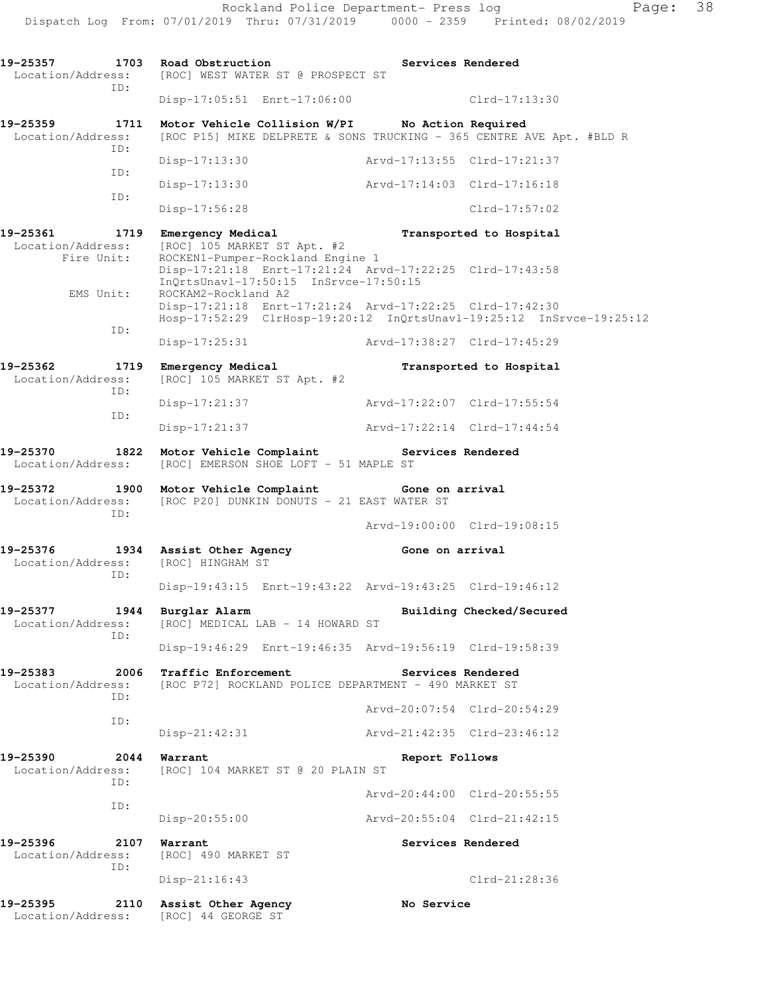Location/Address: [ROC] WEST WATER ST @ PROSPECT ST ID: Disp-17:05:51 Enrt-17:06:00 Clrd-17:13:30 **19-25359 1711 Motor Vehicle Collision W/PI No Action Required**  Location/Address: [ROC P15] MIKE DELPRETE & SONS TRUCKING - 365 CENTRE AVE Apt. #BLD R ID: Disp-17:13:30 Arvd-17:13:55 Clrd-17:21:37 ID: Disp-17:13:30 Arvd-17:14:03 Clrd-17:16:18 ID: Disp-17:56:28 Clrd-17:57:02 **19-25361 1719 Emergency Medical Transported to Hospital**  Location/Address: [ROC] 105 MARKET ST Apt. #2 Fire Unit: ROCKEN1-Pumper-Rockland Engine 1 Disp-17:21:18 Enrt-17:21:24 Arvd-17:22:25 Clrd-17:43:58 InQrtsUnavl-17:50:15 InSrvce-17:50:15 EMS Unit: ROCKAM2-Rockland A2 Disp-17:21:18 Enrt-17:21:24 Arvd-17:22:25 Clrd-17:42:30 Hosp-17:52:29 ClrHosp-19:20:12 InQrtsUnavl-19:25:12 InSrvce-19:25:12 ID: Disp-17:25:31 Arvd-17:38:27 Clrd-17:45:29 **19-25362 1719 Emergency Medical Transported to Hospital**  Location/Address: [ROC] 105 MARKET ST Apt. #2 ID: Disp-17:21:37 Arvd-17:22:07 Clrd-17:55:54 ID: Disp-17:21:37 Arvd-17:22:14 Clrd-17:44:54 **19-25370 1822 Motor Vehicle Complaint Services Rendered**  Location/Address: [ROC] EMERSON SHOE LOFT - 51 MAPLE ST **19-25372 1900 Motor Vehicle Complaint Gone on arrival**  Location/Address: [ROC P20] DUNKIN DONUTS - 21 EAST WATER ST ID: Arvd-19:00:00 Clrd-19:08:15 **19-25376 1934 Assist Other Agency Cone on arrival**<br>
Location/Address: [ROC] HINGHAM ST Location/Address: ID: Disp-19:43:15 Enrt-19:43:22 Arvd-19:43:25 Clrd-19:46:12 **19-25377 1944 Burglar Alarm Building Checked/Secured**  Location/Address: [ROC] MEDICAL LAB - 14 HOWARD ST ID: Disp-19:46:29 Enrt-19:46:35 Arvd-19:56:19 Clrd-19:58:39 19-25383 2006 Traffic Enforcement **Services Rendered**  Location/Address: [ROC P72] ROCKLAND POLICE DEPARTMENT - 490 MARKET ST ID: Arvd-20:07:54 Clrd-20:54:29 ID: Disp-21:42:31 Arvd-21:42:35 Clrd-23:46:12 **19-25390 2044 Warrant Report Follows**  Location/Address: [ROC] 104 MARKET ST @ 20 PLAIN ST ID: Arvd-20:44:00 Clrd-20:55:55 ID: Disp-20:55:00 Arvd-20:55:04 Clrd-21:42:15 19-25396 2107 Warrant **Network Services Rendered**  Location/Address: [ROC] 490 MARKET ST ID: Disp-21:16:43 Clrd-21:28:36 **19-25395 2110 Assist Other Agency No Service**  Location/Address: [ROC] 44 GEORGE ST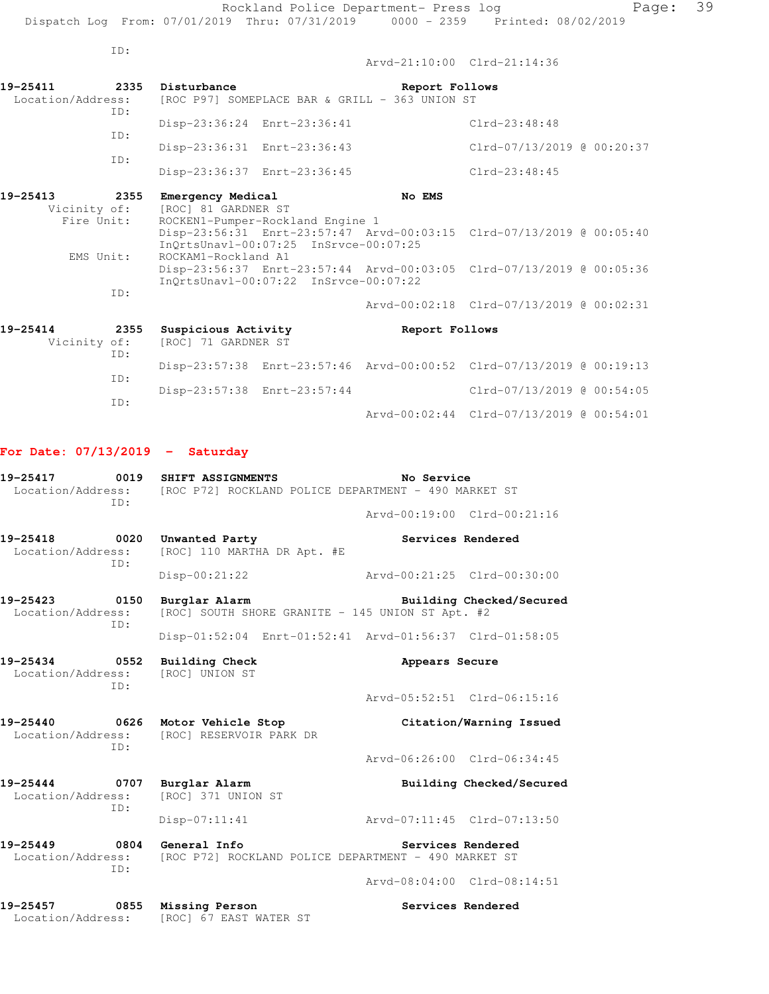ID: Arvd-21:10:00 Clrd-21:14:36 **19-25411 2335 Disturbance Report Follows**  Location/Address: [ROC P97] SOMEPLACE BAR & GRILL - 363 UNION ST ID: Disp-23:36:24 Enrt-23:36:41 Clrd-23:48:48 ID: Disp-23:36:31 Enrt-23:36:43 Clrd-07/13/2019 @ 00:20:37 ID: Disp-23:36:37 Enrt-23:36:45 Clrd-23:48:45 **19-25413 2355 Emergency Medical No EMS** Vicinity of: [ROC] 81 GARDNER ST icinity of: [ROC] 81 GARDNER ST<br>Fire Unit: ROCKEN1-Pumper-Rockl ROCKEN1-Pumper-Rockland Engine 1 Disp-23:56:31 Enrt-23:57:47 Arvd-00:03:15 Clrd-07/13/2019 @ 00:05:40 InQrtsUnavl-00:07:25 InSrvce-00:07:25 EMS Unit: ROCKAM1-Rockland A1 Disp-23:56:37 Enrt-23:57:44 Arvd-00:03:05 Clrd-07/13/2019 @ 00:05:36 InQrtsUnavl-00:07:22 InSrvce-00:07:22 ID: Arvd-00:02:18 Clrd-07/13/2019 @ 00:02:31 **19-25414 2355 Suspicious Activity Report Follows**  Vicinity of: [ROC] 71 GARDNER ST ID: Disp-23:57:38 Enrt-23:57:46 Arvd-00:00:52 Clrd-07/13/2019 @ 00:19:13 ID: Disp-23:57:38 Enrt-23:57:44 Clrd-07/13/2019 @ 00:54:05 ID: Arvd-00:02:44 Clrd-07/13/2019 @ 00:54:01 **For Date: 07/13/2019 - Saturday 19-25417 0019 SHIFT ASSIGNMENTS No Service**  Location/Address: [ROC P72] ROCKLAND POLICE DEPARTMENT - 490 MARKET ST ID: Arvd-00:19:00 Clrd-00:21:16 **19-25418 0020 Unwanted Party Services Rendered**  Location/Address: [ROC] 110 MARTHA DR Apt. #E ID: Disp-00:21:22 Arvd-00:21:25 Clrd-00:30:00 19-25423 0150 Burglar Alarm Building Checked/Secured **Building Checked/Secured**<br>Location/Address: [ROC] SOUTH SHORE GRANITE - 145 UNION ST Apt. #2 [ROC] SOUTH SHORE GRANITE - 145 UNION ST Apt. #2 ID: Disp-01:52:04 Enrt-01:52:41 Arvd-01:56:37 Clrd-01:58:05 **19-25434 0552 Building Check Appears Secure**  Location/Address: [ROC] UNION ST ID: Arvd-05:52:51 Clrd-06:15:16 **19-25440 0626 Motor Vehicle Stop Citation/Warning Issued**  Location/Address: [ROC] RESERVOIR PARK DR ID: Arvd-06:26:00 Clrd-06:34:45 **19-25444 0707 Burglar Alarm Building Checked/Secured**  Location/Address: [ROC] 371 UNION ST ID:

Disp-07:11:41 Arvd-07:11:45 Clrd-07:13:50

**19-25449 0804 General Info Services Rendered**  Location/Address: [ROC P72] ROCKLAND POLICE DEPARTMENT - 490 MARKET ST ID:

Arvd-08:04:00 Clrd-08:14:51

**19-25457 0855 Missing Person Services Rendered**  Location/Address: [ROC] 67 EAST WATER ST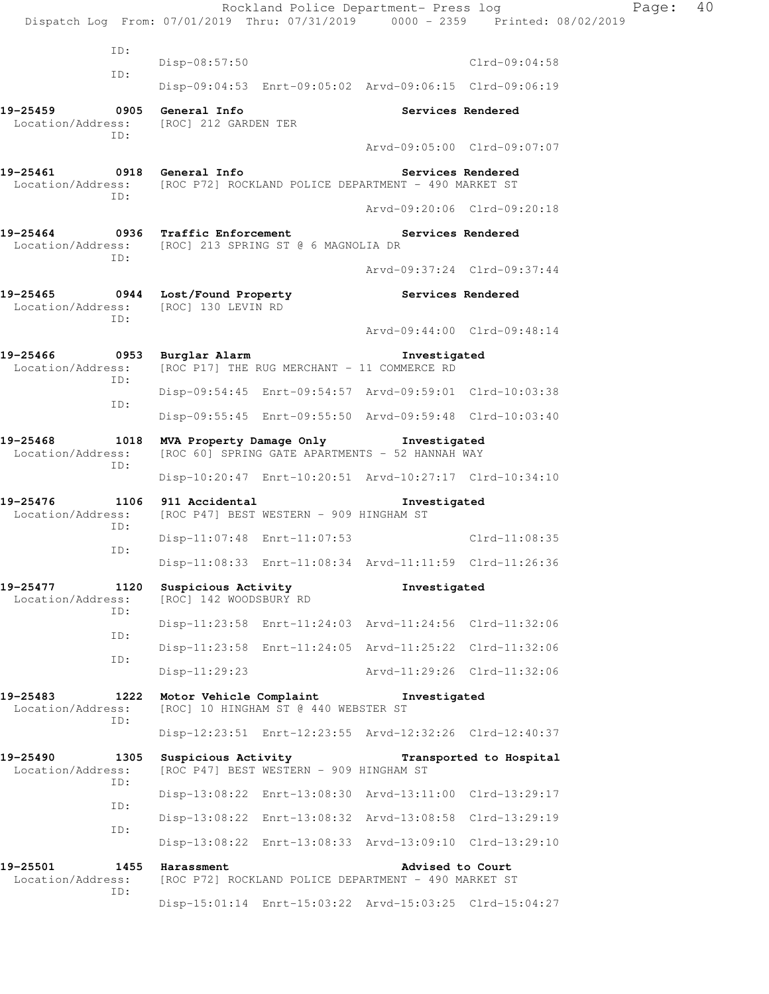|                                                                                            |             |                                               | Rockland Police Department- Press log                                                    |                             | Dispatch Log From: 07/01/2019 Thru: 07/31/2019 0000 - 2359 Printed: 08/02/2019 | Page: | 40 |
|--------------------------------------------------------------------------------------------|-------------|-----------------------------------------------|------------------------------------------------------------------------------------------|-----------------------------|--------------------------------------------------------------------------------|-------|----|
|                                                                                            | ID:         |                                               |                                                                                          |                             |                                                                                |       |    |
|                                                                                            | ID:         | $Disp-08:57:50$                               |                                                                                          |                             | $Clrd-09:04:58$                                                                |       |    |
|                                                                                            |             |                                               | Disp-09:04:53 Enrt-09:05:02 Arvd-09:06:15 Clrd-09:06:19                                  |                             |                                                                                |       |    |
| 19-25459 0905 General Info<br>Location/Address: [ROC] 212 GARDEN TER                       | ID:         |                                               |                                                                                          | Services Rendered           |                                                                                |       |    |
|                                                                                            |             |                                               |                                                                                          |                             | Arvd-09:05:00 Clrd-09:07:07                                                    |       |    |
| 19-25461 0918 General Info                                                                 | ID:         |                                               | Location/Address: [ROC P72] ROCKLAND POLICE DEPARTMENT - 490 MARKET ST                   | Services Rendered           |                                                                                |       |    |
|                                                                                            |             |                                               |                                                                                          |                             | Arvd-09:20:06 Clrd-09:20:18                                                    |       |    |
| 19-25464 0936 Traffic Enforcement<br>Location/Address: [ROC] 213 SPRING ST @ 6 MAGNOLIA DR | ID:         |                                               |                                                                                          | Services Rendered           |                                                                                |       |    |
|                                                                                            |             |                                               |                                                                                          |                             | Arvd-09:37:24 Clrd-09:37:44                                                    |       |    |
| 19-25465 0944 Lost/Found Property<br>Location/Address: [ROC] 130 LEVIN RD                  | ID:         |                                               |                                                                                          | Services Rendered           |                                                                                |       |    |
|                                                                                            |             |                                               |                                                                                          |                             | Aryd-09:44:00 Clrd-09:48:14                                                    |       |    |
| 19-25466                                                                                   | ID:         | 0953 Burglar Alarm                            | Location/Address: [ROC P17] THE RUG MERCHANT - 11 COMMERCE RD                            | Investigated                |                                                                                |       |    |
|                                                                                            | ID:         |                                               | Disp-09:54:45 Enrt-09:54:57 Arvd-09:59:01 Clrd-10:03:38                                  |                             |                                                                                |       |    |
|                                                                                            |             |                                               | Disp-09:55:45 Enrt-09:55:50 Arvd-09:59:48 Clrd-10:03:40                                  |                             |                                                                                |       |    |
| $19 - 25468$<br>Location/Address:                                                          | 1018<br>ID: |                                               | MVA Property Damage Only Tnvestigated<br>[ROC 60] SPRING GATE APARTMENTS - 52 HANNAH WAY |                             |                                                                                |       |    |
|                                                                                            |             |                                               | Disp-10:20:47 Enrt-10:20:51 Arvd-10:27:17 Clrd-10:34:10                                  |                             |                                                                                |       |    |
| 19-25476                                                                                   | ID:         | 1106 911 Accidental                           | Location/Address: [ROC P47] BEST WESTERN - 909 HINGHAM ST                                | Investigated                |                                                                                |       |    |
|                                                                                            | ID:         |                                               | Disp-11:07:48 Enrt-11:07:53 Clrd-11:08:35                                                |                             |                                                                                |       |    |
|                                                                                            |             |                                               | Disp-11:08:33 Enrt-11:08:34 Arvd-11:11:59 Clrd-11:26:36                                  |                             |                                                                                |       |    |
| 19-25477<br>Location/Address:                                                              | 1120<br>ID: | Suspicious Activity<br>[ROC] 142 WOODSBURY RD |                                                                                          | Investigated                |                                                                                |       |    |
|                                                                                            | ID:         |                                               | Disp-11:23:58 Enrt-11:24:03 Arvd-11:24:56 Clrd-11:32:06                                  |                             |                                                                                |       |    |
|                                                                                            | ID:         |                                               | Disp-11:23:58 Enrt-11:24:05 Arvd-11:25:22 Clrd-11:32:06                                  |                             |                                                                                |       |    |
|                                                                                            |             | $Disp-11:29:23$                               |                                                                                          | Arvd-11:29:26 Clrd-11:32:06 |                                                                                |       |    |
| 19-25483<br>Location/Address:                                                              | 1222<br>ID: | Motor Vehicle Complaint                       | [ROC] 10 HINGHAM ST @ 440 WEBSTER ST                                                     | Investigated                |                                                                                |       |    |
|                                                                                            |             |                                               | Disp-12:23:51 Enrt-12:23:55 Arvd-12:32:26 Clrd-12:40:37                                  |                             |                                                                                |       |    |
| 19-25490<br>Location/Address:                                                              | 1305<br>ID: | Suspicious Activity                           | [ROC P47] BEST WESTERN - 909 HINGHAM ST                                                  |                             | Transported to Hospital                                                        |       |    |
|                                                                                            | ID:         |                                               | Disp-13:08:22 Enrt-13:08:30 Arvd-13:11:00 Clrd-13:29:17                                  |                             |                                                                                |       |    |
|                                                                                            | ID:         |                                               | Disp-13:08:22 Enrt-13:08:32 Arvd-13:08:58 Clrd-13:29:19                                  |                             |                                                                                |       |    |
|                                                                                            |             |                                               | Disp-13:08:22 Enrt-13:08:33 Arvd-13:09:10 Clrd-13:29:10                                  |                             |                                                                                |       |    |
| 19-25501<br>Location/Address:                                                              | 1455<br>ID: | Harassment                                    | [ROC P72] ROCKLAND POLICE DEPARTMENT - 490 MARKET ST                                     | Advised to Court            |                                                                                |       |    |
|                                                                                            |             |                                               | Disp-15:01:14 Enrt-15:03:22 Arvd-15:03:25 Clrd-15:04:27                                  |                             |                                                                                |       |    |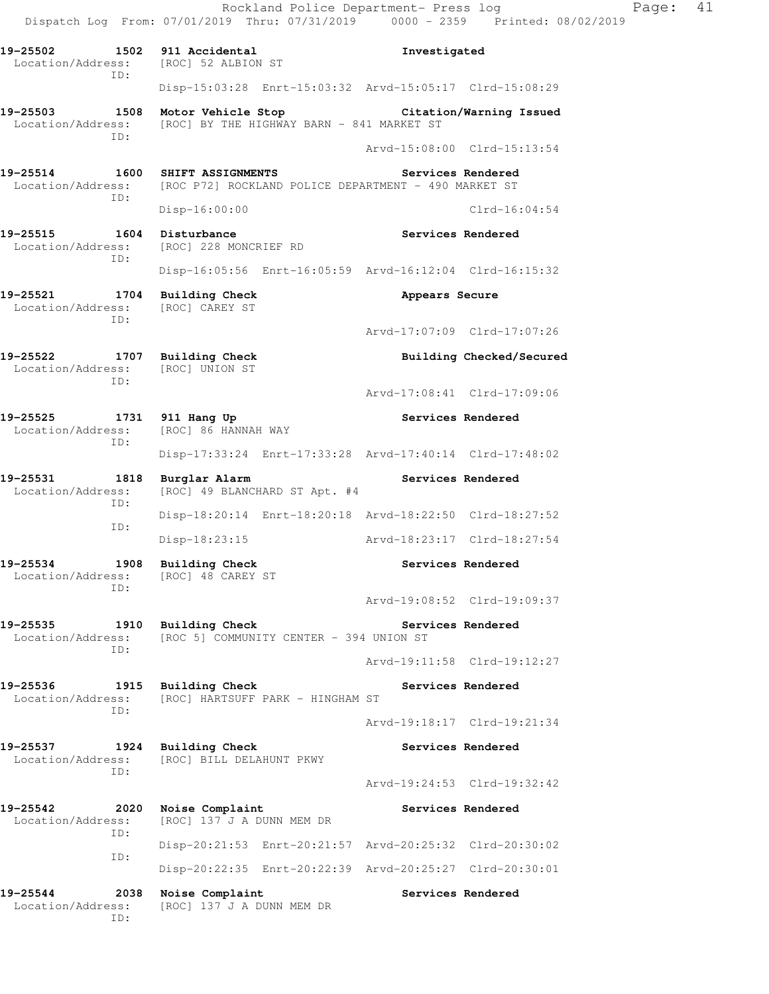Rockland Police Department- Press log Fage: 41 Dispatch Log From: 07/01/2019 Thru: 07/31/2019 0000 - 2359 Printed: 08/02/2019 **19-25502 1502 911 Accidental Investigated**  Location/Address: [ROC] 52 ALBION ST ID: Disp-15:03:28 Enrt-15:03:32 Arvd-15:05:17 Clrd-15:08:29 **19-25503 1508 Motor Vehicle Stop Citation/Warning Issued**  Location/Address: [ROC] BY THE HIGHWAY BARN - 841 MARKET ST ID: Arvd-15:08:00 Clrd-15:13:54 19-25514 1600 SHIFT ASSIGNMENTS **Services Rendered**  Location/Address: [ROC P72] ROCKLAND POLICE DEPARTMENT - 490 MARKET ST ID: Disp-16:00:00 Clrd-16:04:54 19-25515 1604 Disturbance **19-25515** Services Rendered Location/Address: [ROC] 228 MONCRIEF RD ID: Disp-16:05:56 Enrt-16:05:59 Arvd-16:12:04 Clrd-16:15:32 19-25521 1704 Building Check **Appears Secure**  Location/Address: [ROC] CAREY ST ID: Arvd-17:07:09 Clrd-17:07:26 **19-25522 1707 Building Check Building Checked/Secured**  Location/Address: [ROC] UNION ST ID: Arvd-17:08:41 Clrd-17:09:06 **19-25525 1731 911 Hang Up Services Rendered**  Location/Address: [ROC] 86 HANNAH WAY ID: Disp-17:33:24 Enrt-17:33:28 Arvd-17:40:14 Clrd-17:48:02 **19-25531 1818 Burglar Alarm Services Rendered**  Location/Address: [ROC] 49 BLANCHARD ST Apt. #4 ID: Disp-18:20:14 Enrt-18:20:18 Arvd-18:22:50 Clrd-18:27:52 ID: Disp-18:23:15 Arvd-18:23:17 Clrd-18:27:54 **19-25534 1908 Building Check Services Rendered**  Location/Address: [ROC] 48 CAREY ST ID: Arvd-19:08:52 Clrd-19:09:37 19-25535 1910 Building Check **Services Rendered** Location/Address: [ROC 5] COMMUNITY CENTER - 394 UNION ST ID: Arvd-19:11:58 Clrd-19:12:27 19-25536 1915 Building Check **Services Rendered** Location/Address: [ROC] HARTSUFF PARK - HINGHAM ST ID: Arvd-19:18:17 Clrd-19:21:34 **19-25537 1924 Building Check Services Rendered**  Location/Address: [ROC] BILL DELAHUNT PKWY ID: Arvd-19:24:53 Clrd-19:32:42 19-25542 2020 Noise Complaint **Services Rendered**  Location/Address: [ROC] 137 J A DUNN MEM DR ID: Disp-20:21:53 Enrt-20:21:57 Arvd-20:25:32 Clrd-20:30:02 ID: Disp-20:22:35 Enrt-20:22:39 Arvd-20:25:27 Clrd-20:30:01 19-25544 2038 Noise Complaint **19-25544** Services Rendered Location/Address: [ROC] 137 J A DUNN MEM DR ID: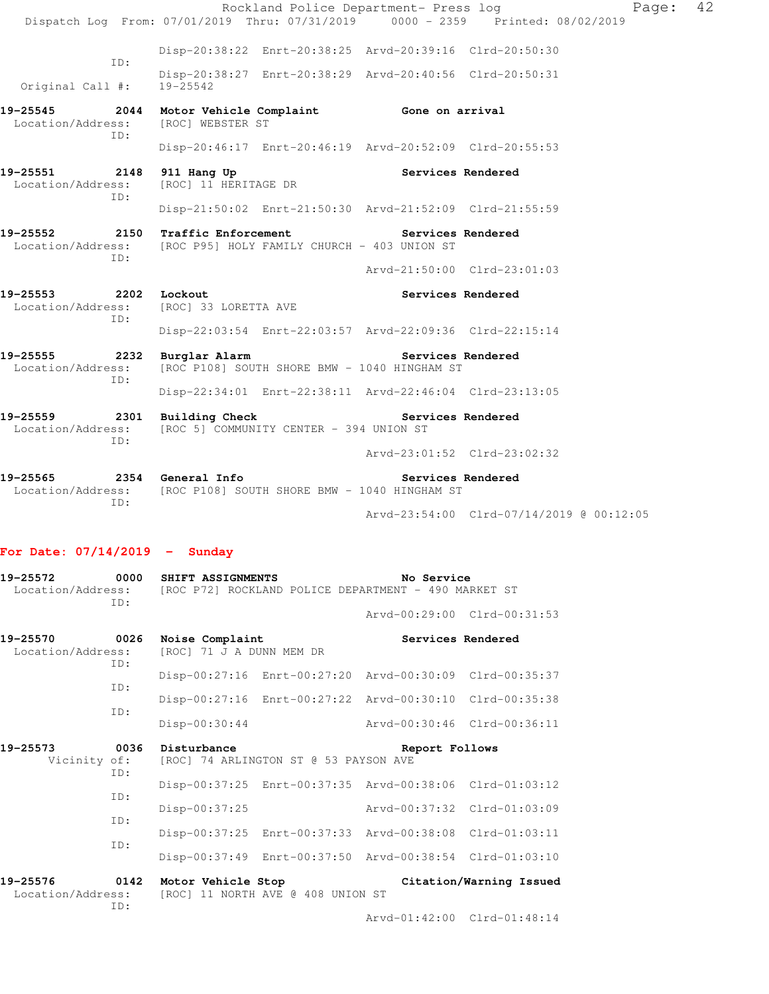|                                                       |                                                                                                                      | Rockland Police Department- Press log |                                                                                | Page: | 42 |
|-------------------------------------------------------|----------------------------------------------------------------------------------------------------------------------|---------------------------------------|--------------------------------------------------------------------------------|-------|----|
|                                                       |                                                                                                                      |                                       | Dispatch Log From: 07/01/2019 Thru: 07/31/2019 0000 - 2359 Printed: 08/02/2019 |       |    |
|                                                       | Disp-20:38:22 Enrt-20:38:25 Arvd-20:39:16 Clrd-20:50:30                                                              |                                       |                                                                                |       |    |
| TD:<br>Original Call #:                               | Disp-20:38:27 Enrt-20:38:29 Arvd-20:40:56 Clrd-20:50:31<br>19-25542                                                  |                                       |                                                                                |       |    |
| Location/Address: [ROC] WEBSTER ST<br>TD:             | 19-25545 2044 Motor Vehicle Complaint Gone on arrival                                                                |                                       |                                                                                |       |    |
|                                                       | Disp-20:46:17 Enrt-20:46:19 Arvd-20:52:09 Clrd-20:55:53                                                              |                                       |                                                                                |       |    |
| 19-25551 2148 911 Hang Up<br>Location/Address:<br>TD: | [ROC] 11 HERITAGE DR                                                                                                 | Services Rendered                     |                                                                                |       |    |
|                                                       | Disp-21:50:02 Enrt-21:50:30 Arvd-21:52:09 Clrd-21:55:59                                                              |                                       |                                                                                |       |    |
| ID:                                                   | 19-25552 2150 Traffic Enforcement Services Rendered<br>Location/Address: [ROC P95] HOLY FAMILY CHURCH - 403 UNION ST |                                       |                                                                                |       |    |
|                                                       |                                                                                                                      |                                       | Arvd-21:50:00 Clrd-23:01:03                                                    |       |    |
| 19-25553 2202 Lockout<br>ID:                          | Location/Address: [ROC] 33 LORETTA AVE                                                                               | Services Rendered                     |                                                                                |       |    |
|                                                       | Disp-22:03:54 Enrt-22:03:57 Arvd-22:09:36 Clrd-22:15:14                                                              |                                       |                                                                                |       |    |
| 19-25555<br>Location/Address:<br>TD:                  | 2232 Burglar Alarm<br>[ROC P108] SOUTH SHORE BMW - 1040 HINGHAM ST                                                   | Services Rendered                     |                                                                                |       |    |
|                                                       | Disp-22:34:01 Enrt-22:38:11 Arvd-22:46:04 Clrd-23:13:05                                                              |                                       |                                                                                |       |    |
| ID:                                                   | 19-25559 2301 Building Check Services Rendered<br>Location/Address: [ROC 5] COMMUNITY CENTER - 394 UNION ST          |                                       |                                                                                |       |    |
|                                                       |                                                                                                                      |                                       | Arvd-23:01:52 Clrd-23:02:32                                                    |       |    |
| 19-25565<br>TD:                                       | 2354 General Info<br>Location/Address: [ROC P108] SOUTH SHORE BMW - 1040 HINGHAM ST                                  | Services Rendered                     |                                                                                |       |    |
|                                                       |                                                                                                                      |                                       | Arvd-23:54:00 Clrd-07/14/2019 @ 00:12:05                                       |       |    |

## **For Date: 07/14/2019 - Sunday**

| 19-25572<br>0000<br>Location/Address:<br>TD: |                   | SHIFT ASSIGNMENTS                           |                                       | No Service<br>[ROC P72] ROCKLAND POLICE DEPARTMENT - 490 MARKET ST |                         |
|----------------------------------------------|-------------------|---------------------------------------------|---------------------------------------|--------------------------------------------------------------------|-------------------------|
|                                              |                   |                                             |                                       | Arvd-00:29:00 Clrd-00:31:53                                        |                         |
| 19-25570<br>Location/Address:                | 0026<br>ID:       | Noise Complaint<br>[ROC] 71 J A DUNN MEM DR |                                       | Services Rendered                                                  |                         |
|                                              | TD:               |                                             |                                       | Disp-00:27:16 Enrt-00:27:20 Arvd-00:30:09 Clrd-00:35:37            |                         |
|                                              | TD:               |                                             |                                       | Disp-00:27:16 Enrt-00:27:22 Arvd-00:30:10 Clrd-00:35:38            |                         |
|                                              |                   | Disp-00:30:44                               |                                       | Arvd-00:30:46 Clrd-00:36:11                                        |                         |
| 19-25573<br>Vicinity of:                     | 0036<br>TD:       | Disturbance                                 | [ROC] 74 ARLINGTON ST @ 53 PAYSON AVE | Report Follows                                                     |                         |
|                                              | TD:<br>TD:<br>TD: |                                             |                                       | Disp-00:37:25 Enrt-00:37:35 Arvd-00:38:06                          | $Clrd-01:03:12$         |
|                                              |                   | Disp-00:37:25                               |                                       | $Arvd - 00:37:32$                                                  | $Clrd-01:03:09$         |
|                                              |                   | $Disp-00:37:25$                             |                                       | Enrt-00:37:33 Arvd-00:38:08                                        | $Clrd-01:03:11$         |
|                                              |                   | $Disp-00:37:49$                             |                                       | Enrt-00:37:50 Arvd-00:38:54 Clrd-01:03:10                          |                         |
| 19-25576<br>Location/Address:                | 0142<br>TD:       | Motor Vehicle Stop                          | [ROC] 11 NORTH AVE @ 408 UNION ST     |                                                                    | Citation/Warning Issued |
|                                              |                   |                                             |                                       | Arvd-01:42:00 Clrd-01:48:14                                        |                         |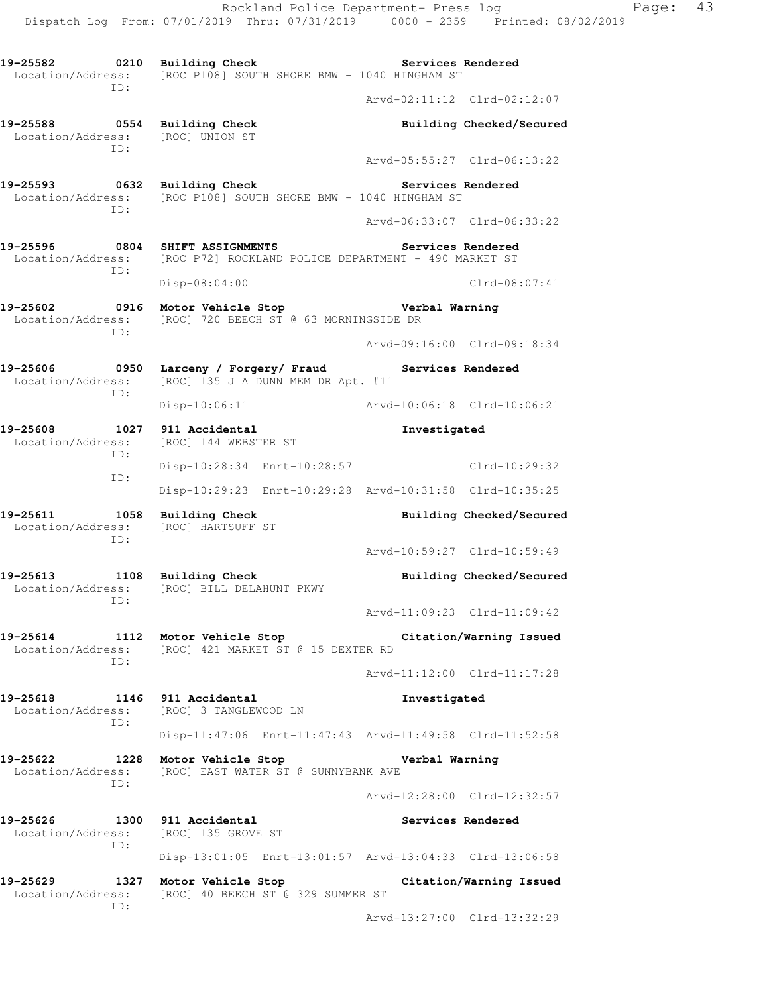**19-25582 0210 Building Check Services Rendered**  Location/Address: [ROC P108] SOUTH SHORE BMW - 1040 HINGHAM ST ID: Arvd-02:11:12 Clrd-02:12:07 **19-25588 0554 Building Check Building Checked/Secured**  Location/Address: [ROC] UNION ST ID: Arvd-05:55:27 Clrd-06:13:22 **19-25593 0632 Building Check Services Rendered**  Location/Address: [ROC P108] SOUTH SHORE BMW - 1040 HINGHAM ST ID: Arvd-06:33:07 Clrd-06:33:22 **19-25596 0804 SHIFT ASSIGNMENTS Services Rendered**  Location/Address: [ROC P72] ROCKLAND POLICE DEPARTMENT - 490 MARKET ST ID: Disp-08:04:00 Clrd-08:07:41 **19-25602 0916 Motor Vehicle Stop Verbal Warning**  Location/Address: [ROC] 720 BEECH ST @ 63 MORNINGSIDE DR ID: Arvd-09:16:00 Clrd-09:18:34 **19-25606 0950 Larceny / Forgery/ Fraud Services Rendered**  Location/Address: [ROC] 135 J A DUNN MEM DR Apt. #11 ID: Disp-10:06:11 Arvd-10:06:18 Clrd-10:06:21 **19-25608 1027 911 Accidental Investigated**  Location/Address: [ROC] 144 WEBSTER ST ID: Disp-10:28:34 Enrt-10:28:57 Clrd-10:29:32 ID: Disp-10:29:23 Enrt-10:29:28 Arvd-10:31:58 Clrd-10:35:25 **19-25611 1058 Building Check Building Checked/Secured**  Location/Address: [ROC] HARTSUFF ST ID: Arvd-10:59:27 Clrd-10:59:49 19-25613 1108 Building Check **Building Checked/Secured**  Location/Address: [ROC] BILL DELAHUNT PKWY ID: Arvd-11:09:23 Clrd-11:09:42 **19-25614 1112 Motor Vehicle Stop Citation/Warning Issued**  Location/Address: [ROC] 421 MARKET ST @ 15 DEXTER RD ID: Arvd-11:12:00 Clrd-11:17:28 **19-25618 1146 911 Accidental Investigated**  Location/Address: [ROC] 3 TANGLEWOOD LN ID: Disp-11:47:06 Enrt-11:47:43 Arvd-11:49:58 Clrd-11:52:58 **19-25622 1228 Motor Vehicle Stop Verbal Warning**  Location/Address: [ROC] EAST WATER ST @ SUNNYBANK AVE ID: Arvd-12:28:00 Clrd-12:32:57 **19-25626 1300 911 Accidental Services Rendered**  Location/Address: [ROC] 135 GROVE ST ID: Disp-13:01:05 Enrt-13:01:57 Arvd-13:04:33 Clrd-13:06:58 **19-25629 1327 Motor Vehicle Stop Citation/Warning Issued**  Location/Address: [ROC] 40 BEECH ST @ 329 SUMMER ST ID:

Arvd-13:27:00 Clrd-13:32:29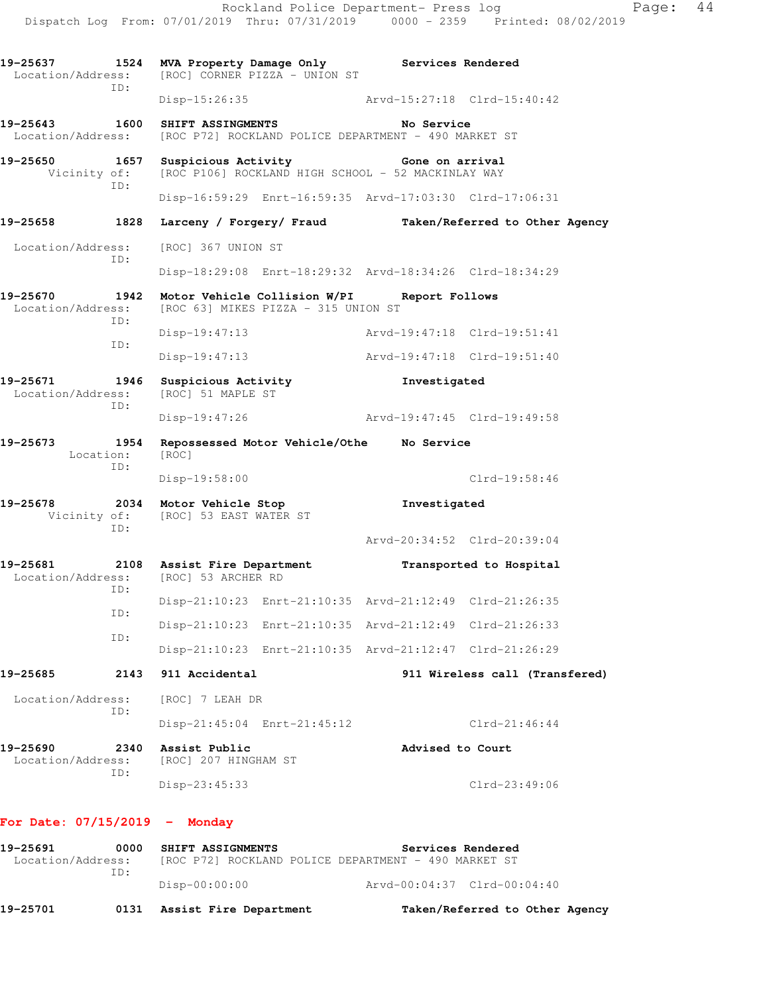|                                                                                     |                          | 19-25637 1524 MVA Property Damage Only Services Rendered<br>Location/Address: [ROC] CORNER PIZZA - UNION ST |                             |                                                         |
|-------------------------------------------------------------------------------------|--------------------------|-------------------------------------------------------------------------------------------------------------|-----------------------------|---------------------------------------------------------|
| ID:                                                                                 |                          | Disp-15:26:35 Arvd-15:27:18 Clrd-15:40:42                                                                   |                             |                                                         |
| 19-25643 1600                                                                       |                          | SHIFT ASSINGMENTS<br>Location/Address: [ROC P72] ROCKLAND POLICE DEPARTMENT - 490 MARKET ST                 | No Service                  |                                                         |
| 19-25650<br>ID:                                                                     | 1657 Suspicious Activity | Vicinity of: [ROC P106] ROCKLAND HIGH SCHOOL - 52 MACKINLAY WAY                                             | Gone on arrival             |                                                         |
|                                                                                     |                          | Disp-16:59:29 Enrt-16:59:35 Arvd-17:03:30 Clrd-17:06:31                                                     |                             |                                                         |
| 19-25658<br>1828                                                                    |                          |                                                                                                             |                             | Larceny / Forgery/ Fraud Taken/Referred to Other Agency |
| Location/Address:<br>ID:                                                            |                          | [ROC] 367 UNION ST                                                                                          |                             |                                                         |
|                                                                                     |                          | Disp-18:29:08 Enrt-18:29:32 Arvd-18:34:26 Clrd-18:34:29                                                     |                             |                                                         |
| 19-25670<br>1942<br>Location/Address:<br>ID:                                        |                          | Motor Vehicle Collision W/PI Report Follows<br>[ROC 63] MIKES PIZZA - 315 UNION ST                          |                             |                                                         |
| ID:                                                                                 | $Disp-19:47:13$          |                                                                                                             | Arvd-19:47:18 Clrd-19:51:41 |                                                         |
|                                                                                     | $Disp-19:47:13$          |                                                                                                             | Arvd-19:47:18 Clrd-19:51:40 |                                                         |
| 19-25671 1946<br>Location/Address: [ROC] 51 MAPLE ST<br>ID:                         |                          | Suspicious Activity                                                                                         | Investigated                |                                                         |
|                                                                                     | $Disp-19:47:26$          |                                                                                                             | Arvd-19:47:45 Clrd-19:49:58 |                                                         |
| 19-25673<br>Location:<br>ID:                                                        | [ROC]                    | 1954 Repossessed Motor Vehicle/Othe Mo Service                                                              |                             |                                                         |
|                                                                                     | Disp-19:58:00            |                                                                                                             |                             | Clrd-19:58:46                                           |
| 19-25678<br>ID:                                                                     |                          | 2034 Motor Vehicle Stop<br>Vicinity of: [ROC] 53 EAST WATER ST                                              | Investigated                |                                                         |
|                                                                                     |                          |                                                                                                             |                             | Arvd-20:34:52 Clrd-20:39:04                             |
| 19-25681 2108 Assist Fire Department<br>Location/Address: [ROC] 53 ARCHER RD<br>ID: |                          |                                                                                                             |                             | Transported to Hospital                                 |
| ID:                                                                                 |                          | Disp-21:10:23 Enrt-21:10:35 Arvd-21:12:49 Clrd-21:26:35                                                     |                             |                                                         |
| ID:                                                                                 |                          | Disp-21:10:23 Enrt-21:10:35 Arvd-21:12:49 Clrd-21:26:33                                                     |                             |                                                         |
|                                                                                     |                          | Disp-21:10:23 Enrt-21:10:35 Arvd-21:12:47 Clrd-21:26:29                                                     |                             |                                                         |
| 19-25685                                                                            | 2143<br>911 Accidental   |                                                                                                             |                             | 911 Wireless call (Transfered)                          |
| Location/Address:                                                                   | [ROC] 7 LEAH DR          |                                                                                                             |                             |                                                         |
| ID:                                                                                 |                          | Disp-21:45:04 Enrt-21:45:12                                                                                 |                             | $Clrd-21:46:44$                                         |
| 19-25690<br>Location/Address:<br>ID:                                                | 2340<br>Assist Public    | [ROC] 207 HINGHAM ST                                                                                        | Advised to Court            |                                                         |
|                                                                                     | Disp-23:45:33            |                                                                                                             |                             | $Clrd-23:49:06$                                         |
| For Date: $07/15/2019$ - Monday                                                     |                          |                                                                                                             |                             |                                                         |
| 19-25691<br>Location/Address:                                                       | 0000                     | SHIFT ASSIGNMENTS<br>[ROC P72] ROCKLAND POLICE DEPARTMENT - 490 MARKET ST                                   |                             | Services Rendered                                       |
| ID:                                                                                 | Disp-00:00:00            |                                                                                                             |                             | Arvd-00:04:37 Clrd-00:04:40                             |

**19-25701 0131 Assist Fire Department Taken/Referred to Other Agency** 

Rockland Police Department- Press log entitled Page: 44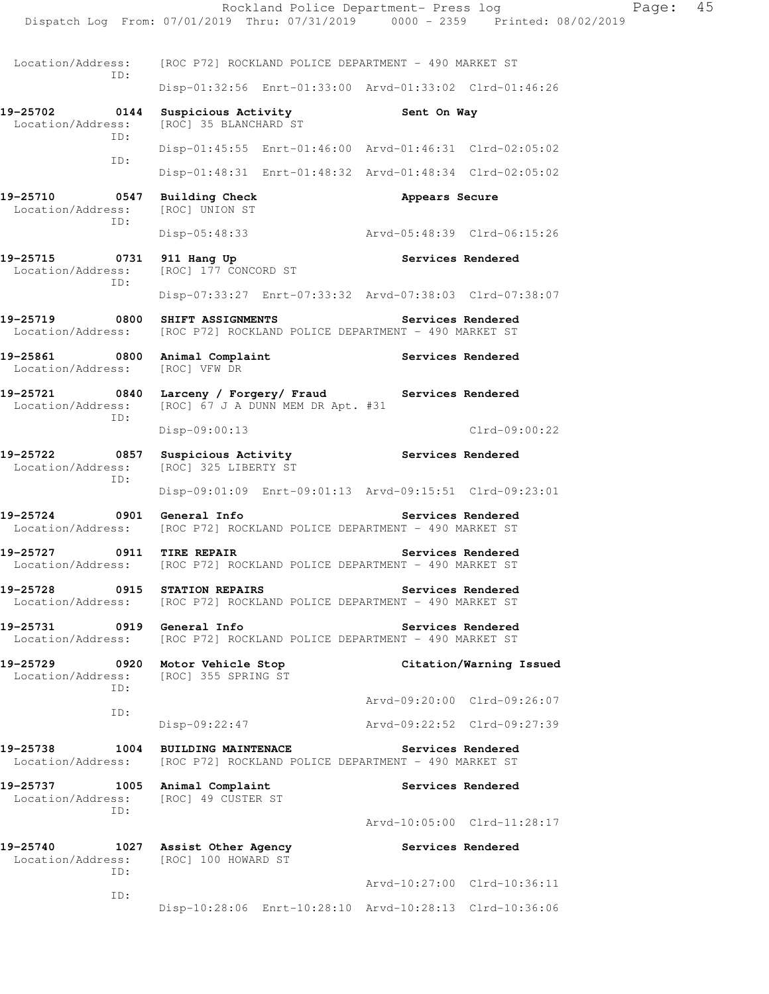Rockland Police Department- Press log Fage: 45 Dispatch Log From: 07/01/2019 Thru: 07/31/2019 0000 - 2359 Printed: 08/02/2019 Location/Address: [ROC P72] ROCKLAND POLICE DEPARTMENT - 490 MARKET ST ID: Disp-01:32:56 Enrt-01:33:00 Arvd-01:33:02 Clrd-01:46:26 **19-25702 0144 Suspicious Activity Sent On Way**  Location/Address: [ROC] 35 BLANCHARD ST ID: Disp-01:45:55 Enrt-01:46:00 Arvd-01:46:31 Clrd-02:05:02 ID: Disp-01:48:31 Enrt-01:48:32 Arvd-01:48:34 Clrd-02:05:02 **19-25710 0547 Building Check Appears Secure Appears Secure** Location/Address: [ROC] UNION ST Location/Address: ID: Disp-05:48:33 Arvd-05:48:39 Clrd-06:15:26 19-25715 0731 911 Hang Up **Services Rendered**  Location/Address: [ROC] 177 CONCORD ST ID: Disp-07:33:27 Enrt-07:33:32 Arvd-07:38:03 Clrd-07:38:07 **19-25719 0800 SHIFT ASSIGNMENTS Services Rendered**  Location/Address: [ROC P72] ROCKLAND POLICE DEPARTMENT - 490 MARKET ST **19-25861 0800 Animal Complaint Services Rendered**  Location/Address: [ROC] VFW DR **19-25721 0840 Larceny / Forgery/ Fraud Services Rendered**  Location/Address: [ROC] 67 J A DUNN MEM DR Apt. #31 ID: Disp-09:00:13 Clrd-09:00:22 19-25722 **0857** Suspicious Activity **Services Rendered** Location/Address: [ROC] 325 LIBERTY ST ID: Disp-09:01:09 Enrt-09:01:13 Arvd-09:15:51 Clrd-09:23:01 19-25724 0901 General Info **Services Rendered** Location/Address: [ROC P72] ROCKLAND POLICE DEPARTMENT - 490 MARKET ST **19-25727 0911 TIRE REPAIR Services Rendered**  Location/Address: [ROC P72] ROCKLAND POLICE DEPARTMENT - 490 MARKET ST **19-25728 0915 STATION REPAIRS Services Rendered**  Location/Address: [ROC P72] ROCKLAND POLICE DEPARTMENT - 490 MARKET ST **19-25731 0919 General Info Services Rendered**  Location/Address: [ROC P72] ROCKLAND POLICE DEPARTMENT - 490 MARKET ST **19-25729 0920 Motor Vehicle Stop Citation/Warning Issued**  Location/Address: [ROC] 355 SPRING ST ID: Arvd-09:20:00 Clrd-09:26:07 ID: Disp-09:22:47 Arvd-09:22:52 Clrd-09:27:39 **19-25738 1004 BUILDING MAINTENACE Services Rendered**  Location/Address: [ROC P72] ROCKLAND POLICE DEPARTMENT - 490 MARKET ST 19-25737 1005 Animal Complaint **Services Rendered** Location/Address: [ROC] 49 CUSTER ST ID: Arvd-10:05:00 Clrd-11:28:17 **19-25740 1027 Assist Other Agency Services Rendered**  Location/Address: [ROC] 100 HOWARD ST ID: Arvd-10:27:00 Clrd-10:36:11 ID: Disp-10:28:06 Enrt-10:28:10 Arvd-10:28:13 Clrd-10:36:06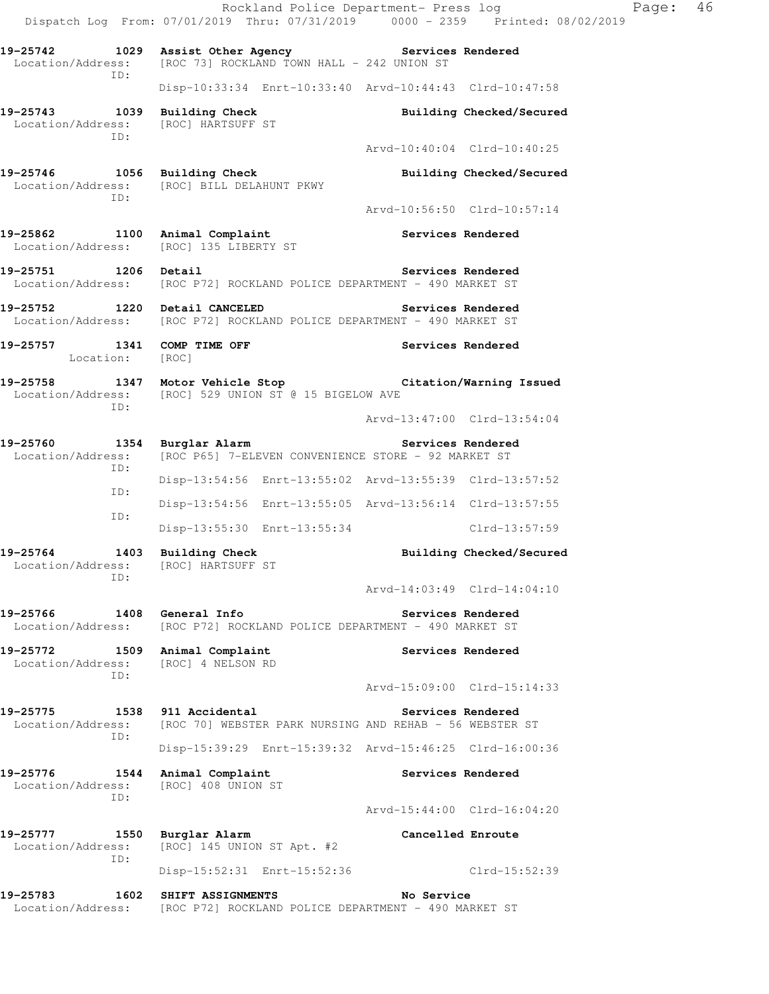Rockland Police Department- Press log Fage: 46 Dispatch Log From: 07/01/2019 Thru: 07/31/2019 0000 - 2359 Printed: 08/02/2019 **19-25742 1029 Assist Other Agency Services Rendered**  Location/Address: [ROC 73] ROCKLAND TOWN HALL - 242 UNION ST ID: Disp-10:33:34 Enrt-10:33:40 Arvd-10:44:43 Clrd-10:47:58 **19-25743 1039 Building Check Building Checked/Secured**  Location/Address: [ROC] HARTSUFF ST ID: Arvd-10:40:04 Clrd-10:40:25 19-25746 1056 Building Check **Building Checked/Secured**  Location/Address: [ROC] BILL DELAHUNT PKWY ID: Arvd-10:56:50 Clrd-10:57:14 19-25862 1100 Animal Complaint **19-25862** Services Rendered Location/Address: [ROC] 135 LIBERTY ST **19-25751 1206 Detail Services Rendered**  Location/Address: [ROC P72] ROCKLAND POLICE DEPARTMENT - 490 MARKET ST **19-25752 1220 Detail CANCELED Services Rendered**  Location/Address: [ROC P72] ROCKLAND POLICE DEPARTMENT - 490 MARKET ST 19-25757 1341 COMP TIME OFF **Services Rendered**  Location: [ROC] **19-25758 1347 Motor Vehicle Stop Citation/Warning Issued**  Location/Address: [ROC] 529 UNION ST @ 15 BIGELOW AVE ID: Arvd-13:47:00 Clrd-13:54:04 **19-25760 1354 Burglar Alarm Services Rendered**  Location/Address: [ROC P65] 7-ELEVEN CONVENIENCE STORE - 92 MARKET ST ID: Disp-13:54:56 Enrt-13:55:02 Arvd-13:55:39 Clrd-13:57:52 ID: Disp-13:54:56 Enrt-13:55:05 Arvd-13:56:14 Clrd-13:57:55 ID: Disp-13:55:30 Enrt-13:55:34 Clrd-13:57:59 19-25764 1403 Building Check **Building Checked/Secured**  Location/Address: [ROC] HARTSUFF ST ID: Arvd-14:03:49 Clrd-14:04:10 **19-25766 1408 General Info Services Rendered**  Location/Address: [ROC P72] ROCKLAND POLICE DEPARTMENT - 490 MARKET ST 19-25772 1509 Animal Complaint **19-25772** 1509 Animal Complaint Location/Address: [ROC] 4 NELSON RD ID: Arvd-15:09:00 Clrd-15:14:33 **19-25775 1538 911 Accidental Services Rendered**  Location/Address: [ROC 70] WEBSTER PARK NURSING AND REHAB - 56 WEBSTER ST ID: Disp-15:39:29 Enrt-15:39:32 Arvd-15:46:25 Clrd-16:00:36 19-25776 1544 Animal Complaint **19-25776** Services Rendered Location/Address: [ROC] 408 UNION ST ID: Arvd-15:44:00 Clrd-16:04:20 **19-25777 1550 Burglar Alarm Cancelled Enroute**  Location/Address: [ROC] 145 UNION ST Apt. #2 ID: Disp-15:52:31 Enrt-15:52:36 Clrd-15:52:39 **19-25783 1602 SHIFT ASSIGNMENTS No Service**  Location/Address: [ROC P72] ROCKLAND POLICE DEPARTMENT - 490 MARKET ST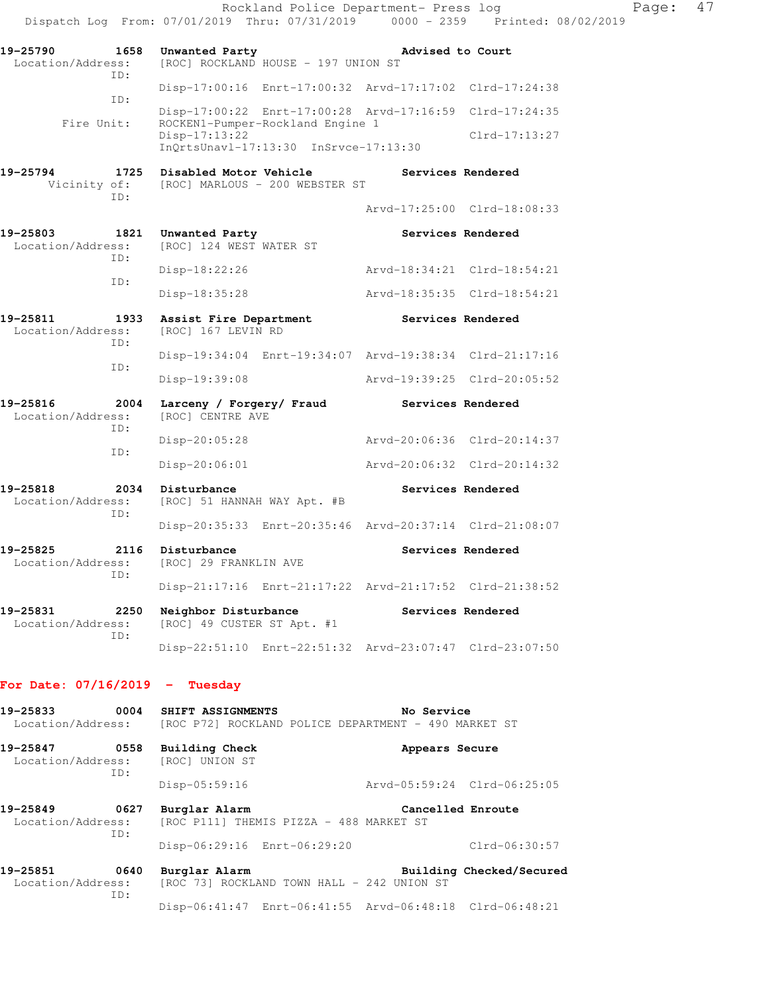|                                              |                                                                                                | Rockland Police Department- Press log<br>Dispatch Log From: 07/01/2019 Thru: 07/31/2019 0000 - 2359 Printed: 08/02/2019 | Page: | 47 |
|----------------------------------------------|------------------------------------------------------------------------------------------------|-------------------------------------------------------------------------------------------------------------------------|-------|----|
| 19-25790<br>1658<br>Location/Address:<br>TD: | Unwanted Party<br>[ROC] ROCKLAND HOUSE - 197 UNION ST                                          | Advised to Court                                                                                                        |       |    |
|                                              |                                                                                                | Disp-17:00:16 Enrt-17:00:32 Arvd-17:17:02 Clrd-17:24:38                                                                 |       |    |
| ID:                                          |                                                                                                | Disp-17:00:22 Enrt-17:00:28 Arvd-17:16:59 Clrd-17:24:35                                                                 |       |    |
| Fire Unit:                                   | ROCKEN1-Pumper-Rockland Engine 1<br>Disp-17:13:22<br>$InQrtsUnav1-17:13:30$ $InSrvce-17:13:30$ | $Clrd-17:13:27$                                                                                                         |       |    |
| 19-25794<br>Vicinity of:<br>ID:              | 1725 Disabled Motor Vehicle<br>[ROC] MARLOUS - 200 WEBSTER ST                                  | Services Rendered                                                                                                       |       |    |
|                                              |                                                                                                | Arvd-17:25:00 Clrd-18:08:33                                                                                             |       |    |
| 19-25803<br>Location/Address:<br>ID:         | 1821 Unwanted Party<br>[ROC] 124 WEST WATER ST                                                 | Services Rendered                                                                                                       |       |    |
| ID:                                          | Disp-18:22:26                                                                                  | Arvd-18:34:21 Clrd-18:54:21                                                                                             |       |    |
|                                              | Disp-18:35:28                                                                                  | Arvd-18:35:35 Clrd-18:54:21                                                                                             |       |    |
| 19-25811<br>1933<br>Location/Address:<br>ID: | Assist Fire Department<br>[ROC] 167 LEVIN RD                                                   | Services Rendered                                                                                                       |       |    |
| ID:                                          |                                                                                                | Disp-19:34:04 Enrt-19:34:07 Arvd-19:38:34 Clrd-21:17:16                                                                 |       |    |
|                                              | Disp-19:39:08                                                                                  | Arvd-19:39:25 Clrd-20:05:52                                                                                             |       |    |
| 19-25816<br>2004<br>Location/Address:<br>TD: | Larceny / Forgery/ Fraud<br>[ROC] CENTRE AVE                                                   | Services Rendered                                                                                                       |       |    |
| ID:                                          | Disp-20:05:28                                                                                  | Arvd-20:06:36 Clrd-20:14:37                                                                                             |       |    |
|                                              | Disp-20:06:01                                                                                  | Arvd-20:06:32 Clrd-20:14:32                                                                                             |       |    |
| 19-25818<br>Location/Address:<br>ID:         | 2034 Disturbance<br>[ROC] 51 HANNAH WAY Apt. #B                                                | Services Rendered                                                                                                       |       |    |
|                                              |                                                                                                | Disp-20:35:33 Enrt-20:35:46 Arvd-20:37:14 Clrd-21:08:07                                                                 |       |    |
| 19-25825<br>Location/Address:<br>TD:         | 2116 Disturbance<br>[ROC] 29 FRANKLIN AVE                                                      | Services Rendered                                                                                                       |       |    |
|                                              |                                                                                                | Disp-21:17:16 Enrt-21:17:22 Arvd-21:17:52 Clrd-21:38:52                                                                 |       |    |
| 19-25831<br>2250<br>Location/Address:<br>ID: | Neighbor Disturbance<br>[ROC] 49 CUSTER ST Apt. #1                                             | Services Rendered                                                                                                       |       |    |
|                                              |                                                                                                | Disp-22:51:10 Enrt-22:51:32 Arvd-23:07:47 Clrd-23:07:50                                                                 |       |    |

## **For Date: 07/16/2019 - Tuesday**

| 19-25833<br>$\sim$ 0004                      | SHIFT ASSIGNMENTS<br>Location/Address: [ROC P72] ROCKLAND POLICE DEPARTMENT - 490 MARKET ST | No Service                                              |
|----------------------------------------------|---------------------------------------------------------------------------------------------|---------------------------------------------------------|
| 19-25847<br>0558<br>Location/Address:<br>ID: | Building Check<br>[ROC] UNION ST                                                            | Appears Secure                                          |
|                                              | $Disp-05:59:16$                                                                             | Arvd-05:59:24 Clrd-06:25:05                             |
| 0627<br>19-25849<br>Location/Address:<br>ID: | Burglar Alarm<br>[ROC P111] THEMIS PIZZA - 488 MARKET ST                                    | Cancelled Enroute                                       |
|                                              | Disp-06:29:16 Enrt-06:29:20                                                                 | $Clrd-06:30:57$                                         |
| 0640<br>19-25851<br>Location/Address:<br>ID: | Burglar Alarm<br>[ROC 73] ROCKLAND TOWN HALL - 242 UNION ST                                 | Building Checked/Secured                                |
|                                              |                                                                                             | Disp-06:41:47 Enrt-06:41:55 Arvd-06:48:18 Clrd-06:48:21 |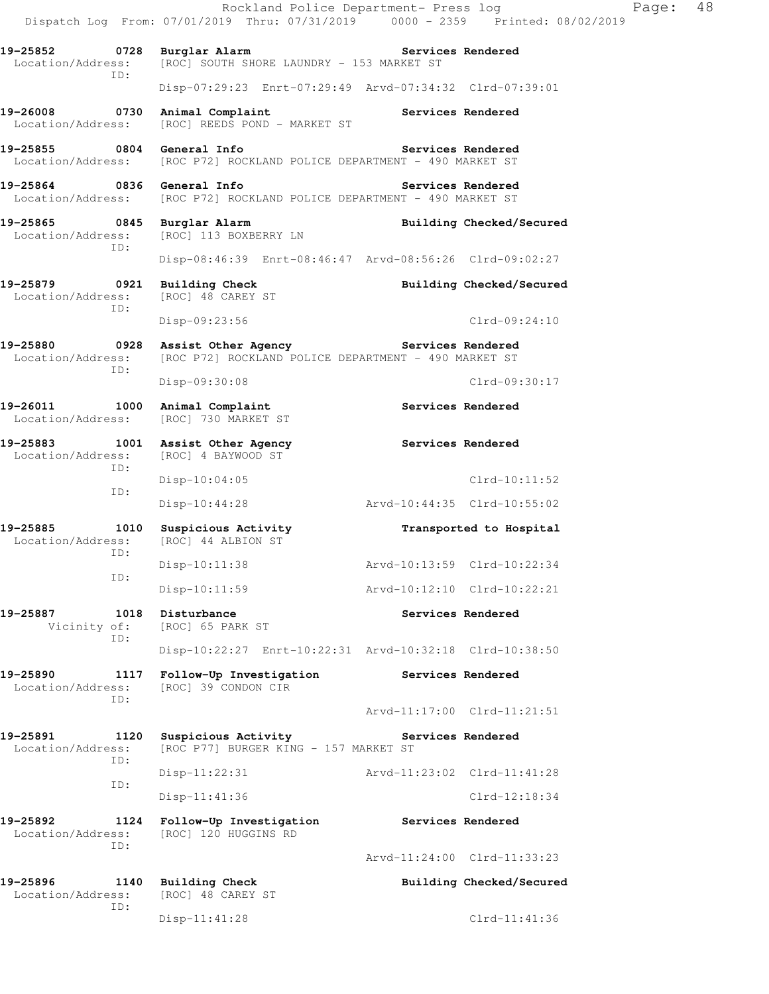Rockland Police Department- Press log Fage: 48 Dispatch Log From: 07/01/2019 Thru: 07/31/2019 0000 - 2359 Printed: 08/02/2019 19-25852 **0728** Burglar Alarm **Services Rendered**  Location/Address: [ROC] SOUTH SHORE LAUNDRY - 153 MARKET ST ID: Disp-07:29:23 Enrt-07:29:49 Arvd-07:34:32 Clrd-07:39:01 19-26008 **0730** Animal Complaint **19-26008** Services Rendered Location/Address: [ROC] REEDS POND - MARKET ST **19-25855 0804 General Info Services Rendered**  Location/Address: [ROC P72] ROCKLAND POLICE DEPARTMENT - 490 MARKET ST **19-25864 0836 General Info Services Rendered**<br>Location/Address: [ROC P72] ROCKLAND POLICE DEPARTMENT - 490 MARKET ST [ROC P72] ROCKLAND POLICE DEPARTMENT - 490 MARKET ST 19-25865 0845 Burglar Alarm **Building Checked/Secured** Location/Address: [ROC] 113 BOXBERRY LN [ROC] 113 BOXBERRY LN ID: Disp-08:46:39 Enrt-08:46:47 Arvd-08:56:26 Clrd-09:02:27 **19-25879 0921 Building Check Building Checked/Secured**  Location/Address: ID: Disp-09:23:56 Clrd-09:24:10 19-25880 **0928 Assist Other Agency Services Rendered** Location/Address: [ROC P72] ROCKLAND POLICE DEPARTMENT - 490 MARKET ST [ROC P72] ROCKLAND POLICE DEPARTMENT - 490 MARKET ST ID: Disp-09:30:08 Clrd-09:30:17 19-26011 1000 Animal Complaint **Services Rendered**  Location/Address: [ROC] 730 MARKET ST **19-25883 1001 Assist Other Agency Services Rendered**  Location/Address: [ROC] 4 BAYWOOD ST ID: Disp-10:04:05 Clrd-10:11:52 ID: Disp-10:44:28 Arvd-10:44:35 Clrd-10:55:02 **19-25885 1010 Suspicious Activity Transported to Hospital**  Location/Address: ID: Disp-10:11:38 Arvd-10:13:59 Clrd-10:22:34 ID: Disp-10:11:59 Arvd-10:12:10 Clrd-10:22:21 **19-25887 1018 Disturbance Services Rendered** Vicinity of: [ROC] 65 PARK ST [ROC] 65 PARK ST ID: Disp-10:22:27 Enrt-10:22:31 Arvd-10:32:18 Clrd-10:38:50 **19-25890 1117 Follow-Up Investigation Services Rendered**  Location/Address: [ROC] 39 CONDON CIR ID: Arvd-11:17:00 Clrd-11:21:51 **19-25891 1120 Suspicious Activity Services Rendered**  Location/Address: [ROC P77] BURGER KING - 157 MARKET ST ID: Disp-11:22:31 Arvd-11:23:02 Clrd-11:41:28 ID: Disp-11:41:36 Clrd-12:18:34 **19-25892 1124 Follow-Up Investigation Services Rendered**  Location/Address: [ROC] 120 HUGGINS RD ID: Arvd-11:24:00 Clrd-11:33:23 **19-25896 1140 Building Check Building Checked/Secured**  Location/Address: [ROC] 48 CAREY ST ID: Disp-11:41:28 Clrd-11:41:36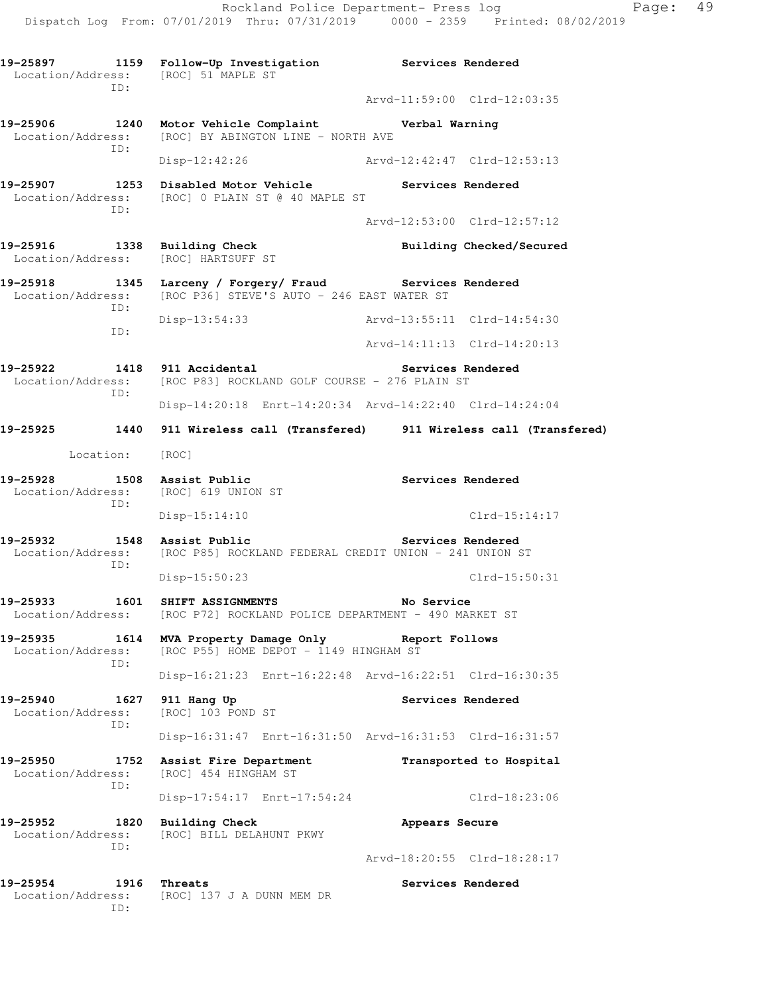**19-25897 1159 Follow-Up Investigation Services Rendered**  Location/Address: [ROC] 51 MAPLE ST ID: Arvd-11:59:00 Clrd-12:03:35 **19-25906 1240 Motor Vehicle Complaint Verbal Warning**  Location/Address: [ROC] BY ABINGTON LINE - NORTH AVE ID: Disp-12:42:26 Arvd-12:42:47 Clrd-12:53:13 **19-25907 1253 Disabled Motor Vehicle Services Rendered**  Location/Address: [ROC] 0 PLAIN ST @ 40 MAPLE ST ID: Arvd-12:53:00 Clrd-12:57:12 19-25916 1338 Building Check **Building Checked/Secured**  Location/Address: [ROC] HARTSUFF ST **19-25918 1345 Larceny / Forgery/ Fraud Services Rendered**  Location/Address: [ROC P36] STEVE'S AUTO - 246 EAST WATER ST ID: Disp-13:54:33 Arvd-13:55:11 Clrd-14:54:30 ID: Arvd-14:11:13 Clrd-14:20:13 **19-25922 1418 911 Accidental Services Rendered**  Location/Address: [ROC P83] ROCKLAND GOLF COURSE - 276 PLAIN ST ID: Disp-14:20:18 Enrt-14:20:34 Arvd-14:22:40 Clrd-14:24:04 **19-25925 1440 911 Wireless call (Transfered) 911 Wireless call (Transfered)**  Location: [ROC] **19-25928 1508 Assist Public Services Rendered**  Location/Address: [ROC] 619 UNION ST ID: Disp-15:14:10 Clrd-15:14:17 **19-25932 1548 Assist Public Services Rendered**  Location/Address: [ROC P85] ROCKLAND FEDERAL CREDIT UNION - 241 UNION ST ID: Disp-15:50:23 Clrd-15:50:31 **19-25933 1601 SHIFT ASSIGNMENTS No Service**  Location/Address: [ROC P72] ROCKLAND POLICE DEPARTMENT - 490 MARKET ST **19-25935 1614 MVA Property Damage Only Report Follows**  Location/Address: [ROC P55] HOME DEPOT - 1149 HINGHAM ST ID: Disp-16:21:23 Enrt-16:22:48 Arvd-16:22:51 Clrd-16:30:35 **19-25940 1627 911 Hang Up** Services Rendered Location/Address: [ROC] 103 POND ST Location/Address: ID: Disp-16:31:47 Enrt-16:31:50 Arvd-16:31:53 Clrd-16:31:57 **19-25950 1752 Assist Fire Department Transported to Hospital**  Location/Address: [ROC] 454 HINGHAM ST ID: Disp-17:54:17 Enrt-17:54:24 Clrd-18:23:06 19-25952 1820 Building Check **Appears Secure Appears Secure Appears Secure Appears Secure** [ROC] BILL DELAHUNT PKWY ID: Arvd-18:20:55 Clrd-18:28:17 **19-25954** 1916 Threats **1918** Services Rendered Location/Address: [ROC] 137 J A DUNN MEM DR ID: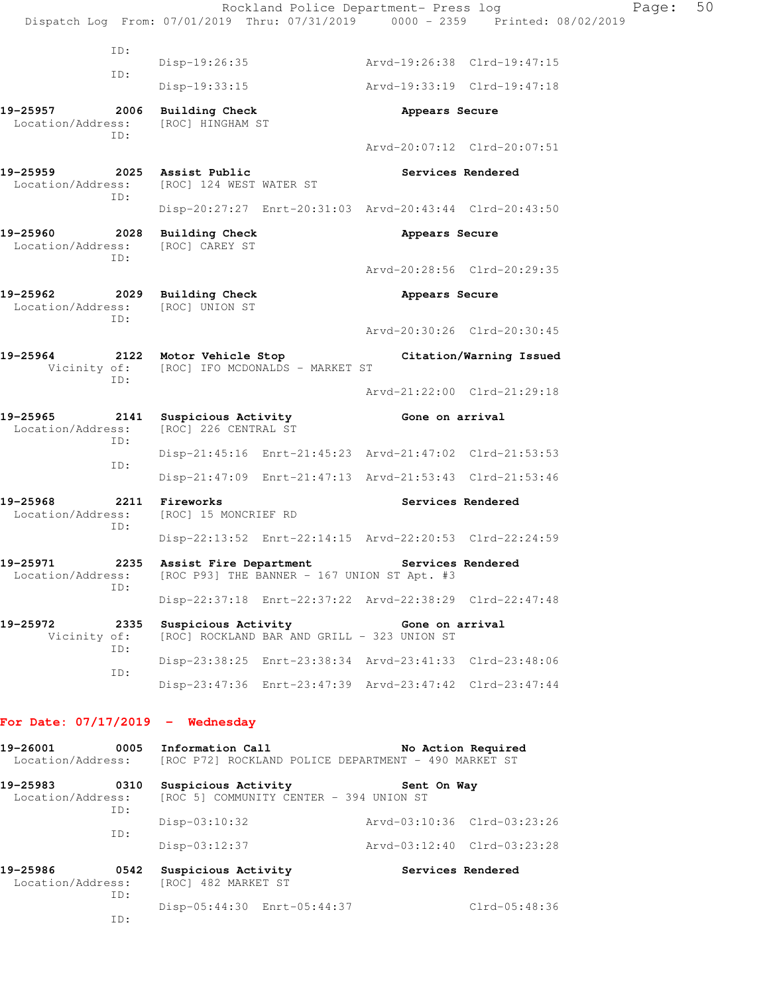|                                                                                    |     |                                                                                              | Rockland Police Department- Press log |                 | Dispatch Log From: 07/01/2019 Thru: 07/31/2019 0000 - 2359 Printed: 08/02/2019 | Page: | 50 |
|------------------------------------------------------------------------------------|-----|----------------------------------------------------------------------------------------------|---------------------------------------|-----------------|--------------------------------------------------------------------------------|-------|----|
|                                                                                    | ID: |                                                                                              |                                       |                 |                                                                                |       |    |
|                                                                                    | ID: | Disp-19:26:35                                                                                |                                       |                 | Arvd-19:26:38 Clrd-19:47:15                                                    |       |    |
|                                                                                    |     | $Disp-19:33:15$                                                                              |                                       |                 | Arvd-19:33:19 Clrd-19:47:18                                                    |       |    |
| 19-25957<br>Location/Address:                                                      | ID: | 2006 Building Check<br>[ROC] HINGHAM ST                                                      |                                       | Appears Secure  |                                                                                |       |    |
|                                                                                    |     |                                                                                              |                                       |                 | Arvd-20:07:12 Clrd-20:07:51                                                    |       |    |
| 19-25959 2025 Assist Public<br>Location/Address:                                   | ID: | [ROC] 124 WEST WATER ST                                                                      |                                       |                 | Services Rendered                                                              |       |    |
|                                                                                    |     |                                                                                              |                                       |                 | Disp-20:27:27 Enrt-20:31:03 Arvd-20:43:44 Clrd-20:43:50                        |       |    |
| 19-25960<br>Location/Address:                                                      | TD: | 2028 Building Check<br>[ROC] CAREY ST                                                        |                                       | Appears Secure  |                                                                                |       |    |
|                                                                                    |     |                                                                                              |                                       |                 | Arvd-20:28:56 Clrd-20:29:35                                                    |       |    |
| 19-25962<br>Location/Address:                                                      | ID: | 2029 Building Check<br>[ROC] UNION ST                                                        |                                       | Appears Secure  |                                                                                |       |    |
|                                                                                    |     |                                                                                              |                                       |                 | Arvd-20:30:26 Clrd-20:30:45                                                    |       |    |
| 19-25964                                                                           | ID: | 2122 Motor Vehicle Stop<br>Vicinity of: [ROC] IFO MCDONALDS - MARKET ST                      |                                       |                 | Citation/Warning Issued                                                        |       |    |
|                                                                                    |     |                                                                                              |                                       |                 | Arvd-21:22:00 Clrd-21:29:18                                                    |       |    |
| 19-25965<br>Location/Address:                                                      | ID: | 2141 Suspicious Activity<br>[ROC] 226 CENTRAL ST                                             |                                       | Gone on arrival |                                                                                |       |    |
|                                                                                    | ID: |                                                                                              |                                       |                 | Disp-21:45:16 Enrt-21:45:23 Arvd-21:47:02 Clrd-21:53:53                        |       |    |
|                                                                                    |     |                                                                                              |                                       |                 | Disp-21:47:09 Enrt-21:47:13 Arvd-21:53:43 Clrd-21:53:46                        |       |    |
| 19-25968<br>Location/Address:                                                      | ID: | 2211 Fireworks<br>[ROC] 15 MONCRIEF RD                                                       |                                       |                 | Services Rendered                                                              |       |    |
|                                                                                    |     |                                                                                              |                                       |                 | Disp-22:13:52 Enrt-22:14:15 Arvd-22:20:53 Clrd-22:24:59                        |       |    |
| 19-25971<br>Location/Address:                                                      | TD: | 2235 Assist Fire Department Services Rendered<br>[ROC P93] THE BANNER - 167 UNION ST Apt. #3 |                                       |                 |                                                                                |       |    |
|                                                                                    |     |                                                                                              |                                       |                 | Disp-22:37:18 Enrt-22:37:22 Arvd-22:38:29 Clrd-22:47:48                        |       |    |
| 19-25972<br>Vicinity of:                                                           | ID: | 2335 Suspicious Activity The Gone on arrival<br>[ROC] ROCKLAND BAR AND GRILL - 323 UNION ST  |                                       |                 |                                                                                |       |    |
|                                                                                    | ID: |                                                                                              |                                       |                 | Disp-23:38:25 Enrt-23:38:34 Arvd-23:41:33 Clrd-23:48:06                        |       |    |
|                                                                                    |     |                                                                                              |                                       |                 | Disp-23:47:36 Enrt-23:47:39 Arvd-23:47:42 Clrd-23:47:44                        |       |    |
| For Date: $07/17/2019$ - Wednesday                                                 |     |                                                                                              |                                       |                 |                                                                                |       |    |
| 19-26001<br>Location/Address: [ROC P72] ROCKLAND POLICE DEPARTMENT - 490 MARKET ST |     | 0005 Information Call                                                                        |                                       |                 | No Action Required                                                             |       |    |
| 19-25983<br>Location/Address:                                                      | ID: | 0310 Suspicious Activity<br>[ROC 5] COMMUNITY CENTER - 394 UNION ST                          |                                       | Sent On Way     |                                                                                |       |    |
|                                                                                    | ID: | Disp-03:10:32                                                                                |                                       |                 | Arvd-03:10:36 Clrd-03:23:26                                                    |       |    |
|                                                                                    |     | Disp-03:12:37                                                                                |                                       |                 | Arvd-03:12:40 Clrd-03:23:28                                                    |       |    |
| 19-25986<br>Location/Address:                                                      | ID: | 0542 Suspicious Activity<br>[ROC] 482 MARKET ST                                              |                                       |                 | Services Rendered                                                              |       |    |
|                                                                                    | ID: | Disp-05:44:30 Enrt-05:44:37                                                                  |                                       |                 | Clrd-05:48:36                                                                  |       |    |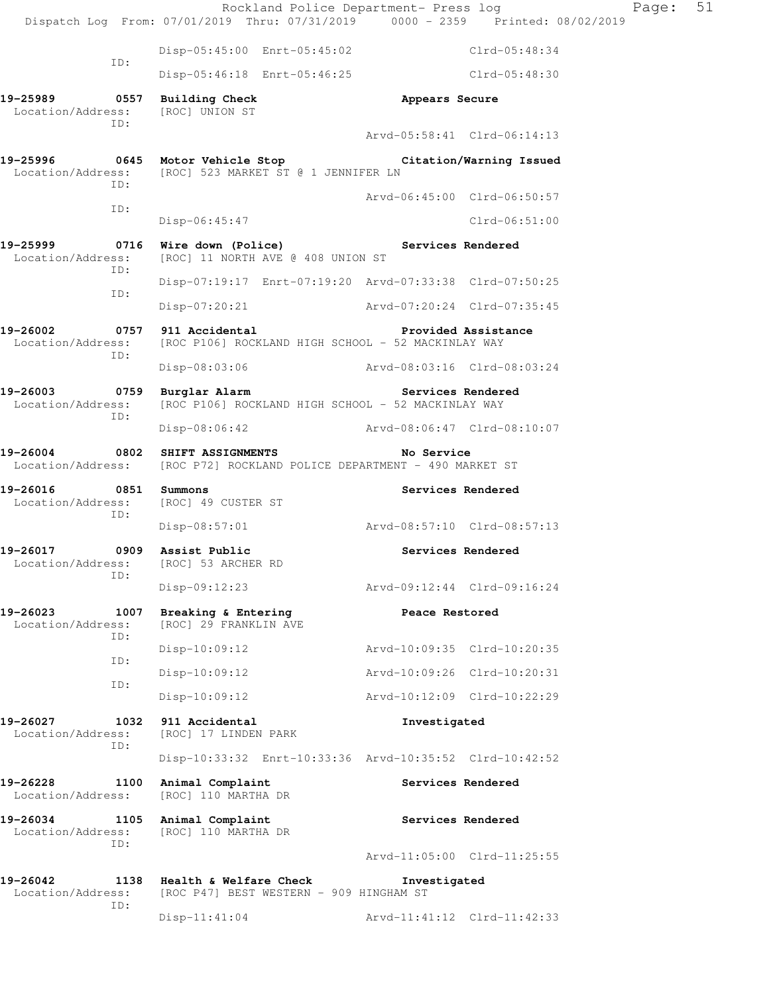Rockland Police Department- Press log Fage: 51 Dispatch Log From: 07/01/2019 Thru: 07/31/2019 0000 - 2359 Printed: 08/02/2019 Disp-05:45:00 Enrt-05:45:02 Clrd-05:48:34 ID: Disp-05:46:18 Enrt-05:46:25 Clrd-05:48:30 **19-25989 0557 Building Check Appears Secure**  Location/Address: [ROC] UNION ST ID: Arvd-05:58:41 Clrd-06:14:13 **19-25996 0645 Motor Vehicle Stop Citation/Warning Issued**  Location/Address: [ROC] 523 MARKET ST @ 1 JENNIFER LN ID: Arvd-06:45:00 Clrd-06:50:57 ID: Disp-06:45:47 Clrd-06:51:00 **19-25999 0716 Wire down (Police) Services Rendered**  Location/Address: [ROC] 11 NORTH AVE @ 408 UNION ST ID: Disp-07:19:17 Enrt-07:19:20 Arvd-07:33:38 Clrd-07:50:25 ID: Disp-07:20:21 Arvd-07:20:24 Clrd-07:35:45 **19-26002 0757 911 Accidental Provided Assistance**  Location/Address: [ROC P106] ROCKLAND HIGH SCHOOL - 52 MACKINLAY WAY ID: Disp-08:03:06 Arvd-08:03:16 Clrd-08:03:24 19-26003 **0759** Burglar Alarm **Services Rendered**  Location/Address: [ROC P106] ROCKLAND HIGH SCHOOL - 52 MACKINLAY WAY ID: Disp-08:06:42 Arvd-08:06:47 Clrd-08:10:07 **19-26004 0802 SHIFT ASSIGNMENTS No Service**  Location/Address: [ROC P72] ROCKLAND POLICE DEPARTMENT - 490 MARKET ST **19-26016 0851 Summons Services Rendered Services Rendered Integral Services Rendered** Location/Address: ID: Disp-08:57:01 Arvd-08:57:10 Clrd-08:57:13 **19-26017 0909 Assist Public Services Rendered**  Location/Address: [ROC] 53 ARCHER RD ID: Disp-09:12:23 Arvd-09:12:44 Clrd-09:16:24 19-26023 1007 Breaking & Entering **Peace Restored**  Location/Address: [ROC] 29 FRANKLIN AVE ID: Disp-10:09:12 Arvd-10:09:35 Clrd-10:20:35 ID: Disp-10:09:12 Arvd-10:09:26 Clrd-10:20:31 ID: Disp-10:09:12 Arvd-10:12:09 Clrd-10:22:29 **19-26027 1032 911 Accidental Investigated**  Location/Address: [ROC] 17 LINDEN PARK ID: Disp-10:33:32 Enrt-10:33:36 Arvd-10:35:52 Clrd-10:42:52 19-26228 1100 Animal Complaint **Services Rendered**  Location/Address: [ROC] 110 MARTHA DR 19-26034 1105 Animal Complaint **Services Rendered**  Location/Address: [ROC] 110 MARTHA DR ID: Arvd-11:05:00 Clrd-11:25:55 **19-26042 1138 Health & Welfare Check Investigated**  Location/Address: [ROC P47] BEST WESTERN - 909 HINGHAM ST ID: Disp-11:41:04 Arvd-11:41:12 Clrd-11:42:33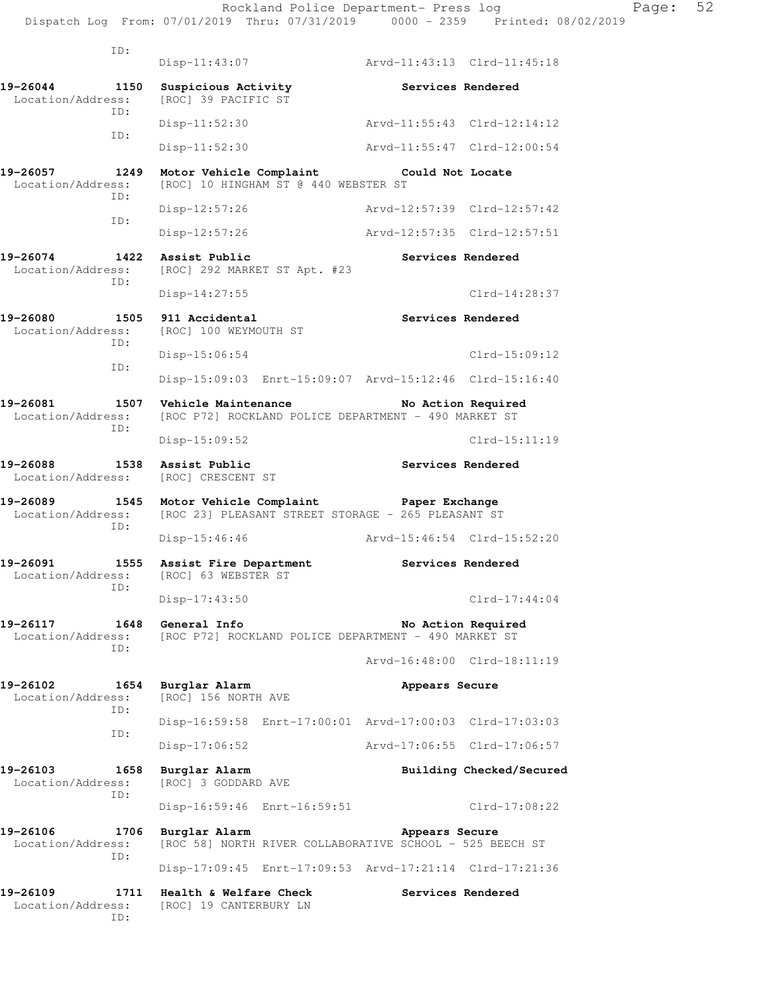ID: Disp-11:43:07 Arvd-11:43:13 Clrd-11:45:18 **19-26044 1150 Suspicious Activity Services Rendered**  Location/Address: [ROC] 39 PACIFIC ST ID: Disp-11:52:30 Arvd-11:55:43 Clrd-12:14:12 ID: Disp-11:52:30 Arvd-11:55:47 Clrd-12:00:54 **19-26057 1249 Motor Vehicle Complaint Could Not Locate**  Location/Address: [ROC] 10 HINGHAM ST @ 440 WEBSTER ST ID: Disp-12:57:26 Arvd-12:57:39 Clrd-12:57:42 ID: Disp-12:57:26 Arvd-12:57:35 Clrd-12:57:51 **19-26074 1422 Assist Public Services Rendered**  Location/Address: [ROC] 292 MARKET ST Apt. #23 ID: Disp-14:27:55 Clrd-14:28:37 19-26080 1505 911 Accidental **19-26080** Services Rendered Location/Address: [ROC] 100 WEYMOUTH ST ID: Disp-15:06:54 Clrd-15:09:12 ID: Disp-15:09:03 Enrt-15:09:07 Arvd-15:12:46 Clrd-15:16:40 19-26081 1507 Vehicle Maintenance No Action Required Location/Address: [ROC P72] ROCKLAND POLICE DEPARTMENT - 490 MARKET ST ID: Disp-15:09:52 Clrd-15:11:19 19-26088 1538 Assist Public **19-26088** Services Rendered Location/Address: [ROC] CRESCENT ST **19-26089 1545 Motor Vehicle Complaint Paper Exchange**  Location/Address: [ROC 23] PLEASANT STREET STORAGE - 265 PLEASANT ST ID: Disp-15:46:46 Arvd-15:46:54 Clrd-15:52:20 **19-26091 1555 Assist Fire Department Services Rendered**  Location/Address: [ROC] 63 WEBSTER ST ID: Disp-17:43:50 Clrd-17:44:04 19-26117 1648 General Info **No Action Required** Location/Address: [ROC P72] ROCKLAND POLICE DEPARTMENT - 490 MARKET ST ID: Arvd-16:48:00 Clrd-18:11:19 **19-26102 1654 Burglar Alarm Appears Secure**  Location/Address: [ROC] 156 NORTH AVE ID: Disp-16:59:58 Enrt-17:00:01 Arvd-17:00:03 Clrd-17:03:03 ID: Disp-17:06:52 Arvd-17:06:55 Clrd-17:06:57 **19-26103 1658 Burglar Alarm Building Checked/Secured**  Location/Address: [ROC] 3 GODDARD AVE ID: Disp-16:59:46 Enrt-16:59:51 Clrd-17:08:22 **19-26106 1706 Burglar Alarm Appears Secure**  Location/Address: [ROC 58] NORTH RIVER COLLABORATIVE SCHOOL - 525 BEECH ST ID: Disp-17:09:45 Enrt-17:09:53 Arvd-17:21:14 Clrd-17:21:36 **19-26109 1711 Health & Welfare Check Services Rendered**  Location/Address: [ROC] 19 CANTERBURY LN ID: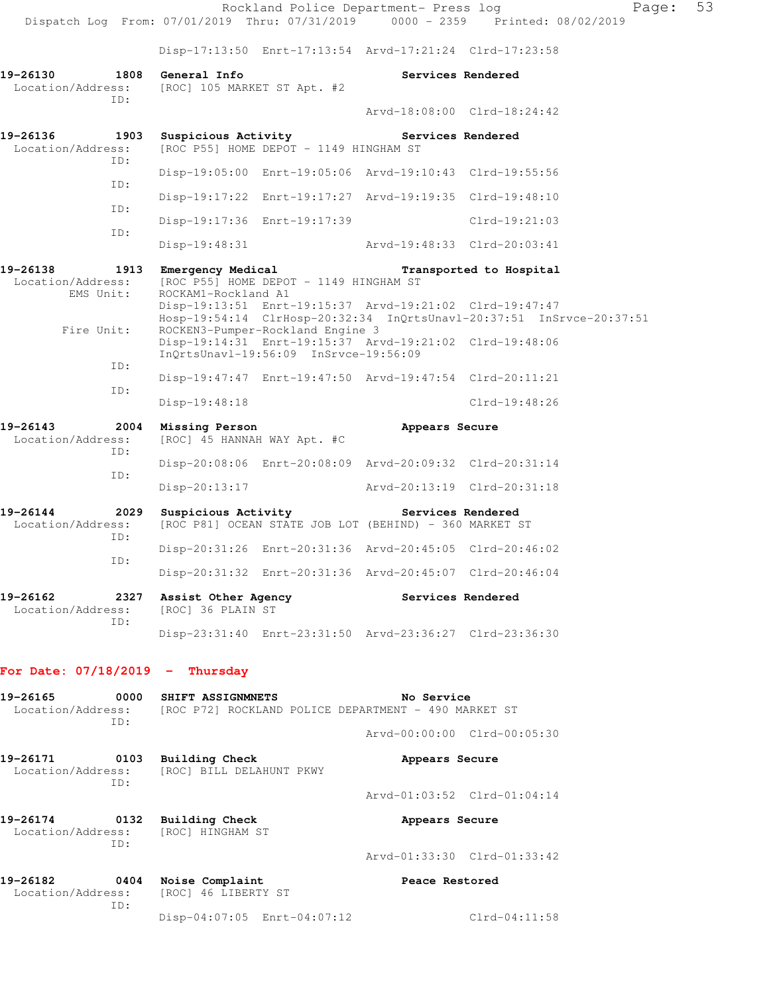Rockland Police Department- Press log Fage: 53 Dispatch Log From: 07/01/2019 Thru: 07/31/2019 0000 - 2359 Printed: 08/02/2019 Disp-17:13:50 Enrt-17:13:54 Arvd-17:21:24 Clrd-17:23:58 **19-26130 1808 General Info Services Rendered**<br>
Location/Address: [ROC] 105 MARKET ST Apt. #2 [ROC] 105 MARKET ST Apt. #2 ID: Arvd-18:08:00 Clrd-18:24:42 **19-26136 1903 Suspicious Activity Services Rendered**  Location/Address: [ROC P55] HOME DEPOT - 1149 HINGHAM ST ID: Disp-19:05:00 Enrt-19:05:06 Arvd-19:10:43 Clrd-19:55:56 ID: Disp-19:17:22 Enrt-19:17:27 Arvd-19:19:35 Clrd-19:48:10 ID: Disp-19:17:36 Enrt-19:17:39 Clrd-19:21:03 ID: Disp-19:48:31 Arvd-19:48:33 Clrd-20:03:41 **19-26138 1913 Emergency Medical Transported to Hospital**  Location/Address: [ROC P55] HOME DEPOT - 1149 HINGHAM ST EMS Unit: ROCKAM1-Rockland A1 Disp-19:13:51 Enrt-19:15:37 Arvd-19:21:02 Clrd-19:47:47 Hosp-19:54:14 ClrHosp-20:32:34 InQrtsUnavl-20:37:51 InSrvce-20:37:51 Fire Unit: ROCKEN3-Pumper-Rockland Engine 3 Disp-19:14:31 Enrt-19:15:37 Arvd-19:21:02 Clrd-19:48:06 InQrtsUnavl-19:56:09 InSrvce-19:56:09 ID: Disp-19:47:47 Enrt-19:47:50 Arvd-19:47:54 Clrd-20:11:21 ID: Disp-19:48:18 Clrd-19:48:26 **19-26143 2004 Missing Person Appears Secure**  Location/Address: [ROC] 45 HANNAH WAY Apt. #C ID: Disp-20:08:06 Enrt-20:08:09 Arvd-20:09:32 Clrd-20:31:14 ID: Disp-20:13:17 Arvd-20:13:19 Clrd-20:31:18 19-26144 2029 Suspicious Activity Services Rendered Location/Address: [ROC P81] OCEAN STATE JOB LOT (BEHIND) - 360 MARKET S [ROC P81] OCEAN STATE JOB LOT (BEHIND) - 360 MARKET ST ID: Disp-20:31:26 Enrt-20:31:36 Arvd-20:45:05 Clrd-20:46:02 ID: Disp-20:31:32 Enrt-20:31:36 Arvd-20:45:07 Clrd-20:46:04 19-26162 2327 Assist Other Agency<br>
Location/Address: [ROC] 36 PLAIN ST Location/Address: ID: Disp-23:31:40 Enrt-23:31:50 Arvd-23:36:27 Clrd-23:36:30

#### **For Date: 07/18/2019 - Thursday**

| 19-26165<br>Location/Address:         | 0000<br>ID: | SHIFT ASSIGNMNETS<br>[ROC P72] ROCKLAND POLICE DEPARTMENT - 490 MARKET ST | No Service                  |
|---------------------------------------|-------------|---------------------------------------------------------------------------|-----------------------------|
|                                       |             |                                                                           | Arvd-00:00:00 Clrd-00:05:30 |
| 19-26171                              | 0103<br>TD: | <b>Building Check</b><br>Location/Address: [ROC] BILL DELAHUNT PKWY       | Appears Secure              |
|                                       |             |                                                                           | Arvd-01:03:52 Clrd-01:04:14 |
| 0132<br>19-26174<br>Location/Address: |             | Building Check<br>[ROC] HINGHAM ST                                        | Appears Secure              |
|                                       | ID:         |                                                                           | Arvd-01:33:30 Clrd-01:33:42 |
| 0404<br>19-26182<br>ID:               |             | Noise Complaint<br>Location/Address: [ROC] 46 LIBERTY ST                  | Peace Restored              |
|                                       |             | Disp-04:07:05 Enrt-04:07:12                                               | $Clrd-04:11:58$             |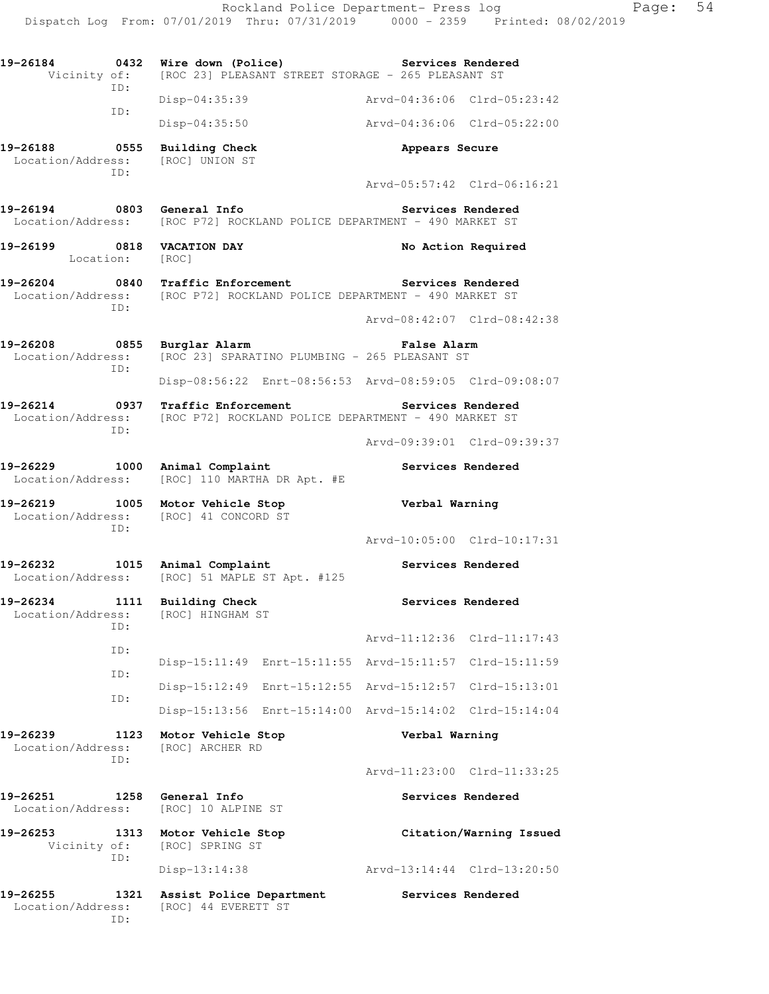| 19-26184                                      | ID:         | 0432 Wire down (Police)<br>Vicinity of: [ROC 23] PLEASANT STREET STORAGE - 265 PLEASANT ST                                                               | Services Rendered                                       |
|-----------------------------------------------|-------------|----------------------------------------------------------------------------------------------------------------------------------------------------------|---------------------------------------------------------|
|                                               |             | Disp-04:35:39                                                                                                                                            | Arvd-04:36:06 Clrd-05:23:42                             |
|                                               | ID:         | Disp-04:35:50                                                                                                                                            | Arvd-04:36:06 Clrd-05:22:00                             |
|                                               | ID:         | 19-26188 0555 Building Check<br>Location/Address: [ROC] UNION ST                                                                                         | Appears Secure                                          |
|                                               |             |                                                                                                                                                          | Arvd-05:57:42 Clrd-06:16:21                             |
| 19-26194 0803 General Info                    |             | Location/Address: [ROC P72] ROCKLAND POLICE DEPARTMENT - 490 MARKET ST                                                                                   | Services Rendered                                       |
| 19-26199 0818 VACATION DAY<br>Location: [ROC] |             |                                                                                                                                                          | No Action Required                                      |
|                                               | ID:         | 19-26204 0840 Traffic Enforcement Services Rendered<br>Location/Address: [ROC P72] ROCKLAND POLICE DEPARTMENT - 490 MARKET ST                            |                                                         |
|                                               |             |                                                                                                                                                          | Arvd-08:42:07 Clrd-08:42:38                             |
|                                               | ID:         | 19-26208 0855 Burglar Alarm<br>Location/Address: [ROC 23] SPARATINO PLUMBING - 265 PLEASANT ST                                                           | False Alarm                                             |
|                                               |             |                                                                                                                                                          | Disp-08:56:22 Enrt-08:56:53 Arvd-08:59:05 Clrd-09:08:07 |
|                                               | ID:         | 19-26214 		 0937 Traffic Enforcement 		 Services Rendered<br>Location/Address: [ROC P72] ROCKLAND POLICE DEPARTMENT - 490 MARKET ST                      |                                                         |
|                                               |             |                                                                                                                                                          | Arvd-09:39:01 Clrd-09:39:37                             |
|                                               |             | 19-26229 1000 Animal Complaint<br>Location/Address: [ROC] 110 MARTHA DR Apt. #E                                                                          | Services Rendered                                       |
|                                               | ID:         | 19-26219 1005 Motor Vehicle Stop<br>Location/Address: [ROC] 41 CONCORD ST                                                                                | Verbal Warning                                          |
|                                               |             |                                                                                                                                                          | Arvd-10:05:00 Clrd-10:17:31                             |
|                                               |             | $\begin{array}{c} 0 & \text{if } \Delta \subseteq \Delta \end{array}$<br>19-26232 1015 Animal Complaint<br>Location/Address: [ROC] 51 MAPLE ST Apt. #125 | Services Rendered                                       |
|                                               | ID:         | 19-26234 1111 Building Check<br>Location/Address: [ROC] HINGHAM ST                                                                                       | Services Rendered                                       |
|                                               | ID:         |                                                                                                                                                          | Arvd-11:12:36<br>$Clrd-11:17:43$                        |
|                                               | ID:         | Disp-15:11:49 Enrt-15:11:55 Arvd-15:11:57                                                                                                                | Clrd-15:11:59                                           |
|                                               | ID:         | $Disp-15:12:49$                                                                                                                                          | Enrt-15:12:55 Arvd-15:12:57<br>$Clrd-15:13:01$          |
|                                               |             | Disp-15:13:56<br>$Enrt-15:14:00$                                                                                                                         | Arvd-15:14:02 Clrd-15:14:04                             |
| 19-26239<br>Location/Address:                 | 1123<br>TD: | Motor Vehicle Stop<br>[ROC] ARCHER RD                                                                                                                    | Verbal Warning                                          |
|                                               |             |                                                                                                                                                          | Arvd-11:23:00 Clrd-11:33:25                             |
| 19-26251<br>Location/Address:                 | 1258        | General Info<br>[ROC] 10 ALPINE ST                                                                                                                       | Services Rendered                                       |
| 19-26253<br>Vicinity of:                      | 1313<br>ID: | Motor Vehicle Stop<br>[ROC] SPRING ST                                                                                                                    | Citation/Warning Issued                                 |
|                                               |             | Disp-13:14:38                                                                                                                                            | Arvd-13:14:44 Clrd-13:20:50                             |
| 19-26255<br>Location/Address:                 | 1321<br>ID: | Assist Police Department<br>[ROC] 44 EVERETT ST                                                                                                          | Services Rendered                                       |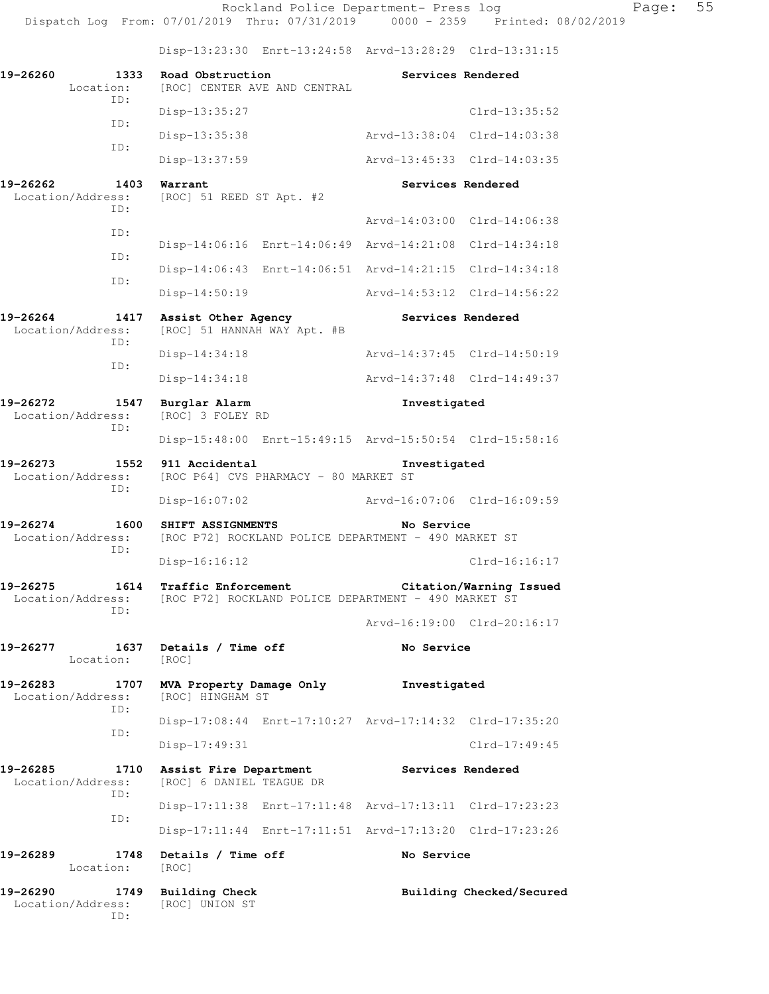Disp-13:23:30 Enrt-13:24:58 Arvd-13:28:29 Clrd-13:31:15

| 19-26260<br>Location:         | 1333        | Road Obstruction<br>[ROC] CENTER AVE AND CENTRAL   |                                                         | Services Rendered |                             |
|-------------------------------|-------------|----------------------------------------------------|---------------------------------------------------------|-------------------|-----------------------------|
|                               | ID:         | Disp-13:35:27                                      |                                                         |                   | $Clrd-13:35:52$             |
|                               | ID:         | Disp-13:35:38                                      |                                                         |                   | Arvd-13:38:04 Clrd-14:03:38 |
|                               | ID:         | Disp-13:37:59                                      |                                                         |                   | Arvd-13:45:33 Clrd-14:03:35 |
| 19-26262<br>Location/Address: | 1403        | Warrant<br>[ROC] 51 REED ST Apt. #2                |                                                         | Services Rendered |                             |
|                               | ID:         |                                                    |                                                         |                   | Arvd-14:03:00 Clrd-14:06:38 |
|                               | ID:         |                                                    | Disp-14:06:16 Enrt-14:06:49 Arvd-14:21:08               |                   | $Clrd-14:34:18$             |
|                               | ID:         |                                                    | Disp-14:06:43 Enrt-14:06:51 Arvd-14:21:15               |                   | $Clrd-14:34:18$             |
|                               | ID:         | $Disp-14:50:19$                                    |                                                         |                   | Arvd-14:53:12 Clrd-14:56:22 |
| 19-26264<br>Location/Address: | 1417        | Assist Other Agency<br>[ROC] 51 HANNAH WAY Apt. #B |                                                         | Services Rendered |                             |
|                               | ID:         | $Disp-14:34:18$                                    |                                                         |                   | Arvd-14:37:45 Clrd-14:50:19 |
|                               | ID:         | $Disp-14:34:18$                                    |                                                         |                   | Arvd-14:37:48 Clrd-14:49:37 |
| 19-26272<br>Location/Address: | 1547        | Burglar Alarm<br>[ROC] 3 FOLEY RD                  |                                                         | Investigated      |                             |
|                               | TD:         |                                                    | Disp-15:48:00 Enrt-15:49:15 Arvd-15:50:54 Clrd-15:58:16 |                   |                             |
| 19-26273<br>Location/Address: | 1552<br>ID: | 911 Accidental                                     | [ROC P64] CVS PHARMACY - 80 MARKET ST                   | Investigated      |                             |
|                               |             | $Disp-16:07:02$                                    |                                                         |                   | Arvd-16:07:06 Clrd-16:09:59 |
| 19-26274<br>Location/Address: | 1600<br>ID: | SHIFT ASSIGNMENTS                                  | [ROC P72] ROCKLAND POLICE DEPARTMENT - 490 MARKET ST    | No Service        |                             |
|                               |             | Disp-16:16:12                                      |                                                         |                   | Clrd-16:16:17               |
| 19-26275<br>Location/Address: | 1614<br>ID: | Traffic Enforcement                                | [ROC P72] ROCKLAND POLICE DEPARTMENT - 490 MARKET ST    |                   | Citation/Warning Issued     |
|                               |             |                                                    |                                                         |                   | Arvd-16:19:00 Clrd-20:16:17 |
| 19-26277<br>Location:         | 1637        | Details / Time off<br>[ROC]                        |                                                         | No Service        |                             |
| 19-26283<br>Location/Address: | 1707<br>ID: | MVA Property Damage Only<br>[ROC] HINGHAM ST       |                                                         | Investigated      |                             |
|                               | ID:         |                                                    | Disp-17:08:44 Enrt-17:10:27 Arvd-17:14:32 Clrd-17:35:20 |                   |                             |
|                               |             | Disp-17:49:31                                      |                                                         |                   | $Clrd-17:49:45$             |
| 19-26285<br>Location/Address: | 1710<br>ID: | Assist Fire Department<br>[ROC] 6 DANIEL TEAGUE DR |                                                         | Services Rendered |                             |
|                               |             |                                                    | Disp-17:11:38 Enrt-17:11:48 Arvd-17:13:11 Clrd-17:23:23 |                   |                             |
|                               | ID:         |                                                    | Disp-17:11:44 Enrt-17:11:51 Arvd-17:13:20 Clrd-17:23:26 |                   |                             |
| 19-26289<br>Location:         | 1748        | Details / Time off<br>[ROC]                        |                                                         | No Service        |                             |
| 19-26290<br>Location/Address: | 1749<br>ID: | <b>Building Check</b><br>[ROC] UNION ST            |                                                         |                   | Building Checked/Secured    |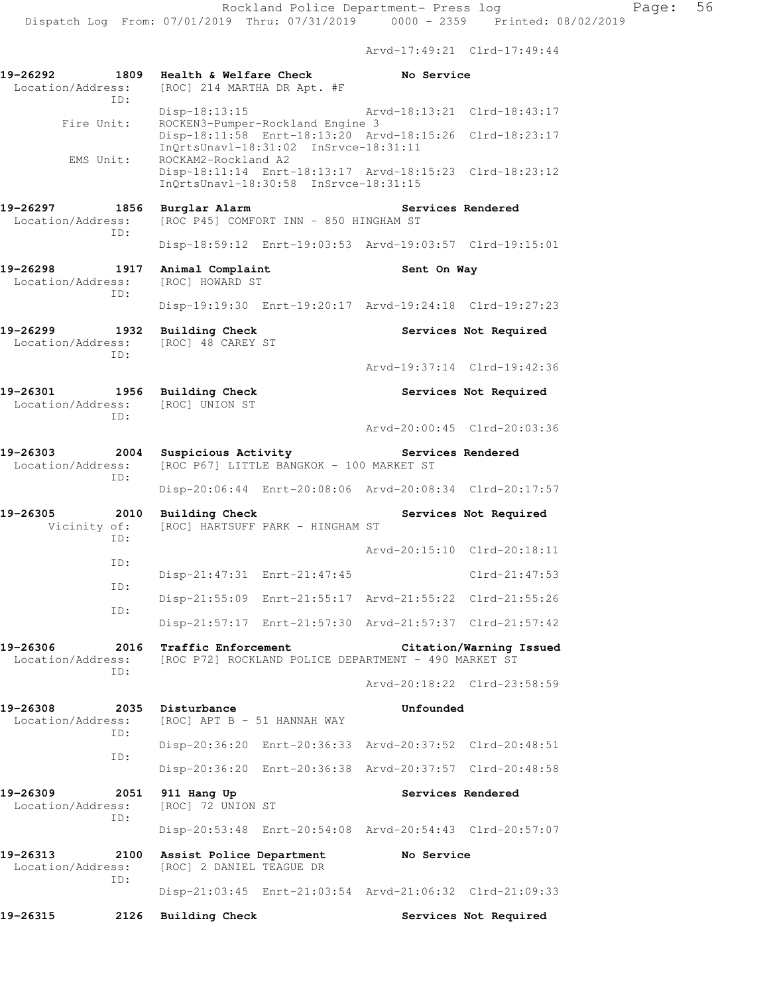Arvd-17:49:21 Clrd-17:49:44

| 19-26292<br>1809<br>Location/Address:<br>ID: | Health & Welfare Check<br>[ROC] 214 MARTHA DR Apt. #F                       | No Service                                              |
|----------------------------------------------|-----------------------------------------------------------------------------|---------------------------------------------------------|
|                                              | Disp-18:13:15                                                               | Arvd-18:13:21 Clrd-18:43:17                             |
| Fire Unit:                                   | ROCKEN3-Pumper-Rockland Engine 3<br>InQrtsUnavl-18:31:02 InSrvce-18:31:11   | Disp-18:11:58 Enrt-18:13:20 Arvd-18:15:26 Clrd-18:23:17 |
| EMS Unit:                                    | ROCKAM2-Rockland A2<br>InOrtsUnavl-18:30:58 InSrvce-18:31:15                | Disp-18:11:14 Enrt-18:13:17 Arvd-18:15:23 Clrd-18:23:12 |
| 19-26297<br>1856<br>Location/Address:        | Burglar Alarm<br>[ROC P45] COMFORT INN - 850 HINGHAM ST                     | <b>Services Rendered</b>                                |
| ID:                                          |                                                                             | Disp-18:59:12 Enrt-19:03:53 Arvd-19:03:57 Clrd-19:15:01 |
| 19-26298<br>1917<br>Location/Address:        | Animal Complaint<br>[ROC] HOWARD ST                                         | Sent On Way                                             |
| ID:                                          |                                                                             | Disp-19:19:30 Enrt-19:20:17 Arvd-19:24:18 Clrd-19:27:23 |
| 19-26299<br>1932<br>Location/Address:        | <b>Building Check</b><br>[ROC] 48 CAREY ST                                  | Services Not Required                                   |
| ID:                                          |                                                                             | Arvd-19:37:14 Clrd-19:42:36                             |
| 19-26301<br>Location/Address:                | 1956 Building Check<br>[ROC] UNION ST                                       | Services Not Required                                   |
| ID:                                          |                                                                             | Arvd-20:00:45 Clrd-20:03:36                             |
| 19-26303<br>2004<br>Location/Address:<br>ID: | Suspicious Activity<br>[ROC P67] LITTLE BANGKOK - 100 MARKET ST             | Services Rendered                                       |
|                                              |                                                                             | Disp-20:06:44 Enrt-20:08:06 Arvd-20:08:34 Clrd-20:17:57 |
| 19-26305<br>2010<br>Vicinity of:<br>ID:      | <b>Building Check</b><br>[ROC] HARTSUFF PARK - HINGHAM ST                   | Services Not Required                                   |
| ID:                                          |                                                                             | Arvd-20:15:10 Clrd-20:18:11                             |
| ID:                                          | Disp-21:47:31 Enrt-21:47:45                                                 | $Clrd-21:47:53$                                         |
| ID:                                          |                                                                             | Disp-21:55:09 Enrt-21:55:17 Arvd-21:55:22 Clrd-21:55:26 |
|                                              |                                                                             | Disp-21:57:17 Enrt-21:57:30 Arvd-21:57:37 Clrd-21:57:42 |
| 19-26306<br>2016<br>Location/Address:<br>ID: | Traffic Enforcement<br>[ROC P72] ROCKLAND POLICE DEPARTMENT - 490 MARKET ST | Citation/Warning Issued                                 |
|                                              |                                                                             | Arvd-20:18:22 Clrd-23:58:59                             |
| 19-26308<br>2035<br>Location/Address:<br>ID: | Disturbance<br>[ROC] APT B - 51 HANNAH WAY                                  | Unfounded                                               |
| ID:                                          |                                                                             | Disp-20:36:20 Enrt-20:36:33 Arvd-20:37:52 Clrd-20:48:51 |
|                                              |                                                                             | Disp-20:36:20 Enrt-20:36:38 Arvd-20:37:57 Clrd-20:48:58 |
| 19-26309<br>2051<br>Location/Address:<br>ID: | 911 Hang Up<br>[ROC] 72 UNION ST                                            | Services Rendered                                       |
|                                              |                                                                             | Disp-20:53:48 Enrt-20:54:08 Arvd-20:54:43 Clrd-20:57:07 |
| 19-26313<br>2100<br>Location/Address:<br>ID: | Assist Police Department<br>[ROC] 2 DANIEL TEAGUE DR                        | No Service                                              |
|                                              |                                                                             | Disp-21:03:45 Enrt-21:03:54 Arvd-21:06:32 Clrd-21:09:33 |
| 19-26315<br>2126                             | <b>Building Check</b>                                                       | Services Not Required                                   |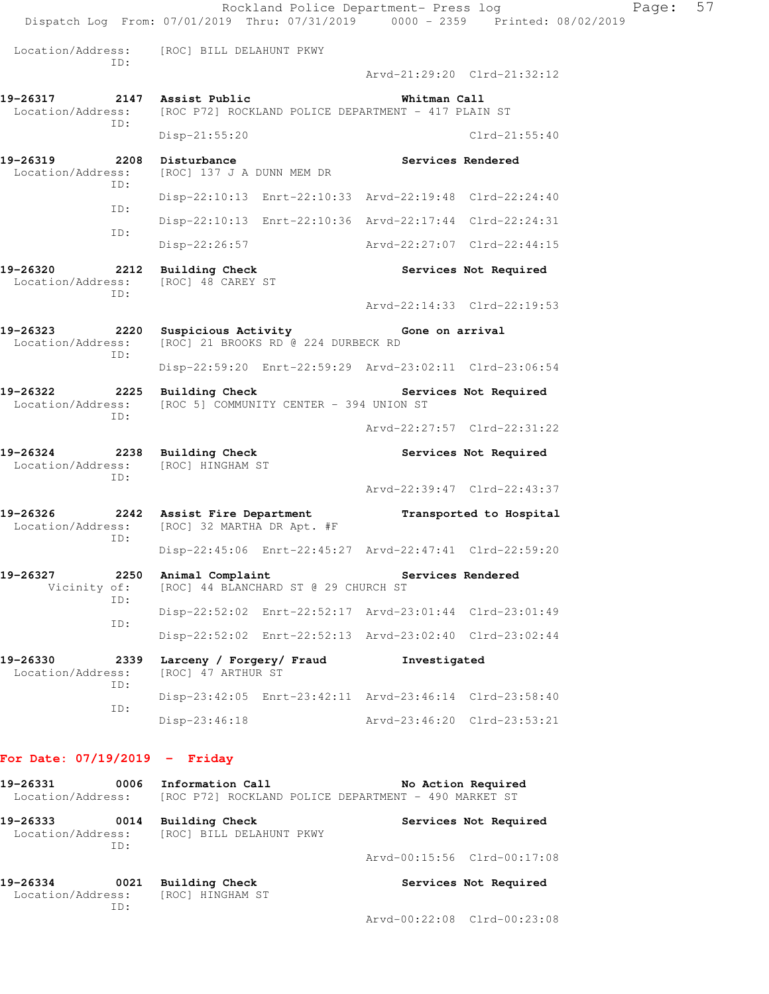Rockland Police Department- Press log Fage: 57 Dispatch Log From: 07/01/2019 Thru: 07/31/2019 0000 - 2359 Printed: 08/02/2019 Location/Address: [ROC] BILL DELAHUNT PKWY ID: Arvd-21:29:20 Clrd-21:32:12 **19-26317 2147 Assist Public Whitman Call**  Location/Address: [ROC P72] ROCKLAND POLICE DEPARTMENT - 417 PLAIN ST ID: Disp-21:55:20 Clrd-21:55:40 19-26319 2208 Disturbance **Services Rendered**  Location/Address: [ROC] 137 J A DUNN MEM DR ID: Disp-22:10:13 Enrt-22:10:33 Arvd-22:19:48 Clrd-22:24:40 ID: Disp-22:10:13 Enrt-22:10:36 Arvd-22:17:44 Clrd-22:24:31 ID: Disp-22:26:57 Arvd-22:27:07 Clrd-22:44:15 **19-26320 2212 Building Check Services Not Required**  Location/Address: [ROC] 48 CAREY ST ID: Arvd-22:14:33 Clrd-22:19:53 **19-26323 2220 Suspicious Activity Gone on arrival**  Location/Address: [ROC] 21 BROOKS RD @ 224 DURBECK RD ID: Disp-22:59:20 Enrt-22:59:29 Arvd-23:02:11 Clrd-23:06:54 **19-26322 2225 Building Check Services Not Required**  Location/Address: [ROC 5] COMMUNITY CENTER - 394 UNION ST ID: Arvd-22:27:57 Clrd-22:31:22 19-26324 **2238** Building Check **Services Not Required**  Location/Address: [ROC] HINGHAM ST ID: Arvd-22:39:47 Clrd-22:43:37 **19-26326 2242 Assist Fire Department Transported to Hospital**  Location/Address: [ROC] 32 MARTHA DR Apt. #F ID: Disp-22:45:06 Enrt-22:45:27 Arvd-22:47:41 Clrd-22:59:20 19-26327 2250 Animal Complaint **Services Rendered**  Vicinity of: [ROC] 44 BLANCHARD ST @ 29 CHURCH ST ID: Disp-22:52:02 Enrt-22:52:17 Arvd-23:01:44 Clrd-23:01:49 ID: Disp-22:52:02 Enrt-22:52:13 Arvd-23:02:40 Clrd-23:02:44 19-26330 2339 Larceny / Forgery/ Fraud Investigated Location/Address: [ROC] 47 ARTHUR ST [ROC] 47 ARTHUR ST ID: Disp-23:42:05 Enrt-23:42:11 Arvd-23:46:14 Clrd-23:58:40 ID: Disp-23:46:18 Arvd-23:46:20 Clrd-23:53:21 **For Date: 07/19/2019 - Friday**

### 19-26331 0006 Information Call **No Action Required** Location/Address: [ROC P72] ROCKLAND POLICE DEPARTMENT - 490 MARKET ST **19-26333 0014 Building Check Services Not Required**  Location/Address: [ROC] BILL DELAHUNT PKWY ID: Arvd-00:15:56 Clrd-00:17:08

| 19-26334          |     | 0021 Building Check |  |  | Services Not Required |  |  |
|-------------------|-----|---------------------|--|--|-----------------------|--|--|
| Location/Address: |     | [ROC] HINGHAM ST    |  |  |                       |  |  |
|                   | TD: |                     |  |  |                       |  |  |
|                   |     |                     |  |  | - 1000000000000000    |  |  |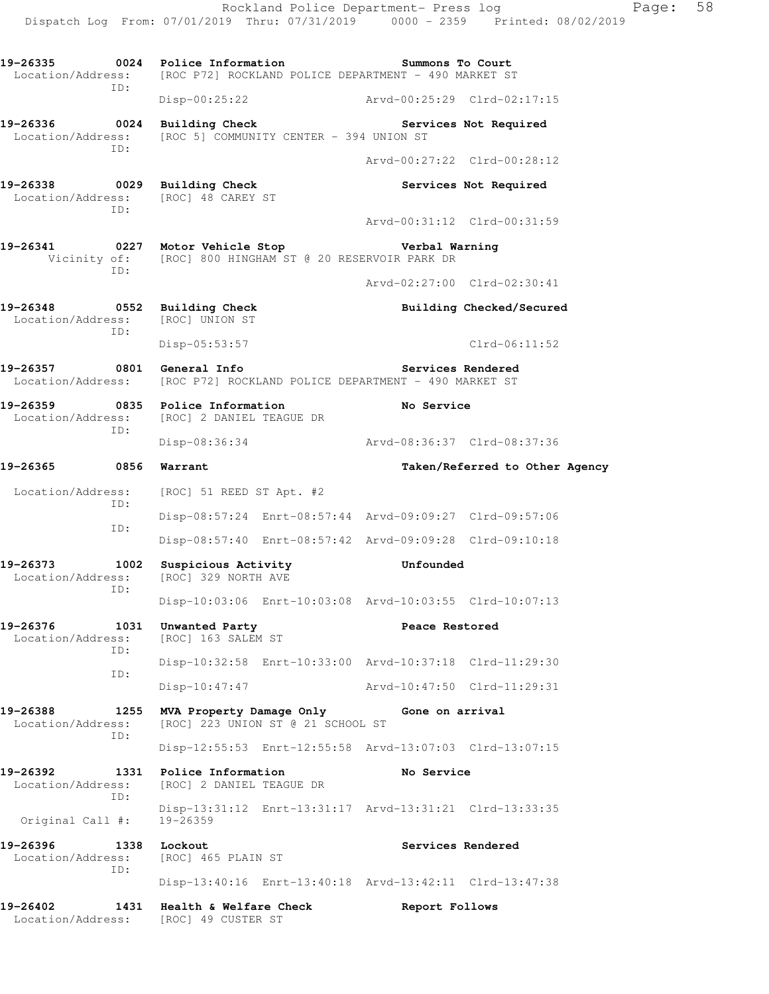Dispatch Log From: 07/01/2019 Thru: 07/31/2019 0000 - 2359 Printed: 08/02/2019 **19-26335 0024 Police Information Summons To Court**  Location/Address: [ROC P72] ROCKLAND POLICE DEPARTMENT - 490 MARKET ST ID: Disp-00:25:22 Arvd-00:25:29 Clrd-02:17:15 **19-26336 0024 Building Check Services Not Required**  Location/Address: [ROC 5] COMMUNITY CENTER - 394 UNION ST ID: Arvd-00:27:22 Clrd-00:28:12 **19-26338 0029 Building Check Services Not Required**  Location/Address: [ROC] 48 CAREY ST ID: Arvd-00:31:12 Clrd-00:31:59 **19-26341 0227 Motor Vehicle Stop Verbal Warning**  Vicinity of: [ROC] 800 HINGHAM ST @ 20 RESERVOIR PARK DR ID: Arvd-02:27:00 Clrd-02:30:41 **19-26348 0552 Building Check Building Checked/Secured**  Location/Address: [ROC] UNION ST ID: Disp-05:53:57 Clrd-06:11:52 **19-26357 0801 General Info Services Rendered**  Location/Address: [ROC P72] ROCKLAND POLICE DEPARTMENT - 490 MARKET ST **19-26359 0835 Police Information No Service**  Location/Address: [ROC] 2 DANIEL TEAGUE DR ID: Disp-08:36:34 Arvd-08:36:37 Clrd-08:37:36 **19-26365 0856 Warrant Taken/Referred to Other Agency**  Location/Address: [ROC] 51 REED ST Apt. #2 ID: Disp-08:57:24 Enrt-08:57:44 Arvd-09:09:27 Clrd-09:57:06 ID: Disp-08:57:40 Enrt-08:57:42 Arvd-09:09:28 Clrd-09:10:18 **19-26373 1002 Suspicious Activity Unfounded**  Location/Address: [ROC] 329 NORTH AVE ID: Disp-10:03:06 Enrt-10:03:08 Arvd-10:03:55 Clrd-10:07:13 **19-26376 1031 Unwanted Party Peace Restored**  Location/Address: [ROC] 163 SALEM ST ID: Disp-10:32:58 Enrt-10:33:00 Arvd-10:37:18 Clrd-11:29:30 ID: Disp-10:47:47 Arvd-10:47:50 Clrd-11:29:31 **19-26388 1255 MVA Property Damage Only Gone on arrival**  Location/Address: [ROC] 223 UNION ST @ 21 SCHOOL ST ID: Disp-12:55:53 Enrt-12:55:58 Arvd-13:07:03 Clrd-13:07:15 **19-26392 1331 Police Information No Service**  Location/Address: [ROC] 2 DANIEL TEAGUE DR ID: Disp-13:31:12 Enrt-13:31:17 Arvd-13:31:21 Clrd-13:33:35 Original Call #: 19-26359 **19-26396 1338 Lockout Services Rendered**  Location/Address: [ROC] 465 PLAIN ST ID: Disp-13:40:16 Enrt-13:40:18 Arvd-13:42:11 Clrd-13:47:38 **19-26402 1431 Health & Welfare Check Report Follows** 

Location/Address: [ROC] 49 CUSTER ST

Rockland Police Department- Press log Fage: 58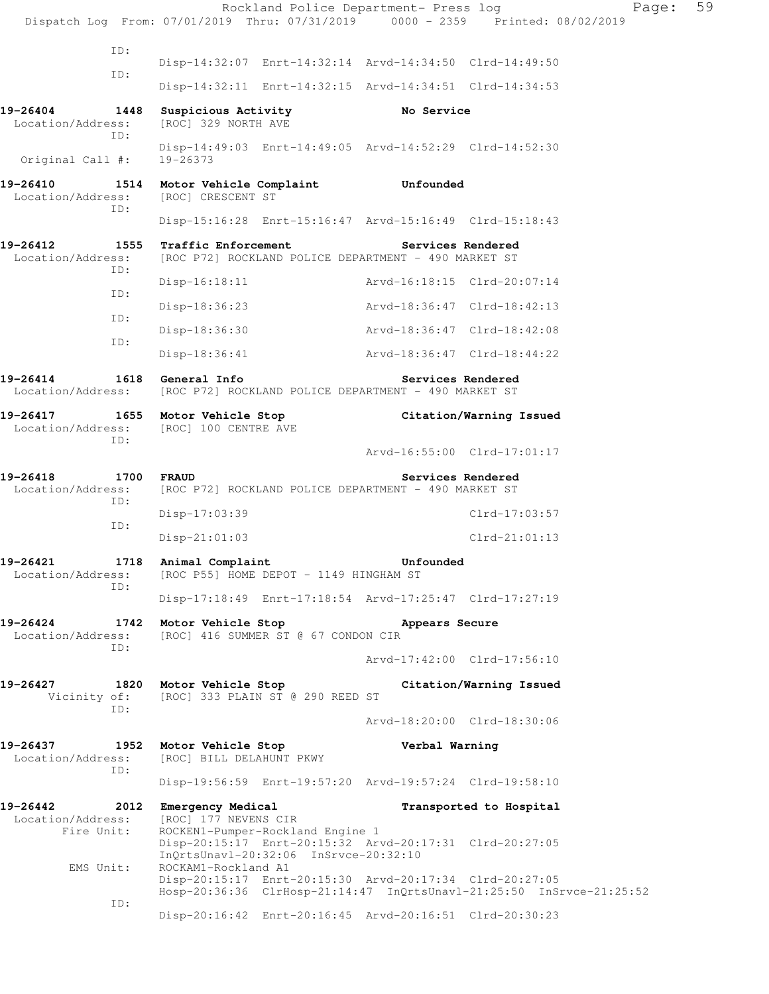|                                              |                                                                                             | Rockland Police Department- Press log                                  | Page:<br>Dispatch Log From: 07/01/2019 Thru: 07/31/2019 0000 - 2359 Printed: 08/02/2019 | 59 |
|----------------------------------------------|---------------------------------------------------------------------------------------------|------------------------------------------------------------------------|-----------------------------------------------------------------------------------------|----|
| ID:                                          |                                                                                             |                                                                        |                                                                                         |    |
| ID:                                          |                                                                                             | Disp-14:32:07 Enrt-14:32:14 Arvd-14:34:50 Clrd-14:49:50                |                                                                                         |    |
|                                              |                                                                                             | Disp-14:32:11 Enrt-14:32:15 Arvd-14:34:51 Clrd-14:34:53                |                                                                                         |    |
| 19-26404<br>1448<br>Location/Address:<br>ID: | Suspicious Activity<br>[ROC] 329 NORTH AVE                                                  | No Service                                                             |                                                                                         |    |
| Original Call #:                             | $19 - 26373$                                                                                | Disp-14:49:03 Enrt-14:49:05 Arvd-14:52:29 Clrd-14:52:30                |                                                                                         |    |
| 19-26410<br>Location/Address:<br>ID:         | [ROC] CRESCENT ST                                                                           | 1514 Motor Vehicle Complaint Unfounded                                 |                                                                                         |    |
|                                              |                                                                                             | Disp-15:16:28 Enrt-15:16:47 Arvd-15:16:49 Clrd-15:18:43                |                                                                                         |    |
| 19-26412<br>Location/Address:<br>ID:         | 1555 Traffic Enforcement                                                                    | [ROC P72] ROCKLAND POLICE DEPARTMENT - 490 MARKET ST                   | Services Rendered                                                                       |    |
| ID:                                          | $Disp-16:18:11$                                                                             |                                                                        | Arvd-16:18:15 Clrd-20:07:14                                                             |    |
|                                              | Disp-18:36:23                                                                               |                                                                        | Arvd-18:36:47 Clrd-18:42:13                                                             |    |
| ID:                                          | Disp-18:36:30                                                                               |                                                                        | Arvd-18:36:47 Clrd-18:42:08                                                             |    |
| ID:                                          | Disp-18:36:41                                                                               |                                                                        | Arvd-18:36:47 Clrd-18:44:22                                                             |    |
| 19-26414                                     | 1618 General Info                                                                           | Location/Address: [ROC P72] ROCKLAND POLICE DEPARTMENT - 490 MARKET ST | Services Rendered                                                                       |    |
| 19-26417<br>Location/Address:<br>ID:         | 1655 Motor Vehicle Stop<br>[ROC] 100 CENTRE AVE                                             |                                                                        | Citation/Warning Issued                                                                 |    |
|                                              |                                                                                             |                                                                        | Arvd-16:55:00 Clrd-17:01:17                                                             |    |
| 19-26418<br>Location/Address:<br>ID:         | 1700 FRAUD                                                                                  | [ROC P72] ROCKLAND POLICE DEPARTMENT - 490 MARKET ST                   | Services Rendered                                                                       |    |
| ID:                                          | Disp-17:03:39                                                                               |                                                                        | $Clrd-17:03:57$                                                                         |    |
|                                              | $Disp-21:01:03$                                                                             |                                                                        | $Clrd-21:01:13$                                                                         |    |
| 19-26421<br>Location/Address:<br>ID:         | 1718 Animal Complaint<br>[ROC P55] HOME DEPOT - 1149 HINGHAM ST                             | Unfounded                                                              |                                                                                         |    |
|                                              |                                                                                             | Disp-17:18:49 Enrt-17:18:54 Arvd-17:25:47 Clrd-17:27:19                |                                                                                         |    |
| 19-26424<br>Location/Address:<br>ID:         | 1742 Motor Vehicle Stop<br>[ROC] 416 SUMMER ST @ 67 CONDON CIR                              | Appears Secure                                                         |                                                                                         |    |
|                                              |                                                                                             |                                                                        | Arvd-17:42:00 Clrd-17:56:10                                                             |    |
|                                              | 19-26427 1820 Motor Vehicle Stop<br>Vicinity of: [ROC] 333 PLAIN ST @ 290 REED ST           |                                                                        | Citation/Warning Issued                                                                 |    |
| ID:                                          |                                                                                             |                                                                        | Arvd-18:20:00 Clrd-18:30:06                                                             |    |
| 19-26437<br>Location/Address:                | 1952 Motor Vehicle Stop<br>[ROC] BILL DELAHUNT PKWY                                         | Verbal Warning                                                         |                                                                                         |    |
| ID:                                          |                                                                                             | Disp-19:56:59 Enrt-19:57:20 Arvd-19:57:24 Clrd-19:58:10                |                                                                                         |    |
| Location/Address:<br>Fire Unit:              | 19-26442 2012 Emergency Medical<br>[ROC] 177 NEVENS CIR<br>ROCKEN1-Pumper-Rockland Engine 1 |                                                                        | Transported to Hospital                                                                 |    |
| EMS Unit:                                    | InQrtsUnavl-20:32:06 InSrvce-20:32:10<br>ROCKAM1-Rockland A1                                | Disp-20:15:17 Enrt-20:15:32 Arvd-20:17:31 Clrd-20:27:05                |                                                                                         |    |
|                                              |                                                                                             | Disp-20:15:17 Enrt-20:15:30 Arvd-20:17:34 Clrd-20:27:05                | Hosp-20:36:36 ClrHosp-21:14:47 InQrtsUnavl-21:25:50 InSrvce-21:25:52                    |    |
| ID:                                          |                                                                                             | Disp-20:16:42 Enrt-20:16:45 Arvd-20:16:51 Clrd-20:30:23                |                                                                                         |    |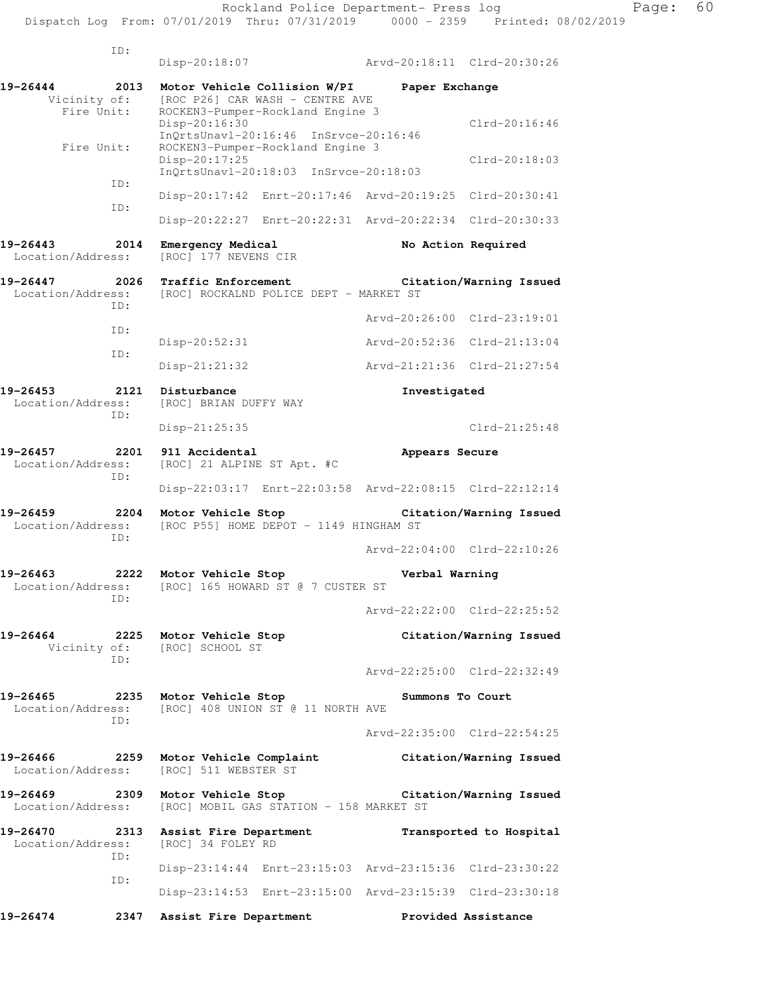|      | r age . |  |
|------|---------|--|
| 2019 |         |  |

|                                        | ID:         |                                                    |                                                                                                     |                |                                                         |
|----------------------------------------|-------------|----------------------------------------------------|-----------------------------------------------------------------------------------------------------|----------------|---------------------------------------------------------|
|                                        |             | Disp-20:18:07                                      |                                                                                                     |                | Arvd-20:18:11 Clrd-20:30:26                             |
| 19-26444<br>Vicinity of:<br>Fire Unit: | 2013        |                                                    | Motor Vehicle Collision W/PI<br>[ROC P26] CAR WASH - CENTRE AVE<br>ROCKEN3-Pumper-Rockland Engine 3 | Paper Exchange |                                                         |
|                                        |             | Disp-20:16:30                                      | InOrtsUnavl-20:16:46 InSrvce-20:16:46                                                               |                | $Clrd-20:16:46$                                         |
| Fire Unit:                             |             | Disp-20:17:25                                      | ROCKEN3-Pumper-Rockland Engine 3<br>InOrtsUnav1-20:18:03 InSrvce-20:18:03                           |                | $Clrd-20:18:03$                                         |
|                                        | ID:         |                                                    | Disp-20:17:42 Enrt-20:17:46 Arvd-20:19:25                                                           |                | $Clrd-20:30:41$                                         |
|                                        | ID:         |                                                    |                                                                                                     |                | Disp-20:22:27 Enrt-20:22:31 Arvd-20:22:34 Clrd-20:30:33 |
| 19-26443<br>Location/Address:          | 2014        | Emergency Medical<br>[ROC] 177 NEVENS CIR          |                                                                                                     |                | No Action Required                                      |
| 19-26447<br>Location/Address:          | 2026<br>ID: | Traffic Enforcement                                | [ROC] ROCKALND POLICE DEPT - MARKET ST                                                              |                | Citation/Warning Issued                                 |
|                                        | ID:         |                                                    |                                                                                                     | Arvd-20:26:00  | $Clrd-23:19:01$                                         |
|                                        | ID:         | Disp-20:52:31                                      |                                                                                                     | Arvd-20:52:36  | $Clrd-21:13:04$                                         |
|                                        |             | $Disp-21:21:32$                                    |                                                                                                     | Arvd-21:21:36  | $Clrd-21:27:54$                                         |
| 19-26453<br>Location/Address:          | 2121<br>ID: | Disturbance<br>[ROC] BRIAN DUFFY WAY               |                                                                                                     | Investigated   |                                                         |
|                                        |             | Disp-21:25:35                                      |                                                                                                     |                | $Clrd-21:25:48$                                         |
| 19-26457<br>Location/Address:          | 2201<br>ID: | 911 Accidental<br>[ROC] 21 ALPINE ST Apt. #C       |                                                                                                     | Appears Secure |                                                         |
|                                        |             |                                                    |                                                                                                     |                | Disp-22:03:17 Enrt-22:03:58 Arvd-22:08:15 Clrd-22:12:14 |
| 19-26459<br>Location/Address:          | 2204<br>ID: | Motor Vehicle Stop                                 | [ROC P55] HOME DEPOT - 1149 HINGHAM ST                                                              |                | Citation/Warning Issued                                 |
|                                        |             |                                                    |                                                                                                     |                | Arvd-22:04:00 Clrd-22:10:26                             |
| $19 - 26463$ 2222<br>Location/Address: | ID:         | Motor Vehicle Stop                                 | [ROC] 165 HOWARD ST @ 7 CUSTER ST                                                                   | Verbal Warning |                                                         |
|                                        |             |                                                    |                                                                                                     |                | Arvd-22:22:00 Clrd-22:25:52                             |
| 19-26464                               | 2225<br>ID: | Motor Vehicle Stop<br>Vicinity of: [ROC] SCHOOL ST |                                                                                                     |                | Citation/Warning Issued                                 |
|                                        |             |                                                    |                                                                                                     |                | Arvd-22:25:00 Clrd-22:32:49                             |
| 19-26465<br>Location/Address:          | 2235<br>TD: | Motor Vehicle Stop                                 | [ROC] 408 UNION ST @ 11 NORTH AVE                                                                   |                | Summons To Court                                        |
|                                        |             |                                                    |                                                                                                     |                | Arvd-22:35:00 Clrd-22:54:25                             |
| 19-26466<br>Location/Address:          | 2259        | Motor Vehicle Complaint<br>[ROC] 511 WEBSTER ST    |                                                                                                     |                | Citation/Warning Issued                                 |
| 19-26469 2309<br>Location/Address:     |             | Motor Vehicle Stop                                 | [ROC] MOBIL GAS STATION - 158 MARKET ST                                                             |                | Citation/Warning Issued                                 |
| 19-26470<br>Location/Address:          | 2313<br>ID: | Assist Fire Department<br>[ROC] 34 FOLEY RD        |                                                                                                     |                | Transported to Hospital                                 |
|                                        |             |                                                    | Disp-23:14:44 Enrt-23:15:03 Arvd-23:15:36 Clrd-23:30:22                                             |                |                                                         |
|                                        | ID:         |                                                    | Disp-23:14:53 Enrt-23:15:00 Arvd-23:15:39 Clrd-23:30:18                                             |                |                                                         |
| 19-26474                               |             | 2347 Assist Fire Department                        |                                                                                                     |                | Provided Assistance                                     |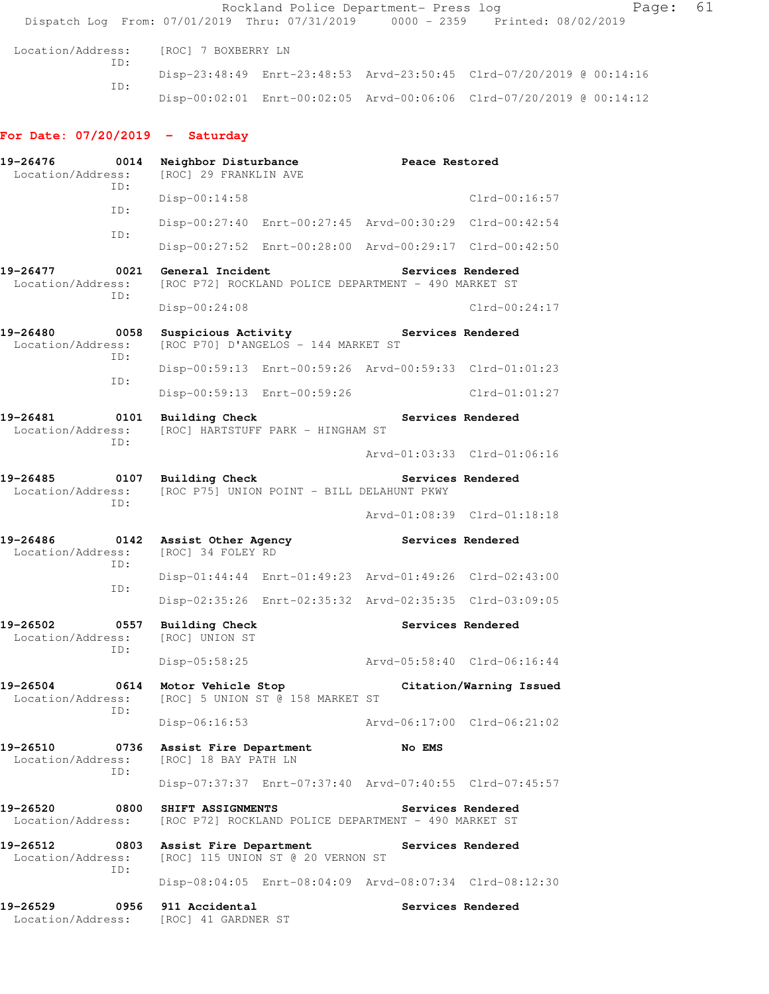Rockland Police Department- Press log Fage: 61 Dispatch Log From: 07/01/2019 Thru: 07/31/2019 0000 - 2359 Printed: 08/02/2019 Location/Address: [ROC] 7 BOXBERRY LN ID: Disp-23:48:49 Enrt-23:48:53 Arvd-23:50:45 Clrd-07/20/2019 @ 00:14:16 ID: Disp-00:02:01 Enrt-00:02:05 Arvd-00:06:06 Clrd-07/20/2019 @ 00:14:12 **For Date: 07/20/2019 - Saturday 19-26476 0014 Neighbor Disturbance Peace Restored**  Location/Address: [ROC] 29 FRANKLIN AVE ID: Disp-00:14:58 Clrd-00:16:57 ID: Disp-00:27:40 Enrt-00:27:45 Arvd-00:30:29 Clrd-00:42:54 ID: Disp-00:27:52 Enrt-00:28:00 Arvd-00:29:17 Clrd-00:42:50 **19-26477 0021 General Incident Services Rendered**  Location/Address: [ROC P72] ROCKLAND POLICE DEPARTMENT - 490 MARKET ST ID: Disp-00:24:08 Clrd-00:24:17 19-26480 **0058** Suspicious Activity **Services Rendered** Location/Address: [ROC P70] D'ANGELOS - 144 MARKET ST ID: Disp-00:59:13 Enrt-00:59:26 Arvd-00:59:33 Clrd-01:01:23 ID: Disp-00:59:13 Enrt-00:59:26 Clrd-01:01:27 **19-26481 0101 Building Check Services Rendered**  Location/Address: [ROC] HARTSTUFF PARK - HINGHAM ST ID: Arvd-01:03:33 Clrd-01:06:16 19-26485 **0107** Building Check **Services Rendered**  Location/Address: [ROC P75] UNION POINT - BILL DELAHUNT PKWY ID: Arvd-01:08:39 Clrd-01:18:18 **19-26486 0142 Assist Other Agency Services Rendered**  Location/Address: [ROC] 34 FOLEY RD ID: Disp-01:44:44 Enrt-01:49:23 Arvd-01:49:26 Clrd-02:43:00 ID: Disp-02:35:26 Enrt-02:35:32 Arvd-02:35:35 Clrd-03:09:05 19-26502 **0557** Building Check **Services Rendered**  Location/Address: [ROC] UNION ST ID: Disp-05:58:25 Arvd-05:58:40 Clrd-06:16:44 **19-26504 0614 Motor Vehicle Stop Citation/Warning Issued**  Location/Address: [ROC] 5 UNION ST @ 158 MARKET ST ID: Disp-06:16:53 Arvd-06:17:00 Clrd-06:21:02 **19-26510 0736 Assist Fire Department No EMS**  Location/Address: [ROC] 18 BAY PATH LN ID: Disp-07:37:37 Enrt-07:37:40 Arvd-07:40:55 Clrd-07:45:57 19-26520 0800 SHIFT ASSIGNMENTS Services Rendered Location/Address: [ROC P72] ROCKLAND POLICE DEPARTMENT - 490 MARKET ST

**19-26512 0803 Assist Fire Department Services Rendered**  Location/Address: [ROC] 115 UNION ST @ 20 VERNON ST ID:

Disp-08:04:05 Enrt-08:04:09 Arvd-08:07:34 Clrd-08:12:30

**19-26529 0956 911 Accidental Services Rendered**  Location/Address: [ROC] 41 GARDNER ST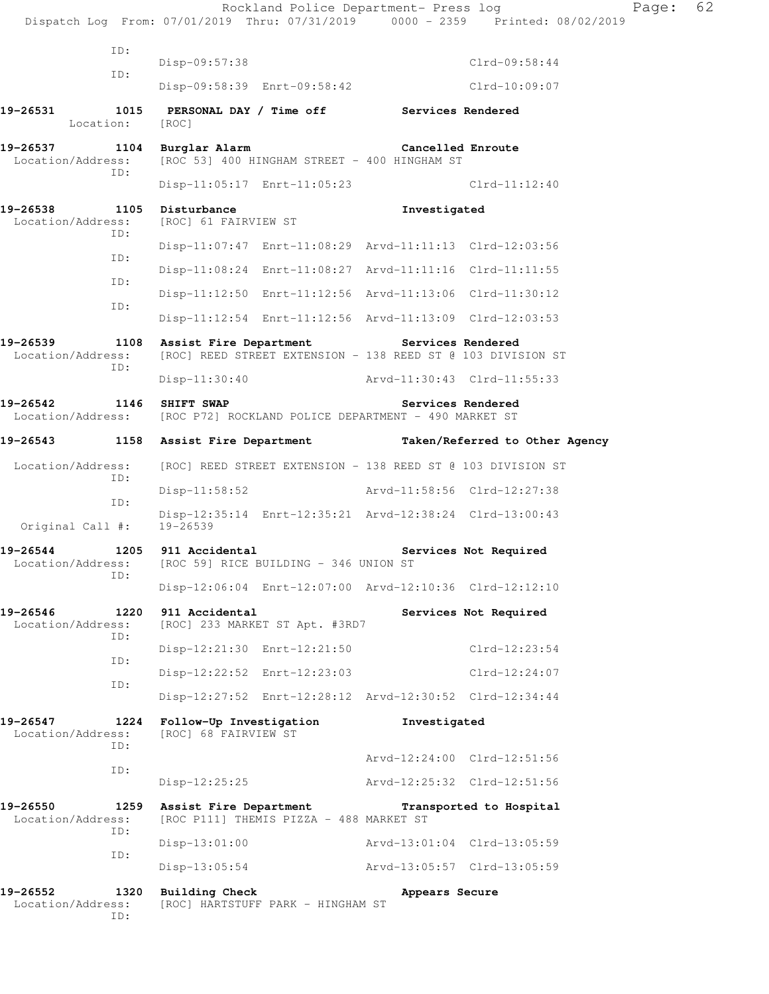|                                                                                    |                                                 |                                                         |                   | Rockland Police Department- Press log<br>Dispatch Log From: 07/01/2019 Thru: 07/31/2019 0000 - 2359 Printed: 08/02/2019 | Page: | 62 |
|------------------------------------------------------------------------------------|-------------------------------------------------|---------------------------------------------------------|-------------------|-------------------------------------------------------------------------------------------------------------------------|-------|----|
| ID:                                                                                |                                                 |                                                         |                   |                                                                                                                         |       |    |
| ID:                                                                                | $Disp-09:57:38$                                 |                                                         |                   | $Clrd-09:58:44$                                                                                                         |       |    |
|                                                                                    |                                                 | Disp-09:58:39 Enrt-09:58:42                             |                   | $Clrd-10:09:07$                                                                                                         |       |    |
| 19-26531<br>Location:                                                              | [ROC]                                           | 1015 PERSONAL DAY / Time off Services Rendered          |                   |                                                                                                                         |       |    |
| 19-26537<br>Location/Address:<br>ID:                                               | 1104 Burglar Alarm                              | [ROC 53] 400 HINGHAM STREET - 400 HINGHAM ST            | Cancelled Enroute |                                                                                                                         |       |    |
|                                                                                    |                                                 | Disp-11:05:17 Enrt-11:05:23                             |                   | Clrd-11:12:40                                                                                                           |       |    |
| 19-26538 1105 Disturbance<br>Location/Address:<br>ID:                              | [ROC] 61 FAIRVIEW ST                            |                                                         | Investigated      |                                                                                                                         |       |    |
| ID:                                                                                |                                                 | Disp-11:07:47 Enrt-11:08:29 Arvd-11:11:13 Clrd-12:03:56 |                   |                                                                                                                         |       |    |
| ID:                                                                                |                                                 |                                                         |                   | Disp-11:08:24 Enrt-11:08:27 Arvd-11:11:16 Clrd-11:11:55                                                                 |       |    |
|                                                                                    |                                                 | Disp-11:12:50 Enrt-11:12:56 Arvd-11:13:06 Clrd-11:30:12 |                   |                                                                                                                         |       |    |
| ID:                                                                                |                                                 |                                                         |                   | Disp-11:12:54 Enrt-11:12:56 Arvd-11:13:09 Clrd-12:03:53                                                                 |       |    |
| 19-26539<br>Location/Address:<br>ID:                                               | 1108 Assist Fire Department                     |                                                         | Services Rendered | [ROC] REED STREET EXTENSION - 138 REED ST @ 103 DIVISION ST                                                             |       |    |
|                                                                                    |                                                 |                                                         |                   | Disp-11:30:40 Arvd-11:30:43 Clrd-11:55:33                                                                               |       |    |
| 19-26542<br>Location/Address: [ROC P72] ROCKLAND POLICE DEPARTMENT - 490 MARKET ST | 1146 SHIFT SWAP                                 |                                                         |                   | Services Rendered                                                                                                       |       |    |
| 19-26543                                                                           |                                                 |                                                         |                   | 1158 Assist Fire Department Taken/Referred to Other Agency                                                              |       |    |
| Location/Address:<br>ID:                                                           |                                                 |                                                         |                   | [ROC] REED STREET EXTENSION - 138 REED ST @ 103 DIVISION ST                                                             |       |    |
| ID:                                                                                | $Disp-11:58:52$                                 |                                                         |                   | Arvd-11:58:56 Clrd-12:27:38                                                                                             |       |    |
| Original Call #: 19-26539                                                          |                                                 |                                                         |                   | Disp-12:35:14 Enrt-12:35:21 Arvd-12:38:24 Clrd-13:00:43                                                                 |       |    |
| 19-26544<br>Location/Address: [ROC 59] RICE BUILDING - 346 UNION ST<br>ID:         | 1205 911 Accidental                             |                                                         |                   | Services Not Required                                                                                                   |       |    |
|                                                                                    |                                                 |                                                         |                   | Disp-12:06:04 Enrt-12:07:00 Arvd-12:10:36 Clrd-12:12:10                                                                 |       |    |
| 1220<br>19-26546<br>Location/Address:<br>ID:                                       | 911 Accidental                                  | [ROC] 233 MARKET ST Apt. #3RD7                          |                   | Services Not Required                                                                                                   |       |    |
| ID:                                                                                |                                                 | Disp-12:21:30 Enrt-12:21:50                             |                   | $Clrd-12:23:54$                                                                                                         |       |    |
| ID:                                                                                |                                                 | Disp-12:22:52 Enrt-12:23:03                             |                   | Clrd-12:24:07                                                                                                           |       |    |
|                                                                                    |                                                 |                                                         |                   | Disp-12:27:52 Enrt-12:28:12 Arvd-12:30:52 Clrd-12:34:44                                                                 |       |    |
| 19-26547<br>1224<br>Location/Address:<br>ID:                                       | Follow-Up Investigation<br>[ROC] 68 FAIRVIEW ST |                                                         | Investigated      |                                                                                                                         |       |    |
| ID:                                                                                |                                                 |                                                         |                   | Arvd-12:24:00 Clrd-12:51:56                                                                                             |       |    |
|                                                                                    | $Disp-12:25:25$                                 |                                                         |                   | Arvd-12:25:32 Clrd-12:51:56                                                                                             |       |    |
| 19-26550<br>1259<br>Location/Address:<br>ID:                                       |                                                 | [ROC P111] THEMIS PIZZA - 488 MARKET ST                 |                   | Assist Fire Department Transported to Hospital                                                                          |       |    |
| ID:                                                                                | $Disp-13:01:00$                                 |                                                         |                   | Arvd-13:01:04 Clrd-13:05:59                                                                                             |       |    |
|                                                                                    | $Disp-13:05:54$                                 |                                                         |                   | Arvd-13:05:57 Clrd-13:05:59                                                                                             |       |    |
| 19-26552<br>1320<br>Location/Address:<br>ID:                                       | <b>Building Check</b>                           | [ROC] HARTSTUFF PARK - HINGHAM ST                       | Appears Secure    |                                                                                                                         |       |    |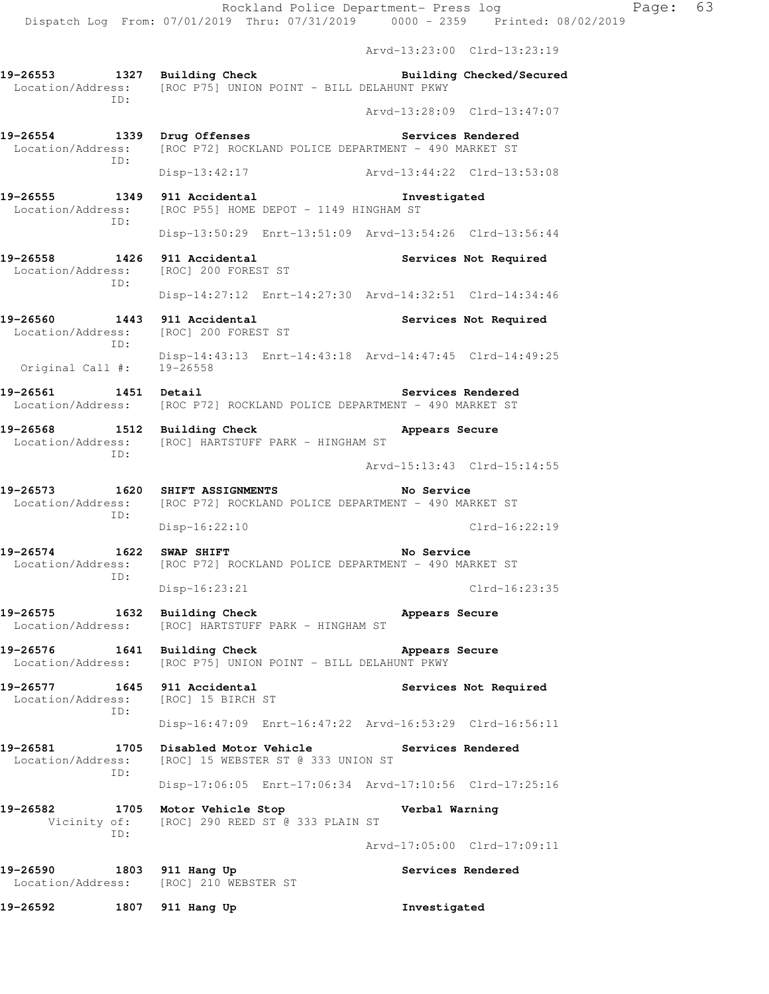Arvd-13:23:00 Clrd-13:23:19

**19-26553 1327 Building Check Building Checked/Secured**  Location/Address: [ROC P75] UNION POINT - BILL DELAHUNT PKWY ID: Arvd-13:28:09 Clrd-13:47:07

**19-26554 1339 Drug Offenses Services Rendered**  Location/Address: [ROC P72] ROCKLAND POLICE DEPARTMENT - 490 MARKET ST ID:

Disp-13:42:17 Arvd-13:44:22 Clrd-13:53:08

**19-26555 1349 911 Accidental Investigated**  [ROC P55] HOME DEPOT - 1149 HINGHAM ST ID: Disp-13:50:29 Enrt-13:51:09 Arvd-13:54:26 Clrd-13:56:44

19-26558 1426 911 Accidental **Services Not Required**<br>
Location/Address: [ROC] 200 FOREST ST Location/Address: ID:

Disp-14:27:12 Enrt-14:27:30 Arvd-14:32:51 Clrd-14:34:46

19-26560 1443 911 Accidental **19-26560** Services Not Required Location/Address: [ROC] 200 FOREST ST ID:

 Disp-14:43:13 Enrt-14:43:18 Arvd-14:47:45 Clrd-14:49:25 Original Call #: 19-26558

19-26561 1451 Detail **Services Rendered** Location/Address: [ROC P72] ROCKLAND POLICE DEPARTMENT - 490 MARKET ST

**19-26568 1512 Building Check Appears Secure**  Location/Address: [ROC] HARTSTUFF PARK - HINGHAM ST ID:

Arvd-15:13:43 Clrd-15:14:55

**19-26573 1620 SHIFT ASSIGNMENTS No Service**  Location/Address: [ROC P72] ROCKLAND POLICE DEPARTMENT - 490 MARKET ST ID: Disp-16:22:10 Clrd-16:22:19

19-26574 1622 SWAP SHIFT **No Service** No Service Location/Address: [ROC P72] ROCKLAND POLICE DEPARTMENT - 490 MARKET ST ID:

Disp-16:23:21 Clrd-16:23:35

**19-26575 1632 Building Check Appears Secure**  Location/Address: [ROC] HARTSTUFF PARK - HINGHAM ST

19-26576 1641 Building Check **Appears Secure** Location/Address: [ROC P75] UNION POINT - BILL DELAHUNT PKWY

**19-26577 1645 911 Accidental Services Not Required**  Location/Address: [ROC] 15 BIRCH ST ID: Disp-16:47:09 Enrt-16:47:22 Arvd-16:53:29 Clrd-16:56:11

19-26581 1705 Disabled Motor Vehicle **19-26581** Services Rendered Location/Address: [ROC] 15 WEBSTER ST @ 333 UNION ST ID: Disp-17:06:05 Enrt-17:06:34 Arvd-17:10:56 Clrd-17:25:16

**19-26582 1705 Motor Vehicle Stop Verbal Warning**  Vicinity of: [ROC] 290 REED ST @ 333 PLAIN ST ID:

Arvd-17:05:00 Clrd-17:09:11

**19-26590 1803 911 Hang Up Services Rendered**  Location/Address: [ROC] 210 WEBSTER ST

**19-26592 1807 911 Hang Up Investigated**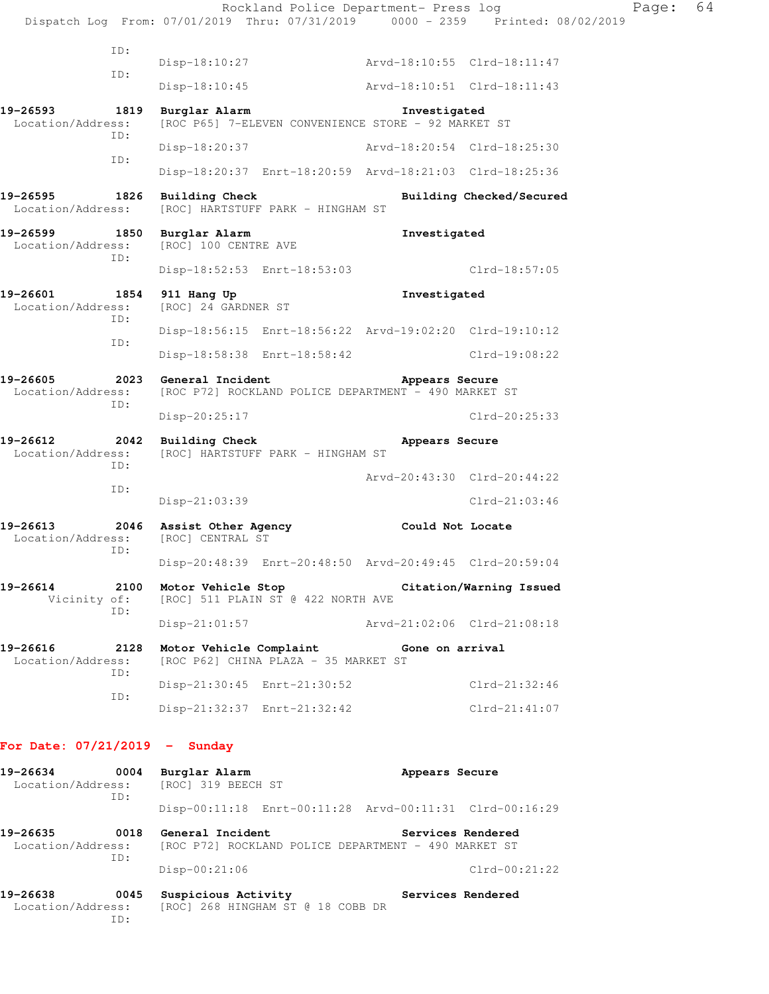|                                                         |                                                                                                 | Rockland Police Department- Press log<br>Dispatch Log From: 07/01/2019 Thru: 07/31/2019 0000 - 2359 Printed: 08/02/2019 | Page: | 64 |
|---------------------------------------------------------|-------------------------------------------------------------------------------------------------|-------------------------------------------------------------------------------------------------------------------------|-------|----|
| ID:                                                     | Disp-18:10:27                                                                                   | Arvd-18:10:55 Clrd-18:11:47                                                                                             |       |    |
| ID:                                                     | Disp-18:10:45                                                                                   |                                                                                                                         |       |    |
|                                                         | 1819 Burglar Alarm                                                                              | Investigated                                                                                                            |       |    |
| Location/Address:<br>ID:                                | [ROC P65] 7-ELEVEN CONVENIENCE STORE - 92 MARKET ST                                             |                                                                                                                         |       |    |
| ID:                                                     | Disp-18:20:37                                                                                   | Arvd-18:20:54 Clrd-18:25:30                                                                                             |       |    |
|                                                         |                                                                                                 | Disp-18:20:37 Enrt-18:20:59 Arvd-18:21:03 Clrd-18:25:36                                                                 |       |    |
| 19-26595 1826 Building Check                            | Location/Address: [ROC] HARTSTUFF PARK - HINGHAM ST                                             | Building Checked/Secured                                                                                                |       |    |
| 19-26599 1850 Burglar Alarm<br>Location/Address:<br>ID: | [ROC] 100 CENTRE AVE                                                                            | Investigated                                                                                                            |       |    |
|                                                         | Disp-18:52:53 Enrt-18:53:03                                                                     | $Clrd-18:57:05$                                                                                                         |       |    |
| 19-26601<br>1854<br>Location/Address:<br>ID:            | 911 Hang Up<br>[ROC] 24 GARDNER ST                                                              | Investigated                                                                                                            |       |    |
|                                                         |                                                                                                 | Disp-18:56:15 Enrt-18:56:22 Arvd-19:02:20 Clrd-19:10:12                                                                 |       |    |
| ID:                                                     | Disp-18:58:38 Enrt-18:58:42                                                                     | Clrd-19:08:22                                                                                                           |       |    |
| 19-26605<br>ID:                                         | 2023 General Incident<br>Location/Address: [ROC P72] ROCKLAND POLICE DEPARTMENT - 490 MARKET ST | Appears Secure                                                                                                          |       |    |
|                                                         | Disp-20:25:17                                                                                   | $Clrd-20:25:33$                                                                                                         |       |    |
| 19-26612<br>Location/Address:<br>ID:                    | 2042 Building Check<br>[ROC] HARTSTUFF PARK - HINGHAM ST                                        | Appears Secure                                                                                                          |       |    |
| ID:                                                     |                                                                                                 | Arvd-20:43:30 Clrd-20:44:22                                                                                             |       |    |
|                                                         | $Disp-21:03:39$                                                                                 | $Clrd-21:03:46$                                                                                                         |       |    |
| Location/Address: [ROC] CENTRAL ST<br>ID:               | 19-26613 2046 Assist Other Agency Could Not Locate                                              |                                                                                                                         |       |    |
|                                                         |                                                                                                 | Disp-20:48:39 Enrt-20:48:50 Arvd-20:49:45 Clrd-20:59:04                                                                 |       |    |
| 19-26614<br>2100<br>Vicinity of:<br>ID:                 | Motor Vehicle Stop<br>[ROC] 511 PLAIN ST @ 422 NORTH AVE                                        | Citation/Warning Issued                                                                                                 |       |    |
|                                                         | $Disp-21:01:57$                                                                                 | Arvd-21:02:06 Clrd-21:08:18                                                                                             |       |    |
| 19-26616<br>2128<br>Location/Address:<br>ID:            | Motor Vehicle Complaint<br>[ROC P62] CHINA PLAZA - 35 MARKET ST                                 | Gone on arrival                                                                                                         |       |    |
|                                                         | Disp-21:30:45 Enrt-21:30:52                                                                     | $Clrd-21:32:46$                                                                                                         |       |    |
| ID:                                                     | Disp-21:32:37 Enrt-21:32:42                                                                     | $Clrd-21:41:07$                                                                                                         |       |    |

## **For Date: 07/21/2019 - Sunday**

ID:

| 19-26634<br>0004<br>Location/Address: [ROC] 319 BEECH ST<br>ID: |      | Burglar Alarm                                                            |  | Appears Secure                                          |                   |  |
|-----------------------------------------------------------------|------|--------------------------------------------------------------------------|--|---------------------------------------------------------|-------------------|--|
|                                                                 |      |                                                                          |  | Disp-00:11:18 Enrt-00:11:28 Arvd-00:11:31 Clrd-00:16:29 |                   |  |
| 19-26635<br>0018<br>Location/Address:<br>TD:                    |      | General Incident<br>[ROC P72] ROCKLAND POLICE DEPARTMENT - 490 MARKET ST |  |                                                         | Services Rendered |  |
|                                                                 |      | $Disp-00:21:06$                                                          |  |                                                         | $Clrd-00:21:22$   |  |
| 19-26638<br>Location/Address:                                   | 0045 | Suspicious Activity<br>[ROC] 268 HINGHAM ST @ 18 COBB DR                 |  |                                                         | Services Rendered |  |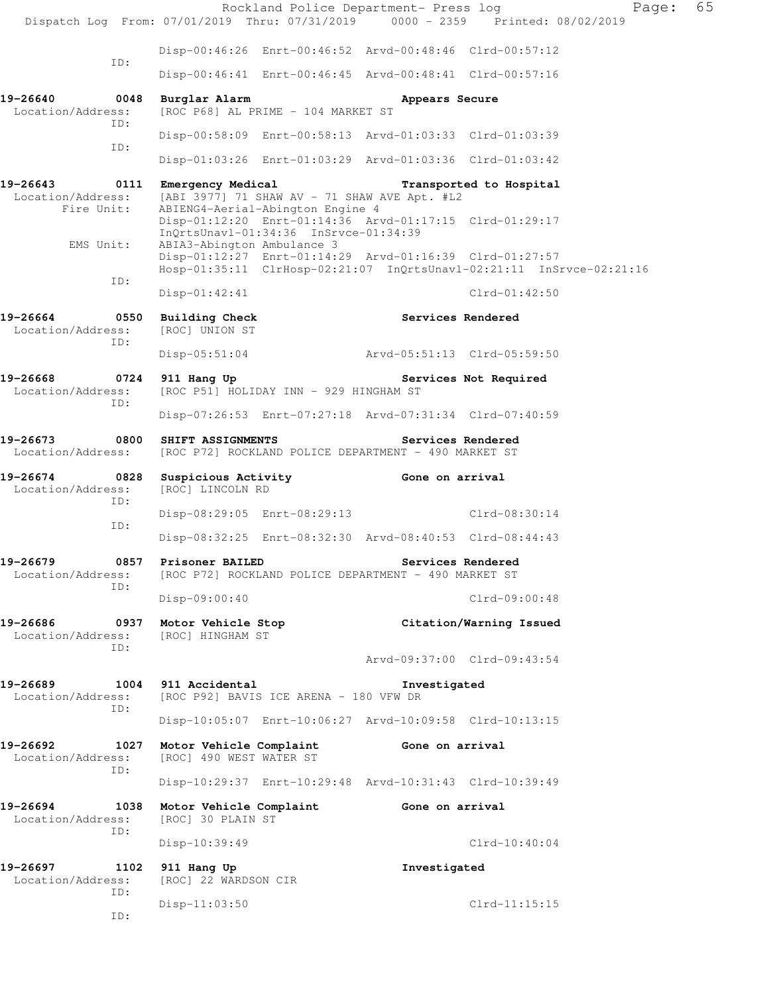|                                                                                            |                                                                         |                                       | Rockland Police Department- Press log                   | Dispatch Log From: 07/01/2019 Thru: 07/31/2019 0000 - 2359 Printed: 08/02/2019 | 65<br>Page: |
|--------------------------------------------------------------------------------------------|-------------------------------------------------------------------------|---------------------------------------|---------------------------------------------------------|--------------------------------------------------------------------------------|-------------|
|                                                                                            |                                                                         |                                       | Disp-00:46:26 Enrt-00:46:52 Arvd-00:48:46 Clrd-00:57:12 |                                                                                |             |
| ID:                                                                                        |                                                                         |                                       | Disp-00:46:41 Enrt-00:46:45 Arvd-00:48:41 Clrd-00:57:16 |                                                                                |             |
| 19-26640<br>0048<br>Location/Address:                                                      | Burglar Alarm                                                           | [ROC P68] AL PRIME - 104 MARKET ST    | Appears Secure                                          |                                                                                |             |
| ID:                                                                                        |                                                                         |                                       | Disp-00:58:09 Enrt-00:58:13 Arvd-01:03:33 Clrd-01:03:39 |                                                                                |             |
| ID:                                                                                        |                                                                         |                                       | Disp-01:03:26 Enrt-01:03:29 Arvd-01:03:36 Clrd-01:03:42 |                                                                                |             |
| 19-26643 0111 Emergency Medical Transported to Hospital<br>Location/Address:<br>Fire Unit: | [ABI 3977] 71 SHAW AV - 71 SHAW AVE Apt. #L2                            | ABIENG4-Aerial-Abington Engine 4      |                                                         |                                                                                |             |
| EMS Unit:                                                                                  | ABIA3-Abington Ambulance 3                                              | InQrtsUnavl-01:34:36 InSrvce-01:34:39 | Disp-01:12:20 Enrt-01:14:36 Arvd-01:17:15 Clrd-01:29:17 |                                                                                |             |
| ID:                                                                                        |                                                                         |                                       | Disp-01:12:27 Enrt-01:14:29 Arvd-01:16:39 Clrd-01:27:57 | Hosp-01:35:11 ClrHosp-02:21:07 InQrtsUnavl-02:21:11 InSrvce-02:21:16           |             |
|                                                                                            | $Disp-01:42:41$                                                         |                                       |                                                         | $C1rd-01:42:50$                                                                |             |
| 19-26664 0550 Building Check<br>Location/Address:<br>ID:                                   | [ROC] UNION ST                                                          |                                       | Services Rendered                                       |                                                                                |             |
|                                                                                            | Disp-05:51:04                                                           |                                       | Arvd-05:51:13 Clrd-05:59:50                             |                                                                                |             |
| 19-26668 0724 911 Hang Up<br>Location/Address:<br>ID:                                      | [ROC P51] HOLIDAY INN - 929 HINGHAM ST                                  |                                       | Services Not Required                                   |                                                                                |             |
|                                                                                            |                                                                         |                                       | Disp-07:26:53 Enrt-07:27:18 Arvd-07:31:34 Clrd-07:40:59 |                                                                                |             |
| 19-26673<br>0800<br>Location/Address:                                                      | SHIFT ASSIGNMENTS                                                       |                                       | [ROC P72] ROCKLAND POLICE DEPARTMENT - 490 MARKET ST    | Services Rendered                                                              |             |
| 19-26674<br>0828<br>Location/Address:<br>ID:                                               | [ROC] LINCOLN RD                                                        |                                       | Suspicious Activity <b>Example 2</b> Gone on arrival    |                                                                                |             |
| ID:                                                                                        |                                                                         |                                       | Disp-08:29:05 Enrt-08:29:13 Clrd-08:30:14               |                                                                                |             |
|                                                                                            |                                                                         |                                       | Disp-08:32:25 Enrt-08:32:30 Arvd-08:40:53 Clrd-08:44:43 |                                                                                |             |
| 19-26679<br>0857<br>Location/Address:<br>ID:                                               | Prisoner BAILED<br>[ROC P72] ROCKLAND POLICE DEPARTMENT - 490 MARKET ST |                                       |                                                         | Services Rendered                                                              |             |
|                                                                                            | Disp-09:00:40                                                           |                                       |                                                         | $Clrd-09:00:48$                                                                |             |
| 19-26686<br>Location/Address:<br>TD:                                                       | 0937 Motor Vehicle Stop<br>[ROC] HINGHAM ST                             |                                       |                                                         | Citation/Warning Issued                                                        |             |
|                                                                                            |                                                                         |                                       |                                                         | Arvd-09:37:00 Clrd-09:43:54                                                    |             |
| 19-26689<br>Location/Address:<br>ID:                                                       | 1004 911 Accidental<br>[ROC P92] BAVIS ICE ARENA - 180 VFW DR           |                                       | Investigated                                            |                                                                                |             |
|                                                                                            |                                                                         |                                       | Disp-10:05:07 Enrt-10:06:27 Arvd-10:09:58 Clrd-10:13:15 |                                                                                |             |
| 19-26692<br>Location/Address:<br>ID:                                                       | 1027 Motor Vehicle Complaint<br>[ROC] 490 WEST WATER ST                 |                                       | Gone on arrival                                         |                                                                                |             |
|                                                                                            |                                                                         |                                       | Disp-10:29:37 Enrt-10:29:48 Arvd-10:31:43 Clrd-10:39:49 |                                                                                |             |
| 19-26694<br>Location/Address:<br>ID:                                                       | 1038 Motor Vehicle Complaint<br>[ROC] 30 PLAIN ST                       |                                       | Gone on arrival                                         |                                                                                |             |
|                                                                                            | Disp-10:39:49                                                           |                                       |                                                         | $Clrd-10:40:04$                                                                |             |
| 19-26697<br>1102<br>Location/Address:<br>ID:                                               | 911 Hang Up<br>[ROC] 22 WARDSON CIR                                     |                                       | Investigated                                            |                                                                                |             |
| ID:                                                                                        | $Disp-11:03:50$                                                         |                                       |                                                         | $Clrd-11:15:15$                                                                |             |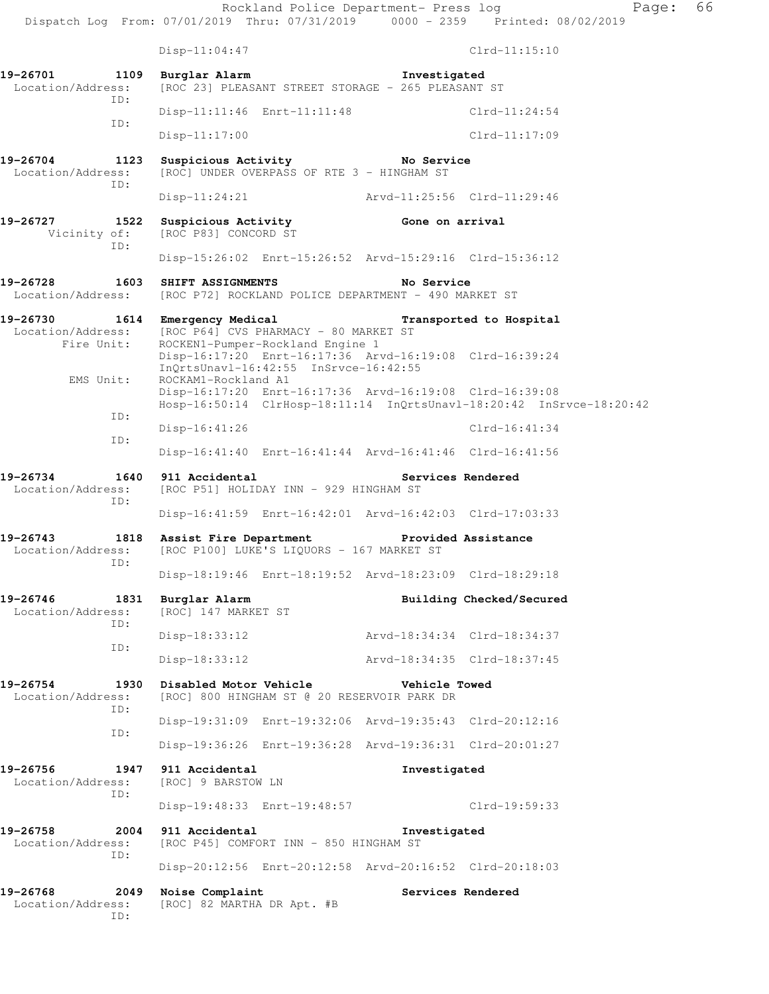Rockland Police Department- Press log Fage: 66 Dispatch Log From: 07/01/2019 Thru: 07/31/2019 0000 - 2359 Printed: 08/02/2019 Disp-11:04:47 Clrd-11:15:10 **19-26701 1109 Burglar Alarm 19 Investigated**<br>Location/Address: [ROC 23] PLEASANT STREET STORAGE - 265 PLEASANT [ROC 23] PLEASANT STREET STORAGE - 265 PLEASANT ST ID: Disp-11:11:46 Enrt-11:11:48 Clrd-11:24:54 ID: Disp-11:17:00 Clrd-11:17:09 **19-26704 1123 Suspicious Activity No Service**  Location/Address: [ROC] UNDER OVERPASS OF RTE 3 - HINGHAM ST ID: Disp-11:24:21 Arvd-11:25:56 Clrd-11:29:46 **19-26727 1522 Suspicious Activity 600 Gone on arrival**<br>
Vicinity of: [ROC P83] CONCORD ST [ROC P83] CONCORD ST ID: Disp-15:26:02 Enrt-15:26:52 Arvd-15:29:16 Clrd-15:36:12 **19-26728 1603 SHIFT ASSIGNMENTS No Service**  Location/Address: [ROC P72] ROCKLAND POLICE DEPARTMENT - 490 MARKET ST **19-26730 1614 Emergency Medical Transported to Hospital**  Location/Address: [ROC P64] CVS PHARMACY - 80 MARKET ST Fire Unit: ROCKEN1-Pumper-Rockland Engine 1 Disp-16:17:20 Enrt-16:17:36 Arvd-16:19:08 Clrd-16:39:24 InQrtsUnavl-16:42:55 InSrvce-16:42:55<br>EMS Unit: ROCKAM1-Rockland A1 ROCKAM1-Rockland A1 Disp-16:17:20 Enrt-16:17:36 Arvd-16:19:08 Clrd-16:39:08 Hosp-16:50:14 ClrHosp-18:11:14 InQrtsUnavl-18:20:42 InSrvce-18:20:42 ID: Disp-16:41:26 Clrd-16:41:34 ID: Disp-16:41:40 Enrt-16:41:44 Arvd-16:41:46 Clrd-16:41:56 **19-26734 1640 911 Accidental Services Rendered**  Location/Address: [ROC P51] HOLIDAY INN - 929 HINGHAM ST ID: Disp-16:41:59 Enrt-16:42:01 Arvd-16:42:03 Clrd-17:03:33 19-26743 1818 Assist Fire Department Provided Assistance **Provided Assistance Location/Address:** [ROC P100] LUKE'S LIQUORS - 167 MARKET ST [ROC P100] LUKE'S LIQUORS - 167 MARKET ST ID: Disp-18:19:46 Enrt-18:19:52 Arvd-18:23:09 Clrd-18:29:18 **19-26746 1831 Burglar Alarm Building Checked/Secured**  Location/Address: [ROC] 147 MARKET ST ID: Disp-18:33:12 Arvd-18:34:34 Clrd-18:34:37 ID: Disp-18:33:12 Arvd-18:34:35 Clrd-18:37:45 **19-26754 1930 Disabled Motor Vehicle Vehicle Towed**  Location/Address: [ROC] 800 HINGHAM ST @ 20 RESERVOIR PARK DR ID: Disp-19:31:09 Enrt-19:32:06 Arvd-19:35:43 Clrd-20:12:16 ID: Disp-19:36:26 Enrt-19:36:28 Arvd-19:36:31 Clrd-20:01:27 **19-26756 1947 911 Accidental Investigated**  Location/Address: [ROC] 9 BARSTOW LN ID: Disp-19:48:33 Enrt-19:48:57 Clrd-19:59:33 19-26758 2004 911 Accidental **Investigated**<br>Location/Address: [ROC P45] COMFORT INN - 850 HINGHAM ST [ROC P45] COMFORT INN - 850 HINGHAM ST ID: Disp-20:12:56 Enrt-20:12:58 Arvd-20:16:52 Clrd-20:18:03 **19-26768 2049 Noise Complaint Services Rendered**  Location/Address: [ROC] 82 MARTHA DR Apt. #B ID: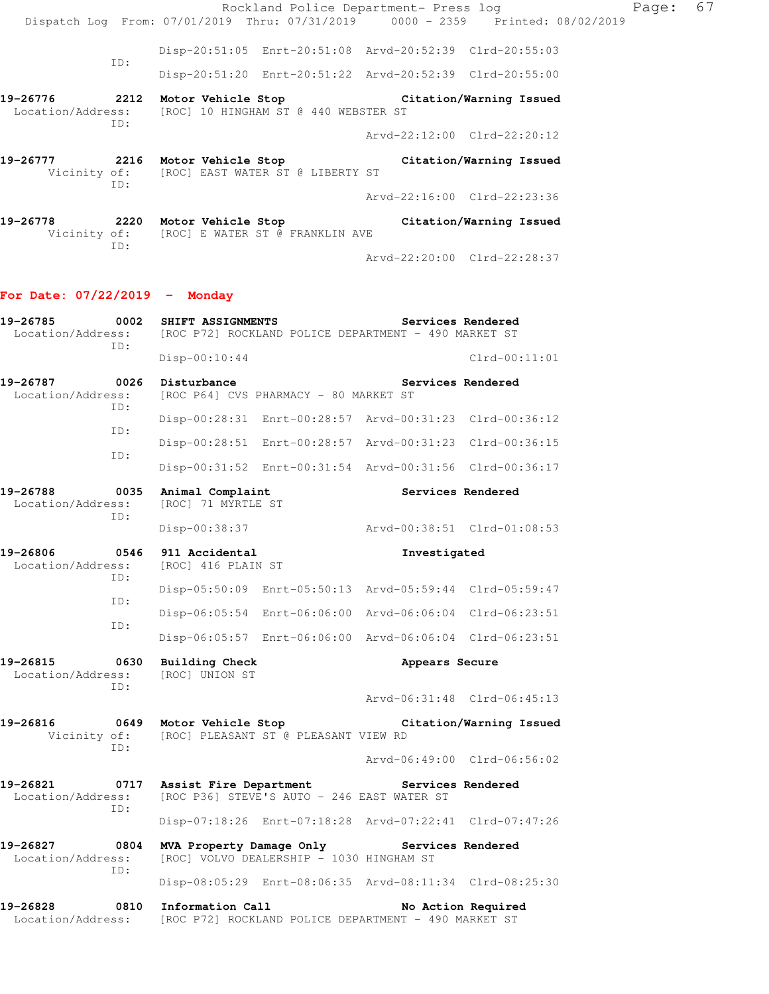|                          |     | Rockland Police Department- Press log                                                                              |                             |                         |
|--------------------------|-----|--------------------------------------------------------------------------------------------------------------------|-----------------------------|-------------------------|
|                          |     | Dispatch Log From: 07/01/2019 Thru: 07/31/2019 0000 - 2359 Printed: 08/02/2019                                     |                             |                         |
|                          |     | Disp-20:51:05 Enrt-20:51:08 Arvd-20:52:39 Clrd-20:55:03                                                            |                             |                         |
|                          | ID: | Disp-20:51:20 Enrt-20:51:22 Arvd-20:52:39 Clrd-20:55:00                                                            |                             |                         |
|                          | ID: | 19-26776 2212 Motor Vehicle Stop Citation/Warning Issued<br>Location/Address: [ROC] 10 HINGHAM ST @ 440 WEBSTER ST |                             |                         |
|                          |     |                                                                                                                    | Arvd-22:12:00 Clrd-22:20:12 |                         |
| 19-26777                 | TD: | 2216 Motor Vehicle Stop<br>Vicinity of: [ROC] EAST WATER ST @ LIBERTY ST                                           |                             | Citation/Warning Issued |
|                          |     |                                                                                                                    | Arvd-22:16:00 Clrd-22:23:36 |                         |
| 19-26778<br>Vicinity of: |     | 2220 Motor Vehicle Stop<br>[ROC] E WATER ST @ FRANKLIN AVE                                                         |                             | Citation/Warning Issued |

Arvd-22:20:00 Clrd-22:28:37

# **For Date: 07/22/2019 - Monday**

ID:

| 19-26785<br>0002<br>Location/Address:<br>TD: |             | SHIFT ASSIGNMENTS<br>Services Rendered<br>[ROC P72] ROCKLAND POLICE DEPARTMENT - 490 MARKET ST |                                                         |                             |                             |  |
|----------------------------------------------|-------------|------------------------------------------------------------------------------------------------|---------------------------------------------------------|-----------------------------|-----------------------------|--|
|                                              |             | $Disp-00:10:44$                                                                                |                                                         |                             | $Clrd-00:11:01$             |  |
| 19-26787<br>Location/Address:                | 0026<br>TD: | Disturbance                                                                                    | [ROC P64] CVS PHARMACY - 80 MARKET ST                   | Services Rendered           |                             |  |
|                                              |             |                                                                                                | Disp-00:28:31 Enrt-00:28:57 Arvd-00:31:23 Clrd-00:36:12 |                             |                             |  |
|                                              | TD:         |                                                                                                | Disp-00:28:51 Enrt-00:28:57 Arvd-00:31:23 Clrd-00:36:15 |                             |                             |  |
|                                              | TD:         |                                                                                                | Disp-00:31:52 Enrt-00:31:54 Arvd-00:31:56 Clrd-00:36:17 |                             |                             |  |
| 19-26788<br>Location/Address:                | 0035        | Animal Complaint<br>[ROC] 71 MYRTLE ST                                                         |                                                         |                             | Services Rendered           |  |
|                                              | ID:         | Disp-00:38:37                                                                                  |                                                         |                             | Arvd-00:38:51 Clrd-01:08:53 |  |
| 19-26806<br>Location/Address:                | 0546<br>ID: | 911 Accidental<br>[ROC] 416 PLAIN ST                                                           |                                                         | Investigated                |                             |  |
|                                              |             |                                                                                                | Disp-05:50:09 Enrt-05:50:13 Arvd-05:59:44 Clrd-05:59:47 |                             |                             |  |
|                                              | ID:         |                                                                                                | Disp-06:05:54 Enrt-06:06:00                             | Aryd-06:06:04 Clrd-06:23:51 |                             |  |
|                                              | ID:         |                                                                                                | Disp-06:05:57 Enrt-06:06:00                             | Arvd-06:06:04 Clrd-06:23:51 |                             |  |
| 19-26815<br>Location/Address:                | 0630<br>ID: | <b>Building Check</b><br>[ROC] UNION ST                                                        |                                                         | Appears Secure              |                             |  |
|                                              |             |                                                                                                |                                                         |                             | Arvd-06:31:48 Clrd-06:45:13 |  |
| 19-26816<br>Vicinity of:                     | 0649<br>TD: | Motor Vehicle Stop                                                                             | [ROC] PLEASANT ST @ PLEASANT VIEW RD                    |                             | Citation/Warning Issued     |  |
|                                              |             |                                                                                                |                                                         |                             | Arvd-06:49:00 Clrd-06:56:02 |  |
| 19-26821<br>Location/Address:                | 0717<br>ID: | Assist Fire Department                                                                         | [ROC P36] STEVE'S AUTO - 246 EAST WATER ST              | Services Rendered           |                             |  |
|                                              |             |                                                                                                | Disp-07:18:26 Enrt-07:18:28 Arvd-07:22:41 Clrd-07:47:26 |                             |                             |  |
| 19-26827<br>0804<br>Location/Address:<br>ID: |             | MVA Property Damage Only                                                                       | [ROC] VOLVO DEALERSHIP - 1030 HINGHAM ST                | Services Rendered           |                             |  |
|                                              |             |                                                                                                | Disp-08:05:29 Enrt-08:06:35 Arvd-08:11:34 Clrd-08:25:30 |                             |                             |  |
| 19-26828<br>Location/Address:                | 0810        | Information Call                                                                               | [ROC P72] ROCKLAND POLICE DEPARTMENT - 490 MARKET ST    |                             | No Action Required          |  |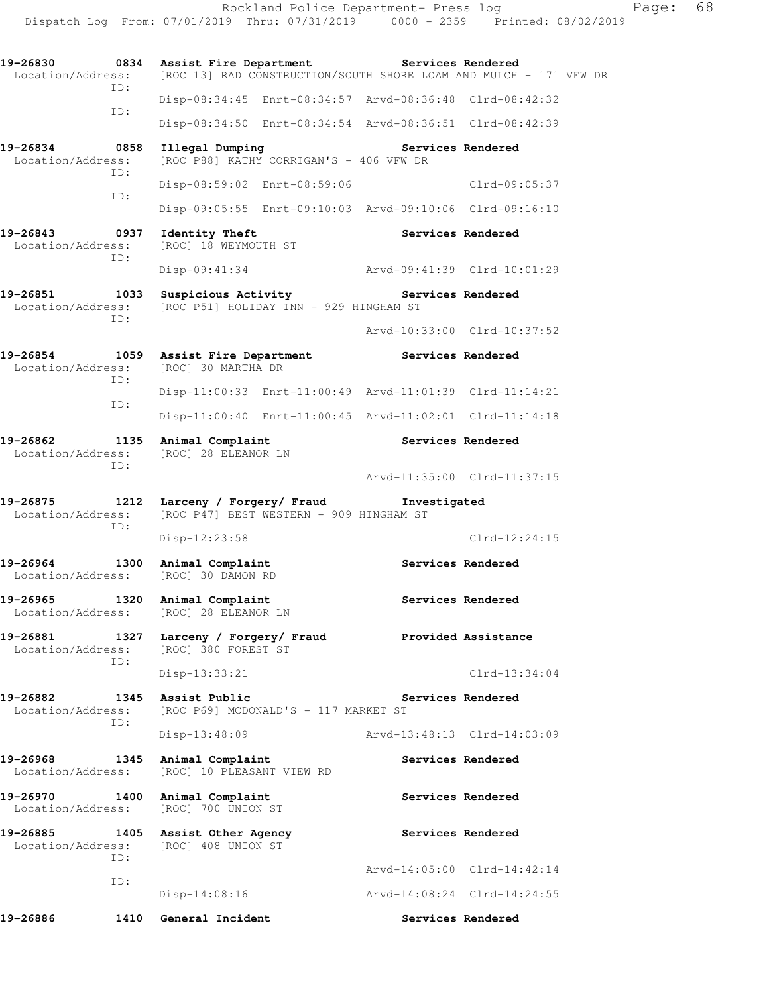**19-26830 0834 Assist Fire Department Services Rendered**  Location/Address: [ROC 13] RAD CONSTRUCTION/SOUTH SHORE LOAM AND MULCH - 171 VFW DR ID: Disp-08:34:45 Enrt-08:34:57 Arvd-08:36:48 Clrd-08:42:32 ID: Disp-08:34:50 Enrt-08:34:54 Arvd-08:36:51 Clrd-08:42:39 **19-26834 0858 Illegal Dumping Services Rendered**  Location/Address: [ROC P88] KATHY CORRIGAN'S - 406 VFW DR ID: Disp-08:59:02 Enrt-08:59:06 Clrd-09:05:37 ID: Disp-09:05:55 Enrt-09:10:03 Arvd-09:10:06 Clrd-09:16:10 19-26843 **0937** Identity Theft **Services Rendered**  Location/Address: [ROC] 18 WEYMOUTH ST ID: Disp-09:41:34 Arvd-09:41:39 Clrd-10:01:29 19-26851 1033 Suspicious Activity **Services Rendered**  Location/Address: [ROC P51] HOLIDAY INN - 929 HINGHAM ST ID: Arvd-10:33:00 Clrd-10:37:52 **19-26854 1059 Assist Fire Department Services Rendered**  Location/Address: [ROC] 30 MARTHA DR ID: Disp-11:00:33 Enrt-11:00:49 Arvd-11:01:39 Clrd-11:14:21 ID: Disp-11:00:40 Enrt-11:00:45 Arvd-11:02:01 Clrd-11:14:18 19-26862 1135 Animal Complaint **Services Rendered**  Location/Address: [ROC] 28 ELEANOR LN ID: Arvd-11:35:00 Clrd-11:37:15 **19-26875 1212 Larceny / Forgery/ Fraud Investigated**  Location/Address: [ROC P47] BEST WESTERN - 909 HINGHAM ST ID: Disp-12:23:58 Clrd-12:24:15 19-26964 1300 Animal Complaint **19-26964** Services Rendered Location/Address: [ROC] 30 DAMON RD 19-26965 1320 Animal Complaint **Services Rendered**  Location/Address: [ROC] 28 ELEANOR LN **19-26881 1327 Larceny / Forgery/ Fraud Provided Assistance**  Location/Address: [ROC] 380 FOREST ST ID: Disp-13:33:21 Clrd-13:34:04 19-26882 1345 Assist Public **19-26882** 1345 Assist Public Location/Address: [ROC P69] MCDONALD'S - 117 MARKET ST ID: Disp-13:48:09 Arvd-13:48:13 Clrd-14:03:09 19-26968 1345 Animal Complaint **120 Services Rendered**  Location/Address: [ROC] 10 PLEASANT VIEW RD 19-26970 1400 Animal Complaint **Services Rendered**  Location/Address: [ROC] 700 UNION ST 19-26885 1405 Assist Other Agency **1888 Services Rendered** Location/Address: [ROC] 408 UNION ST ID: Arvd-14:05:00 Clrd-14:42:14 ID: Disp-14:08:16 Arvd-14:08:24 Clrd-14:24:55

19-26886 1410 General Incident **Services Rendered** 

Dispatch Log From: 07/01/2019 Thru: 07/31/2019 0000 - 2359 Printed: 08/02/2019

Rockland Police Department- Press log Fage: 68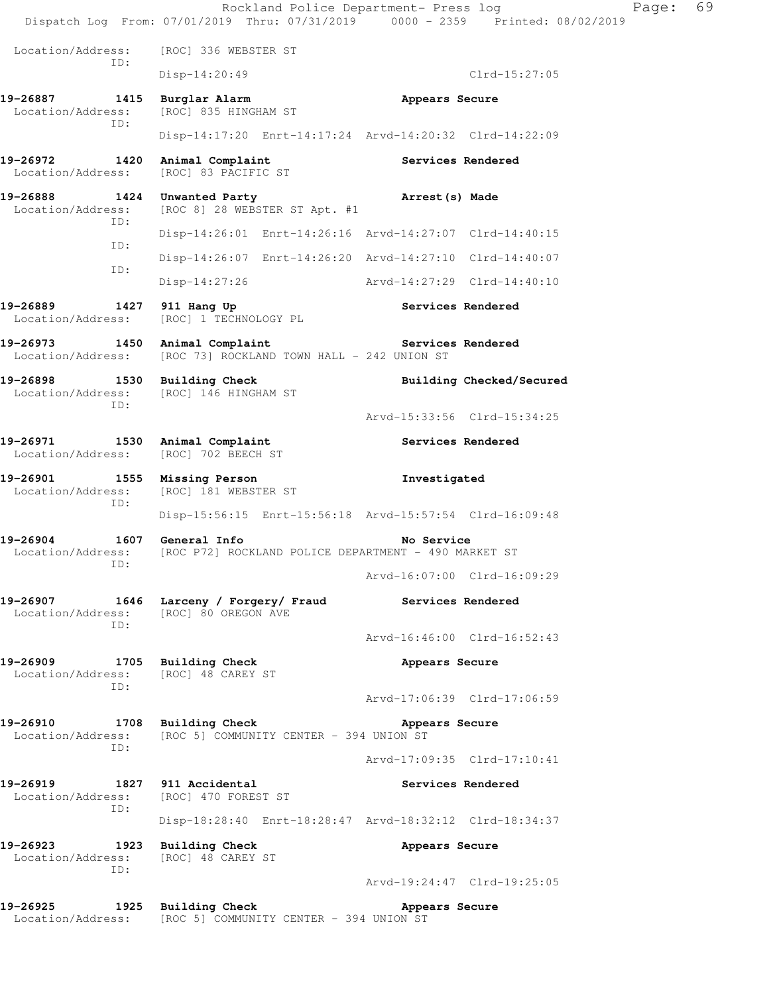Rockland Police Department- Press log Fage: 69 Dispatch Log From: 07/01/2019 Thru: 07/31/2019 0000 - 2359 Printed: 08/02/2019 Location/Address: [ROC] 336 WEBSTER ST ID: Disp-14:20:49 Clrd-15:27:05 **19-26887 1415 Burglar Alarm Appears Secure**  Location/Address: [ROC] 835 HINGHAM ST ID: Disp-14:17:20 Enrt-14:17:24 Arvd-14:20:32 Clrd-14:22:09 19-26972 1420 Animal Complaint **Services Rendered**  Location/Address: [ROC] 83 PACIFIC ST **19-26888 1424 Unwanted Party 19-26888 1424 Inwanted Party Arrest(s) Made Arrest(s) Made** [ROC 8] 28 WEBSTER ST Apt. #1 ID: Disp-14:26:01 Enrt-14:26:16 Arvd-14:27:07 Clrd-14:40:15 ID: Disp-14:26:07 Enrt-14:26:20 Arvd-14:27:10 Clrd-14:40:07 ID: Disp-14:27:26 Arvd-14:27:29 Clrd-14:40:10 19-26889 1427 911 Hang Up **Services Rendered**  Location/Address: [ROC] 1 TECHNOLOGY PL 19-26973 1450 Animal Complaint **Services Rendered** Location/Address: [ROC 73] ROCKLAND TOWN HALL - 242 UNION ST 19-26898 1530 Building Check **Building Checked/Secured**  Location/Address: [ROC] 146 HINGHAM ST ID: Arvd-15:33:56 Clrd-15:34:25 19-26971 1530 Animal Complaint **19-26971** Services Rendered Location/Address: [ROC] 702 BEECH ST **19-26901 1555 Missing Person Investigated**  Location/Address: [ROC] 181 WEBSTER ST ID: Disp-15:56:15 Enrt-15:56:18 Arvd-15:57:54 Clrd-16:09:48 **19-26904 1607 General Info No Service**  Location/Address: [ROC P72] ROCKLAND POLICE DEPARTMENT - 490 MARKET ST ID: Arvd-16:07:00 Clrd-16:09:29 **19-26907 1646 Larceny / Forgery/ Fraud Services Rendered**  Location/Address: [ROC] 80 OREGON AVE ID: Arvd-16:46:00 Clrd-16:52:43 **19-26909 1705 Building Check Appears Secure**  Location/Address: [ROC] 48 CAREY ST ID: Arvd-17:06:39 Clrd-17:06:59 **19-26910 1708 Building Check Appears Secure**  Location/Address: [ROC 5] COMMUNITY CENTER - 394 UNION ST ID: Arvd-17:09:35 Clrd-17:10:41 19-26919 1827 911 Accidental **1827 1827 1828** Services Rendered Location/Address: [ROC] 470 FOREST ST ID: Disp-18:28:40 Enrt-18:28:47 Arvd-18:32:12 Clrd-18:34:37 **19-26923 1923 Building Check Appears Secure**  Location/Address: [ROC] 48 CAREY ST ID: Arvd-19:24:47 Clrd-19:25:05 **19-26925 1925 Building Check Appears Secure**  Location/Address: [ROC 5] COMMUNITY CENTER - 394 UNION ST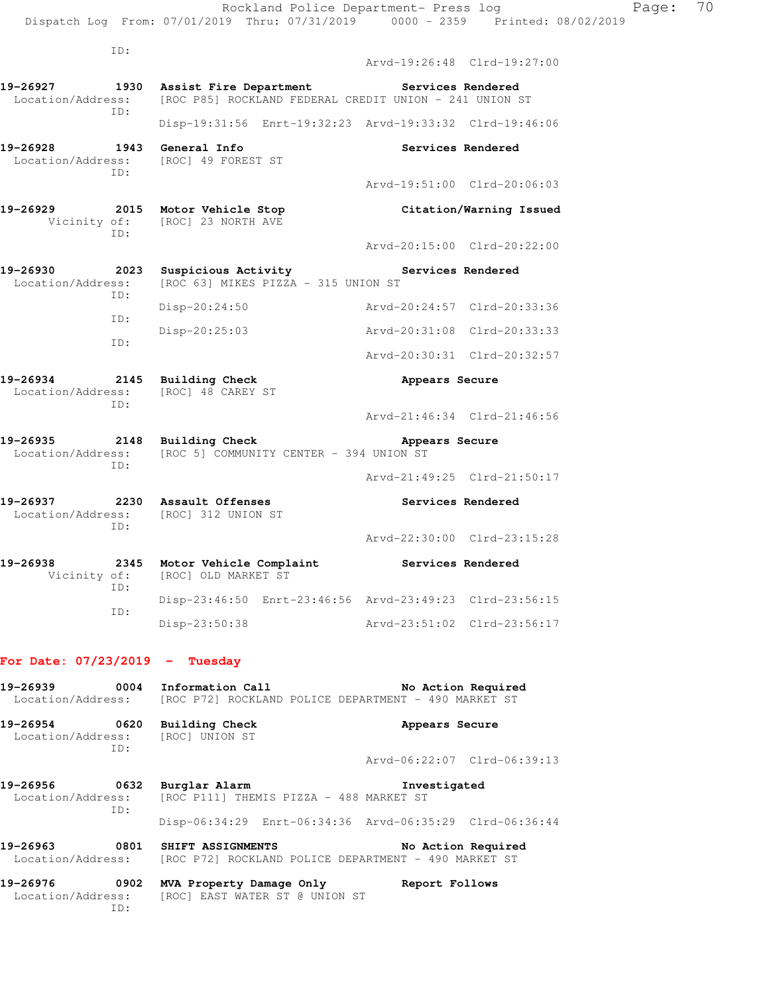ID: Arvd-19:26:48 Clrd-19:27:00 **19-26927 1930 Assist Fire Department Services Rendered**  Location/Address: [ROC P85] ROCKLAND FEDERAL CREDIT UNION - 241 UNION ST ID: Disp-19:31:56 Enrt-19:32:23 Arvd-19:33:32 Clrd-19:46:06 19-26928 1943 General Info **1948** Services Rendered Location/Address: [ROC] 49 FOREST ST ID: Arvd-19:51:00 Clrd-20:06:03 **19-26929 2015 Motor Vehicle Stop Citation/Warning Issued**  Vicinity of: [ROC] 23 NORTH AVE ID: Arvd-20:15:00 Clrd-20:22:00 19-26930 **2023** Suspicious Activity **Services Rendered** Location/Address: [ROC 63] MIKES PIZZA - 315 UNION ST ID: Disp-20:24:50 Arvd-20:24:57 Clrd-20:33:36 ID: Disp-20:25:03 Arvd-20:31:08 Clrd-20:33:33 ID: Arvd-20:30:31 Clrd-20:32:57 **19-26934 2145 Building Check Appears Secure**  Location/Address: [ROC] 48 CAREY ST ID: Arvd-21:46:34 Clrd-21:46:56 19-26935 2148 Building Check **Appears Secure** Location/Address: [ROC 5] COMMUNITY CENTER - 394 UNION ST ID: Arvd-21:49:25 Clrd-21:50:17 **19-26937 2230 Assault Offenses Services Rendered**  Location/Address: [ROC] 312 UNION ST ID: Arvd-22:30:00 Clrd-23:15:28 **19-26938 2345 Motor Vehicle Complaint Services Rendered**  Vicinity of: [ROC] OLD MARKET ST ID: Disp-23:46:50 Enrt-23:46:56 Arvd-23:49:23 Clrd-23:56:15 ID: Disp-23:50:38 Arvd-23:51:02 Clrd-23:56:17 **For Date: 07/23/2019 - Tuesday**

| 19-26939 0004                 |             | Information Call and the Second State<br>Location/Address: [ROC P72] ROCKLAND POLICE DEPARTMENT - 490 MARKET ST | No Action Required                                      |
|-------------------------------|-------------|-----------------------------------------------------------------------------------------------------------------|---------------------------------------------------------|
| 19-26954                      | 0620<br>TD: | Building Check<br>Location/Address: [ROC] UNION ST                                                              | Appears Secure                                          |
|                               |             |                                                                                                                 | Arvd-06:22:07 Clrd-06:39:13                             |
| 19-26956<br>Location/Address: | 0632<br>TD: | Burglar Alarm<br>[ROC P111] THEMIS PIZZA - 488 MARKET ST                                                        | Investigated                                            |
|                               |             |                                                                                                                 | Disp-06:34:29 Enrt-06:34:36 Arvd-06:35:29 Clrd-06:36:44 |
| 19-26963                      | 0801        | SHIFT ASSIGNMENTS<br>Location/Address: [ROC P72] ROCKLAND POLICE DEPARTMENT - 490 MARKET ST                     | No Action Required                                      |
|                               |             |                                                                                                                 |                                                         |

**19-26976 0902 MVA Property Damage Only Report Follows**  Location/Address: [ROC] EAST WATER ST @ UNION ST ID: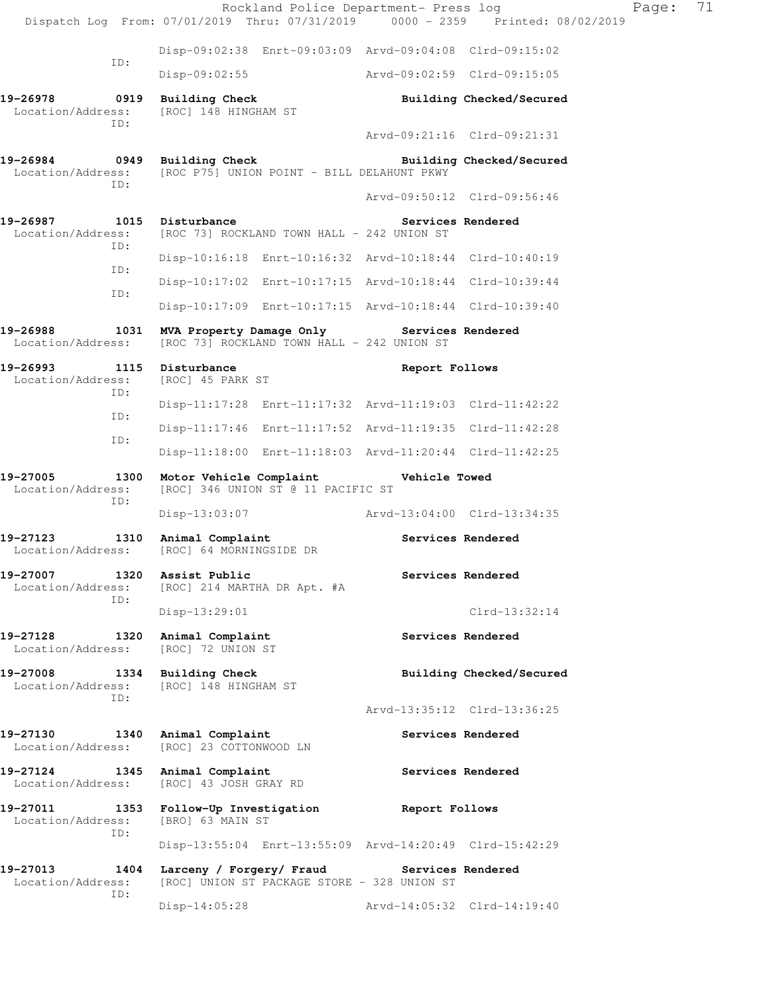Rockland Police Department- Press log Fage: 71 Dispatch Log From: 07/01/2019 Thru: 07/31/2019 0000 - 2359 Printed: 08/02/2019 Disp-09:02:38 Enrt-09:03:09 Arvd-09:04:08 Clrd-09:15:02 ID: Disp-09:02:55 Arvd-09:02:59 Clrd-09:15:05 **19-26978 0919 Building Check Building Checked/Secured**  Location/Address: [ROC] 148 HINGHAM ST ID: Arvd-09:21:16 Clrd-09:21:31 19-26984 **0949** Building Check **Building Checked/Secured**  Location/Address: [ROC P75] UNION POINT - BILL DELAHUNT PKWY ID: Arvd-09:50:12 Clrd-09:56:46 19-26987 1015 Disturbance **19-26987** Services Rendered Location/Address: [ROC 73] ROCKLAND TOWN HALL - 242 UNION ST ID: Disp-10:16:18 Enrt-10:16:32 Arvd-10:18:44 Clrd-10:40:19 ID: Disp-10:17:02 Enrt-10:17:15 Arvd-10:18:44 Clrd-10:39:44 ID: Disp-10:17:09 Enrt-10:17:15 Arvd-10:18:44 Clrd-10:39:40 **19-26988 1031 MVA Property Damage Only Services Rendered**  Location/Address: [ROC 73] ROCKLAND TOWN HALL - 242 UNION ST **19-26993 1115 Disturbance Report Follows**  Location/Address: [ROC] 45 PARK ST ID: Disp-11:17:28 Enrt-11:17:32 Arvd-11:19:03 Clrd-11:42:22 ID: Disp-11:17:46 Enrt-11:17:52 Arvd-11:19:35 Clrd-11:42:28 ID: Disp-11:18:00 Enrt-11:18:03 Arvd-11:20:44 Clrd-11:42:25 **19-27005 1300 Motor Vehicle Complaint Vehicle Towed**  Location/Address: [ROC] 346 UNION ST @ 11 PACIFIC ST ID: Disp-13:03:07 Arvd-13:04:00 Clrd-13:34:35 19-27123 1310 Animal Complaint **19-27123** Services Rendered Location/Address: [ROC] 64 MORNINGSIDE DR **19-27007 1320 Assist Public Services Rendered**  Location/Address: [ROC] 214 MARTHA DR Apt. #A ID: Disp-13:29:01 Clrd-13:32:14 19-27128 1320 Animal Complaint **Services Rendered**  Location/Address: [ROC] 72 UNION ST **19-27008 1334 Building Check Building Checked/Secured**  Location/Address: [ROC] 148 HINGHAM ST ID: Arvd-13:35:12 Clrd-13:36:25 **19-27130 1340 Animal Complaint Services Rendered**  Location/Address: [ROC] 23 COTTONWOOD LN **19-27124 1345 Animal Complaint Services Rendered**  Location/Address: [ROC] 43 JOSH GRAY RD **19-27011 1353 Follow-Up Investigation Report Follows**  Location/Address: [BRO] 63 MAIN ST ID: Disp-13:55:04 Enrt-13:55:09 Arvd-14:20:49 Clrd-15:42:29 **19-27013 1404 Larceny / Forgery/ Fraud Services Rendered**  Location/Address: [ROC] UNION ST PACKAGE STORE - 328 UNION ST ID: Disp-14:05:28 Arvd-14:05:32 Clrd-14:19:40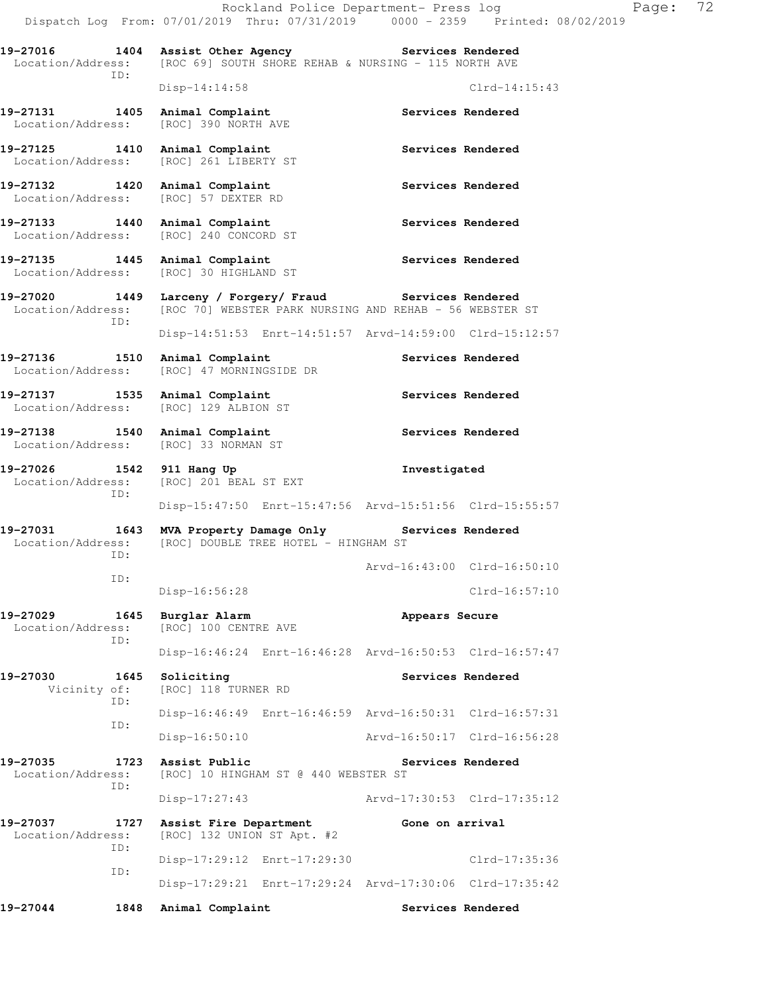Disp-14:51:53 Enrt-14:51:57 Arvd-14:59:00 Clrd-15:12:57

Disp-15:47:50 Enrt-15:47:56 Arvd-15:51:56 Clrd-15:55:57

Disp-16:56:28 Clrd-16:57:10

Disp-16:46:24 Enrt-16:46:28 Arvd-16:50:53 Clrd-16:57:47

Disp-16:46:49 Enrt-16:46:59 Arvd-16:50:31 Clrd-16:57:31

Disp-16:50:10 Arvd-16:50:17 Clrd-16:56:28

Disp-17:27:43 Arvd-17:30:53 Clrd-17:35:12

Disp-17:29:12 Enrt-17:29:30 Clrd-17:35:36

Disp-17:29:21 Enrt-17:29:24 Arvd-17:30:06 Clrd-17:35:42

Arvd-16:43:00 Clrd-16:50:10

**19-27016 1404 Assist Other Agency Services Rendered**  Location/Address: [ROC 69] SOUTH SHORE REHAB & NURSING - 115 NORTH AVE ID:

19-27131 1405 Animal Complaint **Services Rendered** Location/Address: [ROC] 390 NORTH AVE

19-27125 1410 Animal Complaint **Services Rendered** Location/Address: [ROC] 261 LIBERTY ST

19-27132 1420 Animal Complaint **19-27132** Services Rendered Location/Address: [ROC] 57 DEXTER RD

19-27133 1440 Animal Complaint **Services Rendered** Location/Address: [ROC] 240 CONCORD ST

19-27135 1445 Animal Complaint **Services Rendered** Location/Address: [ROC] 30 HIGHLAND ST

**19-27020 1449 Larceny / Forgery/ Fraud Services Rendered**  Location/Address: [ROC 70] WEBSTER PARK NURSING AND REHAB - 56 WEBSTER ST ID:

19-27136 1510 Animal Complaint **19-27136** Services Rendered Location/Address: [ROC] 47 MORNINGSIDE DR

19-27137 1535 Animal Complaint **Services Rendered** Location/Address: [ROC] 129 ALBION ST

19-27138 1540 Animal Complaint **19-27138** Services Rendered Location/Address: [ROC] 33 NORMAN ST

**19-27026 1542 911 Hang Up Investigated**  Location/Address: [ROC] 201 BEAL ST EXT ID:

**19-27031 1643 MVA Property Damage Only Services Rendered**  Location/Address: [ROC] DOUBLE TREE HOTEL - HINGHAM ST ID:

**19-27029 1645 Burglar Alarm Appears Secure**  Location/Address: [ROC] 100 CENTRE AVE ID:

19-27030 1645 Soliciting **Services Rendered**  Vicinity of: [ROC] 118 TURNER RD ID:

ID:

ID:

**19-27035 1723 Assist Public Services Rendered**  Location/Address: [ROC] 10 HINGHAM ST @ 440 WEBSTER ST ID:

**19-27037 1727 Assist Fire Department Gone on arrival**  Location/Address: [ROC] 132 UNION ST Apt. #2 ID: ID:

19-27044 1848 Animal Complaint **1848 Services Rendered** 

Disp-14:14:58 Clrd-14:15:43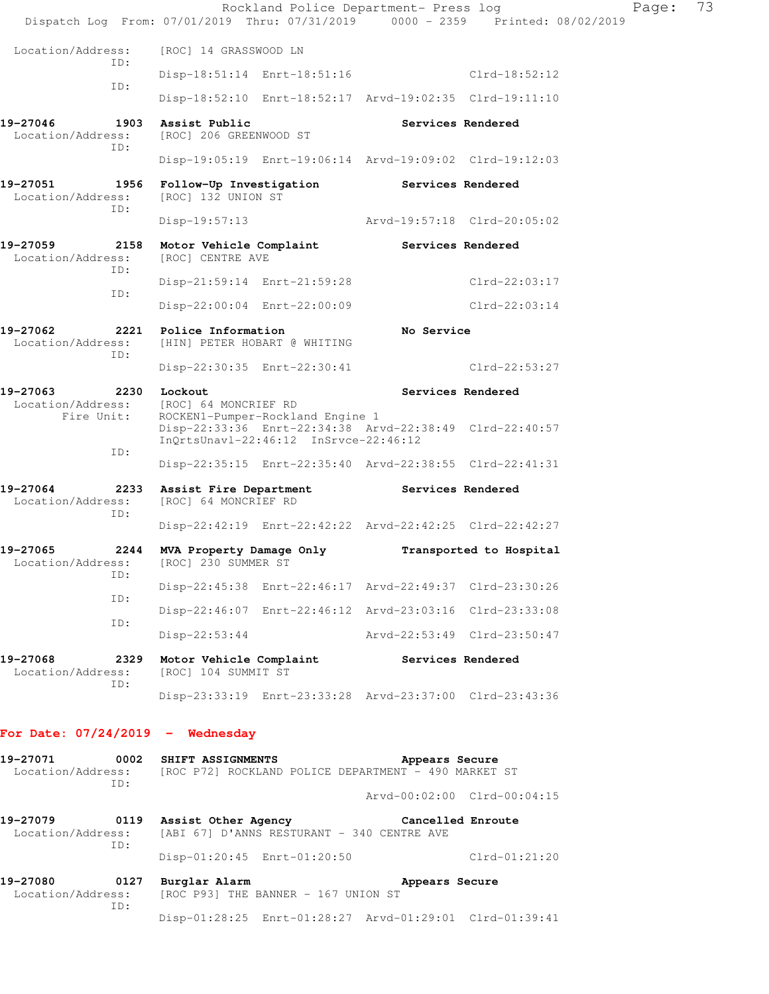|                                              | Rockland Police Department- Press log<br>Dispatch Log From: 07/01/2019 Thru: 07/31/2019 0000 - 2359 Printed: 08/02/2019               |                             |                             | Page: | 73 |
|----------------------------------------------|---------------------------------------------------------------------------------------------------------------------------------------|-----------------------------|-----------------------------|-------|----|
| Location/Address:                            | [ROC] 14 GRASSWOOD LN                                                                                                                 |                             |                             |       |    |
| TD:                                          | Disp-18:51:14 Enrt-18:51:16                                                                                                           |                             | Clrd-18:52:12               |       |    |
| ID:                                          | Disp-18:52:10 Enrt-18:52:17 Arvd-19:02:35 Clrd-19:11:10                                                                               |                             |                             |       |    |
| 19-27046<br>Location/Address:<br>ID:         | 1903 Assist Public<br>[ROC] 206 GREENWOOD ST                                                                                          |                             | Services Rendered           |       |    |
|                                              | Disp-19:05:19 Enrt-19:06:14 Arvd-19:09:02 Clrd-19:12:03                                                                               |                             |                             |       |    |
| 19-27051<br>Location/Address:<br>ID:         | 1956 Follow-Up Investigation<br>[ROC] 132 UNION ST                                                                                    | <b>Services Rendered</b>    |                             |       |    |
|                                              | $Disp-19:57:13$                                                                                                                       | Arvd-19:57:18 Clrd-20:05:02 |                             |       |    |
| 19-27059<br>Location/Address:<br>ID:         | 2158 Motor Vehicle Complaint<br>[ROC] CENTRE AVE                                                                                      | Services Rendered           |                             |       |    |
| ID:                                          | Disp-21:59:14 Enrt-21:59:28                                                                                                           |                             | $Clrd-22:03:17$             |       |    |
|                                              | Disp-22:00:04 Enrt-22:00:09                                                                                                           |                             | $Clrd-22:03:14$             |       |    |
| 19-27062<br>Location/Address:<br>ID:         | 2221 Police Information<br>[HIN] PETER HOBART @ WHITING                                                                               | No Service                  |                             |       |    |
|                                              | Disp-22:30:35 Enrt-22:30:41                                                                                                           |                             | $Clrd-22:53:27$             |       |    |
| 19-27063<br>2230 Lockout<br>Fire Unit:       | Location/Address: [ROC] 64 MONCRIEF RD<br>ROCKEN1-Pumper-Rockland Engine 1<br>Disp-22:33:36 Enrt-22:34:38 Arvd-22:38:49 Clrd-22:40:57 |                             | Services Rendered           |       |    |
| ID:                                          | InQrtsUnavl-22:46:12 InSrvce-22:46:12                                                                                                 |                             |                             |       |    |
|                                              | Disp-22:35:15 Enrt-22:35:40 Arvd-22:38:55 Clrd-22:41:31                                                                               |                             |                             |       |    |
| 19-27064<br>Location/Address:<br>ID:         | 2233 Assist Fire Department<br>[ROC] 64 MONCRIEF RD                                                                                   | Services Rendered           |                             |       |    |
|                                              | Disp-22:42:19 Enrt-22:42:22 Arvd-22:42:25 Clrd-22:42:27                                                                               |                             |                             |       |    |
| 19-27065<br>ID:                              | 2244 MVA Property Damage Only<br>Location/Address: [ROC] 230 SUMMER ST                                                                |                             | Transported to Hospital     |       |    |
| ID:                                          | Disp-22:45:38 Enrt-22:46:17 Arvd-22:49:37 Clrd-23:30:26                                                                               |                             |                             |       |    |
| ID:                                          | Disp-22:46:07 Enrt-22:46:12 Arvd-23:03:16 Clrd-23:33:08                                                                               |                             |                             |       |    |
|                                              | $Disp-22:53:44$                                                                                                                       | Arvd-22:53:49 Clrd-23:50:47 |                             |       |    |
| 19-27068<br>2329<br>Location/Address:<br>ID: | Motor Vehicle Complaint Services Rendered<br>[ROC] 104 SUMMIT ST                                                                      |                             |                             |       |    |
|                                              | Disp-23:33:19 Enrt-23:33:28 Arvd-23:37:00 Clrd-23:43:36                                                                               |                             |                             |       |    |
| For Date: $07/24/2019$ - Wednesday           |                                                                                                                                       |                             |                             |       |    |
| 19-27071<br>Location/Address:<br>ID:         | 0002 SHIFT ASSIGNMENTS<br>[ROC P72] ROCKLAND POLICE DEPARTMENT - 490 MARKET ST                                                        | Appears Secure              |                             |       |    |
|                                              |                                                                                                                                       |                             | Arvd-00:02:00 Clrd-00:04:15 |       |    |
| 19-27079                                     | 0119 Assist Other Agency<br>Location/Address: [ABI 67] D'ANNS RESTURANT - 340 CENTRE AVE                                              | Cancelled Enroute           |                             |       |    |

 ID: Disp-01:20:45 Enrt-01:20:50 Clrd-01:21:20

**19-27080 0127 Burglar Alarm Appears Secure**  Location/Address: [ROC P93] THE BANNER - 167 UNION ST ID: Disp-01:28:25 Enrt-01:28:27 Arvd-01:29:01 Clrd-01:39:41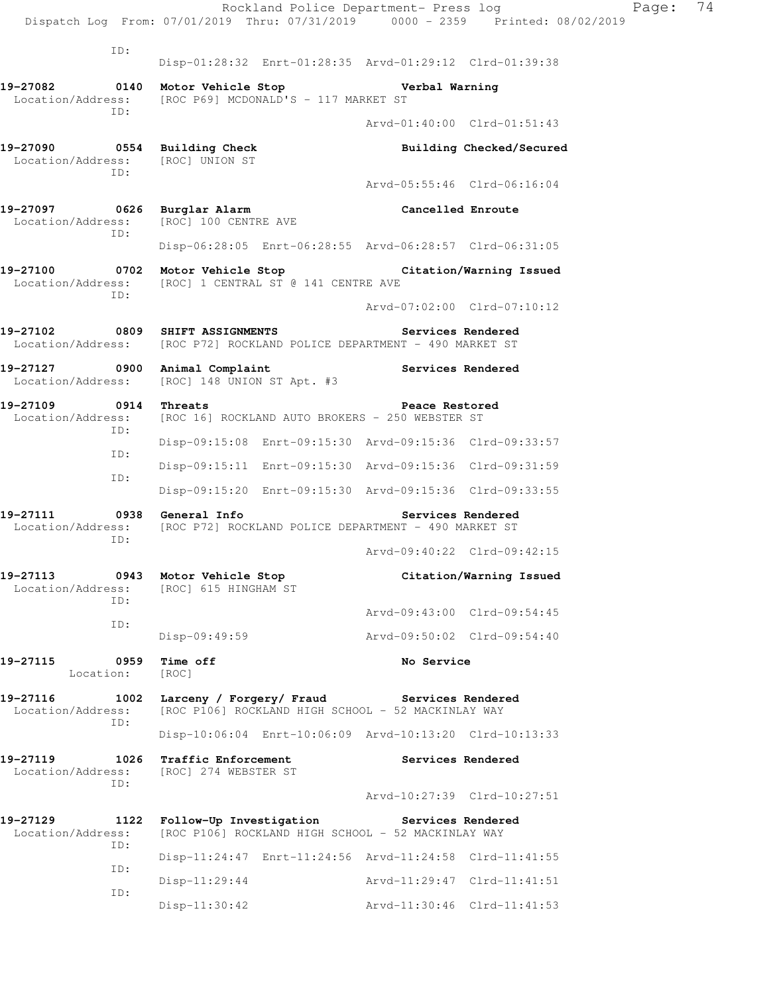|                                                     |             |                                                  |                                                                                                                   |                                 | Rockland Police Department- Press log<br>Dispatch Log From: 07/01/2019 Thru: 07/31/2019 0000 - 2359 Printed: 08/02/2019 | Page: | 74 |
|-----------------------------------------------------|-------------|--------------------------------------------------|-------------------------------------------------------------------------------------------------------------------|---------------------------------|-------------------------------------------------------------------------------------------------------------------------|-------|----|
|                                                     |             |                                                  |                                                                                                                   |                                 |                                                                                                                         |       |    |
|                                                     | ID:         |                                                  | Disp-01:28:32 Enrt-01:28:35 Arvd-01:29:12 Clrd-01:39:38                                                           |                                 |                                                                                                                         |       |    |
| 19-27082 0140 Motor Vehicle Stop                    |             |                                                  | Location/Address: [ROC P69] MCDONALD'S - 117 MARKET ST                                                            | <b>Example 1 Verbal Warning</b> |                                                                                                                         |       |    |
|                                                     | TD:         |                                                  |                                                                                                                   |                                 | Arvd-01:40:00 Clrd-01:51:43                                                                                             |       |    |
| 19-27090 0554 Building Check<br>Location/Address:   |             | [ROC] UNION ST                                   |                                                                                                                   |                                 | Building Checked/Secured                                                                                                |       |    |
|                                                     | TD:         |                                                  |                                                                                                                   |                                 | Arvd-05:55:46 Clrd-06:16:04                                                                                             |       |    |
| 19-27097 0626 Burglar Alarm                         | ID:         | Location/Address: [ROC] 100 CENTRE AVE           |                                                                                                                   | Cancelled Enroute               |                                                                                                                         |       |    |
|                                                     |             |                                                  | Disp-06:28:05 Enrt-06:28:55 Arvd-06:28:57 Clrd-06:31:05                                                           |                                 |                                                                                                                         |       |    |
|                                                     | ID:         |                                                  | 19-27100 0702 Motor Vehicle Stop Citation/Warning Issued<br>Location/Address: [ROC] 1 CENTRAL ST @ 141 CENTRE AVE |                                 |                                                                                                                         |       |    |
|                                                     |             |                                                  |                                                                                                                   |                                 | Arvd-07:02:00 Clrd-07:10:12                                                                                             |       |    |
| 19-27102 6809 SHIFT ASSIGNMENTS                     |             |                                                  | Location/Address: [ROC P72] ROCKLAND POLICE DEPARTMENT - 490 MARKET ST                                            |                                 | Services Rendered                                                                                                       |       |    |
| 19-27127 0900 Animal Complaint<br>Location/Address: |             | [ROC] 148 UNION ST Apt. #3                       |                                                                                                                   |                                 | Services Rendered                                                                                                       |       |    |
| 19-27109 0914 Threats                               | ID:         |                                                  | Location/Address: [ROC 16] ROCKLAND AUTO BROKERS - 250 WEBSTER ST                                                 | Peace Restored                  |                                                                                                                         |       |    |
|                                                     | ID:         |                                                  | Disp-09:15:08 Enrt-09:15:30 Arvd-09:15:36 Clrd-09:33:57                                                           |                                 |                                                                                                                         |       |    |
|                                                     | ID:         |                                                  | Disp-09:15:11 Enrt-09:15:30 Arvd-09:15:36 Clrd-09:31:59                                                           |                                 |                                                                                                                         |       |    |
|                                                     |             |                                                  | Disp-09:15:20 Enrt-09:15:30 Arvd-09:15:36 Clrd-09:33:55                                                           |                                 |                                                                                                                         |       |    |
| 19-27111 0938 General Info                          | ID:         |                                                  | Location/Address: [ROC P72] ROCKLAND POLICE DEPARTMENT - 490 MARKET ST                                            |                                 | Services Rendered                                                                                                       |       |    |
|                                                     |             |                                                  |                                                                                                                   |                                 | Arvd-09:40:22 Clrd-09:42:15                                                                                             |       |    |
| 19-27113<br>Location/Address:                       | TD:         | 0943 Motor Vehicle Stop<br>[ROC] 615 HINGHAM ST  |                                                                                                                   |                                 | Citation/Warning Issued                                                                                                 |       |    |
|                                                     | ID:         |                                                  |                                                                                                                   |                                 | Arvd-09:43:00 Clrd-09:54:45                                                                                             |       |    |
|                                                     |             | $Disp-09:49:59$                                  |                                                                                                                   |                                 | Arvd-09:50:02 Clrd-09:54:40                                                                                             |       |    |
| 19-27115<br>Location:                               |             | 0959 Time off<br>[ROC]                           |                                                                                                                   | No Service                      |                                                                                                                         |       |    |
| 19-27116<br>Location/Address:                       | 1002<br>ID: | Larceny / Forgery/ Fraud                         | [ROC P106] ROCKLAND HIGH SCHOOL - 52 MACKINLAY WAY                                                                | Services Rendered               |                                                                                                                         |       |    |
|                                                     |             |                                                  | Disp-10:06:04 Enrt-10:06:09 Arvd-10:13:20 Clrd-10:13:33                                                           |                                 |                                                                                                                         |       |    |
| 19-27119<br>Location/Address:                       | ID:         | 1026 Traffic Enforcement<br>[ROC] 274 WEBSTER ST |                                                                                                                   |                                 | Services Rendered                                                                                                       |       |    |
|                                                     |             |                                                  |                                                                                                                   |                                 | Arvd-10:27:39 Clrd-10:27:51                                                                                             |       |    |
| 19-27129<br>Location/Address:                       | 1122<br>ID: |                                                  | Follow-Up Investigation<br>[ROC P106] ROCKLAND HIGH SCHOOL - 52 MACKINLAY WAY                                     | Services Rendered               |                                                                                                                         |       |    |
|                                                     | ID:         |                                                  | Disp-11:24:47 Enrt-11:24:56 Arvd-11:24:58 Clrd-11:41:55                                                           |                                 |                                                                                                                         |       |    |
|                                                     | ID:         | $Disp-11:29:44$                                  |                                                                                                                   |                                 | Arvd-11:29:47 Clrd-11:41:51                                                                                             |       |    |
|                                                     |             | $Disp-11:30:42$                                  |                                                                                                                   |                                 | Arvd-11:30:46 Clrd-11:41:53                                                                                             |       |    |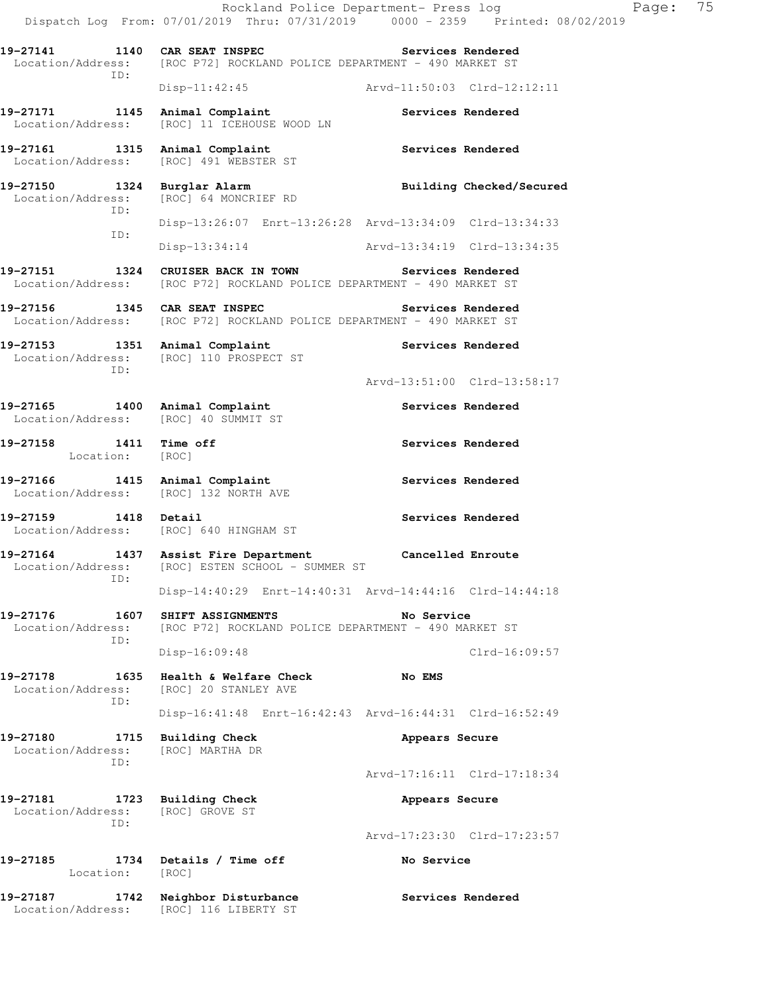Rockland Police Department- Press log Fage: 75 Dispatch Log From: 07/01/2019 Thru: 07/31/2019 0000 - 2359 Printed: 08/02/2019 **19-27141 1140 CAR SEAT INSPEC Services Rendered**  Location/Address: [ROC P72] ROCKLAND POLICE DEPARTMENT - 490 MARKET ST ID: Disp-11:42:45 Arvd-11:50:03 Clrd-12:12:11 19-27171 1145 Animal Complaint **Services Rendered**  Location/Address: [ROC] 11 ICEHOUSE WOOD LN **19-27161 1315 Animal Complaint Services Rendered**  Location/Address: [ROC] 491 WEBSTER ST 19-27150 1324 Burglar Alarm **Building Checked/Secured** Location/Address: [ROC] 64 MONCRIEF RD [ROC] 64 MONCRIEF RD ID: Disp-13:26:07 Enrt-13:26:28 Arvd-13:34:09 Clrd-13:34:33 ID: Disp-13:34:14 Arvd-13:34:19 Clrd-13:34:35 **19-27151 1324 CRUISER BACK IN TOWN Services Rendered**  Location/Address: [ROC P72] ROCKLAND POLICE DEPARTMENT - 490 MARKET ST **19-27156 1345 CAR SEAT INSPEC Services Rendered**  Location/Address: [ROC P72] ROCKLAND POLICE DEPARTMENT - 490 MARKET ST 19-27153 1351 Animal Complaint **Services Rendered**  Location/Address: [ROC] 110 PROSPECT ST ID: Arvd-13:51:00 Clrd-13:58:17 19-27165 1400 Animal Complaint **Services Rendered**  Location/Address: [ROC] 40 SUMMIT ST 19-27158 1411 Time off **Services Rendered**  Location: [ROC] **19-27166 1415 Animal Complaint Services Rendered**  Location/Address: [ROC] 132 NORTH AVE **19-27159 1418 Detail Services Rendered**  Location/Address: [ROC] 640 HINGHAM ST **19-27164 1437 Assist Fire Department Cancelled Enroute**  Location/Address: [ROC] ESTEN SCHOOL - SUMMER ST ID: Disp-14:40:29 Enrt-14:40:31 Arvd-14:44:16 Clrd-14:44:18 **19-27176 1607 SHIFT ASSIGNMENTS No Service**  Location/Address: [ROC P72] ROCKLAND POLICE DEPARTMENT - 490 MARKET ST ID: Disp-16:09:48 Clrd-16:09:57 **19-27178 1635 Health & Welfare Check No EMS**  Location/Address: [ROC] 20 STANLEY AVE ID: Disp-16:41:48 Enrt-16:42:43 Arvd-16:44:31 Clrd-16:52:49 19-27180 1715 Building Check **Appears Secure**  Location/Address: [ROC] MARTHA DR ID: Arvd-17:16:11 Clrd-17:18:34 19-27181 1723 Building Check **Appears Secure** Location/Address: [ROC] GROVE ST ID: Arvd-17:23:30 Clrd-17:23:57 **19-27185 1734 Details / Time off No Service**  Location: [ROC] **19-27187 1742 Neighbor Disturbance Services Rendered**  Location/Address: [ROC] 116 LIBERTY ST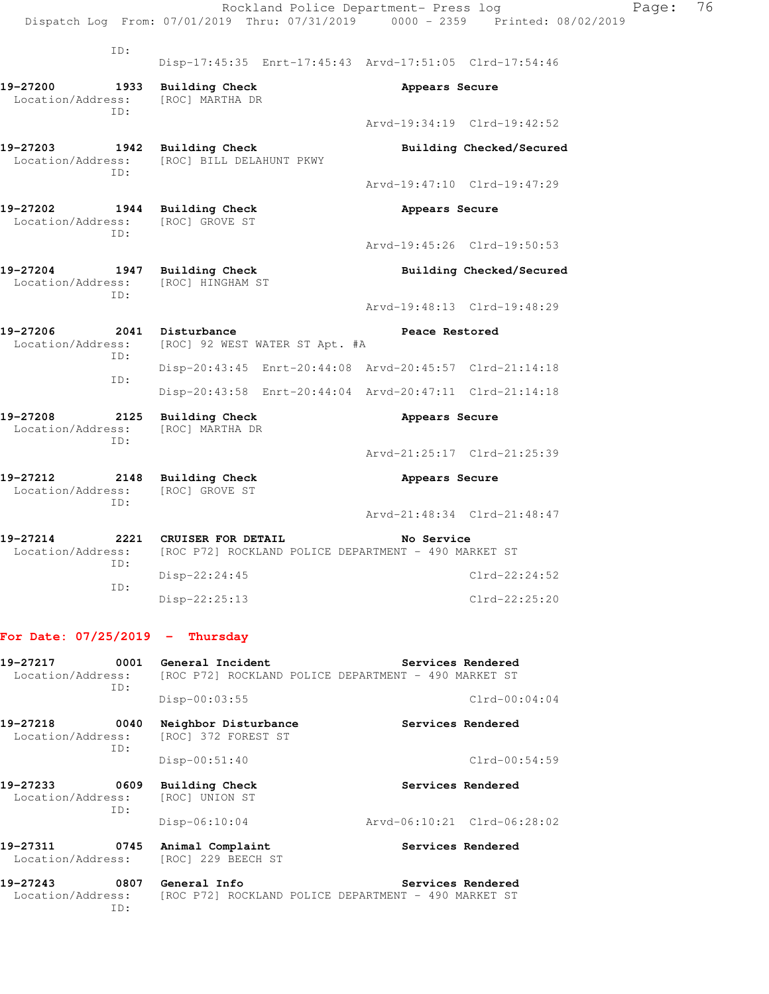|                                   |             |                                                 | Rockland Police Department- Press log                   |                | Dispatch Log From: 07/01/2019 Thru: 07/31/2019 0000 - 2359 Printed: 08/02/2019 | Page: | 76 |
|-----------------------------------|-------------|-------------------------------------------------|---------------------------------------------------------|----------------|--------------------------------------------------------------------------------|-------|----|
|                                   |             |                                                 |                                                         |                |                                                                                |       |    |
|                                   | ID:         |                                                 | Disp-17:45:35 Enrt-17:45:43 Arvd-17:51:05 Clrd-17:54:46 |                |                                                                                |       |    |
| 19-27200<br>Location/Address:     | 1933<br>TD: | <b>Building Check</b><br>[ROC] MARTHA DR        |                                                         | Appears Secure |                                                                                |       |    |
|                                   |             |                                                 |                                                         |                | Arvd-19:34:19 Clrd-19:42:52                                                    |       |    |
| 19-27203<br>Location/Address:     | TD:         | 1942 Building Check<br>[ROC] BILL DELAHUNT PKWY |                                                         |                | Building Checked/Secured                                                       |       |    |
|                                   |             |                                                 |                                                         |                | Arvd-19:47:10 Clrd-19:47:29                                                    |       |    |
| 19-27202<br>Location/Address:     | ID:         | 1944 Building Check<br>[ROC] GROVE ST           |                                                         | Appears Secure |                                                                                |       |    |
|                                   |             |                                                 |                                                         |                | Arvd-19:45:26 Clrd-19:50:53                                                    |       |    |
| 19-27204<br>Location/Address:     | ID:         | 1947 Building Check<br>[ROC] HINGHAM ST         |                                                         |                | Building Checked/Secured                                                       |       |    |
|                                   |             |                                                 |                                                         |                | Arvd-19:48:13 Clrd-19:48:29                                                    |       |    |
| 19-27206<br>Location/Address:     | ID:         | 2041 Disturbance                                | [ROC] 92 WEST WATER ST Apt. #A                          | Peace Restored |                                                                                |       |    |
|                                   | ID:         |                                                 | Disp-20:43:45 Enrt-20:44:08 Arvd-20:45:57 Clrd-21:14:18 |                |                                                                                |       |    |
|                                   |             |                                                 | Disp-20:43:58 Enrt-20:44:04 Arvd-20:47:11 Clrd-21:14:18 |                |                                                                                |       |    |
| 19-27208<br>Location/Address:     | 2125<br>TD: | <b>Building Check</b><br>[ROC] MARTHA DR        |                                                         | Appears Secure |                                                                                |       |    |
|                                   |             |                                                 |                                                         |                | Arvd-21:25:17 Clrd-21:25:39                                                    |       |    |
| 19-27212<br>Location/Address:     | ID:         | 2148 Building Check<br>[ROC] GROVE ST           |                                                         | Appears Secure |                                                                                |       |    |
|                                   |             |                                                 |                                                         |                | Arvd-21:48:34 Clrd-21:48:47                                                    |       |    |
| 19-27214<br>Location/Address:     | ID:         | 2221 CRUISER FOR DETAIL                         | [ROC P72] ROCKLAND POLICE DEPARTMENT - 490 MARKET ST    | No Service     |                                                                                |       |    |
|                                   | ID:         | Disp-22:24:45                                   |                                                         |                | $Clrd-22:24:52$                                                                |       |    |
|                                   |             | Disp-22:25:13                                   |                                                         |                | $C1rd - 22:25:20$                                                              |       |    |
| For Date: $07/25/2019$ - Thursday |             |                                                 |                                                         |                |                                                                                |       |    |
| 19-27217<br>Location/Address:     | 0001<br>ID: | General Incident                                | [ROC P72] ROCKLAND POLICE DEPARTMENT - 490 MARKET ST    |                | Services Rendered                                                              |       |    |
|                                   |             | Disp-00:03:55                                   |                                                         |                | $Clrd-00:04:04$                                                                |       |    |
| 19-27218<br>Location/Address:     | 0040<br>ID: | Neighbor Disturbance<br>[ROC] 372 FOREST ST     |                                                         |                | Services Rendered                                                              |       |    |
|                                   |             | Disp-00:51:40                                   |                                                         |                | $Clrd-00:54:59$                                                                |       |    |
| 19-27233<br>Location/Address:     | 0609<br>ID: | <b>Building Check</b><br>[ROC] UNION ST         |                                                         |                | Services Rendered                                                              |       |    |
|                                   |             | $Disp-06:10:04$                                 |                                                         |                | Arvd-06:10:21 Clrd-06:28:02                                                    |       |    |
| 19-27311<br>Location/Address:     | 0745        | Animal Complaint<br>[ROC] 229 BEECH ST          |                                                         |                | Services Rendered                                                              |       |    |
| 19-27243<br>Location/Address:     | ID:         | 0807 General Info                               | [ROC P72] ROCKLAND POLICE DEPARTMENT - 490 MARKET ST    |                | Services Rendered                                                              |       |    |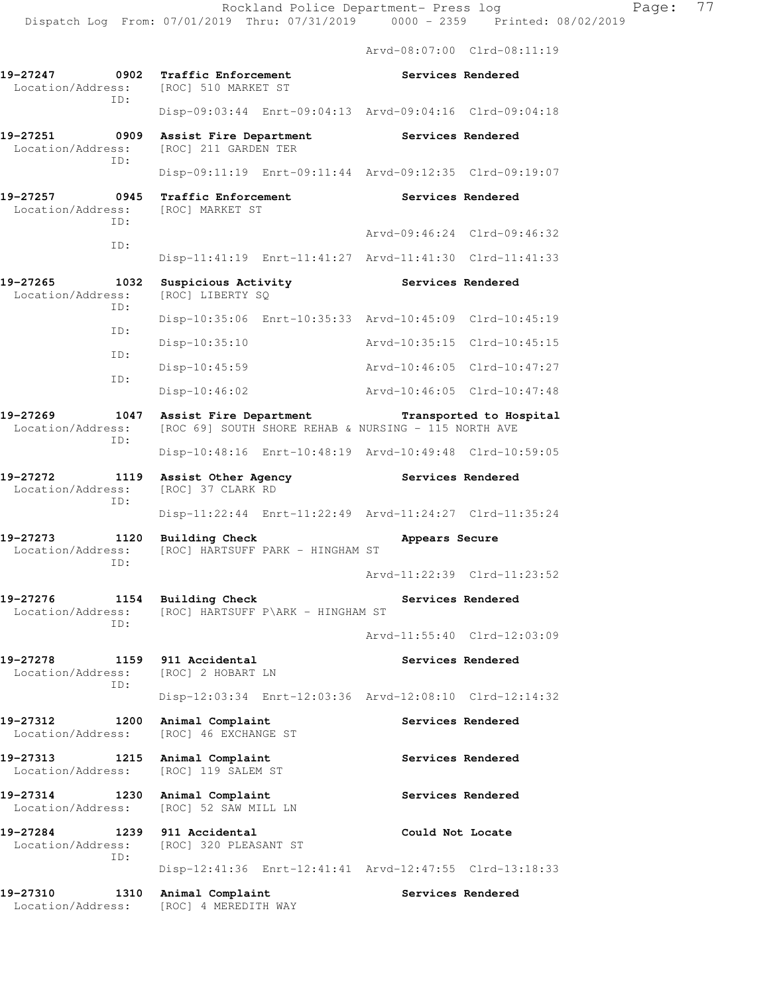Arvd-08:07:00 Clrd-08:11:19

**19-27247 0902 Traffic Enforcement Services Rendered**  Location/Address: [ROC] 510 MARKET ST ID: Disp-09:03:44 Enrt-09:04:13 Arvd-09:04:16 Clrd-09:04:18 **19-27251 0909 Assist Fire Department Services Rendered**  Location/Address: [ROC] 211 GARDEN TER ID: Disp-09:11:19 Enrt-09:11:44 Arvd-09:12:35 Clrd-09:19:07 **19-27257 0945 Traffic Enforcement Constructs Services Rendered** Location/Address: [ROC] MARKET ST Location/Address: ID: Arvd-09:46:24 Clrd-09:46:32 ID: Disp-11:41:19 Enrt-11:41:27 Arvd-11:41:30 Clrd-11:41:33 19-27265 1032 Suspicious Activity **Services Rendered** Location/Address: [ROC] LIBERTY SQ ID: Disp-10:35:06 Enrt-10:35:33 Arvd-10:45:09 Clrd-10:45:19 ID: Disp-10:35:10 Arvd-10:35:15 Clrd-10:45:15 ID: Disp-10:45:59 Arvd-10:46:05 Clrd-10:47:27 ID: Disp-10:46:02 Arvd-10:46:05 Clrd-10:47:48 **19-27269 1047 Assist Fire Department Transported to Hospital**  Location/Address: [ROC 69] SOUTH SHORE REHAB & NURSING - 115 NORTH AVE ID: Disp-10:48:16 Enrt-10:48:19 Arvd-10:49:48 Clrd-10:59:05 **19-27272 1119 Assist Other Agency Services Rendered**  Location/Address: [ROC] 37 CLARK RD ID: Disp-11:22:44 Enrt-11:22:49 Arvd-11:24:27 Clrd-11:35:24 **19-27273 1120 Building Check Appears Secure**  Location/Address: [ROC] HARTSUFF PARK - HINGHAM ST ID: Arvd-11:22:39 Clrd-11:23:52 19-27276 1154 Building Check **Services Rendered** Location/Address: [ROC] HARTSUFF P\ARK - HINGHAM ST ID: Arvd-11:55:40 Clrd-12:03:09 19-27278 1159 911 Accidental **Services Rendered Services Rendered Interval** Location/Address: [ROC] 2 HOBART LN [ROC] 2 HOBART LN ID: Disp-12:03:34 Enrt-12:03:36 Arvd-12:08:10 Clrd-12:14:32 19-27312 1200 Animal Complaint **19-27312** Services Rendered Location/Address: [ROC] 46 EXCHANGE ST **19-27313 1215 Animal Complaint Services Rendered**  Location/Address: [ROC] 119 SALEM ST 19-27314 1230 Animal Complaint **1281 Services Rendered**  Location/Address: [ROC] 52 SAW MILL LN **19-27284 1239 911 Accidental Could Not Locate**  Location/Address: [ROC] 320 PLEASANT ST ID: Disp-12:41:36 Enrt-12:41:41 Arvd-12:47:55 Clrd-13:18:33 19-27310 1310 Animal Complaint **19-27310** Services Rendered Location/Address: [ROC] 4 MEREDITH WAY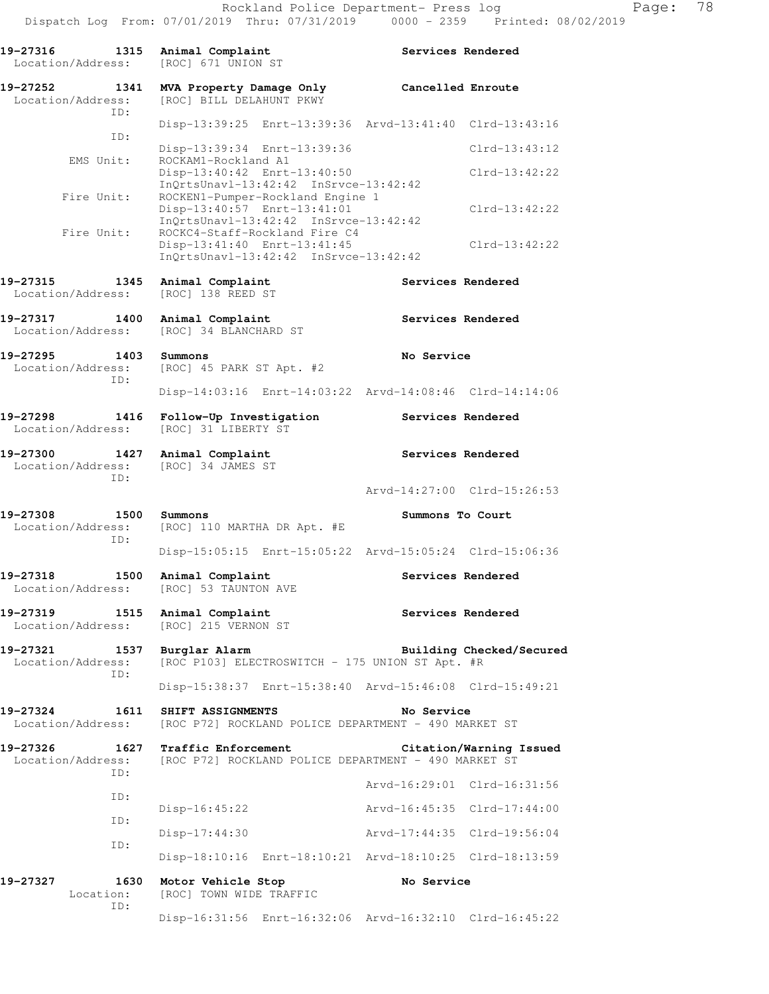**19-27316 1315 Animal Complaint Services Rendered**  Location/Address: [ROC] 671 UNION ST **19-27252 1341 MVA Property Damage Only Cancelled Enroute**  Location/Address: [ROC] BILL DELAHUNT PKWY ID: Disp-13:39:25 Enrt-13:39:36 Arvd-13:41:40 Clrd-13:43:16 ID: Disp-13:39:34 Enrt-13:39:36 Clrd-13:43:12<br>EMS Unit: ROCKAM1-Rockland A1 ROCKAM1-Rockland A1 Disp-13:40:42 Enrt-13:40:50 Clrd-13:42:22 InQrtsUnavl-13:42:42 InSrvce-13:42:42 Fire Unit: ROCKEN1-Pumper-Rockland Engine 1 Disp-13:40:57 Enrt-13:41:01 Clrd-13:42:22 InQrtsUnavl-13:42:42 InSrvce-13:42:42 Fire Unit: ROCKC4-Staff-Rockland Fire C4 Disp-13:41:40 Enrt-13:41:45 Clrd-13:42:22 InQrtsUnavl-13:42:42 InSrvce-13:42:42 19-27315 1345 Animal Complaint **19-27315** Services Rendered Location/Address: [ROC] 138 REED ST 19-27317 1400 Animal Complaint **Services Rendered**  Location/Address: [ROC] 34 BLANCHARD ST **19-27295 1403 Summons No Service**  Location/Address: [ROC] 45 PARK ST Apt. #2 ID: Disp-14:03:16 Enrt-14:03:22 Arvd-14:08:46 Clrd-14:14:06 **19-27298 1416 Follow-Up Investigation Services Rendered**  Location/Address: [ROC] 31 LIBERTY ST **19-27300 1427 Animal Complaint Services Rendered**  Location/Address: [ROC] 34 JAMES ST ID: Arvd-14:27:00 Clrd-15:26:53 **19-27308 1500 Summons Summons To Court**  Location/Address: [ROC] 110 MARTHA DR Apt. #E ID: Disp-15:05:15 Enrt-15:05:22 Arvd-15:05:24 Clrd-15:06:36 19-27318 1500 Animal Complaint **19-27318** Services Rendered Location/Address: [ROC] 53 TAUNTON AVE 19-27319 1515 Animal Complaint **19-27319** Services Rendered Location/Address: [ROC] 215 VERNON ST 19-27321 1537 Burglar Alarm **Building Checked/Secured** Location/Address: [ROC P103] ELECTROSWITCH - 175 UNION ST Apt. #R ID: Disp-15:38:37 Enrt-15:38:40 Arvd-15:46:08 Clrd-15:49:21 **19-27324 1611 SHIFT ASSIGNMENTS No Service**  Location/Address: [ROC P72] ROCKLAND POLICE DEPARTMENT - 490 MARKET ST **19-27326 1627 Traffic Enforcement Citation/Warning Issued**  Location/Address: [ROC P72] ROCKLAND POLICE DEPARTMENT - 490 MARKET ST ID: Arvd-16:29:01 Clrd-16:31:56 ID: Disp-16:45:22 Arvd-16:45:35 Clrd-17:44:00 ID: Disp-17:44:30 Arvd-17:44:35 Clrd-19:56:04 ID: Disp-18:10:16 Enrt-18:10:21 Arvd-18:10:25 Clrd-18:13:59 **19-27327 1630 Motor Vehicle Stop No Service**  Location: [ROC] TOWN WIDE TRAFFIC ID: Disp-16:31:56 Enrt-16:32:06 Arvd-16:32:10 Clrd-16:45:22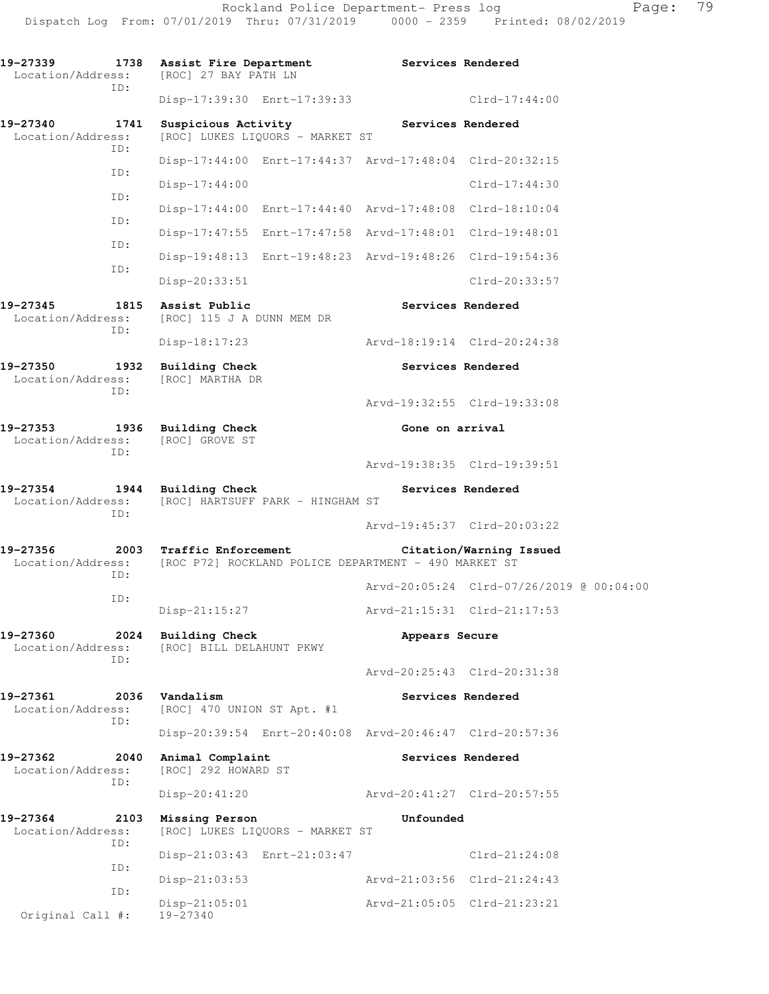**19-27339 1738 Assist Fire Department Services Rendered**  Location/Address: [ROC] 27 BAY PATH LN ID: Disp-17:39:30 Enrt-17:39:33 Clrd-17:44:00 19-27340 **1741 Suspicious Activity 19-27340** Services Rendered Location/Address: [ROC] LUKES LIQUORS - MARKET ST ID: Disp-17:44:00 Enrt-17:44:37 Arvd-17:48:04 Clrd-20:32:15 ID: Disp-17:44:00 Clrd-17:44:30 ID: Disp-17:44:00 Enrt-17:44:40 Arvd-17:48:08 Clrd-18:10:04 ID: Disp-17:47:55 Enrt-17:47:58 Arvd-17:48:01 Clrd-19:48:01 ID: Disp-19:48:13 Enrt-19:48:23 Arvd-19:48:26 Clrd-19:54:36 ID: Disp-20:33:51 Clrd-20:33:57 **19-27345 1815 Assist Public Services Rendered**  Location/Address: [ROC] 115 J A DUNN MEM DR ID: Disp-18:17:23 Arvd-18:19:14 Clrd-20:24:38 **19-27350 1932 Building Check Services Rendered**  Location/Address: [ROC] MARTHA DR ID: Arvd-19:32:55 Clrd-19:33:08 **19-27353 1936 Building Check Gone on arrival**<br>
Location/Address: [ROC] GROVE ST Location/Address: ID: Arvd-19:38:35 Clrd-19:39:51 **19-27354 1944 Building Check Services Rendered Services Rendered**<br>Location/Address: [ROC] HARTSUFF PARK - HINGHAM ST [ROC] HARTSUFF PARK - HINGHAM ST ID: Arvd-19:45:37 Clrd-20:03:22 **19-27356 2003 Traffic Enforcement Citation/Warning Issued**  Location/Address: [ROC P72] ROCKLAND POLICE DEPARTMENT - 490 MARKET ST ID: Arvd-20:05:24 Clrd-07/26/2019 @ 00:04:00 ID: Disp-21:15:27 Arvd-21:15:31 Clrd-21:17:53 **19-27360 2024 Building Check Appears Secure**  Location/Address: [ROC] BILL DELAHUNT PKWY ID: Arvd-20:25:43 Clrd-20:31:38 19-27361 2036 Vandalism **Services Rendered**  Location/Address: [ROC] 470 UNION ST Apt. #1 ID: Disp-20:39:54 Enrt-20:40:08 Arvd-20:46:47 Clrd-20:57:36 **19-27362 2040 Animal Complaint Services Rendered**  Location/Address: [ROC] 292 HOWARD ST ID: Disp-20:41:20 Arvd-20:41:27 Clrd-20:57:55 **19-27364 2103 Missing Person Unfounded**  Location/Address: [ROC] LUKES LIQUORS - MARKET ST ID: Disp-21:03:43 Enrt-21:03:47 Clrd-21:24:08 ID: Disp-21:03:53 Arvd-21:03:56 Clrd-21:24:43 ID: Disp-21:05:01 <br>19-27340 <br>19-27340 Original Call #: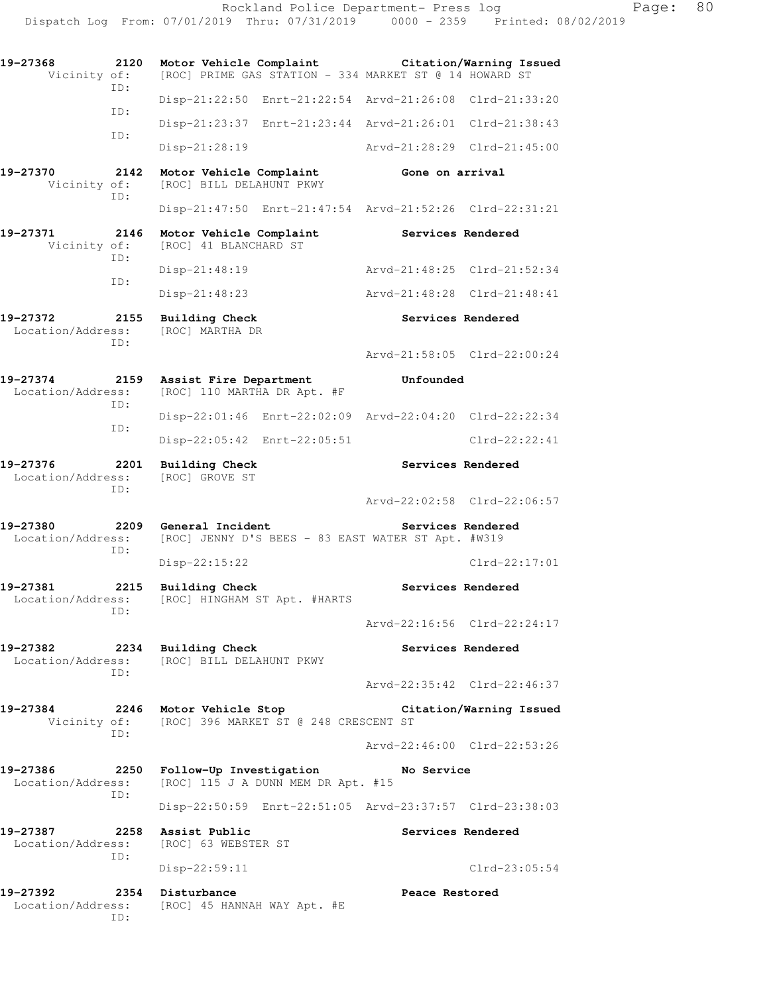| 19-27368<br>Vicinity of:                                                                             | 2120 |                  |                                          | Motor Vehicle Complaint                               | [ROC] PRIME GAS STATION - 334 MARKET ST @ 14 HOWARD ST                  | Citation/Warning Issued                                 |
|------------------------------------------------------------------------------------------------------|------|------------------|------------------------------------------|-------------------------------------------------------|-------------------------------------------------------------------------|---------------------------------------------------------|
| ID:                                                                                                  |      |                  |                                          |                                                       |                                                                         | Disp-21:22:50 Enrt-21:22:54 Arvd-21:26:08 Clrd-21:33:20 |
| ID:                                                                                                  |      |                  |                                          |                                                       |                                                                         | Disp-21:23:37 Enrt-21:23:44 Arvd-21:26:01 Clrd-21:38:43 |
| ID:                                                                                                  |      |                  | Disp-21:28:19                            |                                                       |                                                                         | Arvd-21:28:29 Clrd-21:45:00                             |
| 19-27370<br>Vicinity of:<br>ID:                                                                      | 2142 |                  |                                          | Motor Vehicle Complaint<br>[ROC] BILL DELAHUNT PKWY   | Gone on arrival                                                         |                                                         |
|                                                                                                      |      |                  |                                          |                                                       |                                                                         | Disp-21:47:50 Enrt-21:47:54 Arvd-21:52:26 Clrd-22:31:21 |
| 19-27371<br>Vicinity of:                                                                             | 2146 |                  | [ROC] 41 BLANCHARD ST                    | Motor Vehicle Complaint                               | Services Rendered                                                       |                                                         |
| ID:                                                                                                  |      |                  | $Disp-21:48:19$                          |                                                       |                                                                         | Arvd-21:48:25 Clrd-21:52:34                             |
| ID:                                                                                                  |      |                  | $Disp-21:48:23$                          |                                                       |                                                                         | Arvd-21:48:28 Clrd-21:48:41                             |
| 19-27372<br>Location/Address:<br>ID:                                                                 | 2155 |                  | <b>Building Check</b><br>[ROC] MARTHA DR |                                                       |                                                                         | Services Rendered                                       |
|                                                                                                      |      |                  |                                          |                                                       |                                                                         | Arvd-21:58:05 Clrd-22:00:24                             |
| 19-27374<br>Location/Address:<br>ID:                                                                 | 2159 |                  |                                          | Assist Fire Department<br>[ROC] 110 MARTHA DR Apt. #F | Unfounded                                                               |                                                         |
| ID:                                                                                                  |      |                  |                                          |                                                       |                                                                         | Disp-22:01:46 Enrt-22:02:09 Arvd-22:04:20 Clrd-22:22:34 |
|                                                                                                      |      |                  |                                          | Disp-22:05:42 Enrt-22:05:51                           |                                                                         | $Clrd-22:22:41$                                         |
| 19-27376<br>Location/Address:<br>ID:                                                                 | 2201 |                  | Building Check<br>[ROC] GROVE ST         |                                                       |                                                                         | Services Rendered                                       |
|                                                                                                      |      |                  |                                          |                                                       |                                                                         | Arvd-22:02:58 Clrd-22:06:57                             |
| 19-27380<br>Location/Address:<br>ID:                                                                 | 2209 |                  | General Incident                         |                                                       | Services Rendered<br>[ROC] JENNY D'S BEES - 83 EAST WATER ST Apt. #W319 |                                                         |
|                                                                                                      |      |                  | Disp-22:15:22                            |                                                       |                                                                         | $Clrd-22:17:01$                                         |
| 19-27381<br>Location/Address:<br>ID:                                                                 | 2215 |                  | <b>Building Check</b>                    | [ROC] HINGHAM ST Apt. #HARTS                          | Services Rendered                                                       |                                                         |
|                                                                                                      |      |                  |                                          |                                                       |                                                                         | Arvd-22:16:56 Clrd-22:24:17                             |
| 19-27382<br>2234 Building Check<br>Location/Address: [ROC] BILL DELAHUNT PKWY<br>ID:                 |      |                  |                                          |                                                       |                                                                         | Services Rendered                                       |
|                                                                                                      |      |                  |                                          |                                                       |                                                                         | Arvd-22:35:42 Clrd-22:46:37                             |
| 19-27384<br>Vicinity of: [ROC] 396 MARKET ST @ 248 CRESCENT ST<br>ID:                                |      |                  |                                          | 2246 Motor Vehicle Stop                               |                                                                         | Citation/Warning Issued                                 |
|                                                                                                      |      |                  |                                          |                                                       |                                                                         | Arvd-22:46:00 Clrd-22:53:26                             |
| 19-27386 2250 Follow-Up Investigation<br>Location/Address: [ROC] 115 J A DUNN MEM DR Apt. #15<br>ID: |      |                  |                                          |                                                       | No Service                                                              |                                                         |
|                                                                                                      |      |                  |                                          |                                                       |                                                                         | Disp-22:50:59 Enrt-22:51:05 Arvd-23:37:57 Clrd-23:38:03 |
| 19-27387<br>2258 Assist Public<br>Location/Address: [ROC] 63 WEBSTER ST<br>ID:                       |      |                  |                                          |                                                       |                                                                         | Services Rendered                                       |
|                                                                                                      |      |                  | Disp-22:59:11                            |                                                       |                                                                         | $Clrd-23:05:54$                                         |
| 19-27392<br>Location/Address:<br>ID:                                                                 |      | 2354 Disturbance |                                          | [ROC] 45 HANNAH WAY Apt. #E                           | Peace Restored                                                          |                                                         |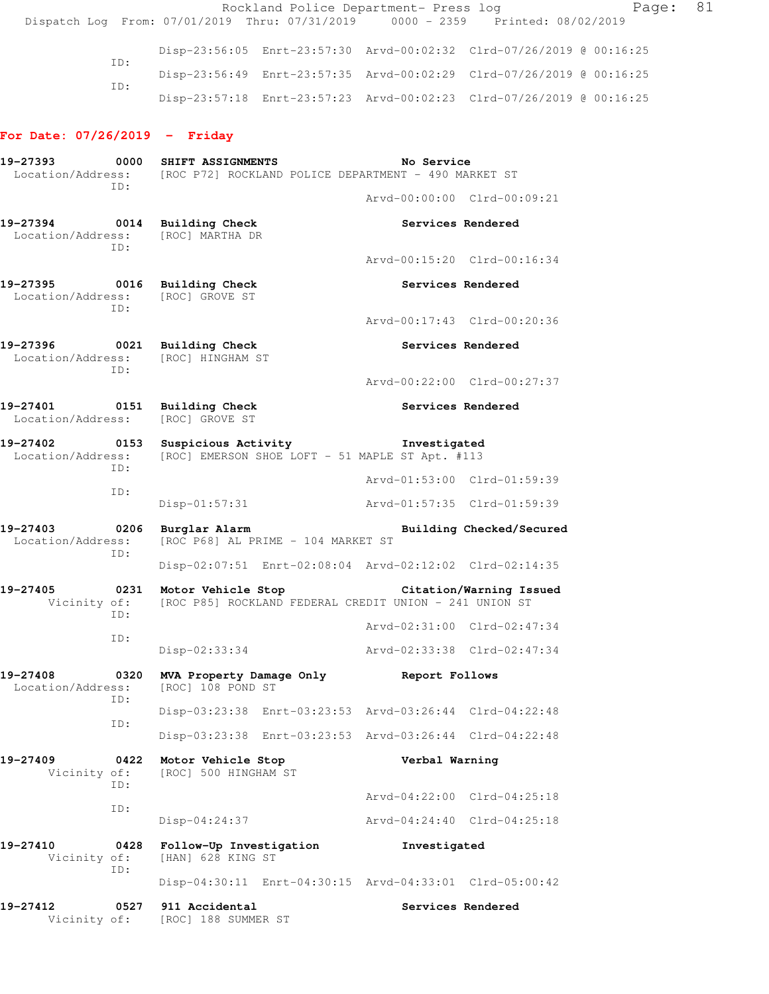Rockland Police Department- Press log Fage: 81 Dispatch Log From: 07/01/2019 Thru: 07/31/2019 0000 - 2359 Printed: 08/02/2019 Disp-23:56:05 Enrt-23:57:30 Arvd-00:02:32 Clrd-07/26/2019 @ 00:16:25 ID: Disp-23:56:49 Enrt-23:57:35 Arvd-00:02:29 Clrd-07/26/2019 @ 00:16:25 ID: Disp-23:57:18 Enrt-23:57:23 Arvd-00:02:23 Clrd-07/26/2019 @ 00:16:25 **For Date: 07/26/2019 - Friday 19-27393 0000 SHIFT ASSIGNMENTS No Service**  Location/Address: [ROC P72] ROCKLAND POLICE DEPARTMENT - 490 MARKET ST ID: Arvd-00:00:00 Clrd-00:09:21 **19-27394 0014 Building Check Services Rendered**  Location/Address: [ROC] MARTHA DR ID: Arvd-00:15:20 Clrd-00:16:34 19-27395 **0016** Building Check **Services Rendered**  Location/Address: [ROC] GROVE ST ID: Arvd-00:17:43 Clrd-00:20:36 **19-27396 0021 Building Check Services Rendered**  Location/Address: [ROC] HINGHAM ST ID: Arvd-00:22:00 Clrd-00:27:37 19-27401 **0151** Building Check **Services Rendered**  Location/Address: [ROC] GROVE ST **19-27402 0153 Suspicious Activity Investigated**  Location/Address: [ROC] EMERSON SHOE LOFT - 51 MAPLE ST Apt. #113 ID: Arvd-01:53:00 Clrd-01:59:39 ID: Disp-01:57:31 Arvd-01:57:35 Clrd-01:59:39 **19-27403 0206 Burglar Alarm Building Checked/Secured**  Location/Address: [ROC P68] AL PRIME - 104 MARKET ST ID: Disp-02:07:51 Enrt-02:08:04 Arvd-02:12:02 Clrd-02:14:35 **19-27405 0231 Motor Vehicle Stop Citation/Warning Issued**  Vicinity of: [ROC P85] ROCKLAND FEDERAL CREDIT UNION - 241 UNION ST ID: Arvd-02:31:00 Clrd-02:47:34 ID: Disp-02:33:34 Arvd-02:33:38 Clrd-02:47:34 19-27408 0320 **MVA Property Damage Only** Report Follows<br>
Location/Address: [ROC] 108 POND ST Location/Address: ID: Disp-03:23:38 Enrt-03:23:53 Arvd-03:26:44 Clrd-04:22:48 ID: Disp-03:23:38 Enrt-03:23:53 Arvd-03:26:44 Clrd-04:22:48 **19-27409 0422 Motor Vehicle Stop Verbal Warning**  [ROC] 500 HINGHAM ST ID: Arvd-04:22:00 Clrd-04:25:18 ID: Disp-04:24:37 Arvd-04:24:40 Clrd-04:25:18 **19-27410 0428 Follow-Up Investigation Investigated**  Vicinity of: [HAN] 628 KING ST ID: Disp-04:30:11 Enrt-04:30:15 Arvd-04:33:01 Clrd-05:00:42 **19-27412 0527 911 Accidental Services Rendered**  Vicinity of: [ROC] 188 SUMMER ST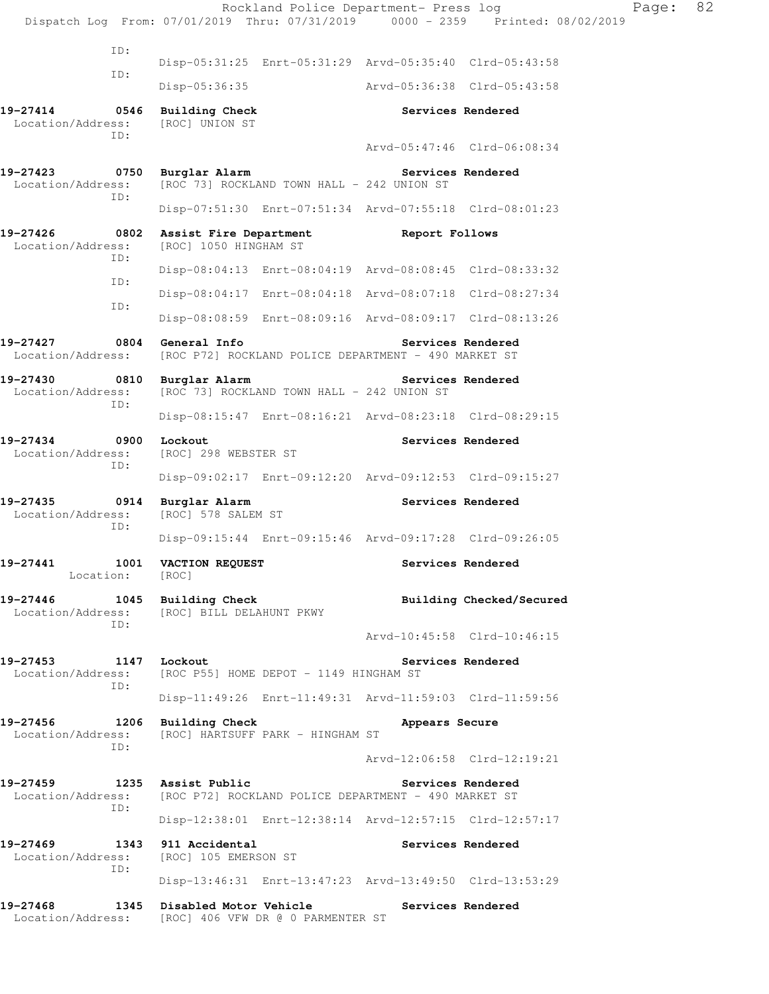|                                                                                                       |                 |                                             | Rockland Police Department- Press log                        |                             | Dispatch Log From: 07/01/2019 Thru: 07/31/2019 0000 - 2359 Printed: 08/02/2019 | Page: | 82 |
|-------------------------------------------------------------------------------------------------------|-----------------|---------------------------------------------|--------------------------------------------------------------|-----------------------------|--------------------------------------------------------------------------------|-------|----|
|                                                                                                       | ID:             |                                             |                                                              |                             |                                                                                |       |    |
|                                                                                                       | ID:             |                                             | Disp-05:31:25 Enrt-05:31:29 Arvd-05:35:40 Clrd-05:43:58      |                             |                                                                                |       |    |
|                                                                                                       |                 | Disp-05:36:35                               |                                                              | Arvd-05:36:38 Clrd-05:43:58 |                                                                                |       |    |
| 19-27414 0546 Building Check<br>Location/Address:                                                     | TD:             | [ROC] UNION ST                              |                                                              |                             | Services Rendered                                                              |       |    |
|                                                                                                       |                 |                                             |                                                              |                             | Arvd-05:47:46 Clrd-06:08:34                                                    |       |    |
| 19-27423 0750 Burglar Alarm<br>Location/Address:                                                      | ID:             |                                             | [ROC 73] ROCKLAND TOWN HALL - 242 UNION ST                   | Services Rendered           |                                                                                |       |    |
|                                                                                                       |                 |                                             | Disp-07:51:30 Enrt-07:51:34 Arvd-07:55:18 Clrd-08:01:23      |                             |                                                                                |       |    |
| 19-27426<br>Location/Address:                                                                         | TD:             | [ROC] 1050 HINGHAM ST                       | 0802 Assist Fire Department The Report Follows               |                             |                                                                                |       |    |
|                                                                                                       | ID:             |                                             | Disp-08:04:13 Enrt-08:04:19 Arvd-08:08:45 Clrd-08:33:32      |                             |                                                                                |       |    |
|                                                                                                       |                 |                                             | Disp-08:04:17 Enrt-08:04:18 Arvd-08:07:18 Clrd-08:27:34      |                             |                                                                                |       |    |
|                                                                                                       | ID:             |                                             | Disp-08:08:59 Enrt-08:09:16 Arvd-08:09:17 Clrd-08:13:26      |                             |                                                                                |       |    |
| 19-27427<br>Location/Address:                                                                         |                 | 0804 General Info                           | [ROC P72] ROCKLAND POLICE DEPARTMENT - 490 MARKET ST         |                             | Services Rendered                                                              |       |    |
| 19-27430 0810 Burglar Alarm                                                                           | ID:             |                                             | Location/Address: [ROC 73] ROCKLAND TOWN HALL - 242 UNION ST | Services Rendered           |                                                                                |       |    |
|                                                                                                       |                 |                                             | Disp-08:15:47 Enrt-08:16:21 Arvd-08:23:18 Clrd-08:29:15      |                             |                                                                                |       |    |
| 19-27434<br>Location/Address:                                                                         | ID:             | 0900 Lockout<br>[ROC] 298 WEBSTER ST        |                                                              |                             | Services Rendered                                                              |       |    |
|                                                                                                       |                 |                                             | Disp-09:02:17 Enrt-09:12:20 Arvd-09:12:53 Clrd-09:15:27      |                             |                                                                                |       |    |
| 19-27435<br>Location/Address:                                                                         | ID:             | 0914 Burglar Alarm<br>[ROC] 578 SALEM ST    |                                                              |                             | Services Rendered                                                              |       |    |
|                                                                                                       |                 |                                             | Disp-09:15:44 Enrt-09:15:46 Arvd-09:17:28 Clrd-09:26:05      |                             |                                                                                |       |    |
| 19-27441                                                                                              | Location: [ROC] | 1001 VACTION REQUEST                        |                                                              |                             | Services Rendered                                                              |       |    |
| 19-27446 1045 Building Check<br>Location/Address: [ROC] BILL DELAHUNT PKWY                            | ID:             |                                             |                                                              |                             | Building Checked/Secured                                                       |       |    |
|                                                                                                       |                 |                                             |                                                              |                             | Arvd-10:45:58 Clrd-10:46:15                                                    |       |    |
| 19-27453 1147 Lockout<br>Location/Address: [ROC P55] HOME DEPOT - 1149 HINGHAM ST                     | ID:             |                                             |                                                              | Services Rendered           |                                                                                |       |    |
|                                                                                                       |                 |                                             | Disp-11:49:26 Enrt-11:49:31 Arvd-11:59:03 Clrd-11:59:56      |                             |                                                                                |       |    |
| 19-27456 1206 Building Check<br>Location/Address: [ROC] HARTSUFF PARK - HINGHAM ST                    | ID:             |                                             |                                                              | Appears Secure              |                                                                                |       |    |
|                                                                                                       |                 |                                             |                                                              |                             | Arvd-12:06:58 Clrd-12:19:21                                                    |       |    |
| 19-27459 1235 Assist Public<br>Location/Address: [ROC P72] ROCKLAND POLICE DEPARTMENT - 490 MARKET ST | ID:             |                                             |                                                              |                             | Services Rendered                                                              |       |    |
|                                                                                                       |                 |                                             | Disp-12:38:01 Enrt-12:38:14 Arvd-12:57:15 Clrd-12:57:17      |                             |                                                                                |       |    |
| 19-27469<br>Location/Address:                                                                         | ID:             | 1343 911 Accidental<br>[ROC] 105 EMERSON ST |                                                              | Services Rendered           |                                                                                |       |    |
|                                                                                                       |                 |                                             | Disp-13:46:31 Enrt-13:47:23 Arvd-13:49:50 Clrd-13:53:29      |                             |                                                                                |       |    |
| 19-27468<br>Location/Address: [ROC] 406 VFW DR @ 0 PARMENTER ST                                       |                 | 1345 Disabled Motor Vehicle                 |                                                              | Services Rendered           |                                                                                |       |    |
|                                                                                                       |                 |                                             |                                                              |                             |                                                                                |       |    |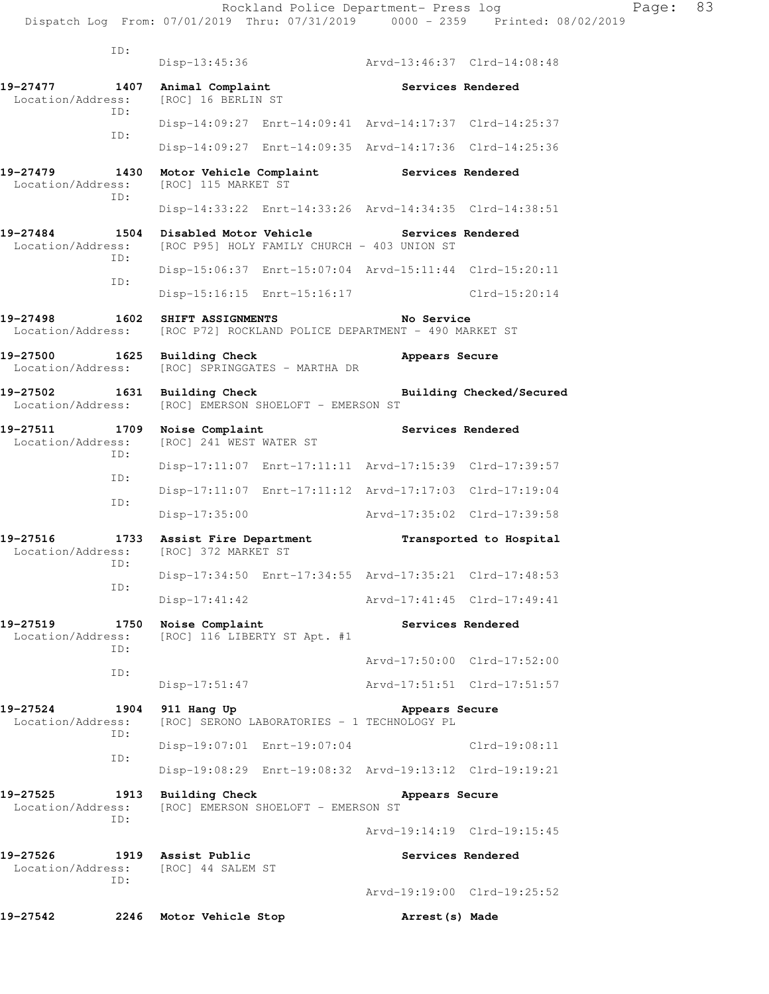|                               | ID:         |                                                 |                                                         |                   |                             |
|-------------------------------|-------------|-------------------------------------------------|---------------------------------------------------------|-------------------|-----------------------------|
|                               |             | $Disp-13:45:36$                                 |                                                         |                   | Arvd-13:46:37 Clrd-14:08:48 |
| 19-27477<br>Location/Address: | 1407        | Animal Complaint<br>[ROC] 16 BERLIN ST          |                                                         | Services Rendered |                             |
|                               | TD:         |                                                 | Disp-14:09:27 Enrt-14:09:41 Arvd-14:17:37 Clrd-14:25:37 |                   |                             |
|                               | ID:         |                                                 | Disp-14:09:27 Enrt-14:09:35 Arvd-14:17:36 Clrd-14:25:36 |                   |                             |
| 19-27479<br>Location/Address: | 1430<br>ID: | Motor Vehicle Complaint<br>[ROC] 115 MARKET ST  |                                                         | Services Rendered |                             |
|                               |             |                                                 | Disp-14:33:22 Enrt-14:33:26 Arvd-14:34:35 Clrd-14:38:51 |                   |                             |
| 19-27484<br>Location/Address: | 1504<br>ID: | Disabled Motor Vehicle                          | [ROC P95] HOLY FAMILY CHURCH - 403 UNION ST             | Services Rendered |                             |
|                               | ID:         |                                                 | Disp-15:06:37 Enrt-15:07:04 Arvd-15:11:44 Clrd-15:20:11 |                   |                             |
|                               |             | Disp-15:16:15 Enrt-15:16:17                     |                                                         |                   | $Clrd-15:20:14$             |
| 19-27498<br>Location/Address: | 1602        | SHIFT ASSIGNMENTS                               | [ROC P72] ROCKLAND POLICE DEPARTMENT - 490 MARKET ST    | No Service        |                             |
| 19-27500<br>Location/Address: | 1625        | <b>Building Check</b>                           | [ROC] SPRINGGATES - MARTHA DR                           | Appears Secure    |                             |
| 19-27502<br>Location/Address: | 1631        | <b>Building Check</b>                           | [ROC] EMERSON SHOELOFT - EMERSON ST                     |                   | Building Checked/Secured    |
| 19-27511<br>Location/Address: | 1709<br>ID: | Noise Complaint<br>[ROC] 241 WEST WATER ST      |                                                         |                   | Services Rendered           |
|                               | ID:         |                                                 | Disp-17:11:07 Enrt-17:11:11 Arvd-17:15:39 Clrd-17:39:57 |                   |                             |
|                               | ID:         |                                                 | Disp-17:11:07 Enrt-17:11:12 Arvd-17:17:03 Clrd-17:19:04 |                   |                             |
|                               |             | $Disp-17:35:00$                                 |                                                         |                   | Arvd-17:35:02 Clrd-17:39:58 |
| 19-27516<br>Location/Address: | 1733<br>ID: | Assist Fire Department<br>[ROC] 372 MARKET ST   |                                                         |                   | Transported to Hospital     |
|                               | ID:         |                                                 | Disp-17:34:50 Enrt-17:34:55 Arvd-17:35:21 Clrd-17:48:53 |                   |                             |
|                               |             | $Disp-17:41:42$                                 |                                                         |                   | Arvd-17:41:45 Clrd-17:49:41 |
| 19-27519<br>Location/Address: | 1750<br>ID: | Noise Complaint<br>[ROC] 116 LIBERTY ST Apt. #1 |                                                         |                   | Services Rendered           |
|                               | ID:         |                                                 |                                                         |                   | Arvd-17:50:00 Clrd-17:52:00 |
|                               |             | $Disp-17:51:47$                                 |                                                         |                   | Arvd-17:51:51 Clrd-17:51:57 |
| 19-27524<br>Location/Address: | 1904<br>ID: | 911 Hang Up                                     | [ROC] SERONO LABORATORIES - 1 TECHNOLOGY PL             | Appears Secure    |                             |
|                               | ID:         | Disp-19:07:01 Enrt-19:07:04                     |                                                         |                   | $Clrd-19:08:11$             |
|                               |             |                                                 | Disp-19:08:29 Enrt-19:08:32 Arvd-19:13:12 Clrd-19:19:21 |                   |                             |
| 19-27525<br>Location/Address: | 1913<br>ID: | Building Check                                  | [ROC] EMERSON SHOELOFT - EMERSON ST                     | Appears Secure    |                             |
|                               |             |                                                 |                                                         |                   | Arvd-19:14:19 Clrd-19:15:45 |
| 19-27526<br>Location/Address: | ID:         | 1919 Assist Public<br>[ROC] 44 SALEM ST         |                                                         | Services Rendered |                             |
|                               |             |                                                 |                                                         |                   | Arvd-19:19:00 Clrd-19:25:52 |
| 19-27542                      | 2246        | Motor Vehicle Stop                              |                                                         | Arrest (s) Made   |                             |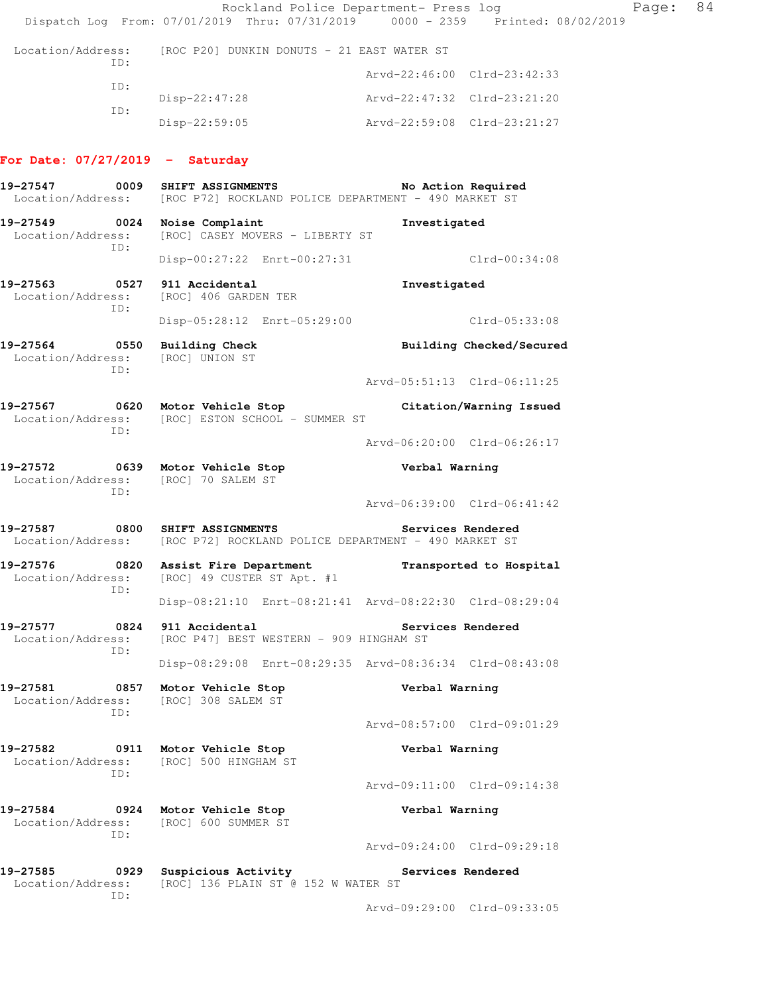Rockland Police Department- Press log Page: 84 Dispatch Log From: 07/01/2019 Thru: 07/31/2019 0000 - 2359 Printed: 08/02/2019 Location/Address: [ROC P20] DUNKIN DONUTS - 21 EAST WATER ST ID: Arvd-22:46:00 Clrd-23:42:33 ID: Disp-22:47:28 Arvd-22:47:32 Clrd-23:21:20 ID: Disp-22:59:05 Arvd-22:59:08 Clrd-23:21:27 **For Date: 07/27/2019 - Saturday 19-27547 0009 SHIFT ASSIGNMENTS No Action Required**  Location/Address: [ROC P72] ROCKLAND POLICE DEPARTMENT - 490 MARKET ST **19-27549 0024 Noise Complaint Investigated**<br>Location/Address: [ROC] CASEY MOVERS - LIBERTY ST [ROC] CASEY MOVERS - LIBERTY ST ID: Disp-00:27:22 Enrt-00:27:31 Clrd-00:34:08 **19-27563 0527 911 Accidental Investigated**  Location/Address: [ROC] 406 GARDEN TER ID: Disp-05:28:12 Enrt-05:29:00 Clrd-05:33:08 19-27564 0550 Building Check **Building Checked/Secured**  Location/Address: [ROC] UNION ST ID: Arvd-05:51:13 Clrd-06:11:25 **19-27567 0620 Motor Vehicle Stop Citation/Warning Issued**  Location/Address: [ROC] ESTON SCHOOL - SUMMER ST ID: Arvd-06:20:00 Clrd-06:26:17 **19-27572 0639 Motor Vehicle Stop Verbal Warning**  Location/Address: [ROC] 70 SALEM ST ID: Arvd-06:39:00 Clrd-06:41:42 **19-27587 0800 SHIFT ASSIGNMENTS Services Rendered**  Location/Address: [ROC P72] ROCKLAND POLICE DEPARTMENT - 490 MARKET ST **19-27576 0820 Assist Fire Department Transported to Hospital**  Location/Address: [ROC] 49 CUSTER ST Apt. #1 ID: Disp-08:21:10 Enrt-08:21:41 Arvd-08:22:30 Clrd-08:29:04 19-27577 0824 911 Accidental **Services Rendered**  Location/Address: [ROC P47] BEST WESTERN - 909 HINGHAM ST ID: Disp-08:29:08 Enrt-08:29:35 Arvd-08:36:34 Clrd-08:43:08 **19-27581 0857 Motor Vehicle Stop Verbal Warning**  Location/Address: [ROC] 308 SALEM ST ID: Arvd-08:57:00 Clrd-09:01:29 **19-27582 0911 Motor Vehicle Stop Verbal Warning**  Location/Address: [ROC] 500 HINGHAM ST ID: Arvd-09:11:00 Clrd-09:14:38 **19-27584 0924 Motor Vehicle Stop Verbal Warning**  Location/Address: [ROC] 600 SUMMER ST ID: Arvd-09:24:00 Clrd-09:29:18 **19-27585 0929 Suspicious Activity Services Rendered**  Location/Address: [ROC] 136 PLAIN ST @ 152 W WATER ST ID: Arvd-09:29:00 Clrd-09:33:05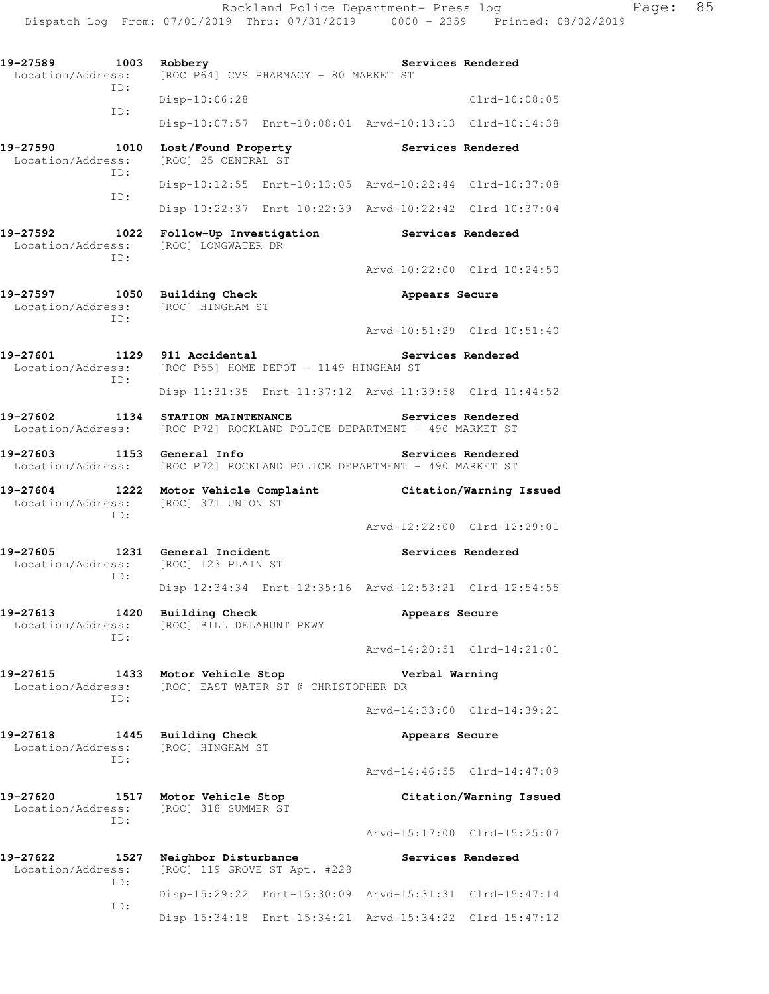| 19-27589<br>1003<br>Location/Address:<br>ID: | Robbery<br>[ROC P64] CVS PHARMACY - 80 MARKET ST                            | Services Rendered                                       |
|----------------------------------------------|-----------------------------------------------------------------------------|---------------------------------------------------------|
|                                              | Disp-10:06:28                                                               | $Clrd-10:08:05$                                         |
| ID:                                          |                                                                             | Disp-10:07:57 Enrt-10:08:01 Arvd-10:13:13 Clrd-10:14:38 |
| 19-27590<br>1010<br>Location/Address:<br>ID: | Lost/Found Property<br>[ROC] 25 CENTRAL ST                                  | Services Rendered                                       |
| ID:                                          |                                                                             | Disp-10:12:55 Enrt-10:13:05 Arvd-10:22:44 Clrd-10:37:08 |
|                                              |                                                                             | Disp-10:22:37 Enrt-10:22:39 Arvd-10:22:42 Clrd-10:37:04 |
| 19-27592<br>1022<br>Location/Address:<br>ID: | Follow-Up Investigation<br>[ROC] LONGWATER DR                               | Services Rendered                                       |
|                                              |                                                                             | Arvd-10:22:00 Clrd-10:24:50                             |
| 1050<br>19-27597<br>Location/Address:<br>TD: | <b>Building Check</b><br>[ROC] HINGHAM ST                                   | Appears Secure                                          |
|                                              |                                                                             | Arvd-10:51:29 Clrd-10:51:40                             |
| 19-27601<br>1129<br>Location/Address:<br>ID: | 911 Accidental<br>[ROC P55] HOME DEPOT - 1149 HINGHAM ST                    | Services Rendered                                       |
|                                              |                                                                             | Disp-11:31:35 Enrt-11:37:12 Arvd-11:39:58 Clrd-11:44:52 |
| 19-27602<br>1134<br>Location/Address:        | STATION MAINTENANCE<br>[ROC P72] ROCKLAND POLICE DEPARTMENT - 490 MARKET ST | Services Rendered                                       |
| 19-27603<br>1153<br>Location/Address:        | General Info<br>[ROC P72] ROCKLAND POLICE DEPARTMENT - 490 MARKET ST        | Services Rendered                                       |
| 19-27604<br>1222<br>Location/Address:<br>ID: | Motor Vehicle Complaint<br>[ROC] 371 UNION ST                               | Citation/Warning Issued                                 |
|                                              |                                                                             | Arvd-12:22:00 Clrd-12:29:01                             |
| 19-27605<br>1231<br>Location/Address:<br>ID: | General Incident<br>[ROC] 123 PLAIN ST                                      | Services Rendered                                       |
|                                              |                                                                             | Disp-12:34:34 Enrt-12:35:16 Arvd-12:53:21 Clrd-12:54:55 |
| 19-27613<br>1420<br>Location/Address:<br>ID: | Building Check<br>[ROC] BILL DELAHUNT PKWY                                  | Appears Secure                                          |
|                                              |                                                                             | Arvd-14:20:51 Clrd-14:21:01                             |
| 19-27615<br>1433<br>Location/Address:<br>ID: | Motor Vehicle Stop<br>[ROC] EAST WATER ST @ CHRISTOPHER DR                  | Verbal Warning                                          |
|                                              |                                                                             | Arvd-14:33:00 Clrd-14:39:21                             |
| 19-27618<br>1445<br>Location/Address:<br>ID: | <b>Building Check</b><br>[ROC] HINGHAM ST                                   | Appears Secure                                          |
|                                              |                                                                             | Arvd-14:46:55 Clrd-14:47:09                             |
| 19-27620<br>1517<br>Location/Address:<br>ID: | Motor Vehicle Stop<br>[ROC] 318 SUMMER ST                                   | Citation/Warning Issued                                 |
|                                              |                                                                             | Arvd-15:17:00 Clrd-15:25:07                             |
| 19-27622<br>1527<br>Location/Address:<br>ID: | Neighbor Disturbance<br>[ROC] 119 GROVE ST Apt. #228                        | Services Rendered                                       |
| ID:                                          | Disp-15:29:22 Enrt-15:30:09                                                 | Arvd-15:31:31 Clrd-15:47:14                             |
|                                              | Disp-15:34:18 Enrt-15:34:21                                                 | Arvd-15:34:22 Clrd-15:47:12                             |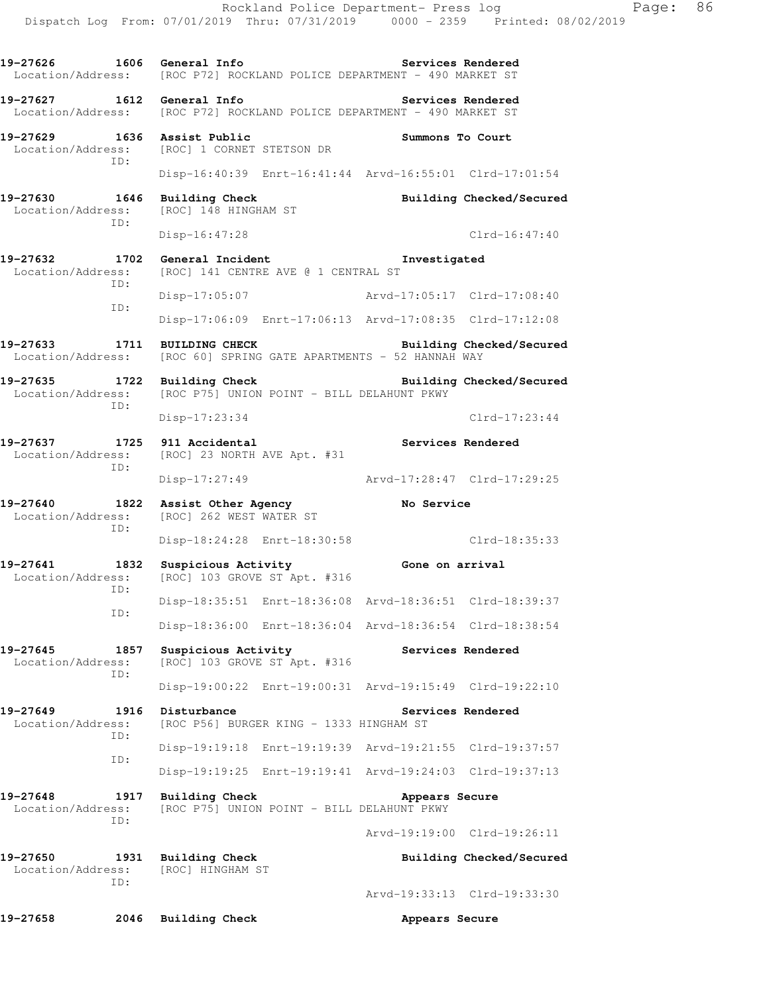**19-27626 1606 General Info Services Rendered**  Location/Address: [ROC P72] ROCKLAND POLICE DEPARTMENT - 490 MARKET ST **19-27627 1612 General Info Services Rendered**  Location/Address: [ROC P72] ROCKLAND POLICE DEPARTMENT - 490 MARKET ST **19-27629 1636 Assist Public Summons To Court**<br>
Location/Address: [ROC] 1 CORNET STETSON DR [ROC] 1 CORNET STETSON DR ID: Disp-16:40:39 Enrt-16:41:44 Arvd-16:55:01 Clrd-17:01:54 **19-27630 1646 Building Check Building Checked/Secured**  Location/Address: [ROC] 148 HINGHAM ST ID: Disp-16:47:28 Clrd-16:47:40 **19-27632 1702 General Incident Investigated**  Location/Address: [ROC] 141 CENTRE AVE @ 1 CENTRAL ST ID: Disp-17:05:07 Arvd-17:05:17 Clrd-17:08:40 ID: Disp-17:06:09 Enrt-17:06:13 Arvd-17:08:35 Clrd-17:12:08 19-27633 1711 BUILDING CHECK Building Checked/Secured Location/Address: [ROC 60] SPRING GATE APARTMENTS - 52 HANNAH WAY **19-27635 1722 Building Check Building Checked/Secured**  Location/Address: [ROC P75] UNION POINT - BILL DELAHUNT PKWY ID: Disp-17:23:34 Clrd-17:23:44 19-27637 1725 911 Accidental **Services Rendered**  Location/Address: [ROC] 23 NORTH AVE Apt. #31 ID: Disp-17:27:49 Arvd-17:28:47 Clrd-17:29:25 **19-27640 1822 Assist Other Agency No Service**  Location/Address: [ROC] 262 WEST WATER ST ID: Disp-18:24:28 Enrt-18:30:58 Clrd-18:35:33 **19-27641 1832 Suspicious Activity Gone on arrival**  Location/Address: [ROC] 103 GROVE ST Apt. #316 ID: Disp-18:35:51 Enrt-18:36:08 Arvd-18:36:51 Clrd-18:39:37 ID: Disp-18:36:00 Enrt-18:36:04 Arvd-18:36:54 Clrd-18:38:54 19-27645 1857 Suspicious Activity **Services Rendered** Location/Address: [ROC] 103 GROVE ST Apt. #316 [ROC] 103 GROVE ST Apt. #316 ID: Disp-19:00:22 Enrt-19:00:31 Arvd-19:15:49 Clrd-19:22:10 **19-27649 1916 Disturbance Services Rendered**  Location/Address: [ROC P56] BURGER KING - 1333 HINGHAM ST ID: Disp-19:19:18 Enrt-19:19:39 Arvd-19:21:55 Clrd-19:37:57 ID: Disp-19:19:25 Enrt-19:19:41 Arvd-19:24:03 Clrd-19:37:13 **19-27648 1917 Building Check Appears Secure**  Location/Address: [ROC P75] UNION POINT - BILL DELAHUNT PKWY ID: Arvd-19:19:00 Clrd-19:26:11 19-27650 1931 Building Check **Building Checked/Secured**  Location/Address: [ROC] HINGHAM ST ID: Arvd-19:33:13 Clrd-19:33:30

**19-27658 2046 Building Check Appears Secure**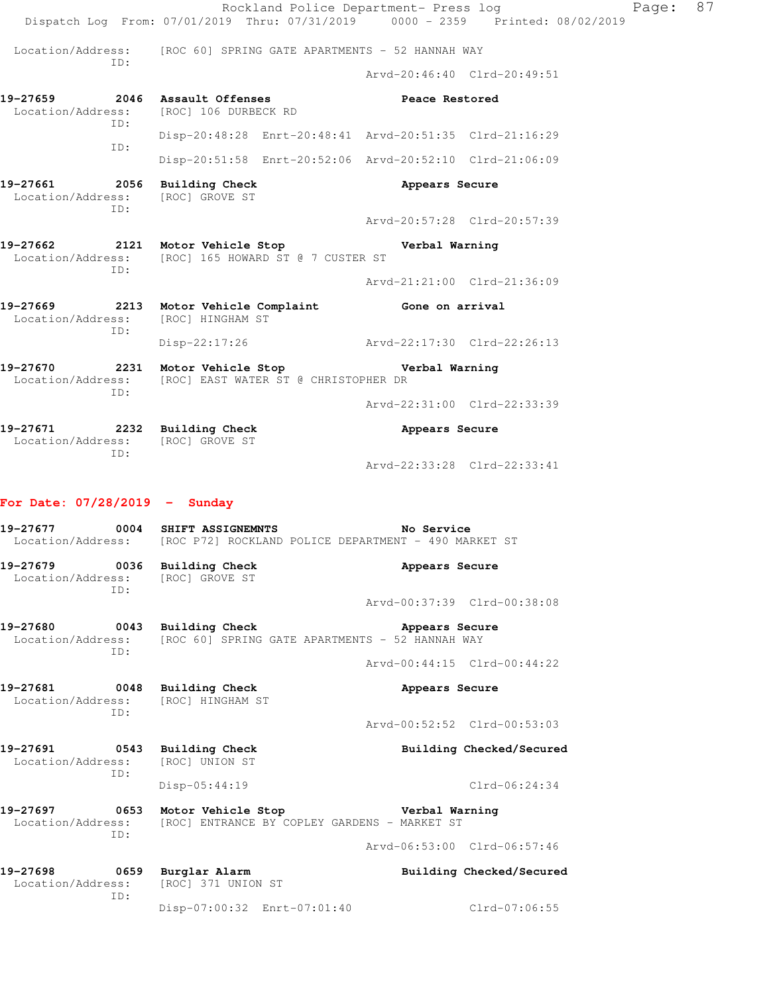Rockland Police Department- Press log Page: 87 Dispatch Log From: 07/01/2019 Thru: 07/31/2019 0000 - 2359 Printed: 08/02/2019 Location/Address: [ROC 60] SPRING GATE APARTMENTS - 52 HANNAH WAY ID: Arvd-20:46:40 Clrd-20:49:51 **19-27659 2046 Assault Offenses Peace Restored**  Location/Address: [ROC] 106 DURBECK RD ID: Disp-20:48:28 Enrt-20:48:41 Arvd-20:51:35 Clrd-21:16:29 ID: Disp-20:51:58 Enrt-20:52:06 Arvd-20:52:10 Clrd-21:06:09 **19-27661 2056 Building Check Appears Secure**  Location/Address: [ROC] GROVE ST ID: Arvd-20:57:28 Clrd-20:57:39 **19-27662 2121 Motor Vehicle Stop Verbal Warning**  Location/Address: [ROC] 165 HOWARD ST @ 7 CUSTER ST ID: Arvd-21:21:00 Clrd-21:36:09 **19-27669 2213 Motor Vehicle Complaint Gone on arrival**  Location/Address: [ROC] HINGHAM ST ID: Disp-22:17:26 Arvd-22:17:30 Clrd-22:26:13 **19-27670 2231 Motor Vehicle Stop Verbal Warning**  Location/Address: [ROC] EAST WATER ST @ CHRISTOPHER DR ID: Arvd-22:31:00 Clrd-22:33:39 **19-27671 2232 Building Check Appears Secure**  Location/Address: [ROC] GROVE ST ID: Arvd-22:33:28 Clrd-22:33:41 **For Date: 07/28/2019 - Sunday 19-27677 0004 SHIFT ASSIGNEMNTS No Service**  Location/Address: [ROC P72] ROCKLAND POLICE DEPARTMENT - 490 MARKET ST **19-27679 0036 Building Check Appears Secure**  Location/Address: [ROC] GROVE ST ID: Arvd-00:37:39 Clrd-00:38:08 **19-27680 0043 Building Check Appears Secure** 

 Location/Address: [ROC 60] SPRING GATE APARTMENTS - 52 HANNAH WAY ID:

Arvd-00:44:15 Clrd-00:44:22

**19-27681 0048 Building Check Appears Secure**  Location/Address: [ROC] HINGHAM ST ID: Arvd-00:52:52 Clrd-00:53:03

**19-27691 0543 Building Check Building Checked/Secured**  Location/Address: [ROC] UNION ST ID: Disp-05:44:19 Clrd-06:24:34

**19-27697 0653 Motor Vehicle Stop Verbal Warning**  Location/Address: [ROC] ENTRANCE BY COPLEY GARDENS - MARKET ST ID:

Arvd-06:53:00 Clrd-06:57:46

**19-27698 0659 Burglar Alarm Building Checked/Secured**  Location/Address: [ROC] 371 UNION ST ID: Disp-07:00:32 Enrt-07:01:40 Clrd-07:06:55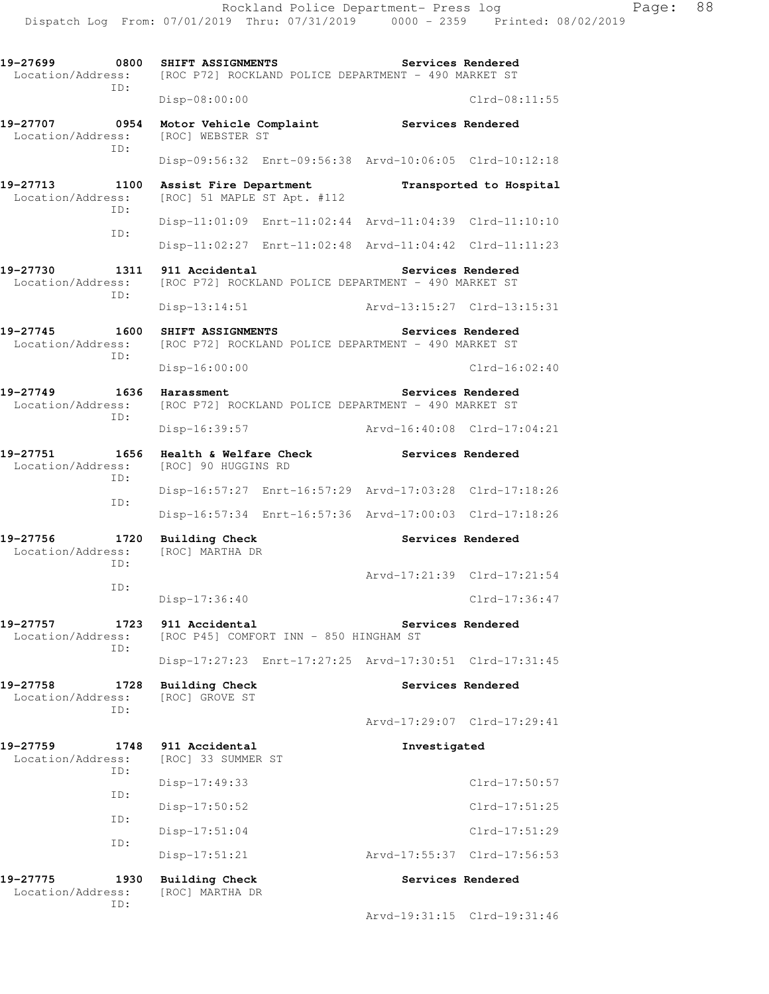**19-27699 0800 SHIFT ASSIGNMENTS Services Rendered**  Location/Address: [ROC P72] ROCKLAND POLICE DEPARTMENT - 490 MARKET ST ID: Disp-08:00:00 Clrd-08:11:55 19-27707 0954 Motor Vehicle Complaint **Services Rendered Services Rendered Intervaller Complaint** Location/Address: ID: Disp-09:56:32 Enrt-09:56:38 Arvd-10:06:05 Clrd-10:12:18 **19-27713 1100 Assist Fire Department Transported to Hospital**  Location/Address: [ROC] 51 MAPLE ST Apt. #112 ID: Disp-11:01:09 Enrt-11:02:44 Arvd-11:04:39 Clrd-11:10:10 ID: Disp-11:02:27 Enrt-11:02:48 Arvd-11:04:42 Clrd-11:11:23 **19-27730 1311 911 Accidental Services Rendered**  Location/Address: [ROC P72] ROCKLAND POLICE DEPARTMENT - 490 MARKET ST ID: Disp-13:14:51 Arvd-13:15:27 Clrd-13:15:31 **19-27745 1600 SHIFT ASSIGNMENTS Services Rendered**  Location/Address: [ROC P72] ROCKLAND POLICE DEPARTMENT - 490 MARKET ST ID: Disp-16:00:00 Clrd-16:02:40 19-27749 1636 Harassment **Services Rendered** Location/Address: [ROC P72] ROCKLAND POLICE DEPARTMENT - 490 MARKET ST ID: Disp-16:39:57 Arvd-16:40:08 Clrd-17:04:21 **19-27751 1656 Health & Welfare Check Services Rendered**  Location/Address: [ROC] 90 HUGGINS RD ID: Disp-16:57:27 Enrt-16:57:29 Arvd-17:03:28 Clrd-17:18:26 ID: Disp-16:57:34 Enrt-16:57:36 Arvd-17:00:03 Clrd-17:18:26 19-27756 1720 Building Check **Services Rendered Services Rendered Services Rendered** Location/Address: ID: Arvd-17:21:39 Clrd-17:21:54 ID: Disp-17:36:40 Clrd-17:36:47 **19-27757 1723 911 Accidental Services Rendered**  Location/Address: [ROC P45] COMFORT INN - 850 HINGHAM ST ID: Disp-17:27:23 Enrt-17:27:25 Arvd-17:30:51 Clrd-17:31:45 **19-27758 1728 Building Check Services Rendered**  Location/Address: [ROC] GROVE ST ID: Arvd-17:29:07 Clrd-17:29:41 **19-27759 1748 911 Accidental Investigated**  Location/Address: [ROC] 33 SUMMER ST ID: Disp-17:49:33 Clrd-17:50:57 ID: Disp-17:50:52 Clrd-17:51:25 ID: Disp-17:51:04 Clrd-17:51:29 ID: Disp-17:51:21 Arvd-17:55:37 Clrd-17:56:53 **19-27775 1930 Building Check Services Rendered**  Location/Address: [ROC] MARTHA DR ID: Arvd-19:31:15 Clrd-19:31:46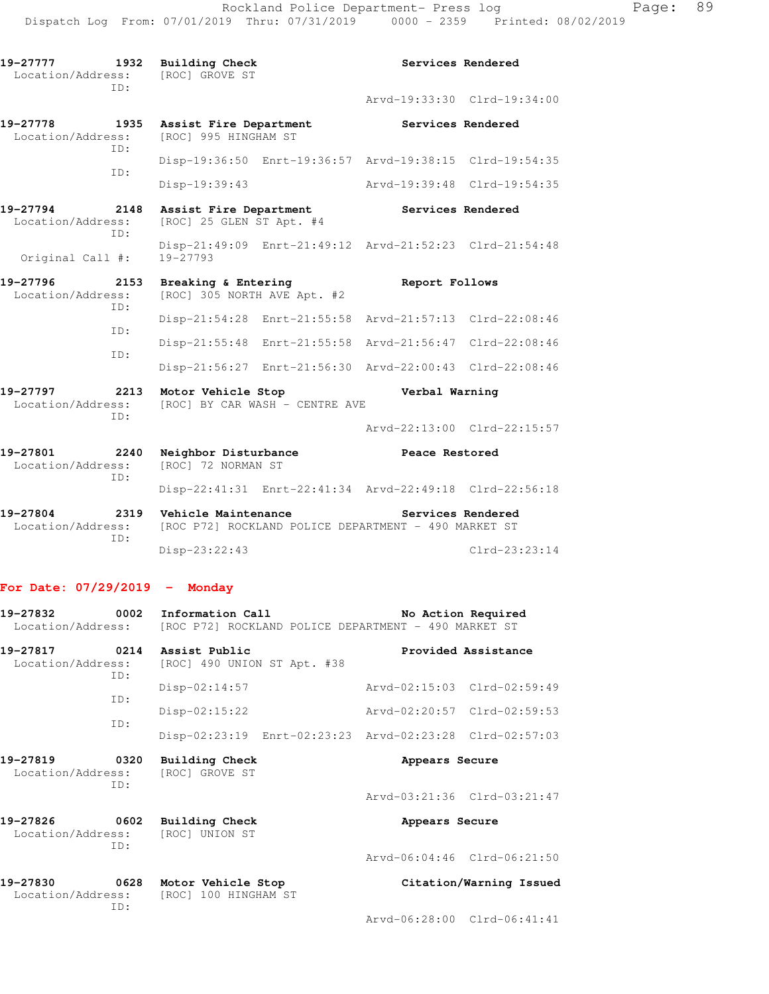| 19–27777<br>1932<br>Location/Address:<br>TD:                     |             | <b>Building Check</b><br>[ROC] GROVE ST            |                                                         |                | Services Rendered           |
|------------------------------------------------------------------|-------------|----------------------------------------------------|---------------------------------------------------------|----------------|-----------------------------|
|                                                                  |             |                                                    |                                                         |                | Arvd-19:33:30 Clrd-19:34:00 |
| 19-27778<br>Location/Address:                                    | 1935<br>TD: | Assist Fire Department<br>[ROC] 995 HINGHAM ST     |                                                         |                | Services Rendered           |
|                                                                  | ID:         |                                                    | Disp-19:36:50 Enrt-19:36:57 Arvd-19:38:15 Clrd-19:54:35 |                |                             |
|                                                                  |             | Disp-19:39:43                                      |                                                         |                | Arvd-19:39:48 Clrd-19:54:35 |
| 19-27794<br>2148<br>Location/Address:<br>ID:<br>Original Call #: |             | Assist Fire Department<br>[ROC] 25 GLEN ST Apt. #4 |                                                         |                | Services Rendered           |
|                                                                  |             | $19 - 27793$                                       | Disp-21:49:09 Enrt-21:49:12 Arvd-21:52:23 Clrd-21:54:48 |                |                             |
| 19-27796<br>2153<br>Location/Address:<br>TD:                     |             | Breaking & Entering<br>[ROC] 305 NORTH AVE Apt. #2 |                                                         | Report Follows |                             |
|                                                                  | ID:         |                                                    | Disp-21:54:28 Enrt-21:55:58 Arvd-21:57:13 Clrd-22:08:46 |                |                             |
|                                                                  | ID:         |                                                    | Disp-21:55:48 Enrt-21:55:58 Arvd-21:56:47 Clrd-22:08:46 |                |                             |
|                                                                  |             |                                                    | Disp-21:56:27 Enrt-21:56:30 Arvd-22:00:43 Clrd-22:08:46 |                |                             |
| 19-27797<br>Location/Address:                                    | 2213        | Motor Vehicle Stop                                 | [ROC] BY CAR WASH - CENTRE AVE                          | Verbal Warning |                             |
|                                                                  | ID:         |                                                    |                                                         |                | Arvd-22:13:00 Clrd-22:15:57 |
| 19-27801<br>Location/Address:                                    | 2240<br>ID: | Neighbor Disturbance<br>[ROC] 72 NORMAN ST         |                                                         | Peace Restored |                             |
|                                                                  |             |                                                    | Disp-22:41:31 Enrt-22:41:34 Arvd-22:49:18 Clrd-22:56:18 |                |                             |
| 19-27804<br>Location/Address:                                    | 2319<br>ID: | Vehicle Maintenance                                | [ROC P72] ROCKLAND POLICE DEPARTMENT - 490 MARKET ST    |                | Services Rendered           |
|                                                                  |             | Disp-23:22:43                                      |                                                         |                | $Clrd-23:23:14$             |

## **For Date: 07/29/2019 - Monday**

| 19-27832<br>0002<br>Information Call<br>Location/Address: [ROC P72] ROCKLAND POLICE DEPARTMENT - 490 MARKET ST |             |                                                   | No Action Required                                      |  |  |
|----------------------------------------------------------------------------------------------------------------|-------------|---------------------------------------------------|---------------------------------------------------------|--|--|
| 19-27817<br>Location/Address:                                                                                  | ID:         | 0214 Assist Public<br>[ROC] 490 UNION ST Apt. #38 | Provided Assistance                                     |  |  |
|                                                                                                                |             | Disp-02:14:57                                     | Arvd-02:15:03 Clrd-02:59:49                             |  |  |
| TD:                                                                                                            |             | $Disp-02:15:22$                                   | Arvd-02:20:57 Clrd-02:59:53                             |  |  |
|                                                                                                                | ID:         |                                                   | Disp-02:23:19 Enrt-02:23:23 Arvd-02:23:28 Clrd-02:57:03 |  |  |
| 19-27819<br>0320<br>Location/Address:                                                                          |             | <b>Building Check</b><br>[ROC] GROVE ST           | Appears Secure                                          |  |  |
|                                                                                                                | TD:         |                                                   | Arvd-03:21:36 Clrd-03:21:47                             |  |  |
| 19-27826<br>Location/Address:                                                                                  | 0602<br>TD: | <b>Building Check</b><br>[ROC] UNION ST           | Appears Secure                                          |  |  |
|                                                                                                                |             |                                                   | Arvd-06:04:46 Clrd-06:21:50                             |  |  |
| 19-27830<br>Location/Address:                                                                                  | 0628<br>TD: | Motor Vehicle Stop<br>[ROC] 100 HINGHAM ST        | Citation/Warning Issued                                 |  |  |
|                                                                                                                |             |                                                   | Arvd-06:28:00 Clrd-06:41:41                             |  |  |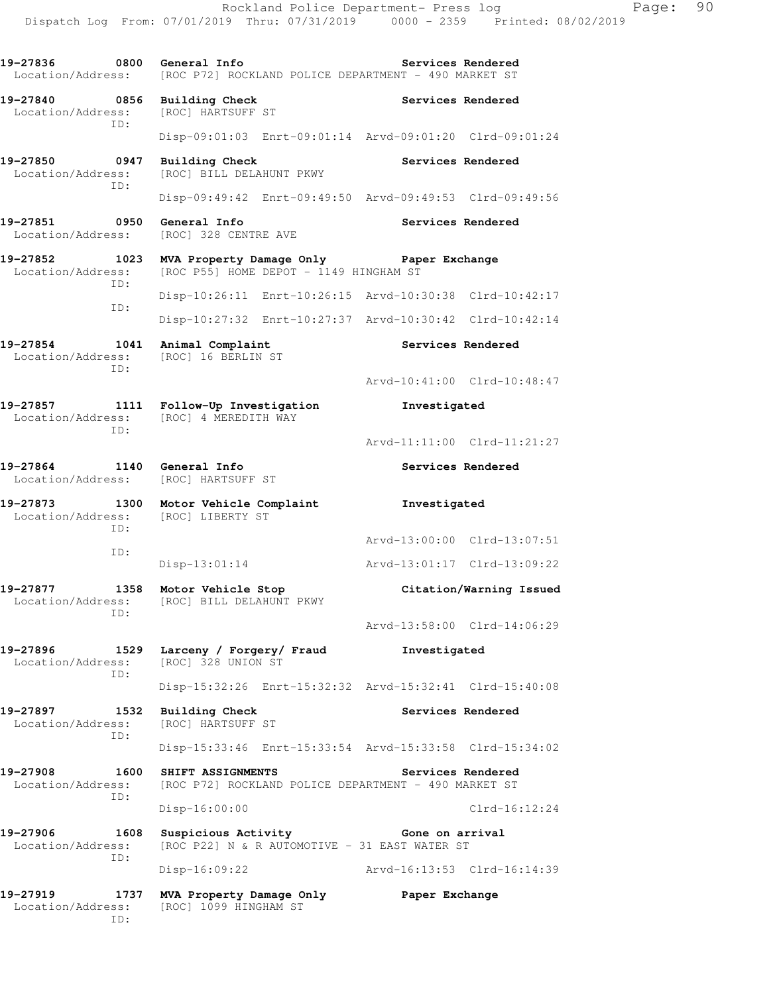**19-27836 0800 General Info Services Rendered**  Location/Address: [ROC P72] ROCKLAND POLICE DEPARTMENT - 490 MARKET ST **19-27840 0856 Building Check Services Rendered**  Location/Address: [ROC] HARTSUFF ST ID: Disp-09:01:03 Enrt-09:01:14 Arvd-09:01:20 Clrd-09:01:24 **19-27850 0947 Building Check Services Rendered**  Location/Address: [ROC] BILL DELAHUNT PKWY ID: Disp-09:49:42 Enrt-09:49:50 Arvd-09:49:53 Clrd-09:49:56 **19-27851 0950 General Info Services Rendered**  Location/Address: [ROC] 328 CENTRE AVE **19-27852 1023 MVA Property Damage Only Paper Exchange**  Location/Address: [ROC P55] HOME DEPOT - 1149 HINGHAM ST ID: Disp-10:26:11 Enrt-10:26:15 Arvd-10:30:38 Clrd-10:42:17 ID: Disp-10:27:32 Enrt-10:27:37 Arvd-10:30:42 Clrd-10:42:14 19-27854 1041 Animal Complaint **Services Rendered** Location/Address: [ROC] 16 BERLIN ST ID: Arvd-10:41:00 Clrd-10:48:47 **19-27857 1111 Follow-Up Investigation Investigated**  Location/Address: [ROC] 4 MEREDITH WAY ID: Arvd-11:11:00 Clrd-11:21:27 **19-27864 1140 General Info Services Rendered**  Location/Address: [ROC] HARTSUFF ST **19-27873 1300 Motor Vehicle Complaint Investigated**  Location/Address: [ROC] LIBERTY ST ID: Arvd-13:00:00 Clrd-13:07:51 ID: Disp-13:01:14 Arvd-13:01:17 Clrd-13:09:22 **19-27877 1358 Motor Vehicle Stop Citation/Warning Issued**  Location/Address: [ROC] BILL DELAHUNT PKWY ID: Arvd-13:58:00 Clrd-14:06:29 19-27896 1529 Larceny / Forgery / Fraud Investigated Location / Address: [ROC] 328 UNION ST [ROC] 328 UNION ST ID: Disp-15:32:26 Enrt-15:32:32 Arvd-15:32:41 Clrd-15:40:08 19-27897 **1532** Building Check **Services Rendered**  Location/Address: [ROC] HARTSUFF ST ID: Disp-15:33:46 Enrt-15:33:54 Arvd-15:33:58 Clrd-15:34:02 **19-27908 1600 SHIFT ASSIGNMENTS Services Rendered**  Location/Address: [ROC P72] ROCKLAND POLICE DEPARTMENT - 490 MARKET ST ID: Disp-16:00:00 Clrd-16:12:24 **19-27906 1608 Suspicious Activity Gone on arrival**  Location/Address: [ROC P22] N & R AUTOMOTIVE - 31 EAST WATER ST ID: Disp-16:09:22 Arvd-16:13:53 Clrd-16:14:39 **19-27919 1737 MVA Property Damage Only Paper Exchange**  Location/Address: [ROC] 1099 HINGHAM ST

ID: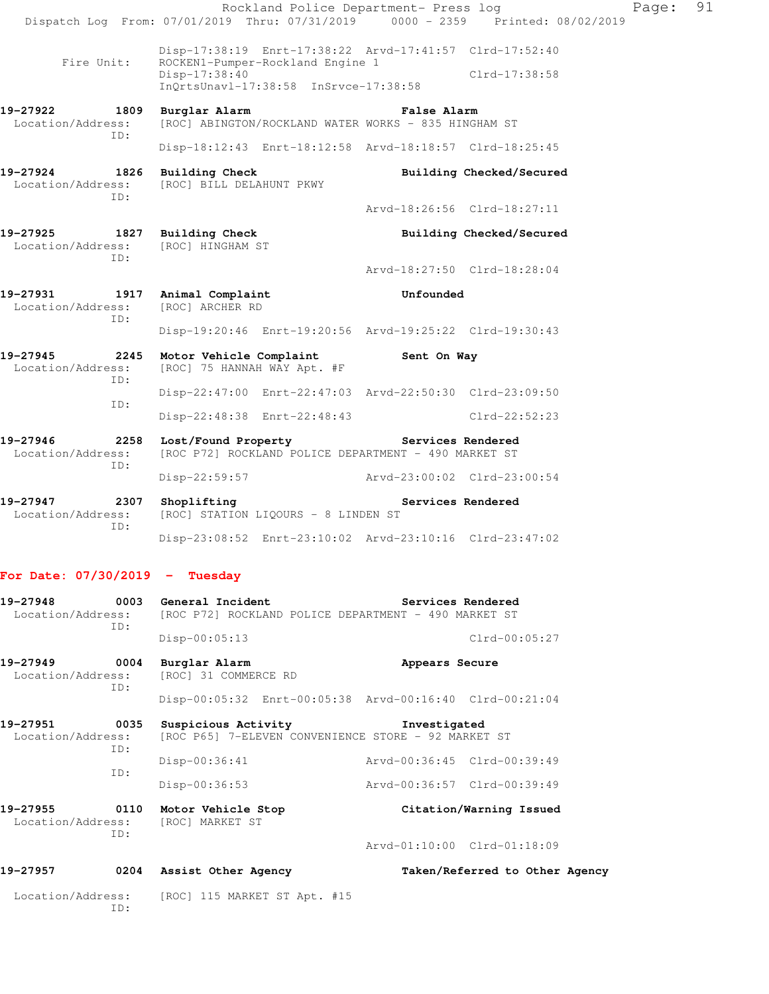|                                                     |                                                         |                                                                                             | Rockland Police Department- Press log |                                |  |
|-----------------------------------------------------|---------------------------------------------------------|---------------------------------------------------------------------------------------------|---------------------------------------|--------------------------------|--|
|                                                     |                                                         | Dispatch Log From: 07/01/2019 Thru: 07/31/2019 0000 - 2359 Printed: 08/02/2019              |                                       |                                |  |
| Fire Unit:                                          |                                                         | Disp-17:38:19 Enrt-17:38:22 Arvd-17:41:57 Clrd-17:52:40<br>ROCKEN1-Pumper-Rockland Engine 1 |                                       |                                |  |
|                                                     |                                                         | Disp-17:38:40<br>InQrtsUnav1-17:38:58 InSrvce-17:38:58                                      |                                       | Clrd-17:38:58                  |  |
| 19-27922<br>Location/Address:                       | 1809                                                    | Burglar Alarm<br>[ROC] ABINGTON/ROCKLAND WATER WORKS - 835 HINGHAM ST                       | <b>False Alarm</b>                    |                                |  |
|                                                     | ID:                                                     | Disp-18:12:43 Enrt-18:12:58 Arvd-18:18:57 Clrd-18:25:45                                     |                                       |                                |  |
| 19-27924<br>Location/Address:                       | 1826                                                    | <b>Building Check</b><br>[ROC] BILL DELAHUNT PKWY                                           |                                       | Building Checked/Secured       |  |
|                                                     | ID:                                                     |                                                                                             |                                       | Arvd-18:26:56 Clrd-18:27:11    |  |
| 19-27925 1827 Building Check<br>Location/Address:   |                                                         | [ROC] HINGHAM ST                                                                            |                                       | Building Checked/Secured       |  |
|                                                     | ID:                                                     |                                                                                             |                                       | Arvd-18:27:50 Clrd-18:28:04    |  |
| 19-27931 1917 Animal Complaint<br>Location/Address: |                                                         | [ROC] ARCHER RD                                                                             | Unfounded                             |                                |  |
|                                                     | ID:                                                     | Disp-19:20:46 Enrt-19:20:56 Arvd-19:25:22 Clrd-19:30:43                                     |                                       |                                |  |
| 19-27945<br>Location/Address:                       | 2245<br>ID:                                             | Motor Vehicle Complaint<br>[ROC] 75 HANNAH WAY Apt. #F                                      | Sent On Way                           |                                |  |
| ID:                                                 | Disp-22:47:00 Enrt-22:47:03 Arvd-22:50:30 Clrd-23:09:50 |                                                                                             |                                       |                                |  |
|                                                     |                                                         | Disp-22:48:38 Enrt-22:48:43                                                                 |                                       | $Clrd-22:52:23$                |  |
| 19-27946<br>2258<br>Location/Address:               |                                                         | Lost/Found Property<br>[ROC P72] ROCKLAND POLICE DEPARTMENT - 490 MARKET ST                 | Services Rendered                     |                                |  |
|                                                     | ID:                                                     | Disp-22:59:57 Arvd-23:00:02 Clrd-23:00:54                                                   |                                       |                                |  |
| 19-27947<br>Location/Address:                       | 2307<br>ID:                                             | Shoplifting<br>[ROC] STATION LIQOURS - 8 LINDEN ST                                          |                                       | Services Rendered              |  |
|                                                     |                                                         | Disp-23:08:52 Enrt-23:10:02 Arvd-23:10:16 Clrd-23:47:02                                     |                                       |                                |  |
| For Date: $07/30/2019$ - Tuesday                    |                                                         |                                                                                             |                                       |                                |  |
| 19-27948<br>Location/Address:                       | 0003                                                    | General Incident<br>[ROC P72] ROCKLAND POLICE DEPARTMENT - 490 MARKET ST                    |                                       | Services Rendered              |  |
|                                                     | ID:                                                     | Disp-00:05:13                                                                               |                                       | $Clrd-00:05:27$                |  |
| 19-27949<br>Location/Address:                       | 0004                                                    | Burglar Alarm<br>[ROC] 31 COMMERCE RD                                                       | Appears Secure                        |                                |  |
|                                                     | ID:                                                     | Disp-00:05:32 Enrt-00:05:38 Arvd-00:16:40 Clrd-00:21:04                                     |                                       |                                |  |
| 19-27951<br>Location/Address:                       | 0035                                                    | Suspicious Activity<br>[ROC P65] 7-ELEVEN CONVENIENCE STORE - 92 MARKET ST                  | Investigated                          |                                |  |
|                                                     | ID:<br>ID:                                              | Disp-00:36:41                                                                               |                                       | Arvd-00:36:45 Clrd-00:39:49    |  |
|                                                     |                                                         | $Disp-00:36:53$                                                                             |                                       | Arvd-00:36:57 Clrd-00:39:49    |  |
| 19-27955<br>Location/Address:                       | 0110<br>ID:                                             | Motor Vehicle Stop<br>[ROC] MARKET ST                                                       |                                       | Citation/Warning Issued        |  |
|                                                     |                                                         |                                                                                             |                                       | Arvd-01:10:00 Clrd-01:18:09    |  |
| 19-27957                                            |                                                         | 0204 Assist Other Agency                                                                    |                                       | Taken/Referred to Other Agency |  |
| Location/Address:                                   | ID:                                                     | [ROC] 115 MARKET ST Apt. #15                                                                |                                       |                                |  |

Page: 91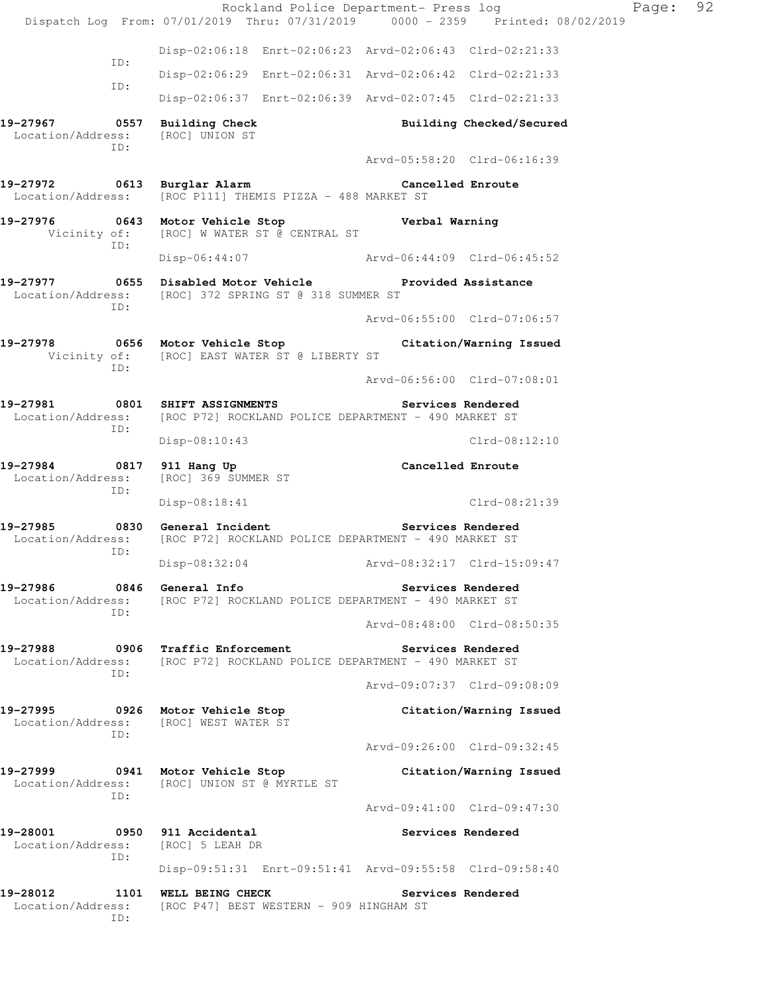|                                                          |     |                                                                                                  | Rockland Police Department- Press log |                |                                                         | Page: | 92 |
|----------------------------------------------------------|-----|--------------------------------------------------------------------------------------------------|---------------------------------------|----------------|---------------------------------------------------------|-------|----|
|                                                          |     | Dispatch Log From: 07/01/2019 Thru: 07/31/2019 0000 - 2359 Printed: 08/02/2019                   |                                       |                |                                                         |       |    |
|                                                          | ID: | Disp-02:06:18 Enrt-02:06:23 Arvd-02:06:43 Clrd-02:21:33                                          |                                       |                |                                                         |       |    |
|                                                          | ID: | Disp-02:06:29 Enrt-02:06:31 Arvd-02:06:42 Clrd-02:21:33                                          |                                       |                |                                                         |       |    |
|                                                          |     | Disp-02:06:37 Enrt-02:06:39 Arvd-02:07:45 Clrd-02:21:33                                          |                                       |                |                                                         |       |    |
| 19-27967                                                 | ID: | 0557 Building Check<br>Location/Address: [ROC] UNION ST                                          |                                       |                | Building Checked/Secured<br>Arvd-05:58:20 Clrd-06:16:39 |       |    |
| 19-27972 0613 Burglar Alarm Cancelled Enroute            |     |                                                                                                  |                                       |                |                                                         |       |    |
|                                                          |     | Location/Address: [ROC P111] THEMIS PIZZA - 488 MARKET ST                                        |                                       |                |                                                         |       |    |
| 19-27976 0643 Motor Vehicle Stop                         | ID: | Vicinity of: [ROC] W WATER ST @ CENTRAL ST                                                       |                                       | Verbal Warning |                                                         |       |    |
|                                                          |     | Disp-06:44:07 Arvd-06:44:09 Clrd-06:45:52                                                        |                                       |                |                                                         |       |    |
| 19-27977 0655 Disabled Motor Vehicle Provided Assistance | TD: | Location/Address: [ROC] 372 SPRING ST @ 318 SUMMER ST                                            |                                       |                |                                                         |       |    |
|                                                          |     |                                                                                                  |                                       |                | Arvd-06:55:00 Clrd-07:06:57                             |       |    |
| 19-27978                                                 | ID: | 0656 Motor Vehicle Stop<br>Vicinity of: [ROC] EAST WATER ST @ LIBERTY ST                         |                                       |                | Citation/Warning Issued                                 |       |    |
|                                                          |     |                                                                                                  |                                       |                | Arvd-06:56:00 Clrd-07:08:01                             |       |    |
| 19-27981                                                 | ID: | 0801 SHIFT ASSIGNMENTS<br>Location/Address: [ROC P72] ROCKLAND POLICE DEPARTMENT - 490 MARKET ST |                                       |                | Services Rendered                                       |       |    |
|                                                          |     | Disp-08:10:43                                                                                    |                                       |                | $Clrd-08:12:10$                                         |       |    |
| 19-27984 0817 911 Hang Up<br>Location/Address:           | ID: | [ROC] 369 SUMMER ST                                                                              |                                       |                | Cancelled Enroute                                       |       |    |
|                                                          |     | Disp-08:18:41                                                                                    |                                       |                | Clrd-08:21:39                                           |       |    |
| 19-27985 0830 General Incident<br>Location/Address:      | ID: | [ROC P72] ROCKLAND POLICE DEPARTMENT - 490 MARKET ST                                             |                                       |                | Services Rendered                                       |       |    |
|                                                          |     | Disp-08:32:04                                                                                    |                                       |                | Arvd-08:32:17 Clrd-15:09:47                             |       |    |
| 19-27986<br>Location/Address:                            | ID: | 0846 General Info<br>[ROC P72] ROCKLAND POLICE DEPARTMENT - 490 MARKET ST                        |                                       |                | Services Rendered                                       |       |    |
|                                                          |     |                                                                                                  |                                       |                | Arvd-08:48:00 Clrd-08:50:35                             |       |    |
| 19-27988<br>Location/Address:                            | ID: | 0906 Traffic Enforcement<br>[ROC P72] ROCKLAND POLICE DEPARTMENT - 490 MARKET ST                 |                                       |                | Services Rendered                                       |       |    |
|                                                          |     |                                                                                                  |                                       |                | Arvd-09:07:37 Clrd-09:08:09                             |       |    |
| 19-27995<br>Location/Address:                            | TD: | 0926 Motor Vehicle Stop<br>[ROC] WEST WATER ST                                                   |                                       |                | Citation/Warning Issued                                 |       |    |
|                                                          |     |                                                                                                  |                                       |                | Arvd-09:26:00 Clrd-09:32:45                             |       |    |
| 19-27999<br>Location/Address:                            | ID: | 0941 Motor Vehicle Stop<br>[ROC] UNION ST @ MYRTLE ST                                            |                                       |                | Citation/Warning Issued                                 |       |    |
|                                                          |     |                                                                                                  |                                       |                | Arvd-09:41:00 Clrd-09:47:30                             |       |    |
| 19-28001<br>Location/Address:                            | ID: | 0950 911 Accidental<br>[ROC] 5 LEAH DR                                                           |                                       |                | Services Rendered                                       |       |    |
|                                                          |     | Disp-09:51:31 Enrt-09:51:41 Arvd-09:55:58 Clrd-09:58:40                                          |                                       |                |                                                         |       |    |
| 19-28012<br>Location/Address:                            | ID: | 1101 WELL BEING CHECK<br>[ROC P47] BEST WESTERN - 909 HINGHAM ST                                 |                                       |                | Services Rendered                                       |       |    |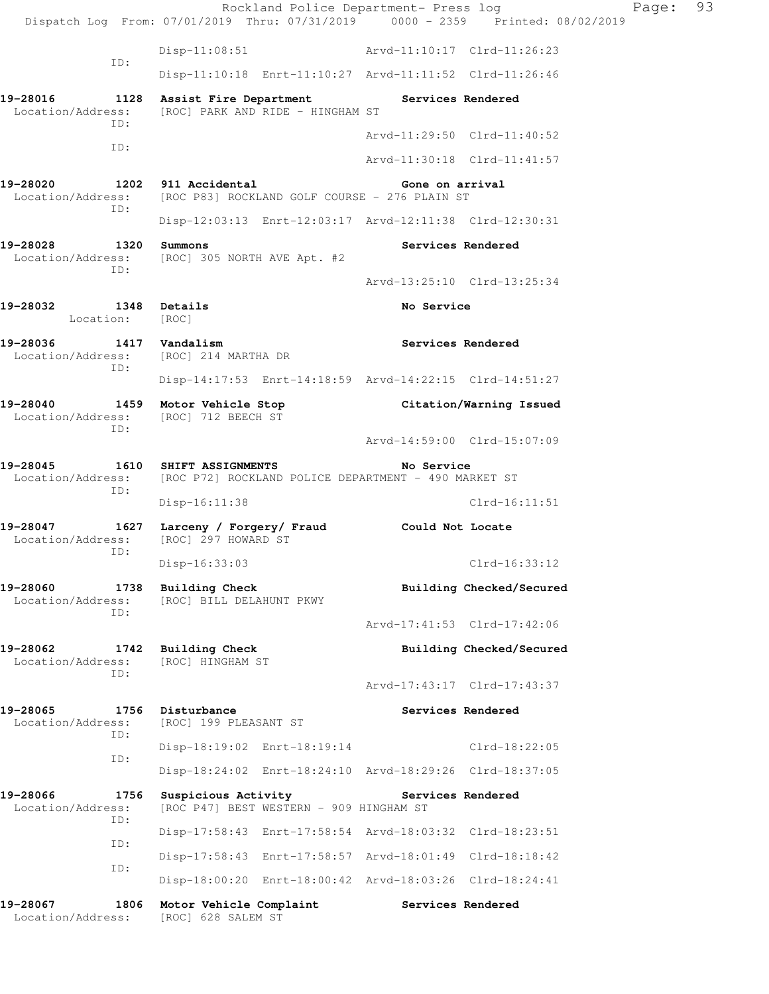Rockland Police Department- Press log Fage: 93 Dispatch Log From: 07/01/2019 Thru: 07/31/2019 0000 - 2359 Printed: 08/02/2019 Disp-11:08:51 Arvd-11:10:17 Clrd-11:26:23 ID: Disp-11:10:18 Enrt-11:10:27 Arvd-11:11:52 Clrd-11:26:46 **19-28016 1128 Assist Fire Department Services Rendered**  Location/Address: [ROC] PARK AND RIDE - HINGHAM ST ID: Arvd-11:29:50 Clrd-11:40:52 ID: Arvd-11:30:18 Clrd-11:41:57 **19-28020 1202 911 Accidental Gone on arrival**  Location/Address: [ROC P83] ROCKLAND GOLF COURSE - 276 PLAIN ST ID: Disp-12:03:13 Enrt-12:03:17 Arvd-12:11:38 Clrd-12:30:31 **19-28028 1320 Summons Services Rendered**  Location/Address: [ROC] 305 NORTH AVE Apt. #2 ID: Arvd-13:25:10 Clrd-13:25:34 **19-28032 1348 Details 19-28032 1348** Iocation: [ROC] Location: **19-28036 1417 Vandalism Services Rendered**  Location/Address: [ROC] 214 MARTHA DR ID: Disp-14:17:53 Enrt-14:18:59 Arvd-14:22:15 Clrd-14:51:27 **19-28040 1459 Motor Vehicle Stop Citation/Warning Issued**  Location/Address: [ROC] 712 BEECH ST ID: Arvd-14:59:00 Clrd-15:07:09 **19-28045 1610 SHIFT ASSIGNMENTS No Service**  Location/Address: [ROC P72] ROCKLAND POLICE DEPARTMENT - 490 MARKET ST ID: Disp-16:11:38 Clrd-16:11:51 **19-28047 1627 Larceny / Forgery/ Fraud Could Not Locate**  Location/Address: [ROC] 297 HOWARD ST ID: Disp-16:33:03 Clrd-16:33:12 **19-28060 1738 Building Check Building Checked/Secured Building Checked/Secured Location/Address:** [ROC] BILL DELAHUNT PKWY [ROC] BILL DELAHUNT PKWY ID: Arvd-17:41:53 Clrd-17:42:06 19-28062 1742 Building Check **Building Checked/Secured Building Checked/Secured Location/Address:** [ROC] HINGHAM ST Location/Address: ID: Arvd-17:43:17 Clrd-17:43:37 19-28065 1756 Disturbance **1756 Disturbance** Services Rendered Location/Address: [ROC] 199 PLEASANT ST ID: Disp-18:19:02 Enrt-18:19:14 Clrd-18:22:05 ID: Disp-18:24:02 Enrt-18:24:10 Arvd-18:29:26 Clrd-18:37:05 **19-28066 1756 Suspicious Activity Services Rendered**  Location/Address: [ROC P47] BEST WESTERN - 909 HINGHAM ST ID: Disp-17:58:43 Enrt-17:58:54 Arvd-18:03:32 Clrd-18:23:51 ID: Disp-17:58:43 Enrt-17:58:57 Arvd-18:01:49 Clrd-18:18:42 ID: Disp-18:00:20 Enrt-18:00:42 Arvd-18:03:26 Clrd-18:24:41 **19-28067 1806 Motor Vehicle Complaint Services Rendered**  Location/Address: [ROC] 628 SALEM ST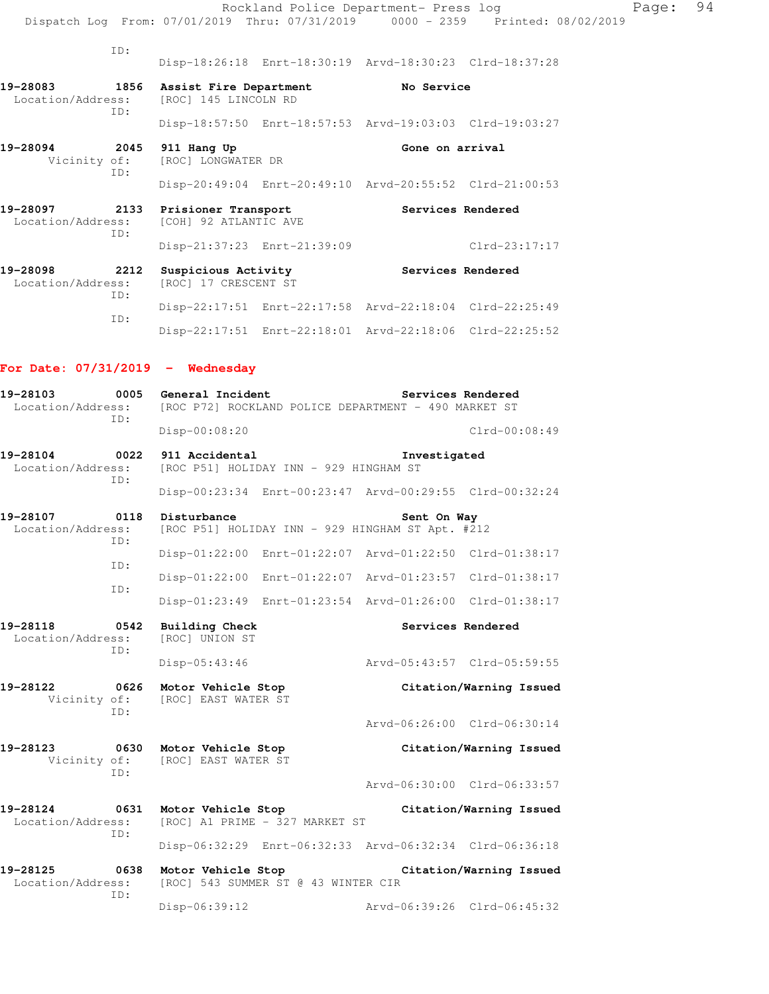|                                                                                       |                                                     |                             | Rockland Police Department- Press log                   |                                                                                |
|---------------------------------------------------------------------------------------|-----------------------------------------------------|-----------------------------|---------------------------------------------------------|--------------------------------------------------------------------------------|
|                                                                                       |                                                     |                             |                                                         | Dispatch Log From: 07/01/2019 Thru: 07/31/2019 0000 - 2359 Printed: 08/02/2019 |
| ID:                                                                                   |                                                     |                             |                                                         |                                                                                |
|                                                                                       |                                                     |                             | Disp-18:26:18 Enrt-18:30:19 Arvd-18:30:23 Clrd-18:37:28 |                                                                                |
| 19-28083 1856 Assist Fire Department<br>Location/Address: [ROC] 145 LINCOLN RD<br>ID: |                                                     |                             | No Service                                              |                                                                                |
|                                                                                       |                                                     |                             | Disp-18:57:50 Enrt-18:57:53 Arvd-19:03:03 Clrd-19:03:27 |                                                                                |
| 19-28094<br>ID:                                                                       | 2045 911 Hang Up<br>Vicinity of: [ROC] LONGWATER DR |                             | Gone on arrival                                         |                                                                                |
|                                                                                       |                                                     |                             | Disp-20:49:04 Enrt-20:49:10 Arvd-20:55:52 Clrd-21:00:53 |                                                                                |
| 19-28097 2133 Prisioner Transport<br>Location/Address: [COH] 92 ATLANTIC AVE<br>ID:   |                                                     |                             | Services Rendered                                       |                                                                                |
|                                                                                       |                                                     | Disp-21:37:23 Enrt-21:39:09 |                                                         | $Clrd-23:17:17$                                                                |
| 19-28098<br>Location/Address: [ROC] 17 CRESCENT ST<br>TD:                             | 2212 Suspicious Activity                            |                             | Services Rendered                                       |                                                                                |
|                                                                                       |                                                     |                             | Disp-22:17:51 Enrt-22:17:58 Arvd-22:18:04 Clrd-22:25:49 |                                                                                |

Disp-22:17:51 Enrt-22:18:01 Arvd-22:18:06 Clrd-22:25:52

## **For Date: 07/31/2019 - Wednesday**

ID:

| 19-28103<br>0005<br>Location/Address:        | General Incident<br>Services Rendered<br>[ROC P72] ROCKLAND POLICE DEPARTMENT - 490 MARKET ST |                                                         |  |  |  |
|----------------------------------------------|-----------------------------------------------------------------------------------------------|---------------------------------------------------------|--|--|--|
| TD:                                          | Disp-00:08:20                                                                                 | $Clrd-00:08:49$                                         |  |  |  |
| 19-28104<br>0022<br>Location/Address:        | 911 Accidental<br>Investigated<br>[ROC P51] HOLIDAY INN - 929 HINGHAM ST                      |                                                         |  |  |  |
| TD:                                          |                                                                                               | Disp-00:23:34 Enrt-00:23:47 Arvd-00:29:55 Clrd-00:32:24 |  |  |  |
| 19-28107<br>0118<br>Location/Address:        | Disturbance<br>Sent On Way<br>[ROC P51] HOLIDAY INN - 929 HINGHAM ST Apt. #212                |                                                         |  |  |  |
| ID:                                          | $Disp-01:22:00$                                                                               | Enrt-01:22:07 Arvd-01:22:50 Clrd-01:38:17               |  |  |  |
| TD:                                          | Disp-01:22:00 Enrt-01:22:07 Arvd-01:23:57                                                     | $Clrd-01:38:17$                                         |  |  |  |
| ID:                                          |                                                                                               | Disp-01:23:49 Enrt-01:23:54 Arvd-01:26:00 Clrd-01:38:17 |  |  |  |
| 19-28118<br>0542<br>Location/Address:<br>ID: | <b>Building Check</b><br>Services Rendered<br>[ROC] UNION ST                                  |                                                         |  |  |  |
|                                              | Disp-05:43:46                                                                                 | Arvd-05:43:57 Clrd-05:59:55                             |  |  |  |
| 19-28122<br>0626<br>Vicinity of:<br>TD:      | Motor Vehicle Stop<br>Citation/Warning Issued<br>[ROC] EAST WATER ST                          |                                                         |  |  |  |
|                                              |                                                                                               | Arvd-06:26:00 Clrd-06:30:14                             |  |  |  |
| 19-28123<br>Vicinity of:<br>TD:              | 0630 Motor Vehicle Stop<br>[ROC] EAST WATER ST                                                | Citation/Warning Issued                                 |  |  |  |
|                                              |                                                                                               | Arvd-06:30:00 Clrd-06:33:57                             |  |  |  |
| 19-28124<br>Location/Address:<br>ID:         | 0631 Motor Vehicle Stop<br>Citation/Warning Issued<br>[ROC] A1 PRIME - 327 MARKET ST          |                                                         |  |  |  |
|                                              |                                                                                               | Disp-06:32:29 Enrt-06:32:33 Arvd-06:32:34 Clrd-06:36:18 |  |  |  |
| 19-28125<br>0638<br>Location/Address:        | Motor Vehicle Stop<br>Citation/Warning Issued<br>[ROC] 543 SUMMER ST @ 43 WINTER CIR          |                                                         |  |  |  |
| TD:                                          | Disp-06:39:12                                                                                 | Arvd-06:39:26 Clrd-06:45:32                             |  |  |  |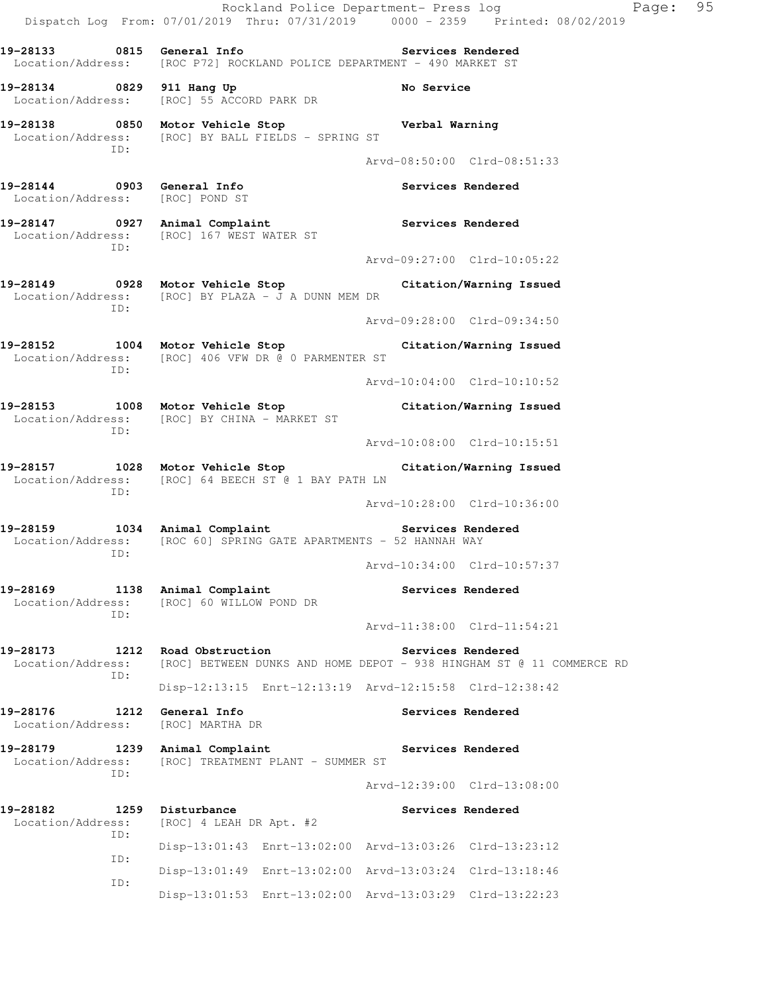Rockland Police Department- Press log Page: 95 Dispatch Log From: 07/01/2019 Thru: 07/31/2019 0000 - 2359 Printed: 08/02/2019 **19-28133 0815 General Info Services Rendered**  Location/Address: [ROC P72] ROCKLAND POLICE DEPARTMENT - 490 MARKET ST 19-28134 0829 911 Hang Up **No Service**  Location/Address: [ROC] 55 ACCORD PARK DR **19-28138 0850 Motor Vehicle Stop Verbal Warning**  Location/Address: [ROC] BY BALL FIELDS - SPRING ST ID: Arvd-08:50:00 Clrd-08:51:33 **19-28144 0903 General Info Services Rendered**  Location/Address: [ROC] POND ST **19-28147 0927 Animal Complaint Services Rendered**  Location/Address: [ROC] 167 WEST WATER ST ID: Arvd-09:27:00 Clrd-10:05:22 **19-28149 0928 Motor Vehicle Stop Citation/Warning Issued**  Location/Address: [ROC] BY PLAZA - J A DUNN MEM DR ID: Arvd-09:28:00 Clrd-09:34:50 **19-28152 1004 Motor Vehicle Stop Citation/Warning Issued**  Location/Address: [ROC] 406 VFW DR @ 0 PARMENTER ST ID: Arvd-10:04:00 Clrd-10:10:52 **19-28153 1008 Motor Vehicle Stop Citation/Warning Issued**  Location/Address: [ROC] BY CHINA - MARKET ST ID: Arvd-10:08:00 Clrd-10:15:51 **19-28157 1028 Motor Vehicle Stop Citation/Warning Issued**  Location/Address: [ROC] 64 BEECH ST @ 1 BAY PATH LN ID: Arvd-10:28:00 Clrd-10:36:00 19-28159 1034 Animal Complaint **Services Rendered** Location/Address: [ROC 60] SPRING GATE APARTMENTS - 52 HANNAH WAY ID: Arvd-10:34:00 Clrd-10:57:37 19-28169 1138 Animal Complaint **1138 Services Rendered**  Location/Address: [ROC] 60 WILLOW POND DR ID: Arvd-11:38:00 Clrd-11:54:21 **19-28173 1212 Road Obstruction Services Rendered**  Location/Address: [ROC] BETWEEN DUNKS AND HOME DEPOT - 938 HINGHAM ST @ 11 COMMERCE RD ID: Disp-12:13:15 Enrt-12:13:19 Arvd-12:15:58 Clrd-12:38:42 **19-28176 1212 General Info Services Rendered**  Location/Address: [ROC] MARTHA DR 19-28179 1239 Animal Complaint **19-28179** Services Rendered Location/Address: [ROC] TREATMENT PLANT - SUMMER ST ID: Arvd-12:39:00 Clrd-13:08:00 **19-28182 1259 Disturbance Services Rendered**  Location/Address: [ROC] 4 LEAH DR Apt. #2 ID: Disp-13:01:43 Enrt-13:02:00 Arvd-13:03:26 Clrd-13:23:12 ID: Disp-13:01:49 Enrt-13:02:00 Arvd-13:03:24 Clrd-13:18:46 ID: Disp-13:01:53 Enrt-13:02:00 Arvd-13:03:29 Clrd-13:22:23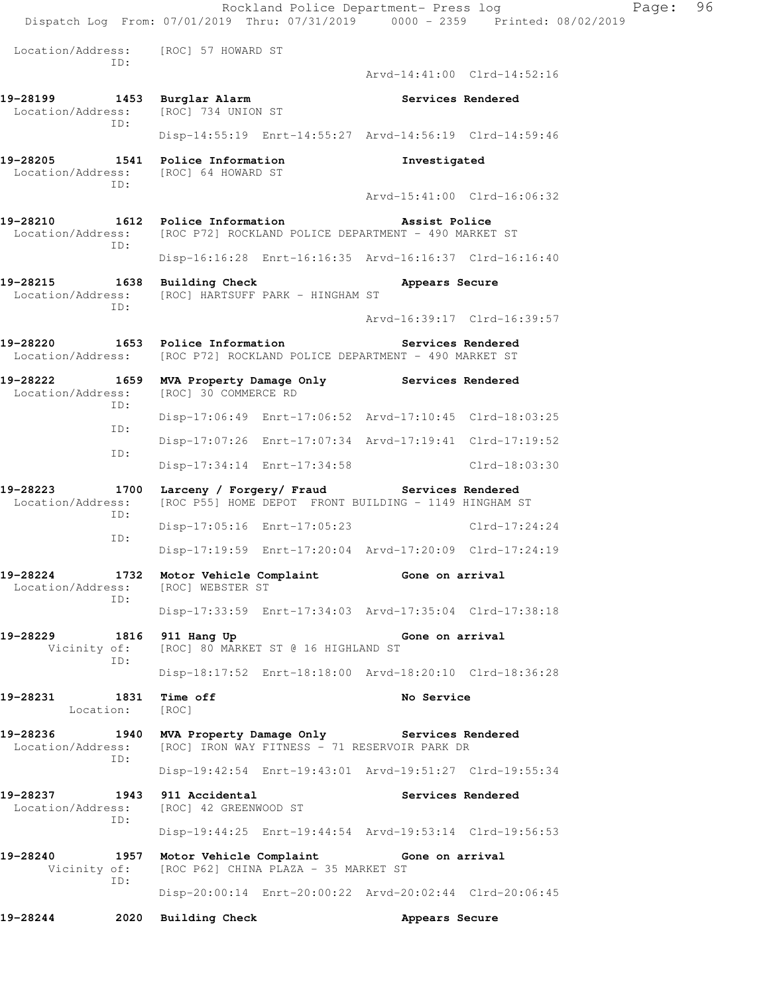|                                                                                    |      |                                                         | Rockland Police Department- Press log                                                                    |                                                                                                                                                             | Dispatch Log From: 07/01/2019 Thru: 07/31/2019 0000 - 2359 Printed: 08/02/2019 | Page: | 96 |
|------------------------------------------------------------------------------------|------|---------------------------------------------------------|----------------------------------------------------------------------------------------------------------|-------------------------------------------------------------------------------------------------------------------------------------------------------------|--------------------------------------------------------------------------------|-------|----|
|                                                                                    |      | Location/Address: [ROC] 57 HOWARD ST                    |                                                                                                          |                                                                                                                                                             |                                                                                |       |    |
|                                                                                    | TD:  |                                                         |                                                                                                          |                                                                                                                                                             | Arvd-14:41:00 Clrd-14:52:16                                                    |       |    |
| 19-28199<br>Location/Address:                                                      | ID:  | 1453 Burglar Alarm<br>[ROC] 734 UNION ST                |                                                                                                          |                                                                                                                                                             | Services Rendered                                                              |       |    |
|                                                                                    |      | Disp-14:55:19 Enrt-14:55:27 Arvd-14:56:19 Clrd-14:59:46 |                                                                                                          |                                                                                                                                                             |                                                                                |       |    |
| 19-28205<br>Location/Address: [ROC] 64 HOWARD ST<br>TD:                            |      | 1541 Police Information                                 |                                                                                                          | Investigated                                                                                                                                                |                                                                                |       |    |
|                                                                                    |      |                                                         |                                                                                                          |                                                                                                                                                             | Arvd-15:41:00 Clrd-16:06:32                                                    |       |    |
| 19-28210<br>Location/Address:                                                      | ID:  | 1612 Police Information                                 | [ROC P72] ROCKLAND POLICE DEPARTMENT - 490 MARKET ST                                                     | Assist Police                                                                                                                                               |                                                                                |       |    |
|                                                                                    |      |                                                         | Disp-16:16:28 Enrt-16:16:35 Arvd-16:16:37 Clrd-16:16:40                                                  |                                                                                                                                                             |                                                                                |       |    |
| 19-28215<br>Location/Address:                                                      | TD:  | 1638 Building Check                                     | [ROC] HARTSUFF PARK - HINGHAM ST                                                                         | Appears Secure                                                                                                                                              |                                                                                |       |    |
|                                                                                    |      |                                                         |                                                                                                          |                                                                                                                                                             | Arvd-16:39:17 Clrd-16:39:57                                                    |       |    |
| 19-28220<br>Location/Address: [ROC P72] ROCKLAND POLICE DEPARTMENT - 490 MARKET ST |      | 1653 Police Information                                 |                                                                                                          |                                                                                                                                                             | Services Rendered                                                              |       |    |
| 19-28222 1659 MVA Property Damage Only Services Rendered<br>Location/Address:      | ID:  | [ROC] 30 COMMERCE RD                                    |                                                                                                          |                                                                                                                                                             |                                                                                |       |    |
|                                                                                    | ID:  |                                                         | Disp-17:06:49 Enrt-17:06:52 Arvd-17:10:45 Clrd-18:03:25                                                  |                                                                                                                                                             |                                                                                |       |    |
|                                                                                    |      |                                                         | Disp-17:07:26 Enrt-17:07:34 Arvd-17:19:41 Clrd-17:19:52                                                  |                                                                                                                                                             |                                                                                |       |    |
| ID:                                                                                |      |                                                         | Disp-17:34:14 Enrt-17:34:58                                                                              |                                                                                                                                                             | $Clrd-18:03:30$                                                                |       |    |
| 19-28223<br>Location/Address:                                                      | ID:  |                                                         | 1700 Larceny / Forgery/ Fraud Services Rendered<br>[ROC P55] HOME DEPOT FRONT BUILDING - 1149 HINGHAM ST |                                                                                                                                                             |                                                                                |       |    |
|                                                                                    | ID:  |                                                         | Disp-17:05:16 Enrt-17:05:23                                                                              |                                                                                                                                                             | Clrd-17:24:24                                                                  |       |    |
|                                                                                    |      |                                                         | Disp-17:19:59 Enrt-17:20:04 Arvd-17:20:09 Clrd-17:24:19                                                  |                                                                                                                                                             |                                                                                |       |    |
| 19-28224<br>1732<br>Location/Address:<br>ID:                                       |      | [ROC] WEBSTER ST                                        | Motor Vehicle Complaint 6one on arrival                                                                  |                                                                                                                                                             |                                                                                |       |    |
|                                                                                    |      |                                                         | Disp-17:33:59 Enrt-17:34:03 Arvd-17:35:04 Clrd-17:38:18                                                  |                                                                                                                                                             |                                                                                |       |    |
| 1816<br>19-28229<br>Vicinity of:<br>ID:                                            |      | 911 Hang Up                                             | [ROC] 80 MARKET ST @ 16 HIGHLAND ST                                                                      | Gone on arrival                                                                                                                                             |                                                                                |       |    |
|                                                                                    |      |                                                         | Disp-18:17:52 Enrt-18:18:00 Arvd-18:20:10 Clrd-18:36:28                                                  |                                                                                                                                                             |                                                                                |       |    |
| 19-28231<br>Location:                                                              | 1831 | Time off<br>[ROC]                                       |                                                                                                          | No Service                                                                                                                                                  |                                                                                |       |    |
| 19-28236<br>Location/Address:                                                      | ID:  |                                                         |                                                                                                          |                                                                                                                                                             |                                                                                |       |    |
|                                                                                    |      |                                                         |                                                                                                          | 1940 MVA Property Damage Only Services Rendered<br>[ROC] IRON WAY FITNESS - 71 RESERVOIR PARK DR<br>Disp-19:42:54 Enrt-19:43:01 Arvd-19:51:27 Clrd-19:55:34 |                                                                                |       |    |
| 19-28237<br>Location/Address:                                                      | ID:  | 1943 911 Accidental<br>[ROC] 42 GREENWOOD ST            |                                                                                                          |                                                                                                                                                             | Services Rendered                                                              |       |    |
|                                                                                    |      |                                                         | Disp-19:44:25 Enrt-19:44:54 Arvd-19:53:14 Clrd-19:56:53                                                  |                                                                                                                                                             |                                                                                |       |    |
| 19-28240<br>Vicinity of:<br>ID:                                                    |      |                                                         | 1957 Motor Vehicle Complaint 6one on arrival<br>[ROC P62] CHINA PLAZA - 35 MARKET ST                     |                                                                                                                                                             |                                                                                |       |    |
|                                                                                    |      |                                                         | Disp-20:00:14 Enrt-20:00:22 Arvd-20:02:44 Clrd-20:06:45                                                  |                                                                                                                                                             |                                                                                |       |    |
| 19-28244                                                                           | 2020 | <b>Building Check</b>                                   |                                                                                                          | Appears Secure                                                                                                                                              |                                                                                |       |    |